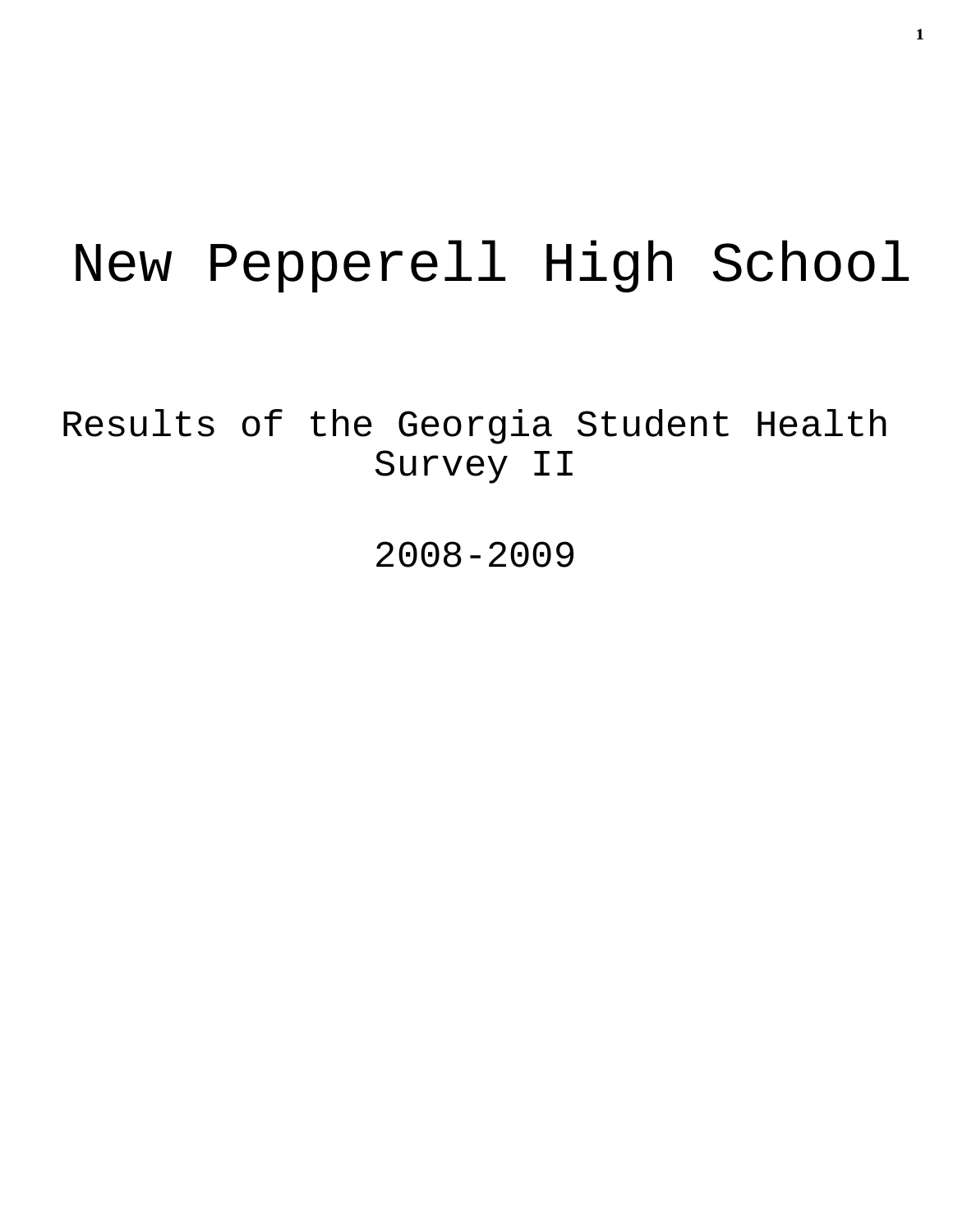# New Pepperell High School

Results of the Georgia Student Health Survey II

2008-2009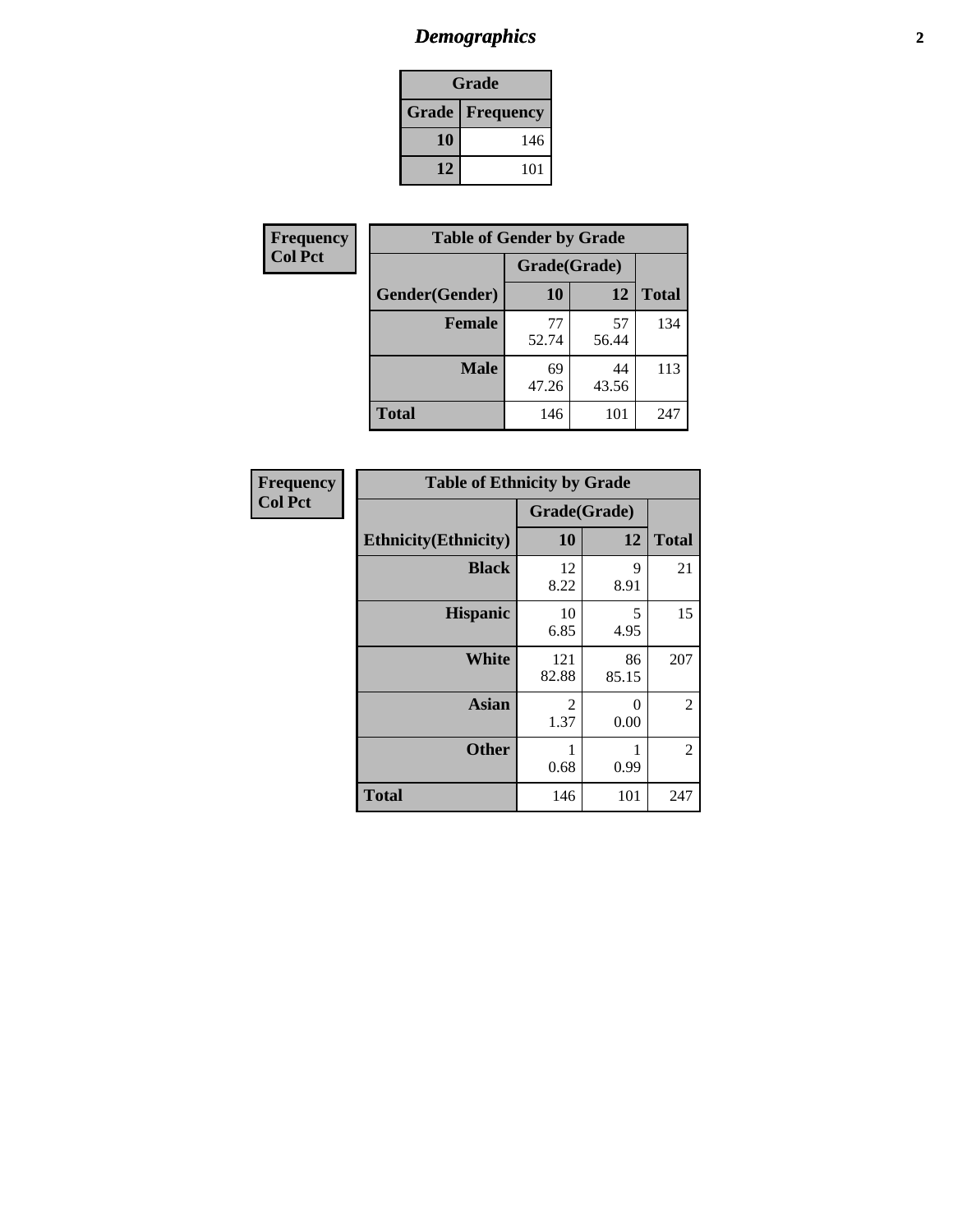# *Demographics* **2**

| Grade                    |     |  |  |
|--------------------------|-----|--|--|
| <b>Grade   Frequency</b> |     |  |  |
| 10                       | 146 |  |  |
| 12                       | 101 |  |  |

| Frequency      | <b>Table of Gender by Grade</b> |              |             |              |  |  |
|----------------|---------------------------------|--------------|-------------|--------------|--|--|
| <b>Col Pct</b> |                                 | Grade(Grade) |             |              |  |  |
|                | Gender(Gender)                  | 10           | 12          | <b>Total</b> |  |  |
|                | <b>Female</b>                   | 77<br>52.74  | 57<br>56.44 | 134          |  |  |
|                | <b>Male</b>                     | 69<br>47.26  | 44<br>43.56 | 113          |  |  |
|                | <b>Total</b>                    | 146          | 101         | 247          |  |  |

| <b>Frequency</b> |  |
|------------------|--|
| <b>Col Pct</b>   |  |

| <b>Table of Ethnicity by Grade</b> |              |             |              |  |  |
|------------------------------------|--------------|-------------|--------------|--|--|
|                                    | Grade(Grade) |             |              |  |  |
| <b>Ethnicity</b> (Ethnicity)       | 10           | 12          | <b>Total</b> |  |  |
| <b>Black</b>                       | 12<br>8.22   | 9<br>8.91   | 21           |  |  |
| <b>Hispanic</b>                    | 10<br>6.85   | 5<br>4.95   | 15           |  |  |
| <b>White</b>                       | 121<br>82.88 | 86<br>85.15 | 207          |  |  |
| <b>Asian</b>                       | 2<br>1.37    | 0<br>0.00   | 2            |  |  |
| <b>Other</b>                       | 1<br>0.68    | 0.99        | 2            |  |  |
| <b>Total</b>                       | 146          | 101         | 247          |  |  |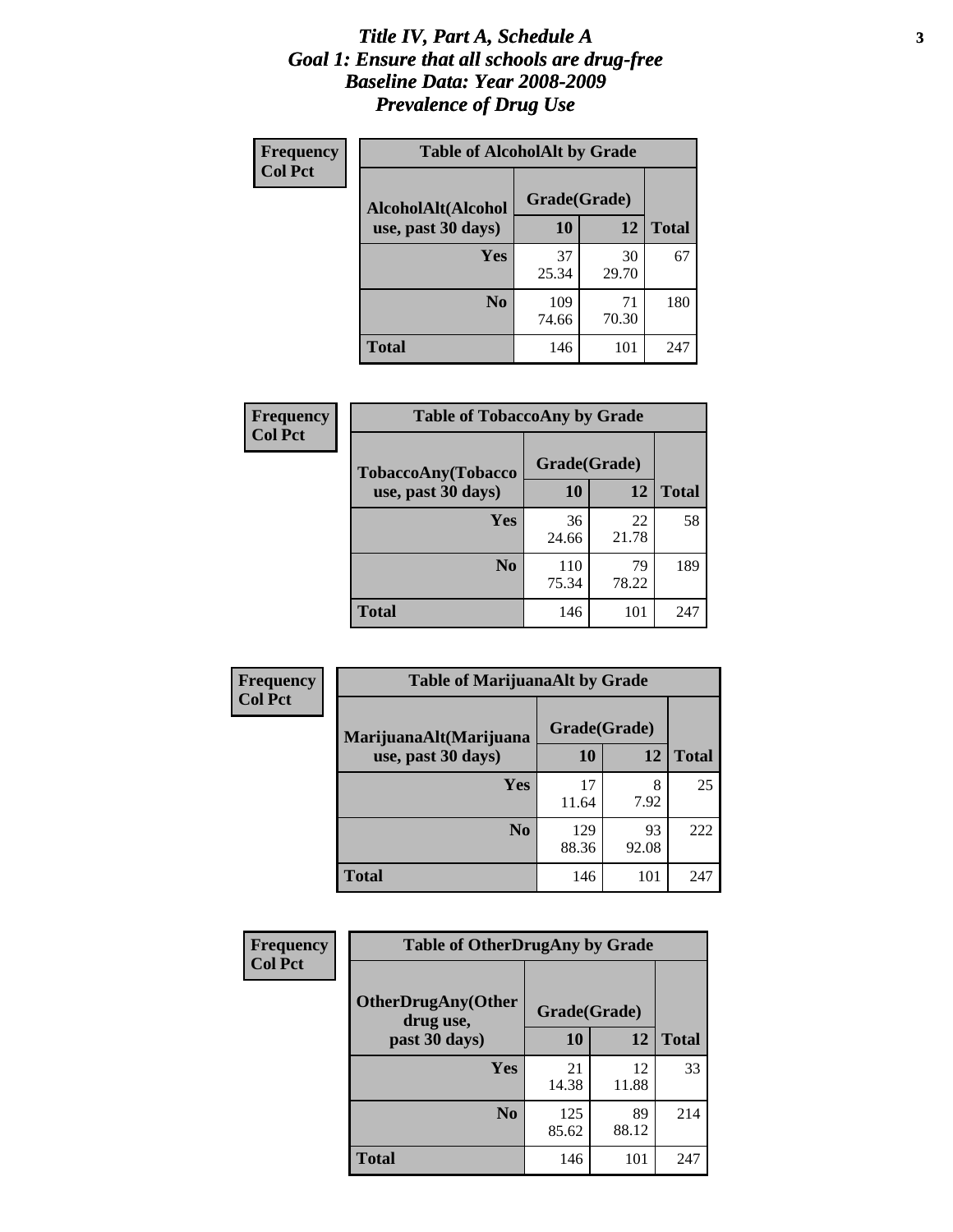### *Title IV, Part A, Schedule A* **3** *Goal 1: Ensure that all schools are drug-free Baseline Data: Year 2008-2009 Prevalence of Drug Use*

| Frequency<br><b>Col Pct</b> | <b>Table of AlcoholAlt by Grade</b> |              |             |              |  |
|-----------------------------|-------------------------------------|--------------|-------------|--------------|--|
|                             | AlcoholAlt(Alcohol                  | Grade(Grade) |             |              |  |
|                             | use, past 30 days)                  | <b>10</b>    | 12          | <b>Total</b> |  |
|                             | Yes                                 | 37<br>25.34  | 30<br>29.70 | 67           |  |
|                             | N <sub>0</sub>                      | 109<br>74.66 | 71<br>70.30 | 180          |  |
|                             | Total                               | 146          | 101         | 247          |  |

| Frequency      | <b>Table of TobaccoAny by Grade</b> |              |             |              |  |  |
|----------------|-------------------------------------|--------------|-------------|--------------|--|--|
| <b>Col Pct</b> | <b>TobaccoAny(Tobacco</b>           | Grade(Grade) |             |              |  |  |
|                | use, past 30 days)                  | 10           | 12          | <b>Total</b> |  |  |
|                | Yes                                 | 36<br>24.66  | 22<br>21.78 | 58           |  |  |
|                | N <sub>0</sub>                      | 110<br>75.34 | 79<br>78.22 | 189          |  |  |
|                | <b>Total</b>                        | 146          | 101         | 247          |  |  |

| Frequency<br><b>Col Pct</b> | <b>Table of MarijuanaAlt by Grade</b> |              |             |              |  |
|-----------------------------|---------------------------------------|--------------|-------------|--------------|--|
|                             | MarijuanaAlt(Marijuana                | Grade(Grade) |             |              |  |
|                             | use, past 30 days)                    | <b>10</b>    | 12          | <b>Total</b> |  |
|                             | <b>Yes</b>                            | 17<br>11.64  | 8<br>7.92   | 25           |  |
|                             | N <sub>0</sub>                        | 129<br>88.36 | 93<br>92.08 | 222          |  |
|                             | <b>Total</b>                          | 146          | 101         | 247          |  |

| Frequency<br><b>Col Pct</b> | <b>Table of OtherDrugAny by Grade</b>  |              |             |              |  |
|-----------------------------|----------------------------------------|--------------|-------------|--------------|--|
|                             | <b>OtherDrugAny(Other</b><br>drug use, | Grade(Grade) |             |              |  |
|                             | past 30 days)                          | 10           | 12          | <b>Total</b> |  |
|                             | Yes                                    | 21<br>14.38  | 12<br>11.88 | 33           |  |
|                             | N <sub>0</sub>                         | 125<br>85.62 | 89<br>88.12 | 214          |  |
|                             | <b>Total</b>                           | 146          | 101         | 247          |  |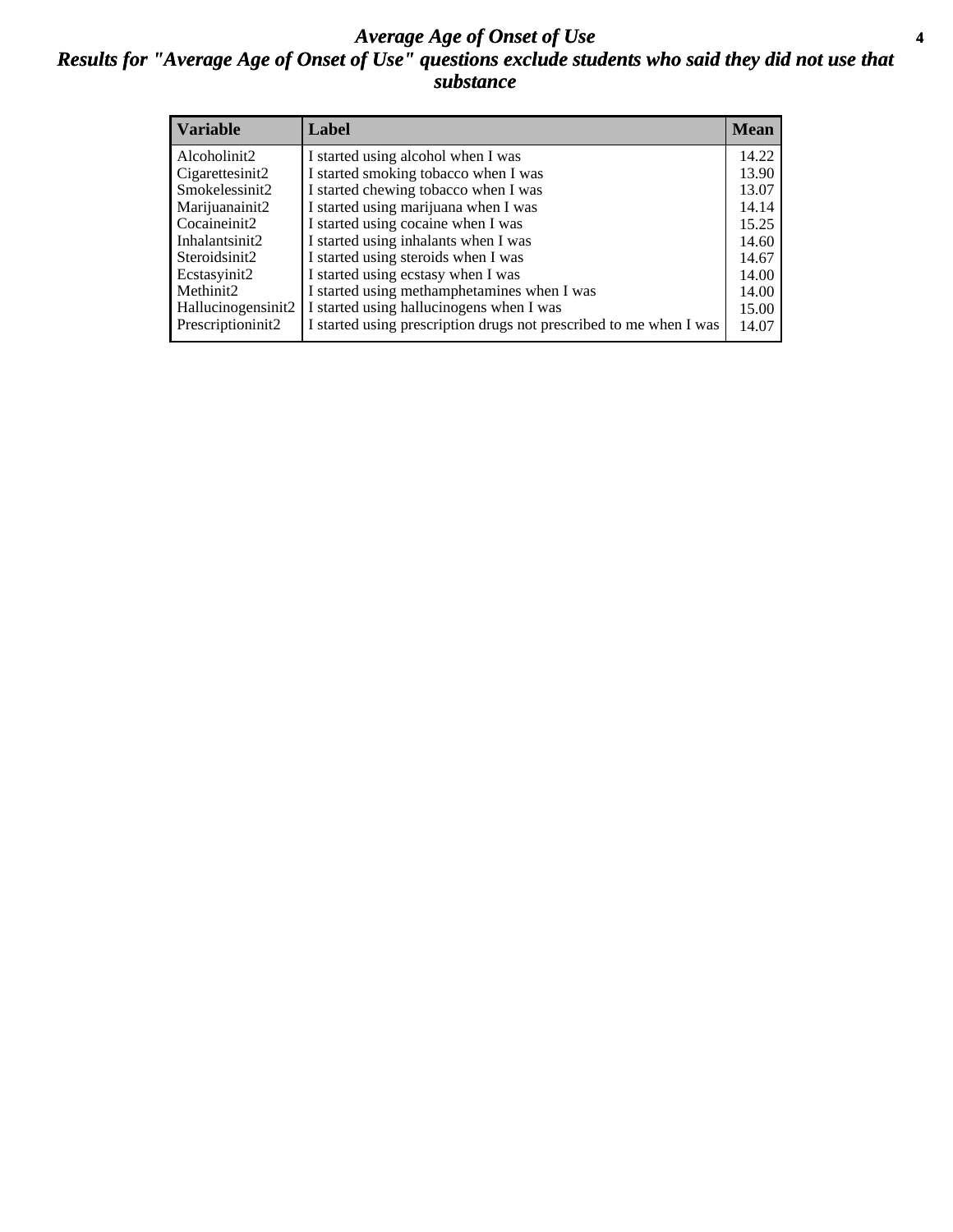### *Average Age of Onset of Use* **4** *Results for "Average Age of Onset of Use" questions exclude students who said they did not use that substance*

| <b>Variable</b>    | Label                                                              | <b>Mean</b> |
|--------------------|--------------------------------------------------------------------|-------------|
| Alcoholinit2       | I started using alcohol when I was                                 | 14.22       |
| Cigarettesinit2    | I started smoking tobacco when I was                               | 13.90       |
| Smokelessinit2     | I started chewing tobacco when I was                               | 13.07       |
| Marijuanainit2     | I started using marijuana when I was                               | 14.14       |
| Cocaineinit2       | I started using cocaine when I was                                 | 15.25       |
| Inhalantsinit2     | I started using inhalants when I was                               | 14.60       |
| Steroidsinit2      | I started using steroids when I was                                | 14.67       |
| Ecstasyinit2       | I started using ecstasy when I was                                 | 14.00       |
| Methinit2          | I started using methamphetamines when I was                        | 14.00       |
| Hallucinogensinit2 | I started using hallucinogens when I was                           | 15.00       |
| Prescriptioninit2  | I started using prescription drugs not prescribed to me when I was | 14.07       |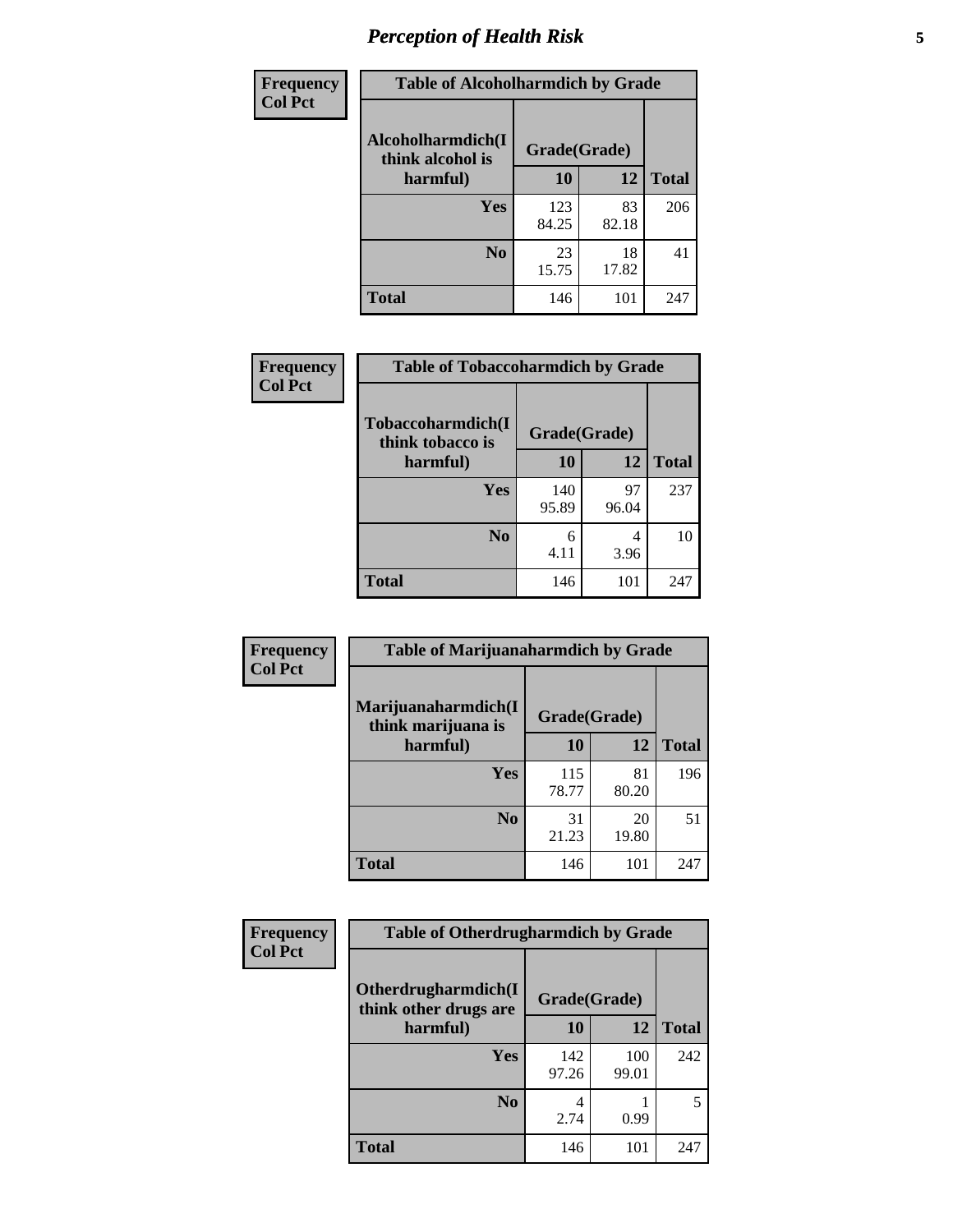# *Perception of Health Risk* **5**

| Frequency      | <b>Table of Alcoholharmdich by Grade</b> |              |             |              |  |
|----------------|------------------------------------------|--------------|-------------|--------------|--|
| <b>Col Pct</b> | Alcoholharmdich(I<br>think alcohol is    | Grade(Grade) |             |              |  |
|                | harmful)                                 | 10           | 12          | <b>Total</b> |  |
|                | Yes                                      | 123<br>84.25 | 83<br>82.18 | 206          |  |
|                | N <sub>0</sub>                           | 23<br>15.75  | 18<br>17.82 | 41           |  |
|                | <b>Total</b>                             | 146          | 101         | 247          |  |

| Frequency      | <b>Table of Tobaccoharmdich by Grade</b> |              |             |              |  |
|----------------|------------------------------------------|--------------|-------------|--------------|--|
| <b>Col Pct</b> | Tobaccoharmdich(I<br>think tobacco is    | Grade(Grade) |             |              |  |
|                | harmful)                                 | 10           | 12          | <b>Total</b> |  |
|                | <b>Yes</b>                               | 140<br>95.89 | 97<br>96.04 | 237          |  |
|                | N <sub>0</sub>                           | 6<br>4.11    | 4<br>3.96   | 10           |  |
|                | <b>Total</b>                             | 146          | 101         | 247          |  |

| <b>Frequency</b> | <b>Table of Marijuanaharmdich by Grade</b> |              |             |              |  |
|------------------|--------------------------------------------|--------------|-------------|--------------|--|
| <b>Col Pct</b>   | Marijuanaharmdich(I<br>think marijuana is  | Grade(Grade) |             |              |  |
|                  | harmful)                                   | 10           | 12          | <b>Total</b> |  |
|                  | Yes                                        | 115<br>78.77 | 81<br>80.20 | 196          |  |
|                  | N <sub>0</sub>                             | 31<br>21.23  | 20<br>19.80 | 51           |  |
|                  | <b>Total</b>                               | 146          | 101         | 247          |  |

| <b>Frequency</b> | <b>Table of Otherdrugharmdich by Grade</b>   |              |              |              |  |  |
|------------------|----------------------------------------------|--------------|--------------|--------------|--|--|
| <b>Col Pct</b>   | Otherdrugharmdich(I<br>think other drugs are |              |              |              |  |  |
|                  | harmful)                                     | 10           | 12           | <b>Total</b> |  |  |
|                  | <b>Yes</b>                                   | 142<br>97.26 | 100<br>99.01 | 242          |  |  |
|                  | N <sub>0</sub>                               | 4<br>2.74    | 0.99         | 5            |  |  |
|                  | <b>Total</b>                                 | 146          | 101          | 247          |  |  |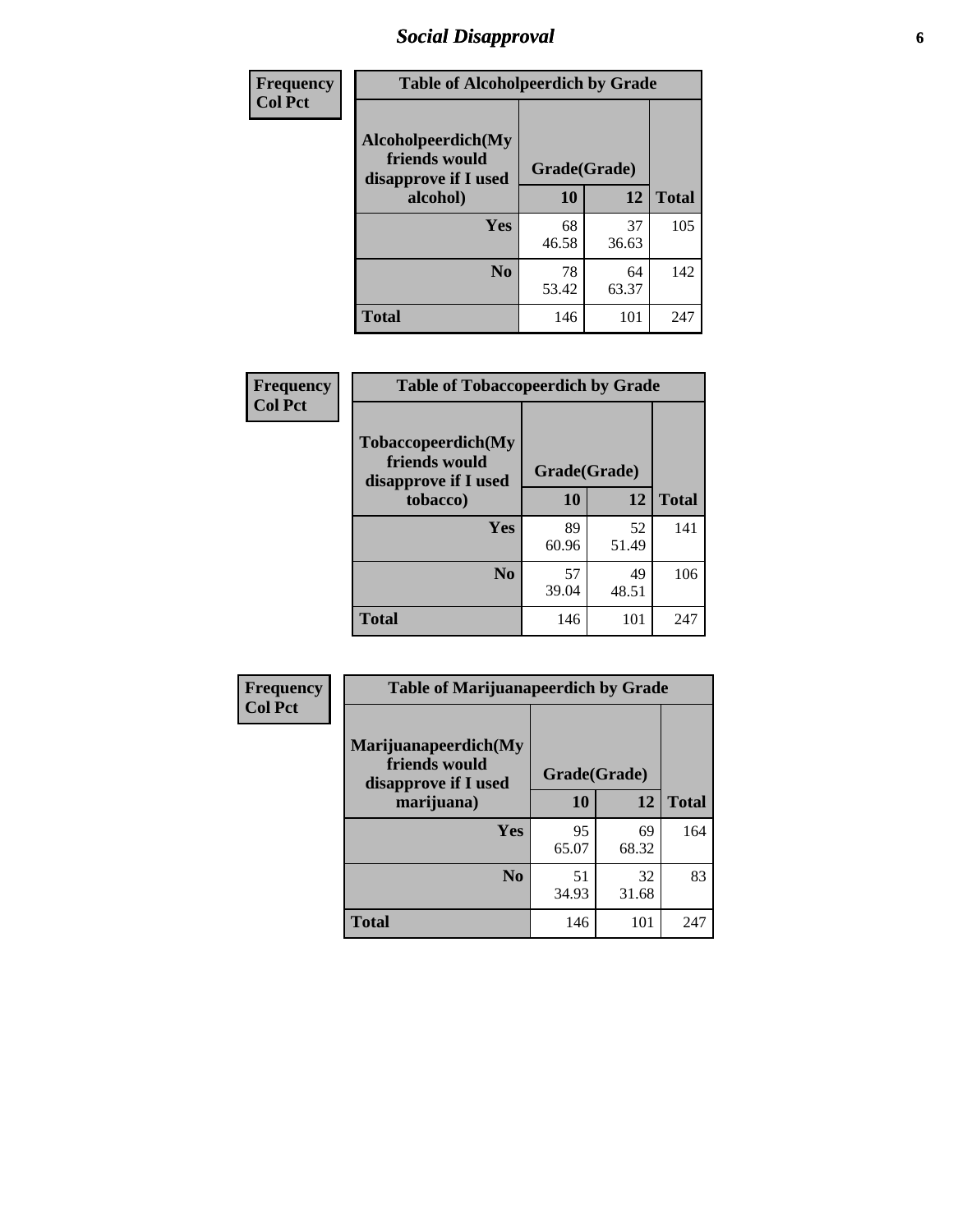# *Social Disapproval* **6**

| <b>Frequency</b> | <b>Table of Alcoholpeerdich by Grade</b>                    |              |             |              |
|------------------|-------------------------------------------------------------|--------------|-------------|--------------|
| <b>Col Pct</b>   | Alcoholpeerdich(My<br>friends would<br>disapprove if I used | Grade(Grade) |             |              |
|                  | alcohol)                                                    |              | 12          | <b>Total</b> |
|                  | <b>Yes</b>                                                  | 68<br>46.58  | 37<br>36.63 | 105          |
|                  | N <sub>0</sub>                                              | 78<br>53.42  | 64<br>63.37 | 142          |
|                  | <b>Total</b>                                                | 146          | 101         | 247          |

| <b>Frequency</b> |
|------------------|
| <b>Col Pct</b>   |

| <b>Table of Tobaccopeerdich by Grade</b>                            |              |             |              |  |
|---------------------------------------------------------------------|--------------|-------------|--------------|--|
| <b>Tobaccopeerdich</b> (My<br>friends would<br>disapprove if I used | Grade(Grade) |             |              |  |
| tobacco)                                                            | 10           | 12          | <b>Total</b> |  |
| Yes                                                                 | 89<br>60.96  | 52<br>51.49 | 141          |  |
| N <sub>0</sub>                                                      | 57<br>39.04  | 49<br>48.51 | 106          |  |
| <b>Total</b>                                                        | 146          | 101         | 247          |  |

| <b>Frequency</b> | <b>Table of Marijuanapeerdich by Grade</b>                    |              |             |              |  |  |
|------------------|---------------------------------------------------------------|--------------|-------------|--------------|--|--|
| <b>Col Pct</b>   | Marijuanapeerdich(My<br>friends would<br>disapprove if I used | Grade(Grade) |             |              |  |  |
|                  | marijuana)                                                    | 10           | 12          | <b>Total</b> |  |  |
|                  | Yes                                                           | 95<br>65.07  | 69<br>68.32 | 164          |  |  |
|                  | N <sub>0</sub>                                                | 51<br>34.93  | 32<br>31.68 | 83           |  |  |
|                  | <b>Total</b>                                                  | 146          | 101         | 247          |  |  |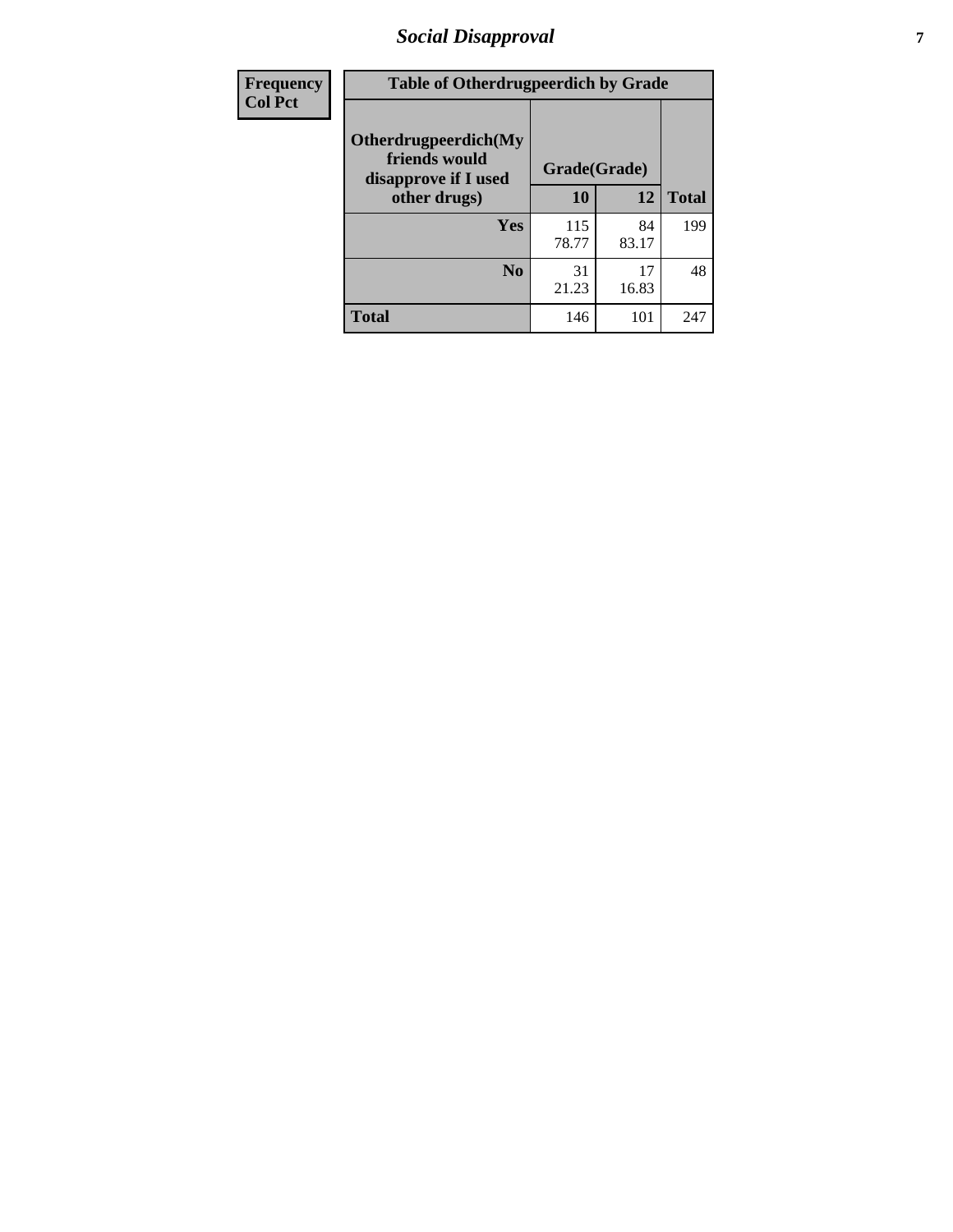# *Social Disapproval* **7**

| Frequency      | <b>Table of Otherdrugpeerdich by Grade</b>                    |              |             |              |  |  |
|----------------|---------------------------------------------------------------|--------------|-------------|--------------|--|--|
| <b>Col Pct</b> | Otherdrugpeerdich(My<br>friends would<br>disapprove if I used | Grade(Grade) |             |              |  |  |
|                | other drugs)                                                  | 10           | 12          | <b>Total</b> |  |  |
|                | Yes                                                           | 115<br>78.77 | 84<br>83.17 | 199          |  |  |
|                | N <sub>0</sub>                                                | 31<br>21.23  | 17<br>16.83 | 48           |  |  |
|                | <b>Total</b>                                                  | 146          | 101         | 247          |  |  |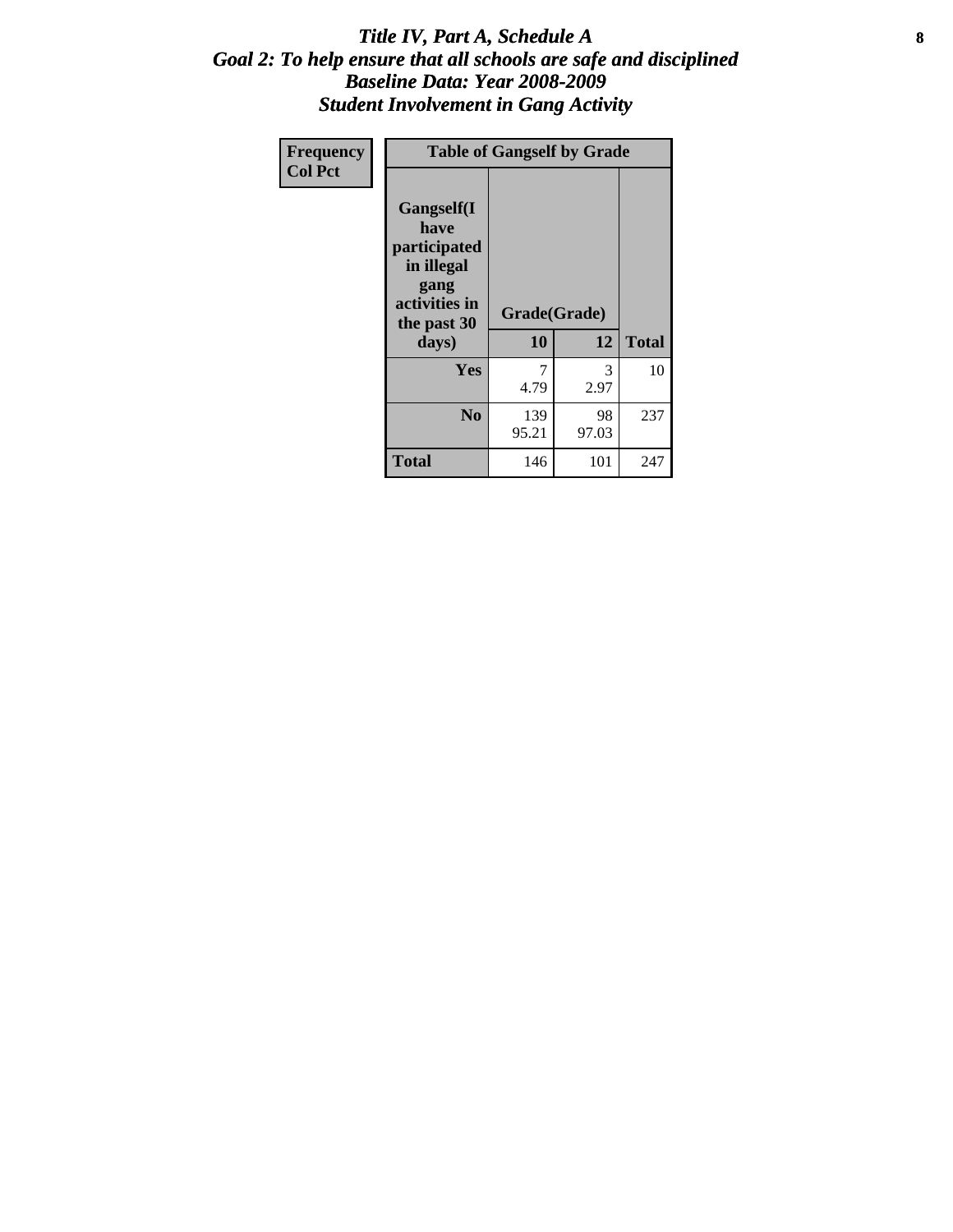### Title IV, Part A, Schedule A **8** *Goal 2: To help ensure that all schools are safe and disciplined Baseline Data: Year 2008-2009 Student Involvement in Gang Activity*

| Frequency      | <b>Table of Gangself by Grade</b>                                                                 |                    |             |              |
|----------------|---------------------------------------------------------------------------------------------------|--------------------|-------------|--------------|
| <b>Col Pct</b> | Gangself(I<br>have<br>participated<br>in illegal<br>gang<br>activities in<br>the past 30<br>days) | Grade(Grade)<br>10 | 12          | <b>Total</b> |
|                | Yes                                                                                               | 7<br>4.79          | 3<br>2.97   | 10           |
|                | N <sub>0</sub>                                                                                    | 139<br>95.21       | 98<br>97.03 | 237          |
|                | <b>Total</b>                                                                                      | 146                | 101         | 247          |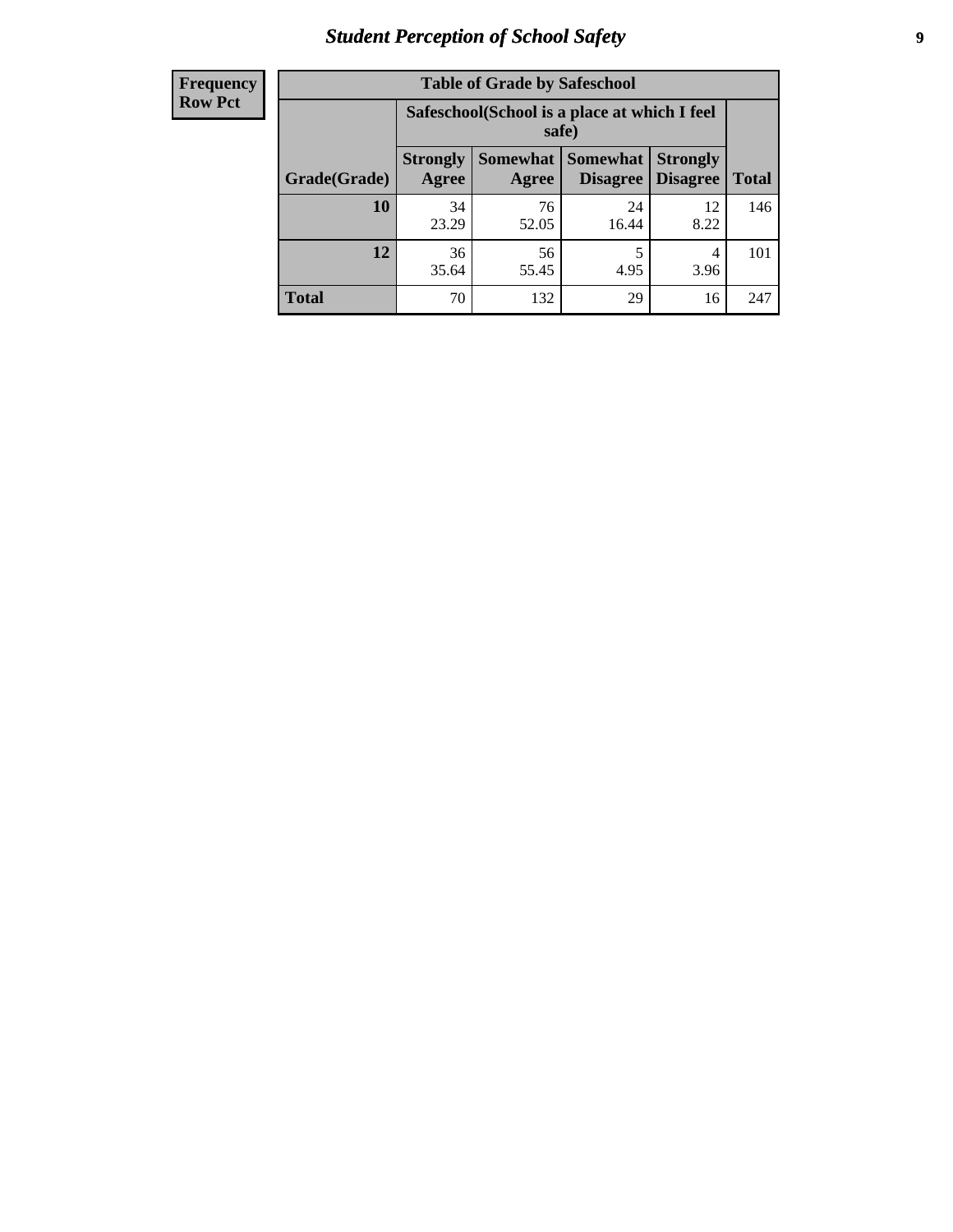# *Student Perception of School Safety* **9**

| <b>Frequency</b><br>Row Pct |
|-----------------------------|
|                             |

| <b>Table of Grade by Safeschool</b> |                                                                                                                      |                                                        |             |            |     |  |
|-------------------------------------|----------------------------------------------------------------------------------------------------------------------|--------------------------------------------------------|-------------|------------|-----|--|
|                                     |                                                                                                                      | Safeschool (School is a place at which I feel<br>safe) |             |            |     |  |
| Grade(Grade)                        | Somewhat  <br><b>Somewhat</b><br><b>Strongly</b><br><b>Strongly</b><br><b>Disagree</b><br>Agree<br>Disagree<br>Agree |                                                        |             |            |     |  |
| 10                                  | 34<br>23.29                                                                                                          | 76<br>52.05                                            | 24<br>16.44 | 12<br>8.22 | 146 |  |
| 12                                  | 36<br>35.64                                                                                                          | 56<br>55.45                                            | 5<br>4.95   | 4<br>3.96  | 101 |  |
| <b>Total</b>                        | 70                                                                                                                   | 132                                                    | 29          | 16         | 247 |  |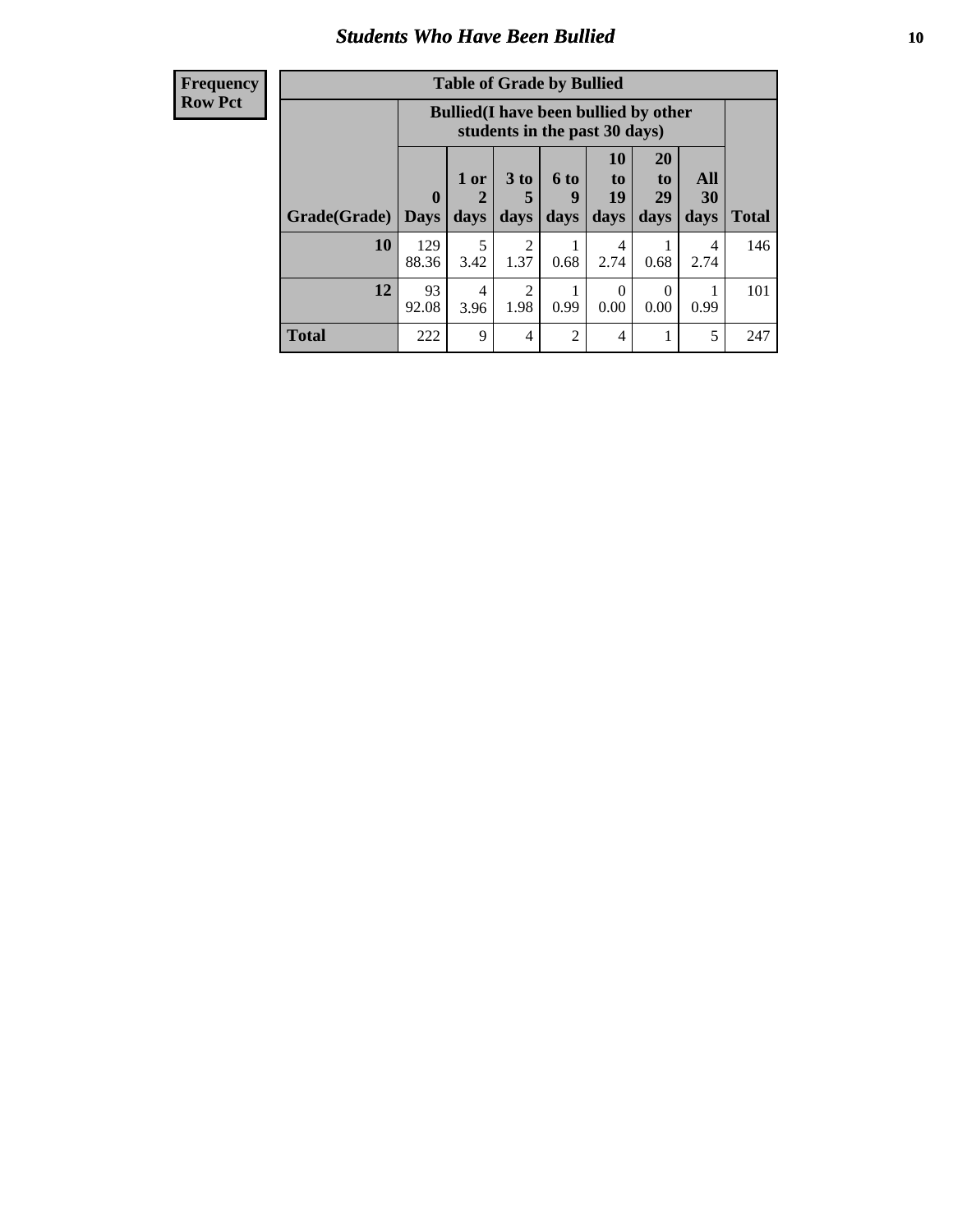### *Students Who Have Been Bullied* **10**

#### **Frequency Row Pct**

| <b>Table of Grade by Bullied</b> |              |                                                                               |                              |                          |                        |                        |                          |              |
|----------------------------------|--------------|-------------------------------------------------------------------------------|------------------------------|--------------------------|------------------------|------------------------|--------------------------|--------------|
|                                  |              | <b>Bullied</b> (I have been bullied by other<br>students in the past 30 days) |                              |                          |                        |                        |                          |              |
| Grade(Grade)   Days              | 0            | 1 or<br>2<br>days                                                             | 3 <sub>to</sub><br>5<br>days | <b>6 to</b><br>9<br>days | 10<br>to<br>19<br>days | 20<br>to<br>29<br>days | All<br><b>30</b><br>days | <b>Total</b> |
| 10                               | 129<br>88.36 | 5<br>3.42                                                                     | 2<br>1.37                    | 0.68                     | 4<br>2.74              | 0.68                   | 4<br>2.74                | 146          |
| 12                               | 93<br>92.08  | 4<br>3.96                                                                     | $\overline{2}$<br>1.98       | 0.99                     | $\Omega$<br>0.00       | 0<br>0.00              | 0.99                     | 101          |
| <b>Total</b>                     | 222          | 9                                                                             | 4                            | $\overline{2}$           | 4                      |                        | 5                        | 247          |

 $\blacksquare$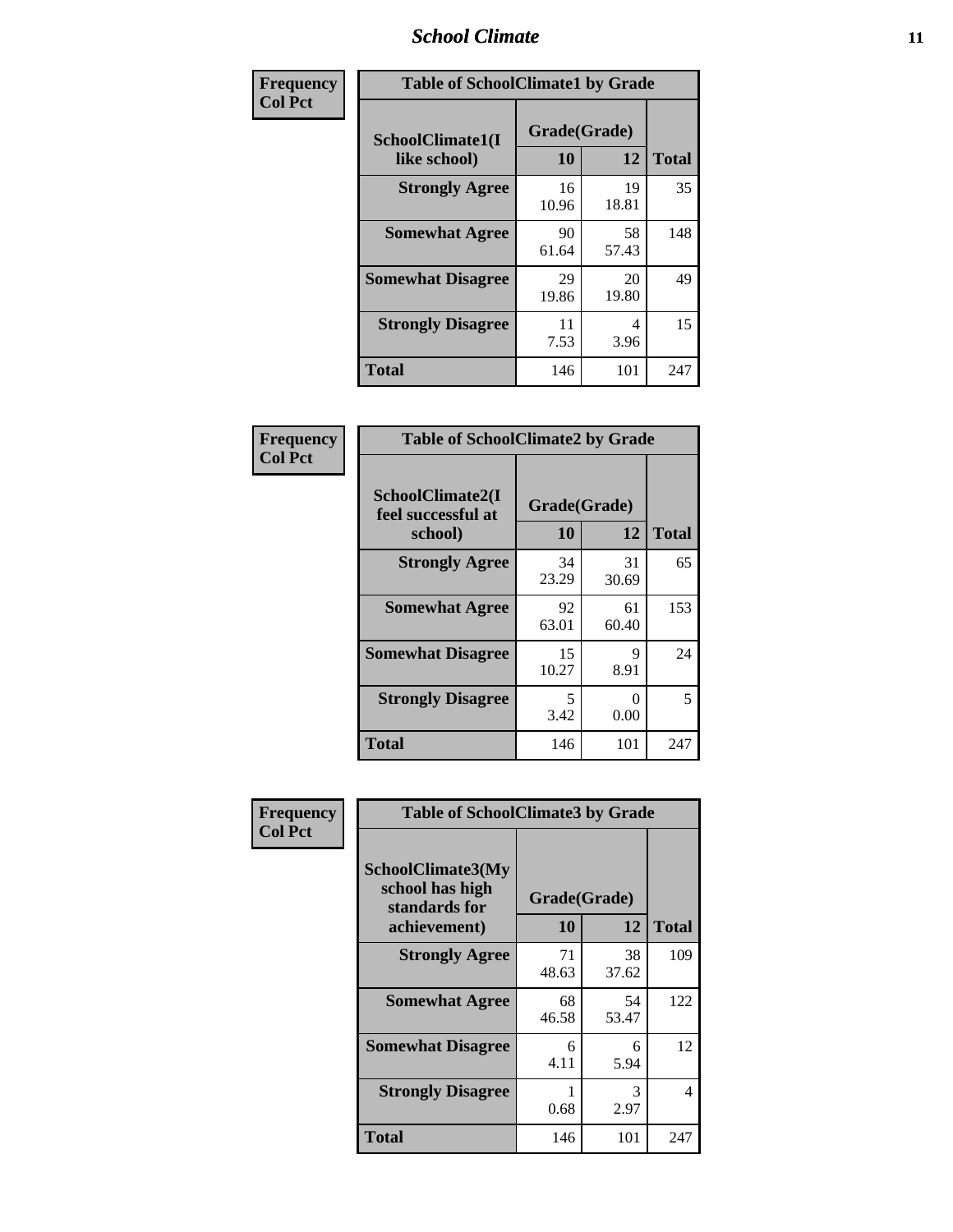### *School Climate* **11**

| Frequency      | <b>Table of SchoolClimate1 by Grade</b> |                    |             |              |  |  |
|----------------|-----------------------------------------|--------------------|-------------|--------------|--|--|
| <b>Col Pct</b> | SchoolClimate1(I<br>like school)        | Grade(Grade)<br>10 | 12          | <b>Total</b> |  |  |
|                | <b>Strongly Agree</b>                   | 16<br>10.96        | 19<br>18.81 | 35           |  |  |
|                | <b>Somewhat Agree</b>                   | 90<br>61.64        | 58<br>57.43 | 148          |  |  |
|                | <b>Somewhat Disagree</b>                | 29<br>19.86        | 20<br>19.80 | 49           |  |  |
|                | <b>Strongly Disagree</b>                | 11<br>7.53         | 4<br>3.96   | 15           |  |  |
|                | <b>Total</b>                            | 146                | 101         | 247          |  |  |

| Frequency      | <b>Table of SchoolClimate2 by Grade</b>           |                    |             |              |
|----------------|---------------------------------------------------|--------------------|-------------|--------------|
| <b>Col Pct</b> | SchoolClimate2(I<br>feel successful at<br>school) | Grade(Grade)<br>10 | 12          | <b>Total</b> |
|                | <b>Strongly Agree</b>                             | 34<br>23.29        | 31<br>30.69 | 65           |
|                | <b>Somewhat Agree</b>                             | 92<br>63.01        | 61<br>60.40 | 153          |
|                | <b>Somewhat Disagree</b>                          | 15<br>10.27        | 9<br>8.91   | 24           |
|                | <b>Strongly Disagree</b>                          | 5<br>3.42          | 0<br>0.00   | 5            |
|                | <b>Total</b>                                      | 146                | 101         | 247          |

| Frequency | <b>Table of SchoolClimate3 by Grade</b>                      |              |             |              |  |
|-----------|--------------------------------------------------------------|--------------|-------------|--------------|--|
| Col Pct   | <b>SchoolClimate3(My</b><br>school has high<br>standards for | Grade(Grade) |             |              |  |
|           | achievement)                                                 | 10           | 12          | <b>Total</b> |  |
|           | <b>Strongly Agree</b>                                        | 71<br>48.63  | 38<br>37.62 | 109          |  |
|           | <b>Somewhat Agree</b>                                        | 68<br>46.58  | 54<br>53.47 | 122          |  |
|           | <b>Somewhat Disagree</b>                                     | 6<br>4.11    | 6<br>5.94   | 12           |  |
|           | <b>Strongly Disagree</b>                                     | 0.68         | 3<br>2.97   | 4            |  |
|           | Total                                                        | 146          | 101         | 247          |  |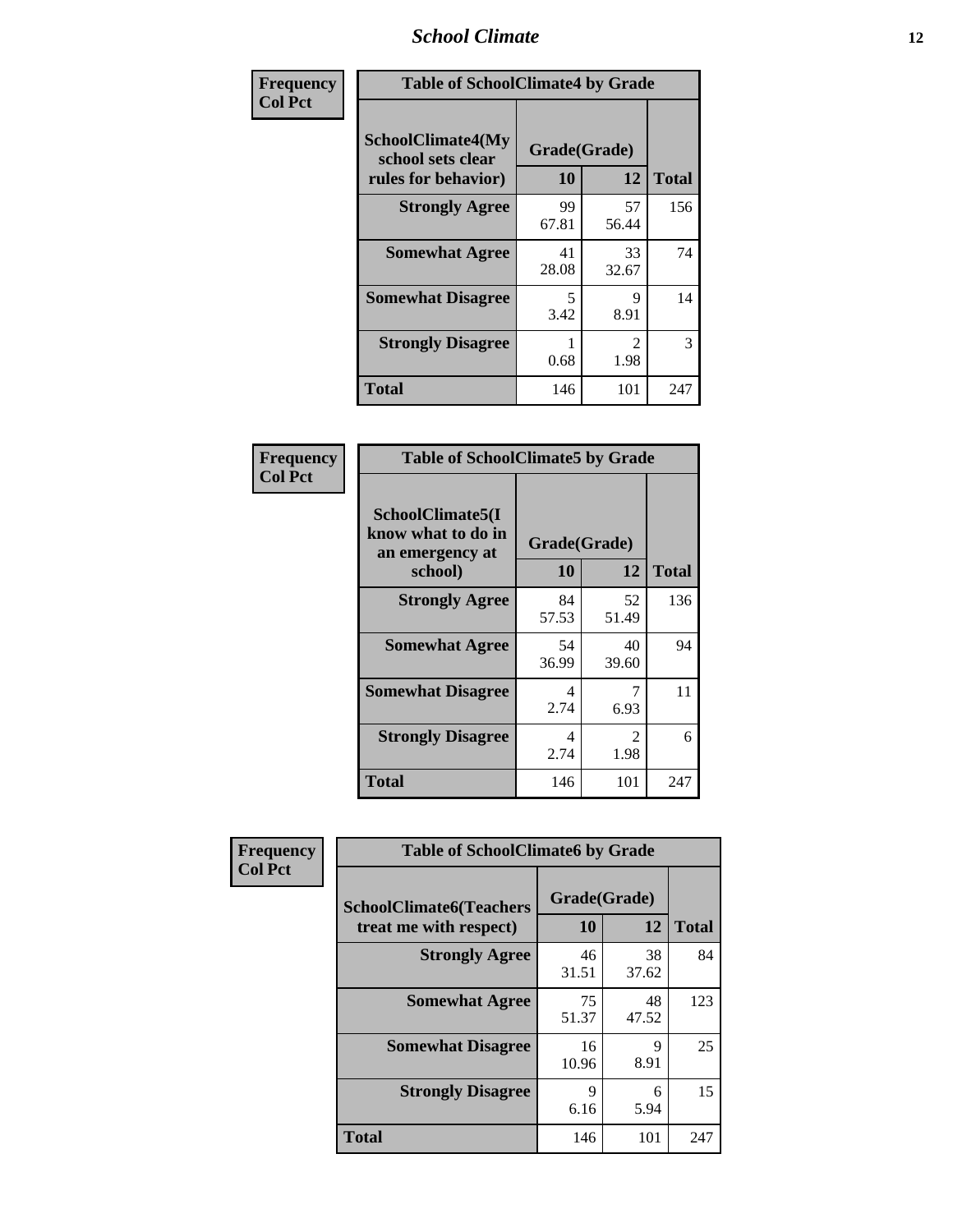### *School Climate* **12**

| Frequency      | <b>Table of SchoolClimate4 by Grade</b>                       |                    |                                     |              |
|----------------|---------------------------------------------------------------|--------------------|-------------------------------------|--------------|
| <b>Col Pct</b> | SchoolClimate4(My<br>school sets clear<br>rules for behavior) | Grade(Grade)<br>10 | 12                                  | <b>Total</b> |
|                | <b>Strongly Agree</b>                                         | 99<br>67.81        | 57<br>56.44                         | 156          |
|                | <b>Somewhat Agree</b>                                         | 41<br>28.08        | 33<br>32.67                         | 74           |
|                | <b>Somewhat Disagree</b>                                      | 5<br>3.42          | 9<br>8.91                           | 14           |
|                | <b>Strongly Disagree</b>                                      | 0.68               | $\mathcal{D}_{\mathcal{L}}$<br>1.98 | 3            |
|                | <b>Total</b>                                                  | 146                | 101                                 | 247          |

| <b>Table of SchoolClimate5 by Grade</b>                              |                    |              |     |  |
|----------------------------------------------------------------------|--------------------|--------------|-----|--|
| SchoolClimate5(I<br>know what to do in<br>an emergency at<br>school) | Grade(Grade)<br>10 | <b>Total</b> |     |  |
| <b>Strongly Agree</b>                                                | 84<br>57.53        | 52<br>51.49  | 136 |  |
| <b>Somewhat Agree</b>                                                | 54<br>36.99        | 40<br>39.60  | 94  |  |
| <b>Somewhat Disagree</b>                                             | 4<br>2.74          | 7<br>6.93    | 11  |  |
| <b>Strongly Disagree</b>                                             | 4<br>2.74          | 2<br>1.98    | 6   |  |
| <b>Total</b>                                                         | 146                | 101          | 247 |  |

| Frequency      | <b>Table of SchoolClimate6 by Grade</b>                  |                    |             |              |
|----------------|----------------------------------------------------------|--------------------|-------------|--------------|
| <b>Col Pct</b> | <b>SchoolClimate6(Teachers</b><br>treat me with respect) | Grade(Grade)<br>10 | 12          | <b>Total</b> |
|                | <b>Strongly Agree</b>                                    | 46<br>31.51        | 38<br>37.62 | 84           |
|                | <b>Somewhat Agree</b>                                    | 75<br>51.37        | 48<br>47.52 | 123          |
|                | <b>Somewhat Disagree</b>                                 | 16<br>10.96        | 9<br>8.91   | 25           |
|                | <b>Strongly Disagree</b>                                 | 9<br>6.16          | 6<br>5.94   | 15           |
|                | <b>Total</b>                                             | 146                | 101         | 247          |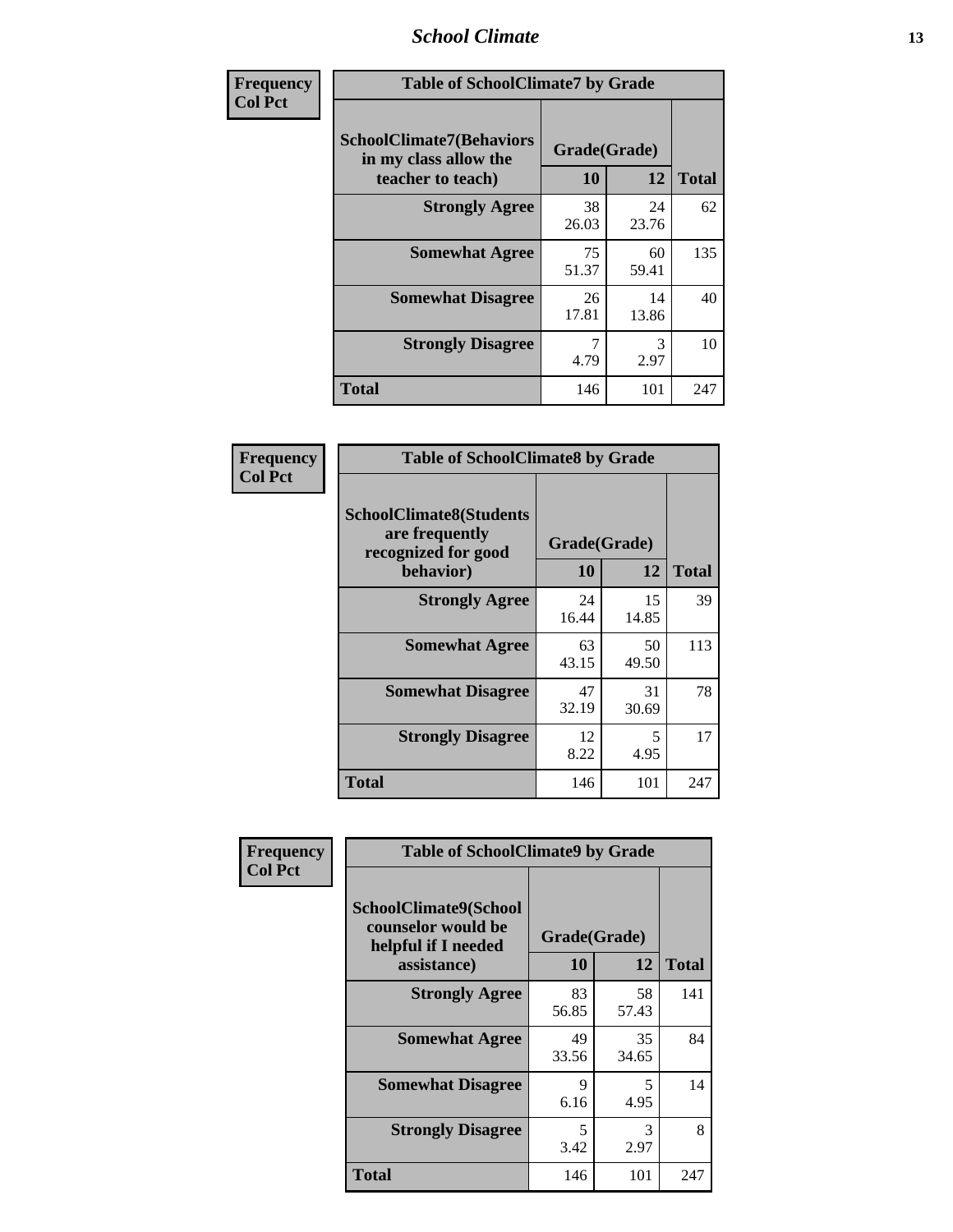### *School Climate* **13**

| Frequency      | <b>Table of SchoolClimate7 by Grade</b>                                       |                           |             |              |
|----------------|-------------------------------------------------------------------------------|---------------------------|-------------|--------------|
| <b>Col Pct</b> | <b>SchoolClimate7(Behaviors</b><br>in my class allow the<br>teacher to teach) | Grade(Grade)<br><b>10</b> | 12          | <b>Total</b> |
|                | <b>Strongly Agree</b>                                                         | 38<br>26.03               | 24<br>23.76 | 62           |
|                | <b>Somewhat Agree</b>                                                         | 75<br>51.37               | 60<br>59.41 | 135          |
|                | <b>Somewhat Disagree</b>                                                      | 26<br>17.81               | 14<br>13.86 | 40           |
|                | <b>Strongly Disagree</b>                                                      | 7<br>4.79                 | 3<br>2.97   | 10           |
|                | <b>Total</b>                                                                  | 146                       | 101         | 247          |

| Frequency      | <b>Table of SchoolClimate8 by Grade</b>                                              |                    |             |              |
|----------------|--------------------------------------------------------------------------------------|--------------------|-------------|--------------|
| <b>Col Pct</b> | <b>SchoolClimate8(Students</b><br>are frequently<br>recognized for good<br>behavior) | Grade(Grade)<br>10 | 12          | <b>Total</b> |
|                | <b>Strongly Agree</b>                                                                | 24<br>16.44        | 15<br>14.85 | 39           |
|                | <b>Somewhat Agree</b>                                                                | 63<br>43.15        | 50<br>49.50 | 113          |
|                | <b>Somewhat Disagree</b>                                                             | 47<br>32.19        | 31<br>30.69 | 78           |
|                | <b>Strongly Disagree</b>                                                             | 12<br>8.22         | 5<br>4.95   | 17           |
|                | <b>Total</b>                                                                         | 146                | 101         | 247          |

| Frequency      | <b>Table of SchoolClimate9 by Grade</b>                                           |                    |             |              |
|----------------|-----------------------------------------------------------------------------------|--------------------|-------------|--------------|
| <b>Col Pct</b> | SchoolClimate9(School<br>counselor would be<br>helpful if I needed<br>assistance) | Grade(Grade)<br>10 | 12          | <b>Total</b> |
|                | <b>Strongly Agree</b>                                                             | 83<br>56.85        | 58<br>57.43 | 141          |
|                | <b>Somewhat Agree</b>                                                             | 49<br>33.56        | 35<br>34.65 | 84           |
|                | <b>Somewhat Disagree</b>                                                          | 9<br>6.16          | 5<br>4.95   | 14           |
|                | <b>Strongly Disagree</b>                                                          | 5<br>3.42          | 3<br>2.97   | 8            |
|                | Total                                                                             | 146                | 101         | 247          |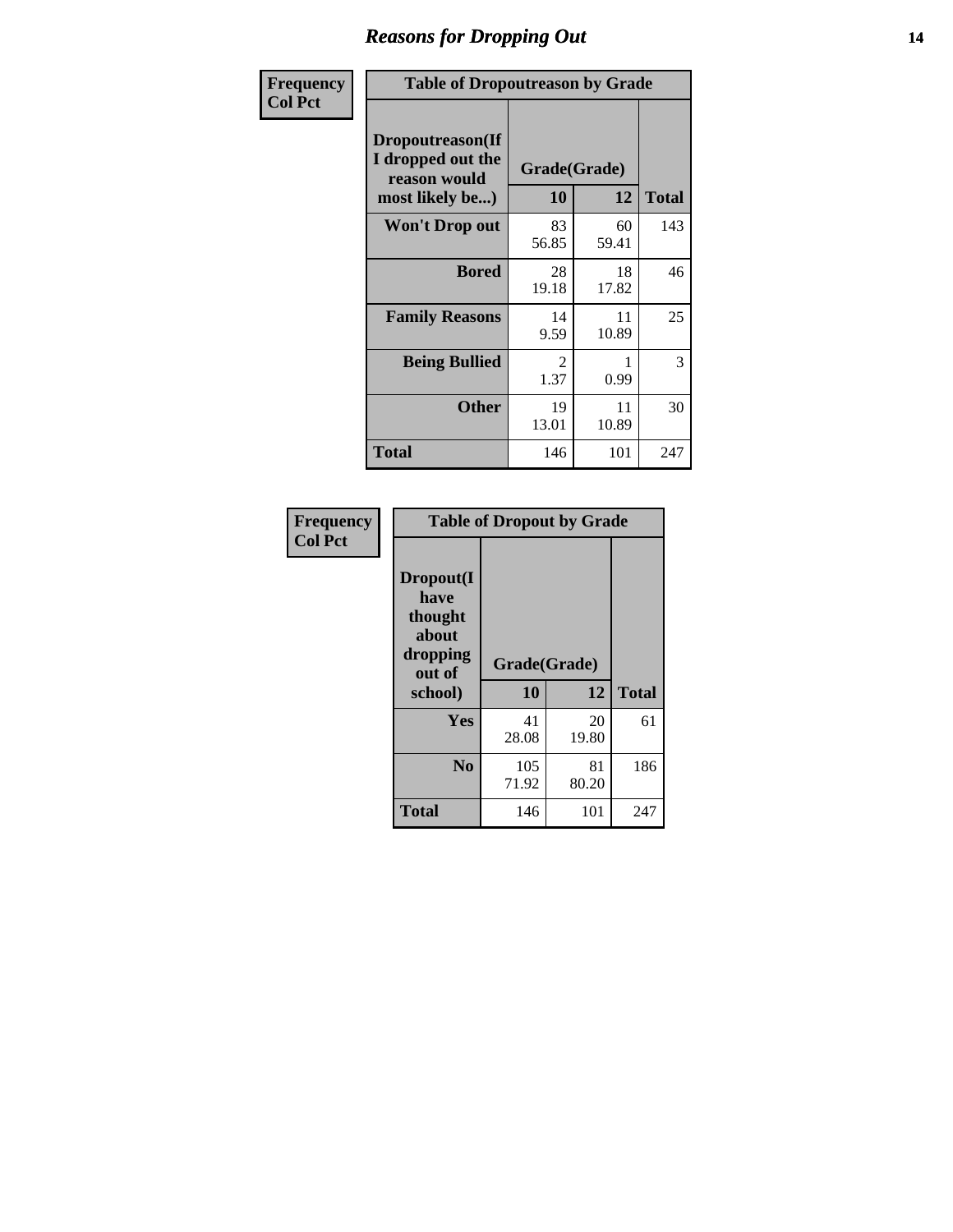### *Reasons for Dropping Out* **14**

| Frequency      | <b>Table of Dropoutreason by Grade</b>                                   |                    |             |              |
|----------------|--------------------------------------------------------------------------|--------------------|-------------|--------------|
| <b>Col Pct</b> | Dropoutreason(If<br>I dropped out the<br>reason would<br>most likely be) | Grade(Grade)<br>10 | 12          | <b>Total</b> |
|                | <b>Won't Drop out</b>                                                    | 83<br>56.85        | 60<br>59.41 | 143          |
|                | <b>Bored</b>                                                             | 28<br>19.18        | 18<br>17.82 | 46           |
|                | <b>Family Reasons</b>                                                    | 14<br>9.59         | 11<br>10.89 | 25           |
|                | <b>Being Bullied</b>                                                     | 2<br>1.37          | 0.99        | 3            |
|                | <b>Other</b>                                                             | 19<br>13.01        | 11<br>10.89 | 30           |
|                | <b>Total</b>                                                             | 146                | 101         | 247          |

| Frequency<br><b>Col Pct</b> | <b>Table of Dropout by Grade</b>                            |              |              |              |  |
|-----------------------------|-------------------------------------------------------------|--------------|--------------|--------------|--|
|                             | Dropout(I<br>have<br>thought<br>about<br>dropping<br>out of |              | Grade(Grade) |              |  |
|                             | school)                                                     | 10           | 12           | <b>Total</b> |  |
|                             | Yes                                                         | 41<br>28.08  | 20<br>19.80  | 61           |  |
|                             | N <sub>0</sub>                                              | 105<br>71.92 | 81<br>80.20  | 186          |  |
|                             | <b>Total</b>                                                | 146          | 101          | 247          |  |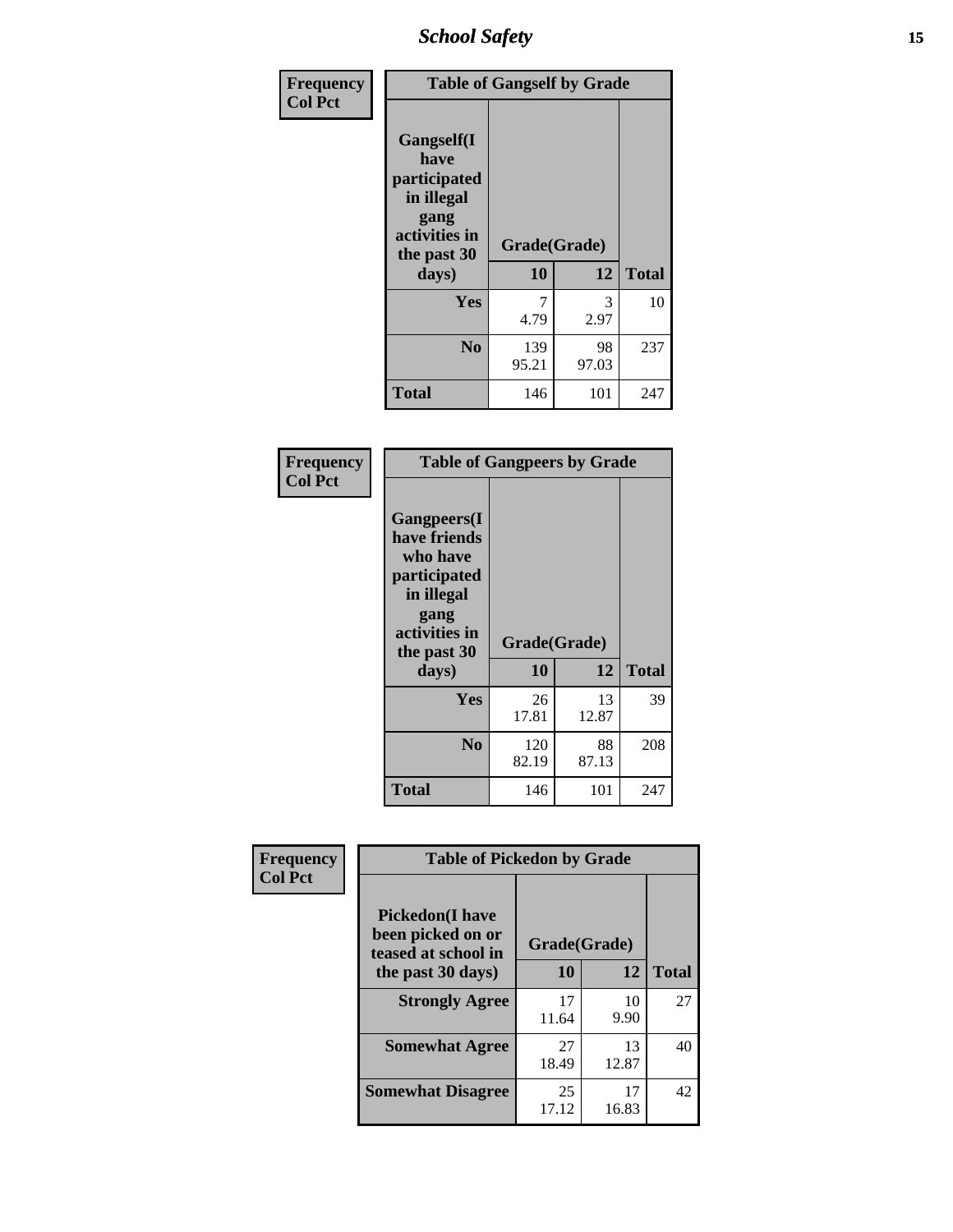*School Safety* **15**

| Frequency      | <b>Table of Gangself by Grade</b>                                                                         |                    |             |              |
|----------------|-----------------------------------------------------------------------------------------------------------|--------------------|-------------|--------------|
| <b>Col Pct</b> | <b>Gangself</b> (I<br>have<br>participated<br>in illegal<br>gang<br>activities in<br>the past 30<br>days) | Grade(Grade)<br>10 | 12          | <b>Total</b> |
|                | Yes                                                                                                       | 7<br>4.79          | 3<br>2.97   | 10           |
|                | N <sub>0</sub>                                                                                            | 139<br>95.21       | 98<br>97.03 | 237          |
|                | <b>Total</b>                                                                                              | 146                | 101         | 247          |

| Frequency<br><b>Col Pct</b> | <b>Table of Gangpeers by Grade</b>                                                                                             |                    |             |              |
|-----------------------------|--------------------------------------------------------------------------------------------------------------------------------|--------------------|-------------|--------------|
|                             | <b>Gangpeers</b> (I<br>have friends<br>who have<br>participated<br>in illegal<br>gang<br>activities in<br>the past 30<br>days) | Grade(Grade)<br>10 | 12          | <b>Total</b> |
|                             | Yes                                                                                                                            | 26<br>17.81        | 13<br>12.87 | 39           |
|                             | N <sub>0</sub>                                                                                                                 | 120<br>82.19       | 88<br>87.13 | 208          |
|                             | <b>Total</b>                                                                                                                   | 146                | 101         | 247          |

| Frequency      | <b>Table of Pickedon by Grade</b>                                   |              |             |              |
|----------------|---------------------------------------------------------------------|--------------|-------------|--------------|
| <b>Col Pct</b> | <b>Pickedon</b> (I have<br>been picked on or<br>teased at school in | Grade(Grade) |             |              |
|                | the past 30 days)                                                   | 10           | 12          | <b>Total</b> |
|                | <b>Strongly Agree</b>                                               | 17<br>11.64  | 10<br>9.90  | 27           |
|                | <b>Somewhat Agree</b>                                               | 27<br>18.49  | 13<br>12.87 | 40           |
|                | <b>Somewhat Disagree</b>                                            | 25<br>17.12  | 17<br>16.83 | 42           |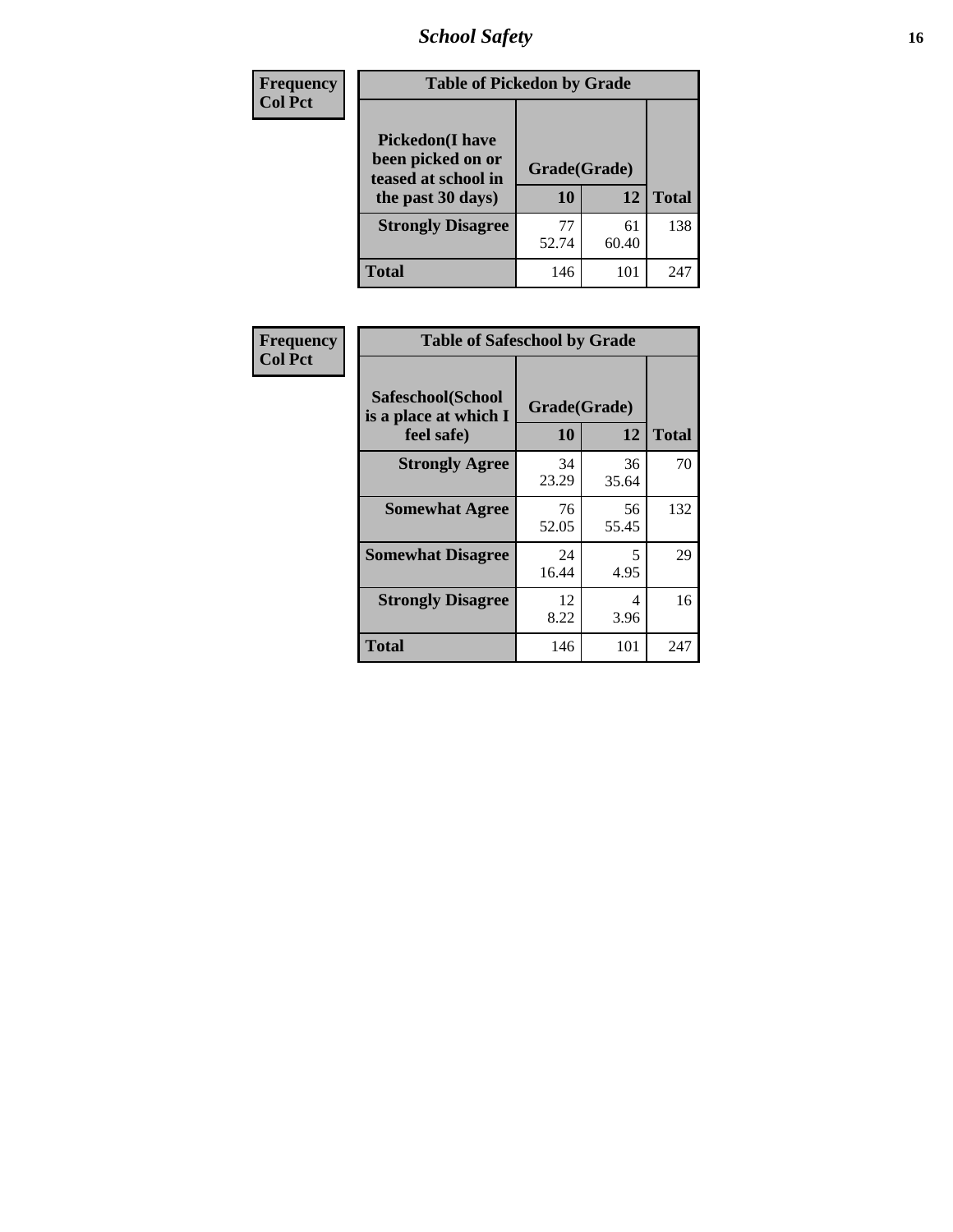# *School Safety* **16**

| Frequency<br><b>Col Pct</b> | <b>Table of Pickedon by Grade</b>                                                        |                    |             |              |
|-----------------------------|------------------------------------------------------------------------------------------|--------------------|-------------|--------------|
|                             | <b>Pickedon</b> (I have<br>been picked on or<br>teased at school in<br>the past 30 days) | Grade(Grade)<br>10 | 12          | <b>Total</b> |
|                             | <b>Strongly Disagree</b>                                                                 | 77<br>52.74        | 61<br>60.40 | 138          |
|                             | Total                                                                                    | 146                | 101         | 247          |

| Frequency      | <b>Table of Safeschool by Grade</b>                      |                    |             |              |  |  |  |  |  |
|----------------|----------------------------------------------------------|--------------------|-------------|--------------|--|--|--|--|--|
| <b>Col Pct</b> | Safeschool(School<br>is a place at which I<br>feel safe) | Grade(Grade)<br>10 | 12          | <b>Total</b> |  |  |  |  |  |
|                | <b>Strongly Agree</b>                                    | 34<br>23.29        | 36<br>35.64 | 70           |  |  |  |  |  |
|                | <b>Somewhat Agree</b>                                    | 76<br>52.05        | 56<br>55.45 | 132          |  |  |  |  |  |
|                | <b>Somewhat Disagree</b>                                 | 24<br>16.44        | 5<br>4.95   | 29           |  |  |  |  |  |
|                | <b>Strongly Disagree</b>                                 | 12<br>8.22         | 4<br>3.96   | 16           |  |  |  |  |  |
|                | <b>Total</b>                                             | 146                | 101         | 247          |  |  |  |  |  |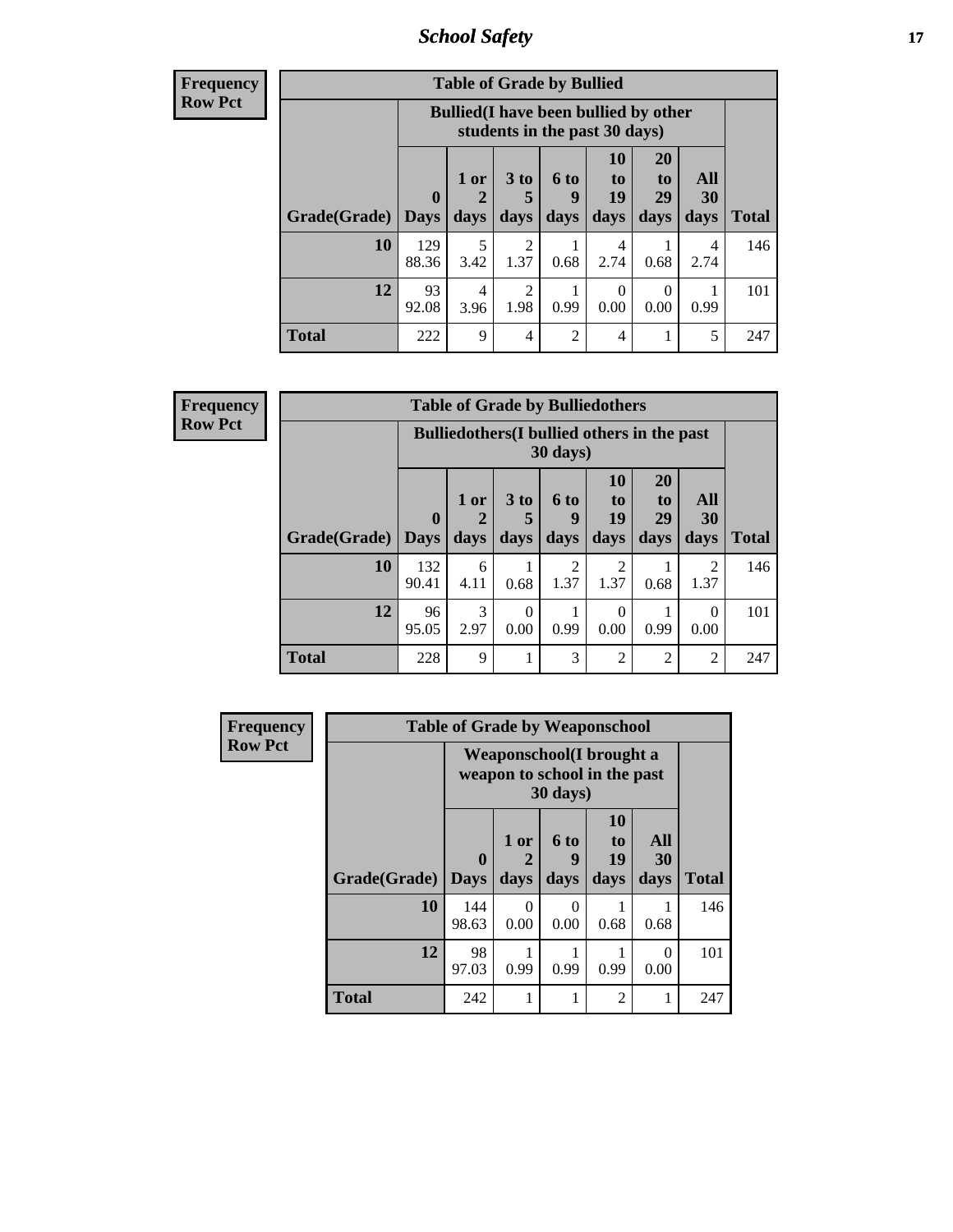*School Safety* **17**

| Frequency |  |
|-----------|--|
| Row Pct   |  |

| <b>Table of Grade by Bullied</b> |                             |              |                                                                               |                     |                          |                        |                               |                   |              |  |  |  |  |
|----------------------------------|-----------------------------|--------------|-------------------------------------------------------------------------------|---------------------|--------------------------|------------------------|-------------------------------|-------------------|--------------|--|--|--|--|
|                                  |                             |              | <b>Bullied</b> (I have been bullied by other<br>students in the past 30 days) |                     |                          |                        |                               |                   |              |  |  |  |  |
|                                  | <b>Grade</b> (Grade)   Days | $\mathbf{0}$ | $1$ or<br>days                                                                | $3$ to<br>5<br>days | <b>6 to</b><br>9<br>days | 10<br>to<br>19<br>days | <b>20</b><br>to<br>29<br>days | All<br>30<br>days | <b>Total</b> |  |  |  |  |
|                                  | 10                          | 129<br>88.36 | 5<br>3.42                                                                     | 2<br>1.37           | 0.68                     | 4<br>2.74              | 0.68                          | 4<br>2.74         | 146          |  |  |  |  |
|                                  | 12                          | 93<br>92.08  | 4<br>3.96                                                                     | 2<br>1.98           | 0.99                     | 0<br>0.00              | $\theta$<br>0.00              | 0.99              | 101          |  |  |  |  |
|                                  | <b>Total</b>                | 222          | 9                                                                             | $\overline{4}$      | $\overline{c}$           | 4                      |                               | 5                 | 247          |  |  |  |  |

| <b>Frequency</b> |  |
|------------------|--|
| <b>Row Pct</b>   |  |

| <b>Table of Grade by Bulliedothers</b> |                             |                                                                |                              |                        |                               |                               |                        |              |  |  |  |
|----------------------------------------|-----------------------------|----------------------------------------------------------------|------------------------------|------------------------|-------------------------------|-------------------------------|------------------------|--------------|--|--|--|
|                                        |                             | <b>Bulliedothers</b> (I bullied others in the past<br>30 days) |                              |                        |                               |                               |                        |              |  |  |  |
| Grade(Grade)                           | $\mathbf{0}$<br><b>Days</b> | 1 or<br>2<br>days                                              | 3 <sub>to</sub><br>5<br>days | 6 to<br>g<br>days      | <b>10</b><br>to<br>19<br>days | <b>20</b><br>to<br>29<br>days | All<br>30<br>days      | <b>Total</b> |  |  |  |
| 10                                     | 132<br>90.41                | 6<br>4.11                                                      | 0.68                         | $\mathfrak{D}$<br>1.37 | 2<br>1.37                     | 0.68                          | $\mathfrak{D}$<br>1.37 | 146          |  |  |  |
| 12                                     | 96<br>95.05                 | 3<br>2.97                                                      | $\Omega$<br>0.00             | 0.99                   | 0<br>0.00                     | 0.99                          | $\Omega$<br>0.00       | 101          |  |  |  |
| <b>Total</b>                           | 228                         | 9                                                              |                              | 3                      | $\overline{2}$                | 2                             | $\overline{2}$         | 247          |  |  |  |

| Frequency      | <b>Table of Grade by Weaponschool</b> |                                                           |                   |                   |                               |                   |              |  |  |  |
|----------------|---------------------------------------|-----------------------------------------------------------|-------------------|-------------------|-------------------------------|-------------------|--------------|--|--|--|
| <b>Row Pct</b> |                                       | Weaponschool (I brought a<br>weapon to school in the past |                   |                   |                               |                   |              |  |  |  |
|                | Grade(Grade)                          | $\bf{0}$<br><b>Days</b>                                   | 1 or<br>2<br>days | 6 to<br>9<br>days | <b>10</b><br>to<br>19<br>days | All<br>30<br>days | <b>Total</b> |  |  |  |
|                | 10                                    | 144<br>98.63                                              | 0<br>0.00         | 0<br>0.00         | 0.68                          | 0.68              | 146          |  |  |  |
|                | 12                                    | 98<br>97.03                                               | 0.99              | 0.99              | 0.99                          | $\theta$<br>0.00  | 101          |  |  |  |
|                | <b>Total</b>                          | 242                                                       |                   | 1                 | $\mathfrak{D}$                |                   | 247          |  |  |  |

ł,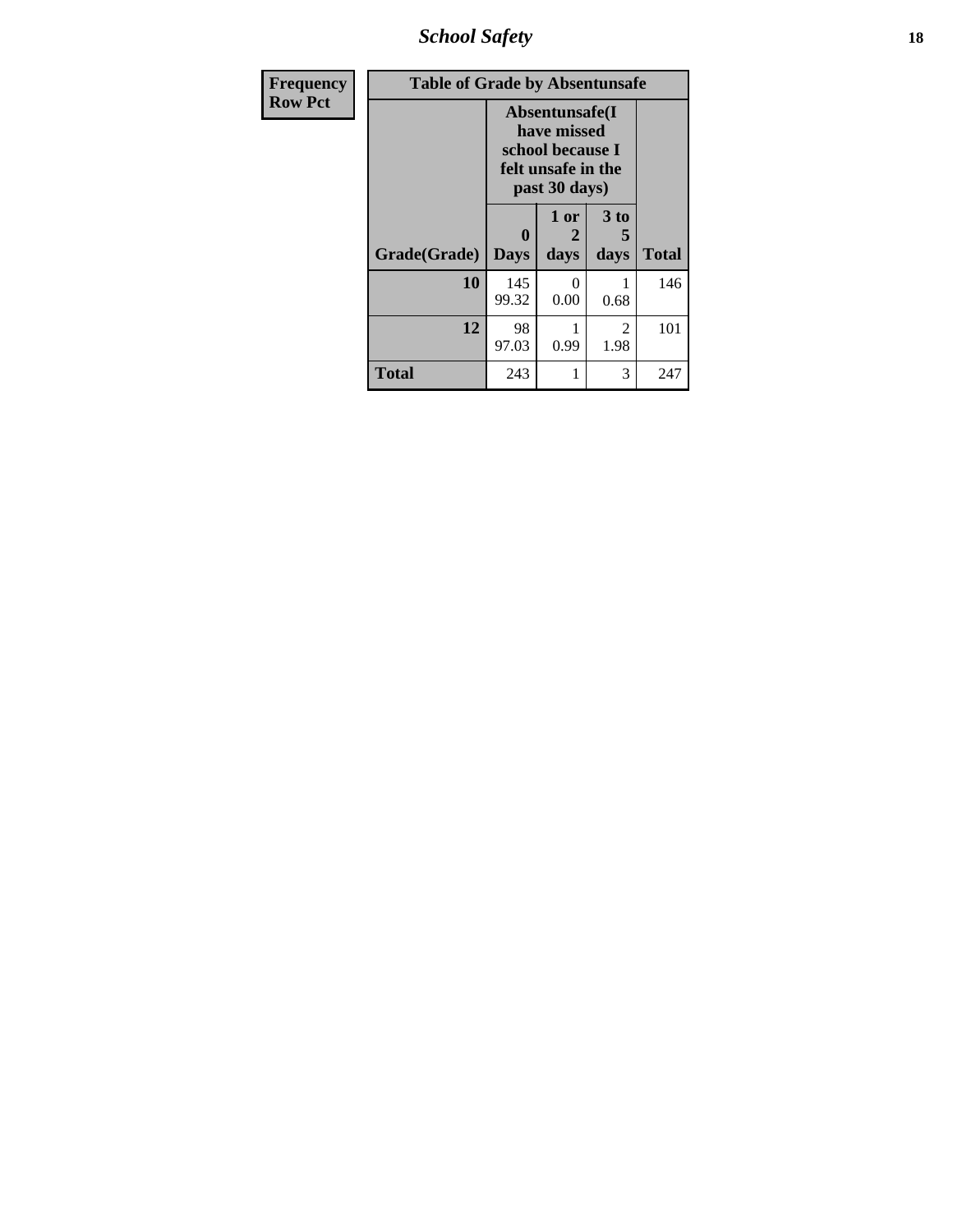*School Safety* **18**

| <b>Frequency</b> | <b>Table of Grade by Absentunsafe</b> |                                                                                          |                   |                        |              |  |  |  |  |  |
|------------------|---------------------------------------|------------------------------------------------------------------------------------------|-------------------|------------------------|--------------|--|--|--|--|--|
| <b>Row Pct</b>   |                                       | Absentunsafe(I<br>have missed<br>school because I<br>felt unsafe in the<br>past 30 days) |                   |                        |              |  |  |  |  |  |
|                  | Grade(Grade)                          | 0<br><b>Days</b>                                                                         | 1 or<br>2<br>days | 3 to<br>5<br>days      | <b>Total</b> |  |  |  |  |  |
|                  | 10                                    | 145<br>99.32                                                                             | 0<br>0.00         | 0.68                   | 146          |  |  |  |  |  |
|                  | 12                                    | 98<br>97.03                                                                              | 0.99              | $\mathfrak{D}$<br>1.98 | 101          |  |  |  |  |  |
|                  | <b>Total</b>                          | 243                                                                                      |                   | 3                      | 247          |  |  |  |  |  |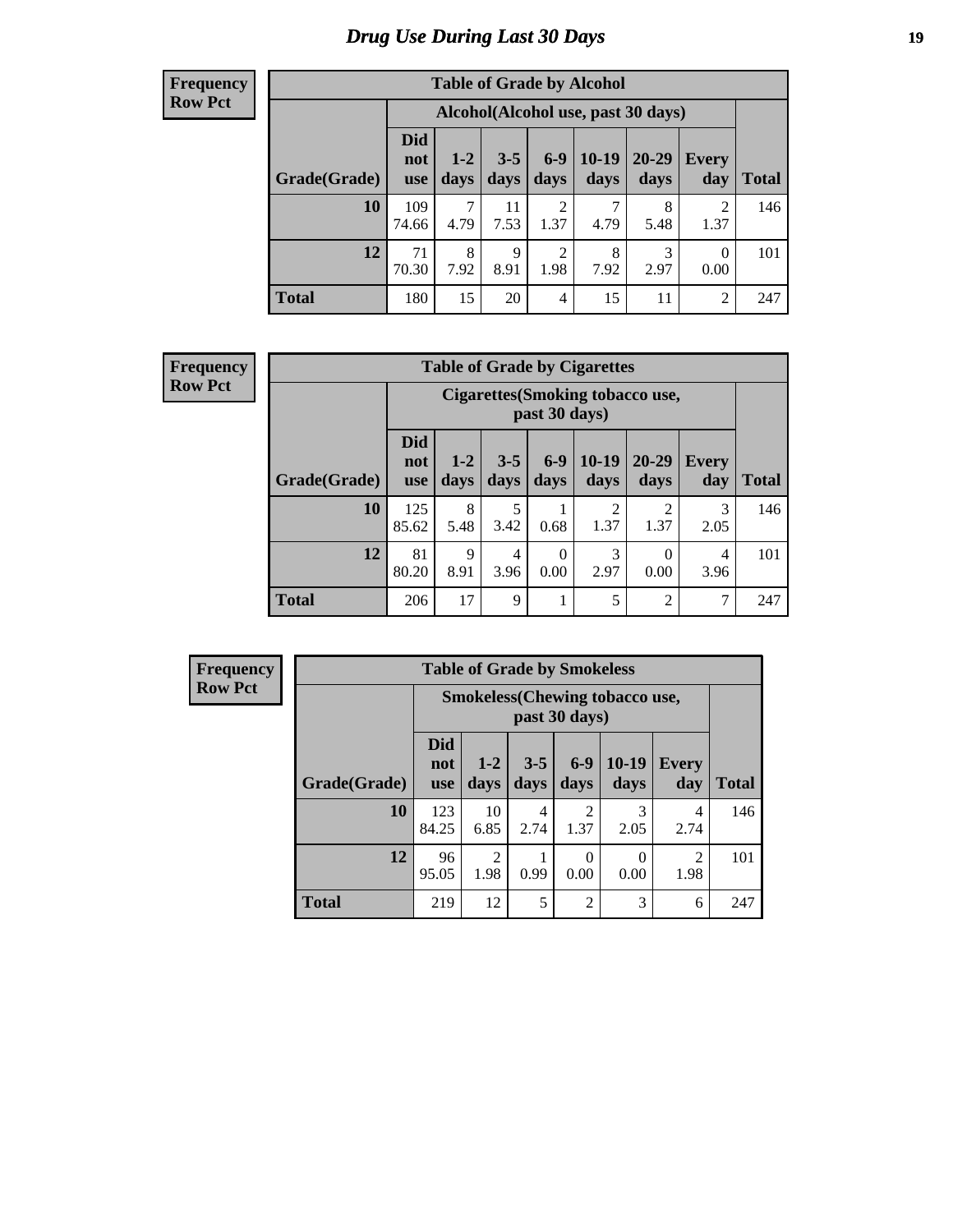# *Drug Use During Last 30 Days* **19**

#### **Frequency Row Pct**

| <b>Table of Grade by Alcohol</b> |                                 |                                    |                 |                        |                 |               |                  |              |  |  |  |
|----------------------------------|---------------------------------|------------------------------------|-----------------|------------------------|-----------------|---------------|------------------|--------------|--|--|--|
|                                  |                                 | Alcohol(Alcohol use, past 30 days) |                 |                        |                 |               |                  |              |  |  |  |
| Grade(Grade)                     | <b>Did</b><br>not<br><b>use</b> | $1 - 2$<br>days                    | $3 - 5$<br>days | $6-9$<br>days          | $10-19$<br>days | 20-29<br>days | Every<br>day     | <b>Total</b> |  |  |  |
| 10                               | 109<br>74.66                    | 7<br>4.79                          | 11<br>7.53      | $\overline{2}$<br>1.37 | 7<br>4.79       | 8<br>5.48     | 2<br>1.37        | 146          |  |  |  |
| 12                               | 71<br>70.30                     | 8<br>7.92                          | 9<br>8.91       | $\overline{2}$<br>1.98 | 8<br>7.92       | 3<br>2.97     | $\Omega$<br>0.00 | 101          |  |  |  |
| <b>Total</b>                     | 180                             | 15                                 | 20              | $\overline{4}$         | 15              | 11            | $\overline{2}$   | 247          |  |  |  |

#### **Frequency Row Pct**

| <b>Table of Grade by Cigarettes</b> |                                 |                                                          |                        |                  |                        |                        |                     |              |  |  |  |
|-------------------------------------|---------------------------------|----------------------------------------------------------|------------------------|------------------|------------------------|------------------------|---------------------|--------------|--|--|--|
|                                     |                                 | <b>Cigarettes (Smoking tobacco use,</b><br>past 30 days) |                        |                  |                        |                        |                     |              |  |  |  |
| Grade(Grade)                        | <b>Did</b><br>not<br><b>use</b> | $1 - 2$<br>days                                          | $3 - 5$<br>days        | $6 - 9$<br>days  | $10-19$<br>days        | $20 - 29$<br>days      | <b>Every</b><br>day | <b>Total</b> |  |  |  |
| 10                                  | 125<br>85.62                    | 8<br>5.48                                                | 5<br>3.42              | 0.68             | $\overline{c}$<br>1.37 | $\mathfrak{D}$<br>1.37 | 3<br>2.05           | 146          |  |  |  |
| 12                                  | 81<br>80.20                     | $\mathbf Q$<br>8.91                                      | $\overline{4}$<br>3.96 | $\theta$<br>0.00 | 3<br>2.97              | 0<br>0.00              | 4<br>3.96           | 101          |  |  |  |
| <b>Total</b>                        | 206                             | 17                                                       | 9                      | 1                | 5                      | $\overline{2}$         | 7                   | 247          |  |  |  |

| <b>Table of Grade by Smokeless</b> |                                                        |                        |                 |                        |                 |                        |              |  |  |  |  |
|------------------------------------|--------------------------------------------------------|------------------------|-----------------|------------------------|-----------------|------------------------|--------------|--|--|--|--|
|                                    | <b>Smokeless</b> (Chewing tobaccouse,<br>past 30 days) |                        |                 |                        |                 |                        |              |  |  |  |  |
| Grade(Grade)                       | <b>Did</b><br>not<br><b>use</b>                        | $1-2$<br>days          | $3 - 5$<br>days | $6 - 9$<br>days        | $10-19$<br>days | <b>Every</b><br>day    | <b>Total</b> |  |  |  |  |
| 10                                 | 123<br>84.25                                           | 10<br>6.85             | 4<br>2.74       | $\mathfrak{D}$<br>1.37 | 3<br>2.05       | 4<br>2.74              | 146          |  |  |  |  |
| 12                                 | 96<br>95.05                                            | $\mathfrak{D}$<br>1.98 | 0.99            | 0<br>0.00              | 0<br>0.00       | $\overline{c}$<br>1.98 | 101          |  |  |  |  |
| <b>Total</b>                       | 219                                                    | 12                     | 5               | $\overline{2}$         | 3               | 6                      | 247          |  |  |  |  |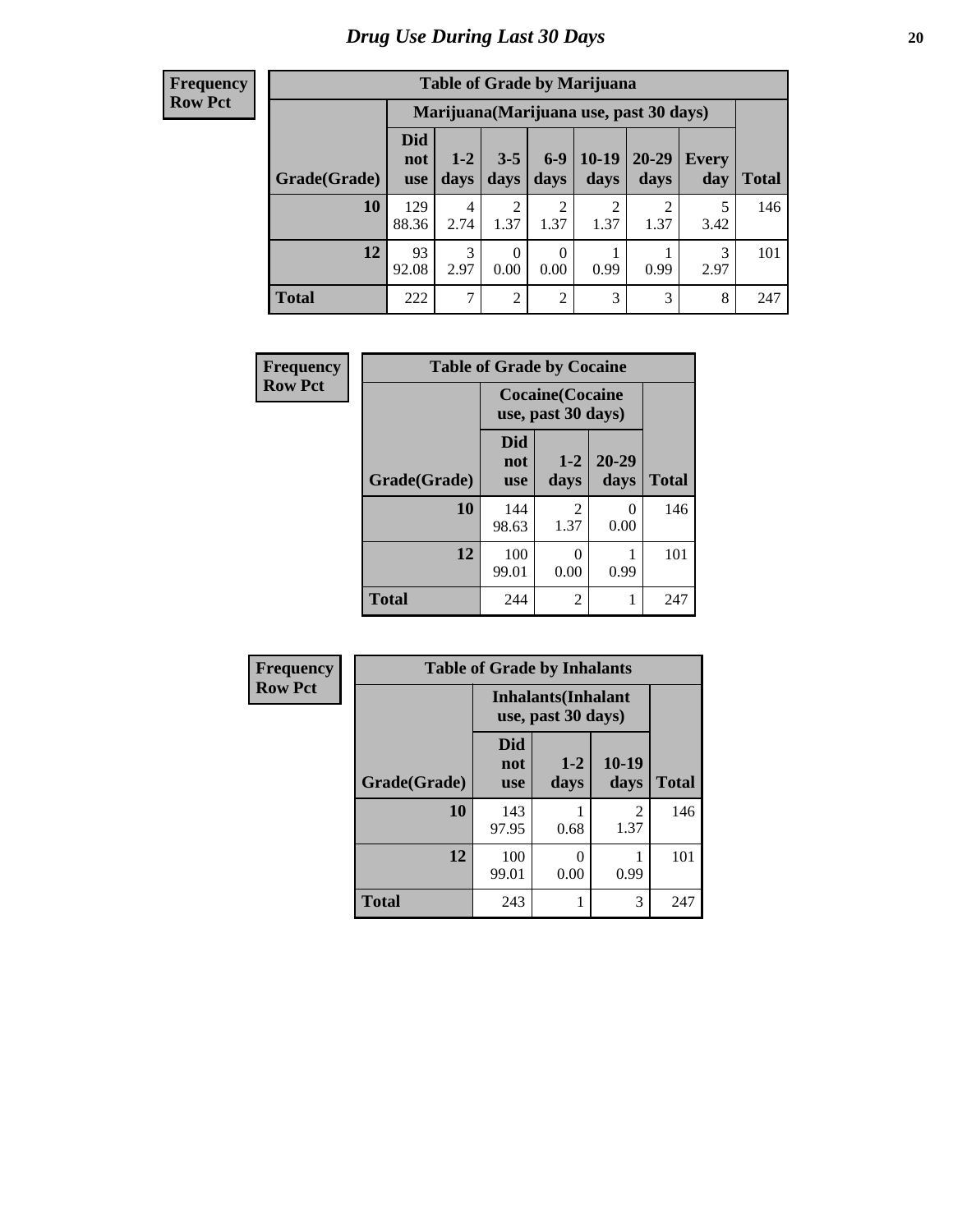| <b>Table of Grade by Marijuana</b> |                          |                                         |                        |                        |                        |               |              |       |  |  |  |
|------------------------------------|--------------------------|-----------------------------------------|------------------------|------------------------|------------------------|---------------|--------------|-------|--|--|--|
|                                    |                          | Marijuana (Marijuana use, past 30 days) |                        |                        |                        |               |              |       |  |  |  |
| Grade(Grade)                       | Did<br>not<br><b>use</b> | $1 - 2$<br>days                         | $3 - 5$<br>days        | $6-9$<br>days          | $10-19$<br>days        | 20-29<br>days | Every<br>day | Total |  |  |  |
| 10                                 | 129<br>88.36             | 4<br>2.74                               | $\mathfrak{D}$<br>1.37 | $\overline{c}$<br>1.37 | $\mathfrak{D}$<br>1.37 | ∍<br>1.37     | 5<br>3.42    | 146   |  |  |  |
| 12                                 | 93<br>92.08              | 3<br>2.97                               | 0<br>0.00              | 0<br>0.00              | 0.99                   | 0.99          | 3<br>2.97    | 101   |  |  |  |
| <b>Total</b>                       | 222                      | $\overline{7}$                          | 2                      | $\overline{2}$         | 3                      | 3             | 8            | 247   |  |  |  |

| Frequency      | <b>Table of Grade by Cocaine</b> |                                               |                |                   |              |  |  |
|----------------|----------------------------------|-----------------------------------------------|----------------|-------------------|--------------|--|--|
| <b>Row Pct</b> |                                  | <b>Cocaine</b> (Cocaine<br>use, past 30 days) |                |                   |              |  |  |
|                | Grade(Grade)                     | <b>Did</b><br>not<br><b>use</b>               | $1-2$<br>days  | $20 - 29$<br>days | <b>Total</b> |  |  |
|                | 10                               | 144<br>98.63                                  | 2<br>1.37      | 0<br>0.00         | 146          |  |  |
|                | 12                               | 100<br>99.01                                  | 0<br>0.00      | 0.99              | 101          |  |  |
|                | <b>Total</b>                     | 244                                           | $\overline{2}$ | 1                 | 247          |  |  |

| Frequency      | <b>Table of Grade by Inhalants</b> |                                                  |                 |                 |              |  |
|----------------|------------------------------------|--------------------------------------------------|-----------------|-----------------|--------------|--|
| <b>Row Pct</b> |                                    | <b>Inhalants</b> (Inhalant<br>use, past 30 days) |                 |                 |              |  |
|                | Grade(Grade)                       | <b>Did</b><br>not<br><b>use</b>                  | $1 - 2$<br>days | $10-19$<br>days | <b>Total</b> |  |
|                | 10                                 | 143<br>97.95                                     | 0.68            | 2<br>1.37       | 146          |  |
|                | 12                                 | 100<br>99.01                                     | 0<br>0.00       | 0.99            | 101          |  |
|                | <b>Total</b>                       | 243                                              |                 | 3               | 247          |  |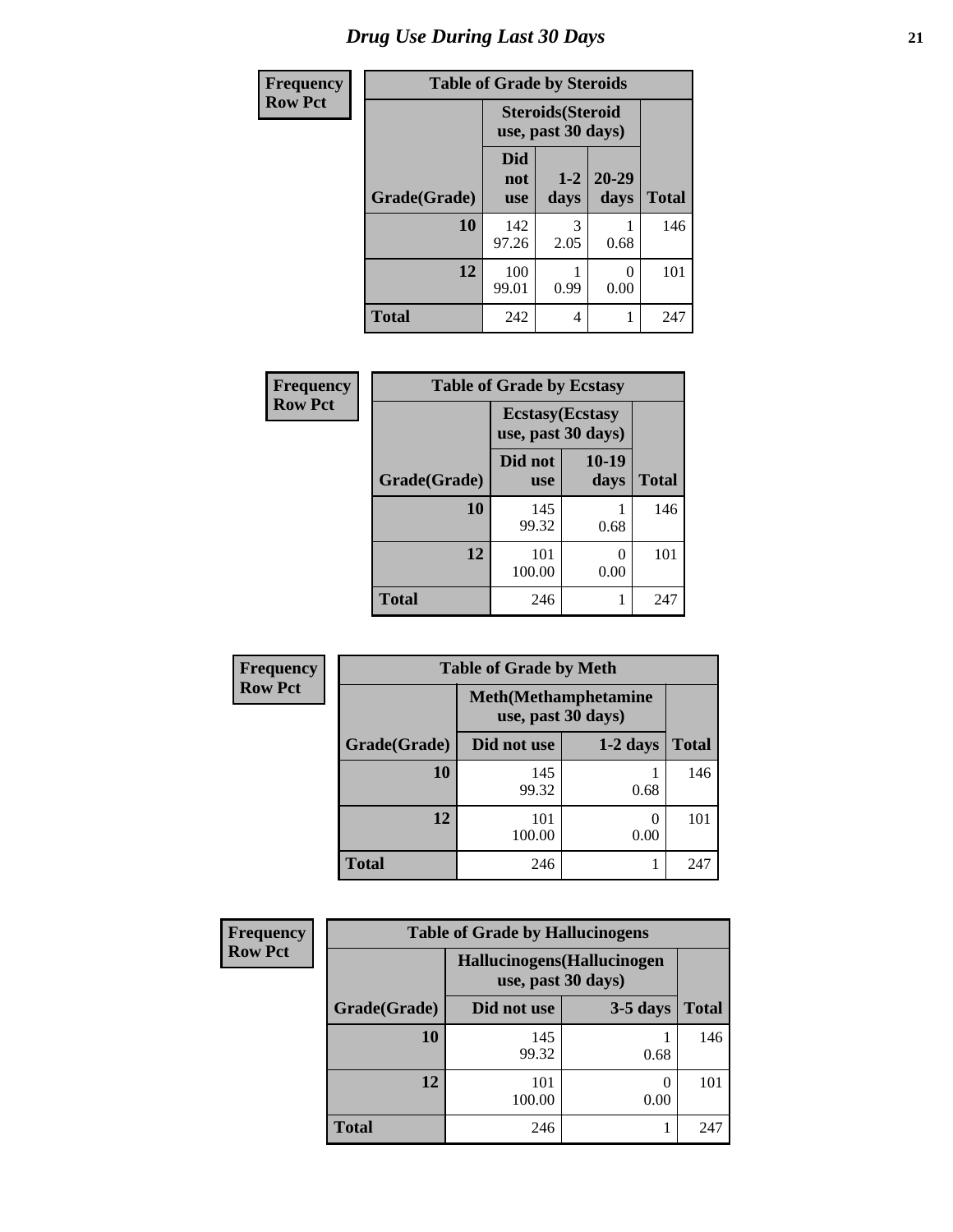| <b>Frequency</b> | <b>Table of Grade by Steroids</b> |                                                |                 |                   |              |
|------------------|-----------------------------------|------------------------------------------------|-----------------|-------------------|--------------|
| <b>Row Pct</b>   |                                   | <b>Steroids</b> (Steroid<br>use, past 30 days) |                 |                   |              |
|                  | Grade(Grade)                      | Did<br>not<br><b>use</b>                       | $1 - 2$<br>days | $20 - 29$<br>days | <b>Total</b> |
|                  | 10                                | 142<br>97.26                                   | 3<br>2.05       | 0.68              | 146          |
|                  | 12                                | 100<br>99.01                                   | 0.99            | 0.00              | 101          |
|                  | <b>Total</b>                      | 242                                            | 4               |                   | 247          |

| Frequency      |              | <b>Table of Grade by Ecstasy</b>              |                 |              |  |  |
|----------------|--------------|-----------------------------------------------|-----------------|--------------|--|--|
| <b>Row Pct</b> |              | <b>Ecstasy</b> (Ecstasy<br>use, past 30 days) |                 |              |  |  |
|                | Grade(Grade) | Did not<br><b>use</b>                         | $10-19$<br>days | <b>Total</b> |  |  |
|                | 10           | 145<br>99.32                                  | 0.68            | 146          |  |  |
|                | 12           | 101<br>100.00                                 | 0<br>0.00       | 101          |  |  |
|                | Total        | 246                                           |                 | 247          |  |  |

| Frequency      | <b>Table of Grade by Meth</b> |                                                    |            |              |  |
|----------------|-------------------------------|----------------------------------------------------|------------|--------------|--|
| <b>Row Pct</b> |                               | <b>Meth</b> (Methamphetamine<br>use, past 30 days) |            |              |  |
|                | Grade(Grade)                  | Did not use                                        | $1-2$ days | <b>Total</b> |  |
|                | 10                            | 145<br>99.32                                       | 0.68       | 146          |  |
|                | 12                            | 101<br>100.00                                      | 0<br>0.00  | 101          |  |
|                | <b>Total</b>                  | 246                                                |            | 247          |  |

| <b>Frequency</b> | <b>Table of Grade by Hallucinogens</b> |                                                   |            |              |  |  |
|------------------|----------------------------------------|---------------------------------------------------|------------|--------------|--|--|
| <b>Row Pct</b>   |                                        | Hallucinogens (Hallucinogen<br>use, past 30 days) |            |              |  |  |
|                  | Grade(Grade)                           | Did not use                                       | $3-5$ days | <b>Total</b> |  |  |
|                  | 10                                     | 145<br>99.32                                      | 0.68       | 146          |  |  |
|                  | 12                                     | 101<br>100.00                                     | 0.00       | 101          |  |  |
|                  | <b>Total</b>                           | 246                                               |            | 247          |  |  |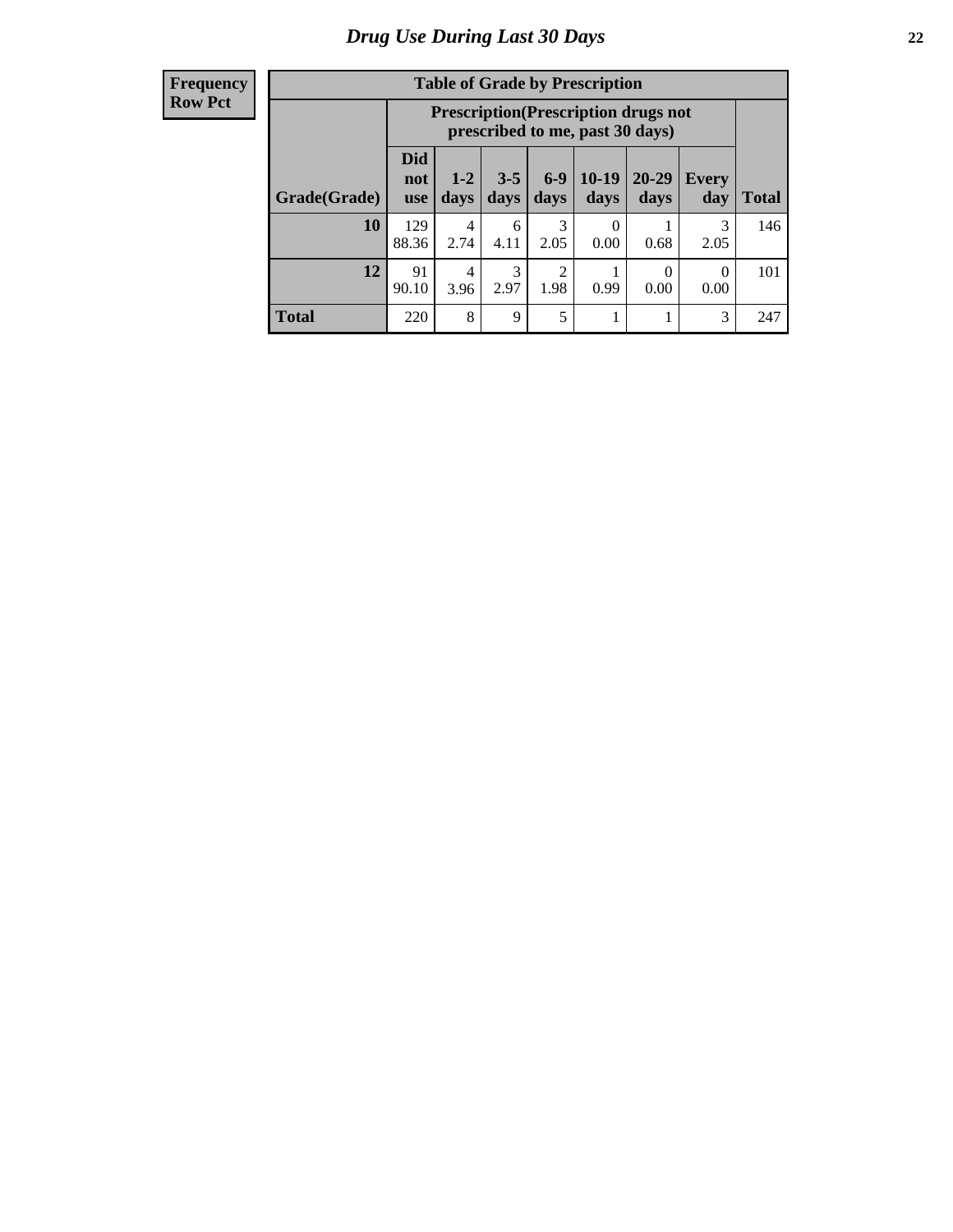| <b>Table of Grade by Prescription</b> |                                 |                                                                                |                 |                        |                 |                  |              |              |
|---------------------------------------|---------------------------------|--------------------------------------------------------------------------------|-----------------|------------------------|-----------------|------------------|--------------|--------------|
|                                       |                                 | <b>Prescription</b> (Prescription drugs not<br>prescribed to me, past 30 days) |                 |                        |                 |                  |              |              |
| Grade(Grade)                          | <b>Did</b><br>not<br><b>use</b> | $1 - 2$<br>days                                                                | $3 - 5$<br>days | $6 - 9$<br>days        | $10-19$<br>days | 20-29<br>days    | Every<br>day | <b>Total</b> |
| 10                                    | 129<br>88.36                    | 4<br>2.74                                                                      | 6<br>4.11       | 3<br>2.05              | 0<br>0.00       | 0.68             | 3<br>2.05    | 146          |
| 12                                    | 91<br>90.10                     | 4<br>3.96                                                                      | 2.97            | $\overline{c}$<br>1.98 | 0.99            | $\Omega$<br>0.00 | 0<br>0.00    | 101          |
| <b>Total</b>                          | 220                             | 8                                                                              | 9               | 5                      |                 |                  | 3            | 247          |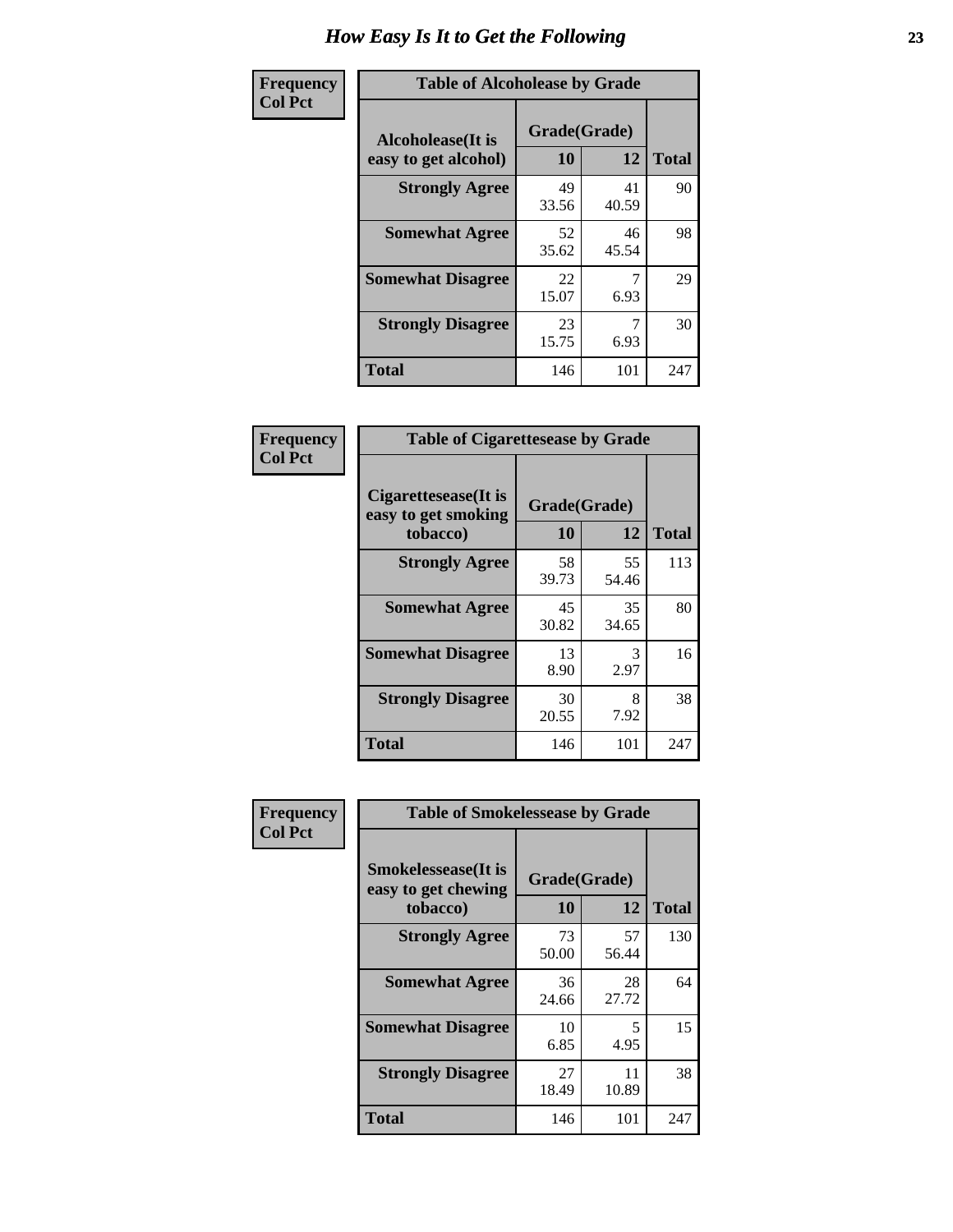| Frequency      | <b>Table of Alcoholease by Grade</b>              |                          |             |              |  |  |
|----------------|---------------------------------------------------|--------------------------|-------------|--------------|--|--|
| <b>Col Pct</b> | <b>Alcoholease</b> (It is<br>easy to get alcohol) | Grade(Grade)<br>10<br>12 |             | <b>Total</b> |  |  |
|                | <b>Strongly Agree</b>                             | 49<br>33.56              | 41<br>40.59 | 90           |  |  |
|                | <b>Somewhat Agree</b>                             | 52<br>35.62              | 46<br>45.54 | 98           |  |  |
|                | <b>Somewhat Disagree</b>                          | 22<br>15.07              | 7<br>6.93   | 29           |  |  |
|                | <b>Strongly Disagree</b>                          | 23<br>15.75              | 6.93        | 30           |  |  |
|                | <b>Total</b>                                      | 146                      | 101         | 247          |  |  |

| Frequency      | <b>Table of Cigarettesease by Grade</b>                  |                    |             |              |  |
|----------------|----------------------------------------------------------|--------------------|-------------|--------------|--|
| <b>Col Pct</b> | Cigarettesease (It is<br>easy to get smoking<br>tobacco) | Grade(Grade)<br>10 | 12          | <b>Total</b> |  |
|                | <b>Strongly Agree</b>                                    | 58<br>39.73        | 55<br>54.46 | 113          |  |
|                | <b>Somewhat Agree</b>                                    | 45<br>30.82        | 35<br>34.65 | 80           |  |
|                | <b>Somewhat Disagree</b>                                 | 13<br>8.90         | 3<br>2.97   | 16           |  |
|                | <b>Strongly Disagree</b>                                 | 30<br>20.55        | 8<br>7.92   | 38           |  |
|                | <b>Total</b>                                             | 146                | 101         | 247          |  |

| Frequency      | <b>Table of Smokelessease by Grade</b>                                                     |             |             |              |  |  |  |
|----------------|--------------------------------------------------------------------------------------------|-------------|-------------|--------------|--|--|--|
| <b>Col Pct</b> | <b>Smokelessease</b> (It is<br>Grade(Grade)<br>easy to get chewing<br>12<br>10<br>tobacco) |             |             | <b>Total</b> |  |  |  |
|                | <b>Strongly Agree</b>                                                                      | 73<br>50.00 | 57<br>56.44 | 130          |  |  |  |
|                | <b>Somewhat Agree</b>                                                                      | 36<br>24.66 | 28<br>27.72 | 64           |  |  |  |
|                | <b>Somewhat Disagree</b>                                                                   | 10<br>6.85  | 5<br>4.95   | 15           |  |  |  |
|                | <b>Strongly Disagree</b>                                                                   | 27<br>18.49 | 11<br>10.89 | 38           |  |  |  |
|                | <b>Total</b>                                                                               | 146         | 101         | 247          |  |  |  |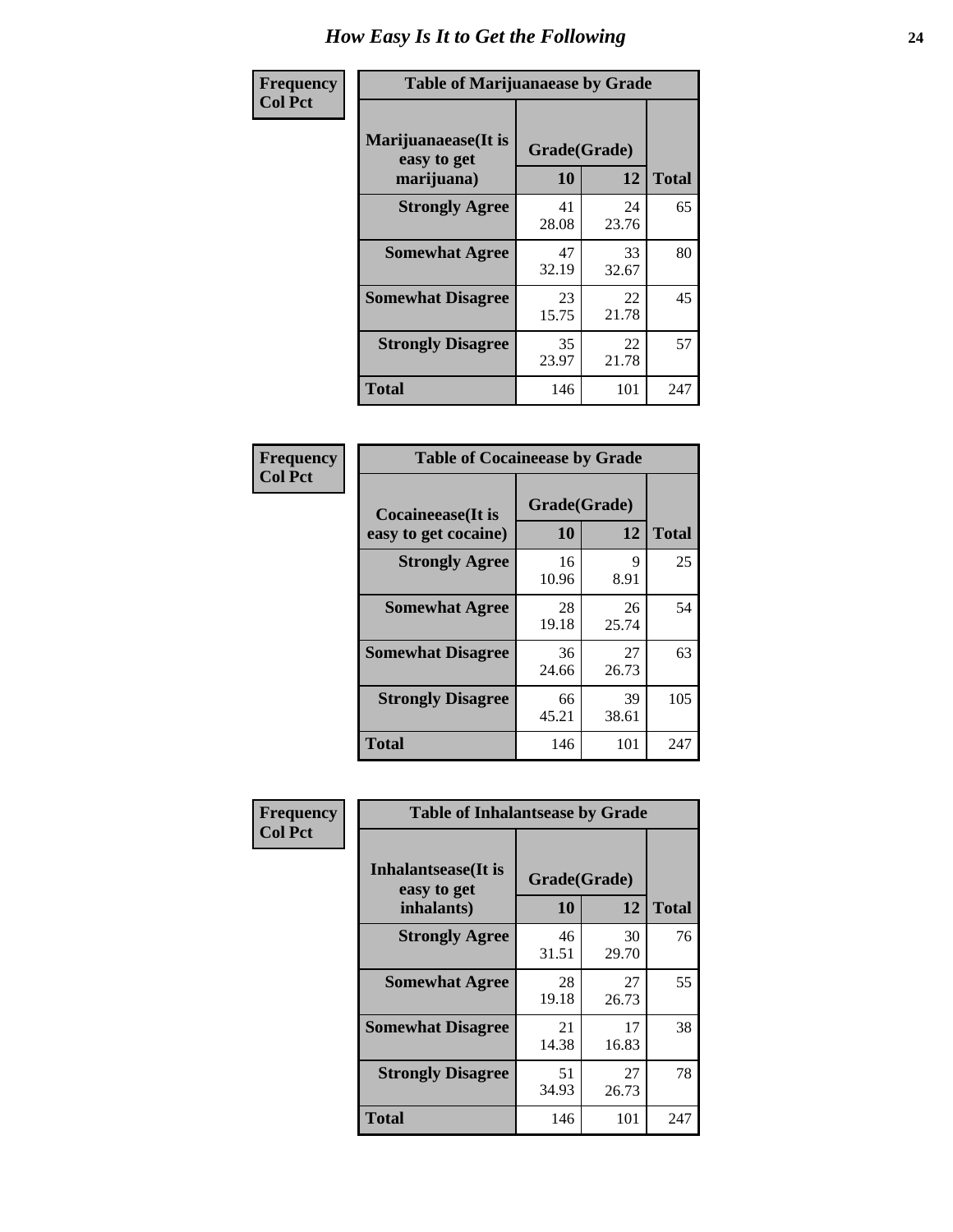| Frequency      | <b>Table of Marijuanaease by Grade</b>           |                    |             |              |  |
|----------------|--------------------------------------------------|--------------------|-------------|--------------|--|
| <b>Col Pct</b> | Marijuanaease(It is<br>easy to get<br>marijuana) | Grade(Grade)<br>10 | 12          | <b>Total</b> |  |
|                | <b>Strongly Agree</b>                            | 41<br>28.08        | 24<br>23.76 | 65           |  |
|                | <b>Somewhat Agree</b>                            | 47<br>32.19        | 33<br>32.67 | 80           |  |
|                | <b>Somewhat Disagree</b>                         | 23<br>15.75        | 22<br>21.78 | 45           |  |
|                | <b>Strongly Disagree</b>                         | 35<br>23.97        | 22<br>21.78 | 57           |  |
|                | <b>Total</b>                                     | 146                | 101         | 247          |  |

| <b>Table of Cocaineease by Grade</b>              |                    |              |     |  |  |  |
|---------------------------------------------------|--------------------|--------------|-----|--|--|--|
| <b>Cocaineease</b> (It is<br>easy to get cocaine) | Grade(Grade)<br>10 | <b>Total</b> |     |  |  |  |
| <b>Strongly Agree</b>                             | 16<br>10.96        | 9<br>8.91    | 25  |  |  |  |
| <b>Somewhat Agree</b>                             | 28<br>19.18        | 26<br>25.74  | 54  |  |  |  |
| <b>Somewhat Disagree</b>                          | 36<br>24.66        | 27<br>26.73  | 63  |  |  |  |
| <b>Strongly Disagree</b>                          | 66<br>45.21        | 39<br>38.61  | 105 |  |  |  |
| <b>Total</b>                                      | 146                | 101          | 247 |  |  |  |

| Frequency      |                                                          | <b>Table of Inhalantsease by Grade</b> |              |     |  |  |  |  |  |  |  |
|----------------|----------------------------------------------------------|----------------------------------------|--------------|-----|--|--|--|--|--|--|--|
| <b>Col Pct</b> | <b>Inhalantsease</b> (It is<br>easy to get<br>inhalants) | Grade(Grade)<br><b>10</b>              | <b>Total</b> |     |  |  |  |  |  |  |  |
|                | <b>Strongly Agree</b>                                    | 46<br>31.51                            | 30<br>29.70  | 76  |  |  |  |  |  |  |  |
|                | <b>Somewhat Agree</b>                                    | 28<br>19.18                            | 27<br>26.73  | 55  |  |  |  |  |  |  |  |
|                | <b>Somewhat Disagree</b>                                 | 21<br>14.38                            | 17<br>16.83  | 38  |  |  |  |  |  |  |  |
|                | <b>Strongly Disagree</b>                                 | 51<br>34.93                            | 27<br>26.73  | 78  |  |  |  |  |  |  |  |
|                | Total                                                    | 146                                    | 101          | 247 |  |  |  |  |  |  |  |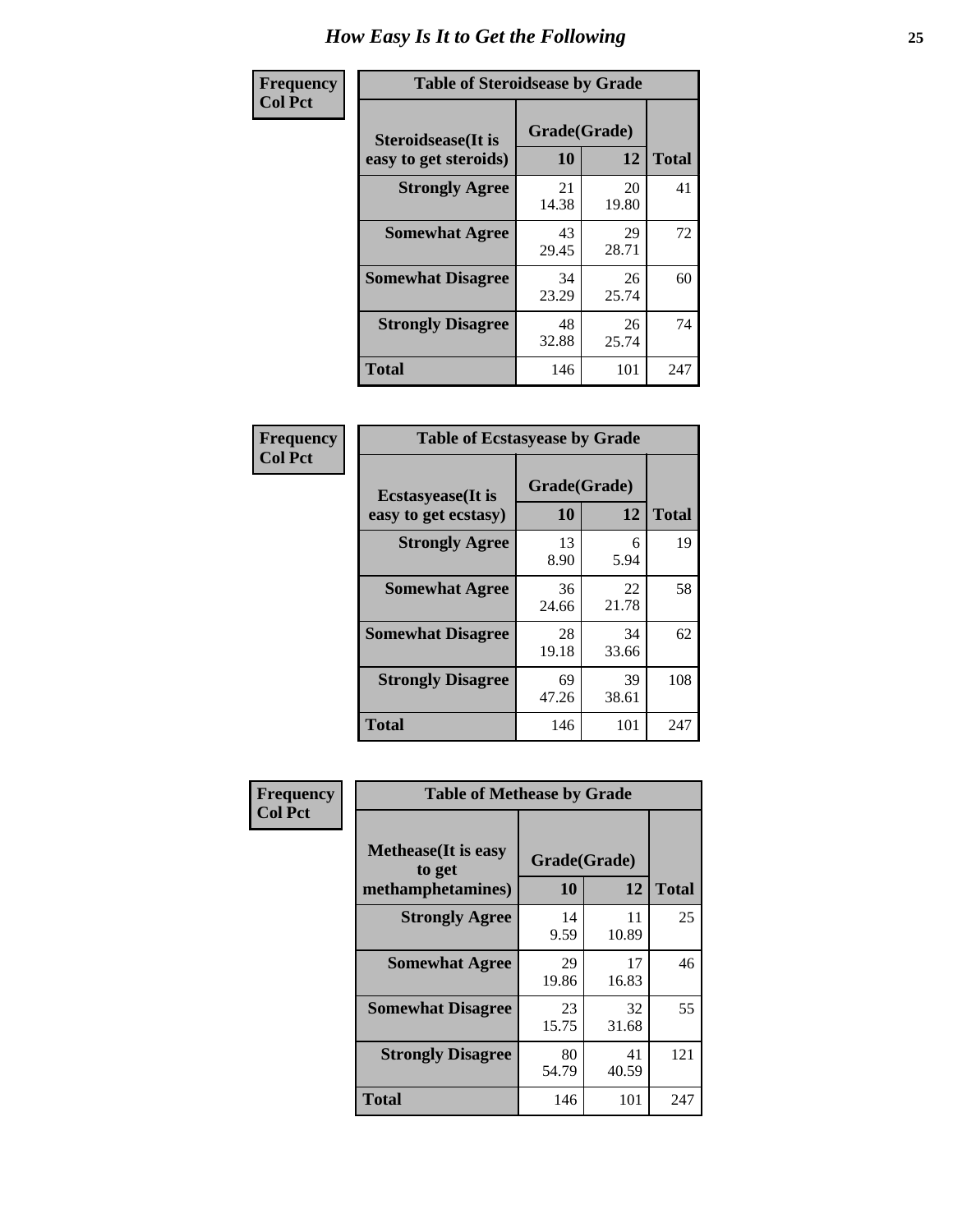| Frequency      | <b>Table of Steroidsease by Grade</b>               |                    |              |     |  |  |  |  |  |  |
|----------------|-----------------------------------------------------|--------------------|--------------|-----|--|--|--|--|--|--|
| <b>Col Pct</b> | <b>Steroidsease</b> (It is<br>easy to get steroids) | Grade(Grade)<br>10 | <b>Total</b> |     |  |  |  |  |  |  |
|                | <b>Strongly Agree</b>                               | 21<br>14.38        | 20<br>19.80  | 41  |  |  |  |  |  |  |
|                | <b>Somewhat Agree</b>                               | 43<br>29.45        | 29<br>28.71  | 72  |  |  |  |  |  |  |
|                | <b>Somewhat Disagree</b>                            | 34<br>23.29        | 26<br>25.74  | 60  |  |  |  |  |  |  |
|                | <b>Strongly Disagree</b>                            | 48<br>32.88        | 26<br>25.74  | 74  |  |  |  |  |  |  |
|                | <b>Total</b>                                        | 146                | 101          | 247 |  |  |  |  |  |  |

| Frequency      | <b>Table of Ecstasyease by Grade</b>              |                           |              |     |
|----------------|---------------------------------------------------|---------------------------|--------------|-----|
| <b>Col Pct</b> | <b>Ecstasyease</b> (It is<br>easy to get ecstasy) | Grade(Grade)<br><b>10</b> | <b>Total</b> |     |
|                | <b>Strongly Agree</b>                             | 13<br>8.90                | 6<br>5.94    | 19  |
|                | <b>Somewhat Agree</b>                             | 36<br>24.66               | 22<br>21.78  | 58  |
|                | <b>Somewhat Disagree</b>                          | 28<br>19.18               | 34<br>33.66  | 62  |
|                | <b>Strongly Disagree</b>                          | 69<br>47.26               | 39<br>38.61  | 108 |
|                | <b>Total</b>                                      | 146                       | 101          | 247 |

| <b>Frequency</b> | <b>Table of Methease by Grade</b>                          |                    |              |     |
|------------------|------------------------------------------------------------|--------------------|--------------|-----|
| <b>Col Pct</b>   | <b>Methease</b> (It is easy<br>to get<br>methamphetamines) | Grade(Grade)<br>10 | <b>Total</b> |     |
|                  | <b>Strongly Agree</b>                                      | 14<br>9.59         | 11<br>10.89  | 25  |
|                  | <b>Somewhat Agree</b>                                      | 29<br>19.86        | 17<br>16.83  | 46  |
|                  | <b>Somewhat Disagree</b>                                   | 23<br>15.75        | 32<br>31.68  | 55  |
|                  | <b>Strongly Disagree</b>                                   | 80<br>54.79        | 41<br>40.59  | 121 |
|                  | <b>Total</b>                                               | 146                | 101          | 247 |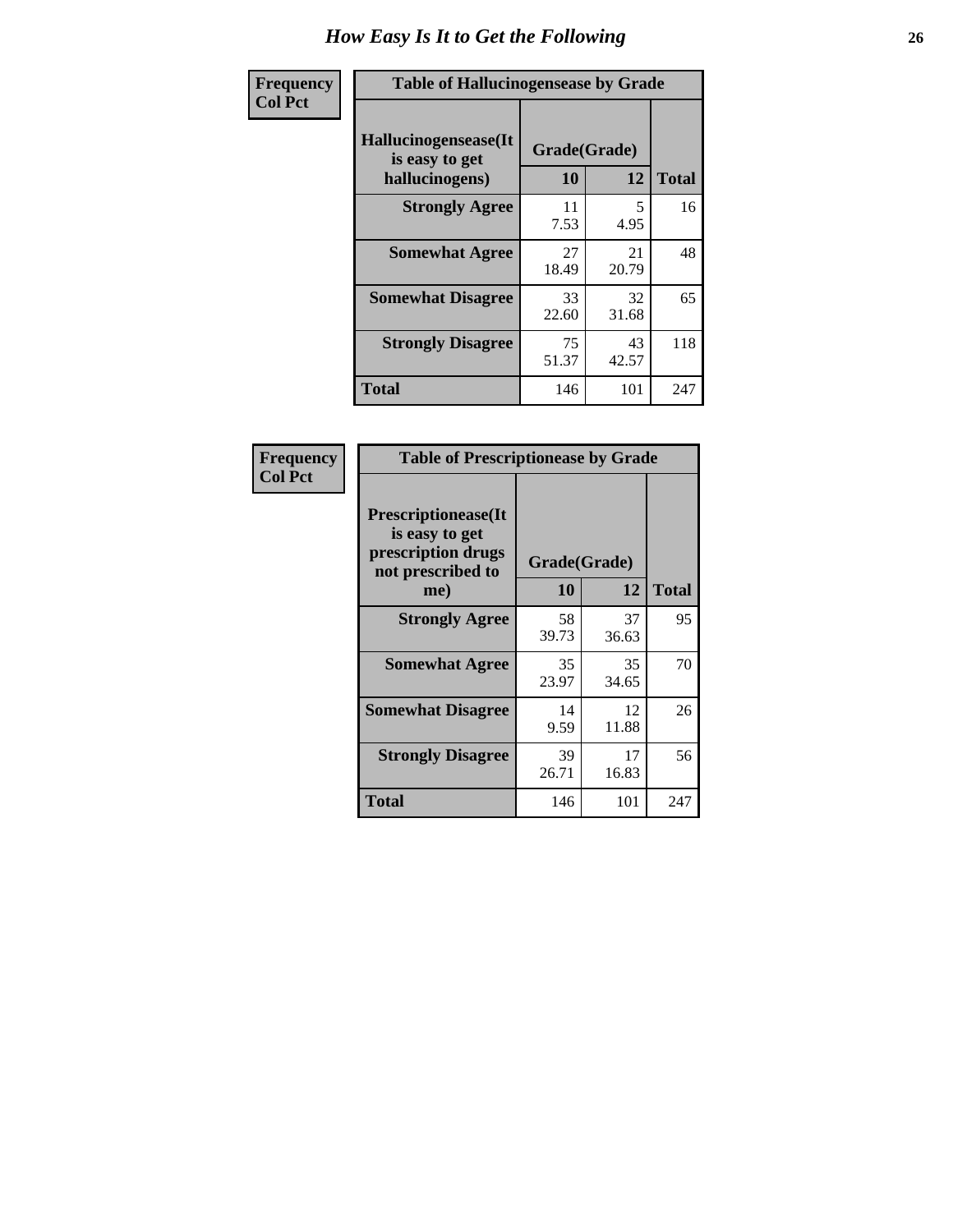| <b>Frequency</b> | <b>Table of Hallucinogensease by Grade</b>                |                    |             |              |  |  |  |  |  |  |  |
|------------------|-----------------------------------------------------------|--------------------|-------------|--------------|--|--|--|--|--|--|--|
| <b>Col Pct</b>   | Hallucinogensease(It)<br>is easy to get<br>hallucinogens) | Grade(Grade)<br>10 | 12          | <b>Total</b> |  |  |  |  |  |  |  |
|                  | <b>Strongly Agree</b>                                     | 11<br>7.53         | 5<br>4.95   | 16           |  |  |  |  |  |  |  |
|                  | <b>Somewhat Agree</b>                                     | 27<br>18.49        | 21<br>20.79 | 48           |  |  |  |  |  |  |  |
|                  | <b>Somewhat Disagree</b>                                  | 33<br>22.60        | 32<br>31.68 | 65           |  |  |  |  |  |  |  |
|                  | <b>Strongly Disagree</b>                                  | 75<br>51.37        | 43<br>42.57 | 118          |  |  |  |  |  |  |  |
|                  | <b>Total</b>                                              | 146                | 101         | 247          |  |  |  |  |  |  |  |

| <b>Table of Prescriptionease by Grade</b>                                                |             |              |              |
|------------------------------------------------------------------------------------------|-------------|--------------|--------------|
| <b>Prescriptionease</b> (It<br>is easy to get<br>prescription drugs<br>not prescribed to |             | Grade(Grade) |              |
| me)                                                                                      | 10          | 12           | <b>Total</b> |
| <b>Strongly Agree</b>                                                                    | 58<br>39.73 | 37<br>36.63  | 95           |
| <b>Somewhat Agree</b>                                                                    | 35<br>23.97 | 35<br>34.65  | 70           |
| <b>Somewhat Disagree</b>                                                                 | 14<br>9.59  | 12<br>11.88  | 26           |
| <b>Strongly Disagree</b>                                                                 | 39<br>26.71 | 17<br>16.83  | 56           |
| <b>Total</b>                                                                             | 146         | 101          | 247          |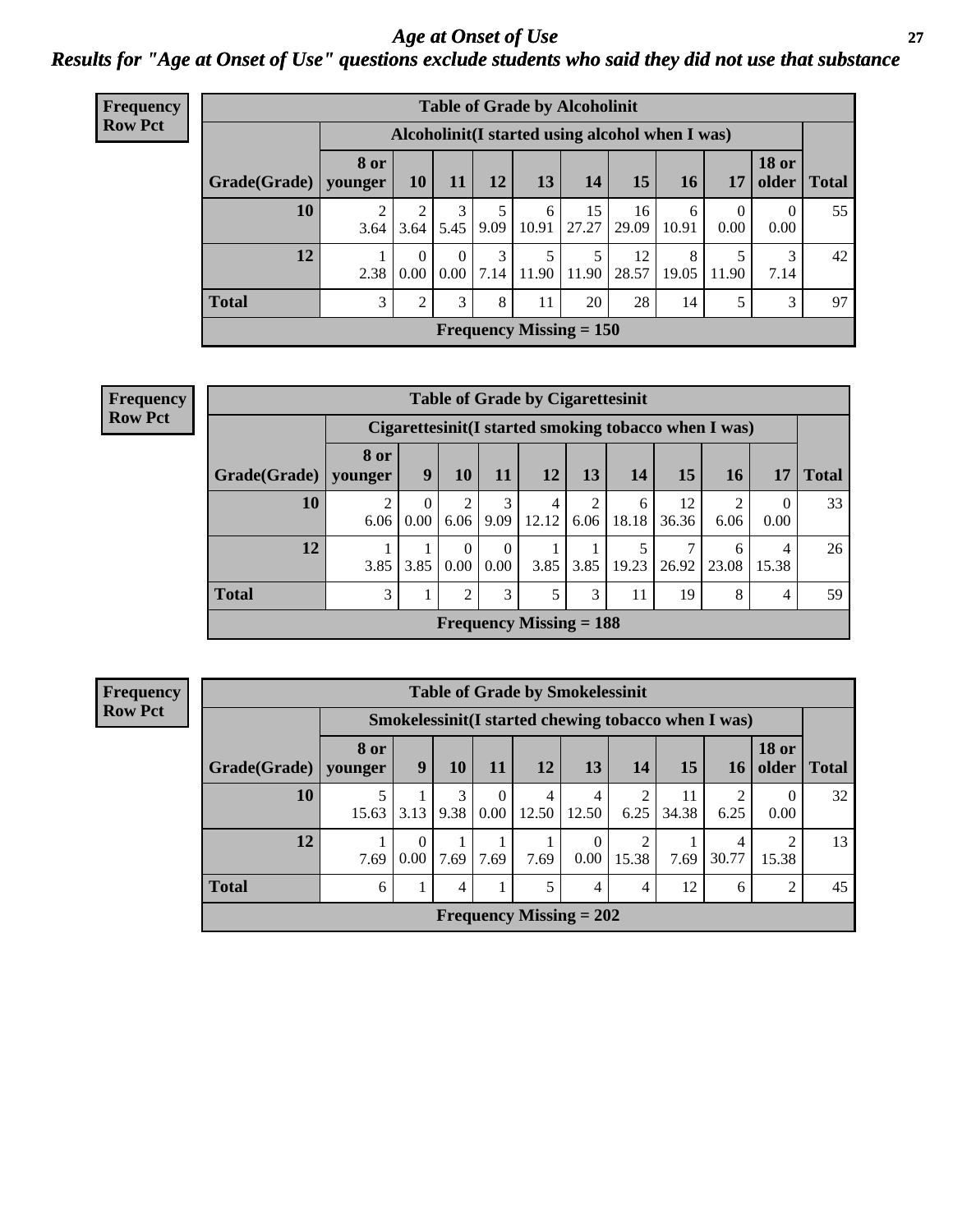### *Age at Onset of Use* **27** *Results for "Age at Onset of Use" questions exclude students who said they did not use that substance*

| <b>Frequency</b> |                        | <b>Table of Grade by Alcoholinit</b> |                                                  |          |                                |            |                           |             |            |                  |                       |              |
|------------------|------------------------|--------------------------------------|--------------------------------------------------|----------|--------------------------------|------------|---------------------------|-------------|------------|------------------|-----------------------|--------------|
| <b>Row Pct</b>   |                        |                                      | Alcoholinit (I started using alcohol when I was) |          |                                |            |                           |             |            |                  |                       |              |
|                  | Grade(Grade)   younger | <b>8 or</b>                          | <b>10</b>                                        | 11       | <b>12</b>                      | 13         | 14                        | 15          | <b>16</b>  | 17               | <b>18 or</b><br>older | <b>Total</b> |
|                  | 10                     | 3.64                                 | 3.64                                             | 5.45     | 9.09                           | 6<br>10.91 | 15<br>27.27               | 16<br>29.09 | 6<br>10.91 | $\Omega$<br>0.00 | $\Omega$<br>0.00      | 55           |
|                  | 12                     | 2.38                                 | $\Omega$<br>0.00                                 | $\Omega$ | $\mathcal{E}$<br>$0.00$   7.14 | 5<br>11.90 | 5<br>11.90                | 12<br>28.57 | 8<br>19.05 | 11.90            | 3<br>7.14             | 42           |
|                  | <b>Total</b>           | 3                                    | 2                                                | 3        | 8                              | 11         | 20                        | 28          | 14         | 5                | 3                     | 97           |
|                  |                        |                                      |                                                  |          |                                |            | Frequency Missing $= 150$ |             |            |                  |                       |              |

| <b>Frequency</b> |  |
|------------------|--|
| <b>Row Pct</b>   |  |

| <b>Table of Grade by Cigarettesinit</b> |                        |                                                      |                  |                  |                                |           |            |             |            |            |              |
|-----------------------------------------|------------------------|------------------------------------------------------|------------------|------------------|--------------------------------|-----------|------------|-------------|------------|------------|--------------|
|                                         |                        | Cigarettesinit(I started smoking tobacco when I was) |                  |                  |                                |           |            |             |            |            |              |
| Grade(Grade)                            | 8 or<br>younger        | 9                                                    | 10               | 11               | <b>12</b>                      | 13        | 14         | <b>15</b>   | 16         | 17         | <b>Total</b> |
| 10                                      | $\overline{2}$<br>6.06 | $\Omega$<br>0.00                                     | 2<br>6.06        | 3<br>9.09        | 4<br>12.12                     | 2<br>6.06 | 6<br>18.18 | 12<br>36.36 | ◠<br>6.06  | 0<br>0.00  | 33           |
| 12                                      | 3.85                   | 3.85                                                 | $\Omega$<br>0.00 | $\theta$<br>0.00 | 3.85                           | 3.85      | 5<br>19.23 | 7<br>26.92  | 6<br>23.08 | 4<br>15.38 | 26           |
| <b>Total</b>                            | 3                      |                                                      | 2                | 3                | 5                              | 3         | 11         | 19          | 8          | 4          | 59           |
|                                         |                        |                                                      |                  |                  | <b>Frequency Missing = 188</b> |           |            |             |            |            |              |

|              | <b>Table of Grade by Smokelessinit</b> |                                                      |                |                  |                           |                  |       |             |                 |                       |              |  |
|--------------|----------------------------------------|------------------------------------------------------|----------------|------------------|---------------------------|------------------|-------|-------------|-----------------|-----------------------|--------------|--|
|              |                                        | Smokelessinit (I started chewing tobacco when I was) |                |                  |                           |                  |       |             |                 |                       |              |  |
| Grade(Grade) | 8 or<br>younger                        | 9                                                    | 10             | <b>11</b>        | 12                        | 13               | 14    | 15          | 16 <sup>1</sup> | <b>18 or</b><br>older | <b>Total</b> |  |
| 10           | 15.63                                  | 3.13                                                 | 3<br>9.38      | $\theta$<br>0.00 | 4<br>12.50                | 4<br>12.50       | 6.25  | 11<br>34.38 | 6.25            | 0<br>0.00             | 32           |  |
| 12           | 7.69                                   | 0<br>0.00                                            | 7.69           | 7.69             | 7.69                      | $\Omega$<br>0.00 | 15.38 | 7.69        | 4<br>30.77      | 15.38                 | 13           |  |
| <b>Total</b> | 6                                      |                                                      | $\overline{4}$ |                  | 5                         | 4                | 4     | 12          | 6               | $\overline{2}$        | 45           |  |
|              |                                        |                                                      |                |                  | Frequency Missing $= 202$ |                  |       |             |                 |                       |              |  |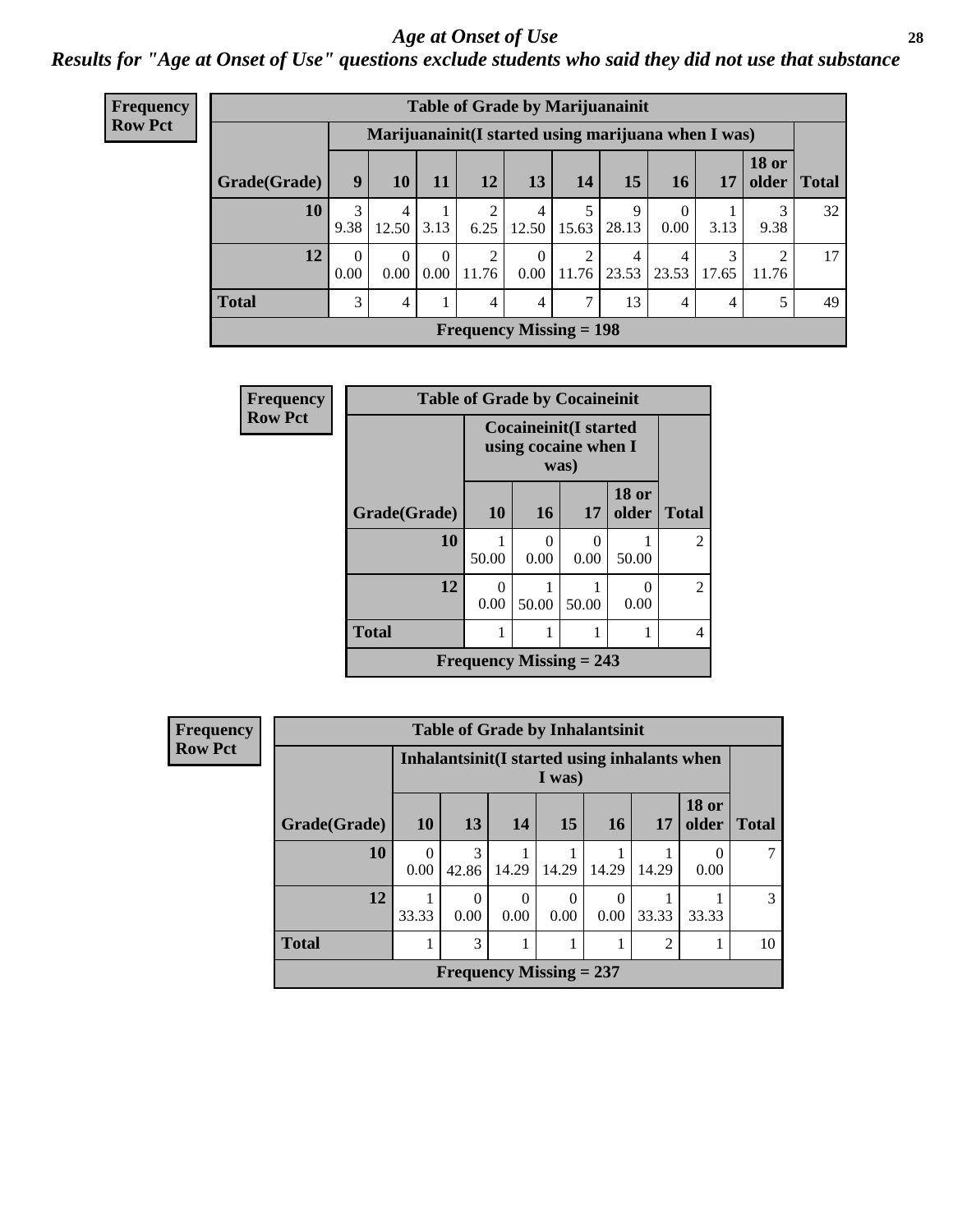#### *Age at Onset of Use* **28**

*Results for "Age at Onset of Use" questions exclude students who said they did not use that substance*

| Frequency      | <b>Table of Grade by Marijuanainit</b> |                  |                  |                  |                           |                      |            |            |                  |                                                     |              |               |  |
|----------------|----------------------------------------|------------------|------------------|------------------|---------------------------|----------------------|------------|------------|------------------|-----------------------------------------------------|--------------|---------------|--|
| <b>Row Pct</b> |                                        |                  |                  |                  |                           |                      |            |            |                  | Marijuanainit(I started using marijuana when I was) |              |               |  |
|                | Grade(Grade)                           | 9                | 10               | 11               | 12                        | 13 <sup>1</sup>      | 14         | 15         | <b>16</b>        | 17                                                  | <b>18 or</b> | older   Total |  |
|                | 10                                     | 3<br>9.38        | 4<br>12.50       | 3.13             | 6.25                      | 4<br>12.50           | 15.63      | 9<br>28.13 | $\Omega$<br>0.00 | 3.13                                                | 3<br>9.38    | 32            |  |
|                | 12                                     | $\Omega$<br>0.00 | $\Omega$<br>0.00 | $\theta$<br>0.00 | 2<br>11.76                | $\theta$<br>$0.00\,$ | 2<br>11.76 | 4<br>23.53 | 4<br>23.53       | 3<br>17.65                                          | 2<br>11.76   | 17            |  |
|                | <b>Total</b>                           | 3                | 4                | 1                | $\overline{4}$            | 4                    | 7          | 13         | $\overline{4}$   | 4                                                   | 5            | 49            |  |
|                |                                        |                  |                  |                  | Frequency Missing $= 198$ |                      |            |            |                  |                                                     |              |               |  |

| <b>Frequency</b> |              | <b>Table of Grade by Cocaineinit</b> |                                                       |           |                       |                             |  |  |  |
|------------------|--------------|--------------------------------------|-------------------------------------------------------|-----------|-----------------------|-----------------------------|--|--|--|
| <b>Row Pct</b>   |              |                                      | Cocaineinit(I started<br>using cocaine when I<br>was) |           |                       |                             |  |  |  |
|                  | Grade(Grade) | 10                                   | 16                                                    | 17        | <b>18 or</b><br>older | <b>Total</b>                |  |  |  |
|                  | 10           | 50.00                                | $\Omega$<br>0.00                                      | 0<br>0.00 | 50.00                 | $\mathcal{D}_{\mathcal{L}}$ |  |  |  |
|                  | 12           | $\left( \right)$<br>0.00             | 50.00                                                 | 50.00     | 0<br>0.00             | $\mathfrak{D}$              |  |  |  |
|                  | <b>Total</b> |                                      |                                                       |           |                       | 4                           |  |  |  |
|                  |              | Frequency Missing $= 243$            |                                                       |           |                       |                             |  |  |  |

**Frequency Row Pct**

| <b>Table of Grade by Inhalantsinit</b> |                           |                                                         |           |           |       |                |                       |              |  |  |
|----------------------------------------|---------------------------|---------------------------------------------------------|-----------|-----------|-------|----------------|-----------------------|--------------|--|--|
|                                        |                           | Inhalantsinit (I started using inhalants when<br>I was) |           |           |       |                |                       |              |  |  |
| Grade(Grade)                           | <b>10</b>                 | 13                                                      | 14        | 15        | 16    | 17             | <b>18 or</b><br>older | <b>Total</b> |  |  |
| 10                                     | 0.00                      | 3<br>42.86                                              | 14.29     | 14.29     | 14.29 | 14.29          | 0.00                  |              |  |  |
| 12                                     | 33.33                     | 0<br>0.00                                               | 0<br>0.00 | 0<br>0.00 | 0.00  | 33.33          | 33.33                 | 3            |  |  |
| <b>Total</b>                           |                           | 3                                                       |           |           |       | $\overline{2}$ |                       | 10           |  |  |
|                                        | Frequency Missing $= 237$ |                                                         |           |           |       |                |                       |              |  |  |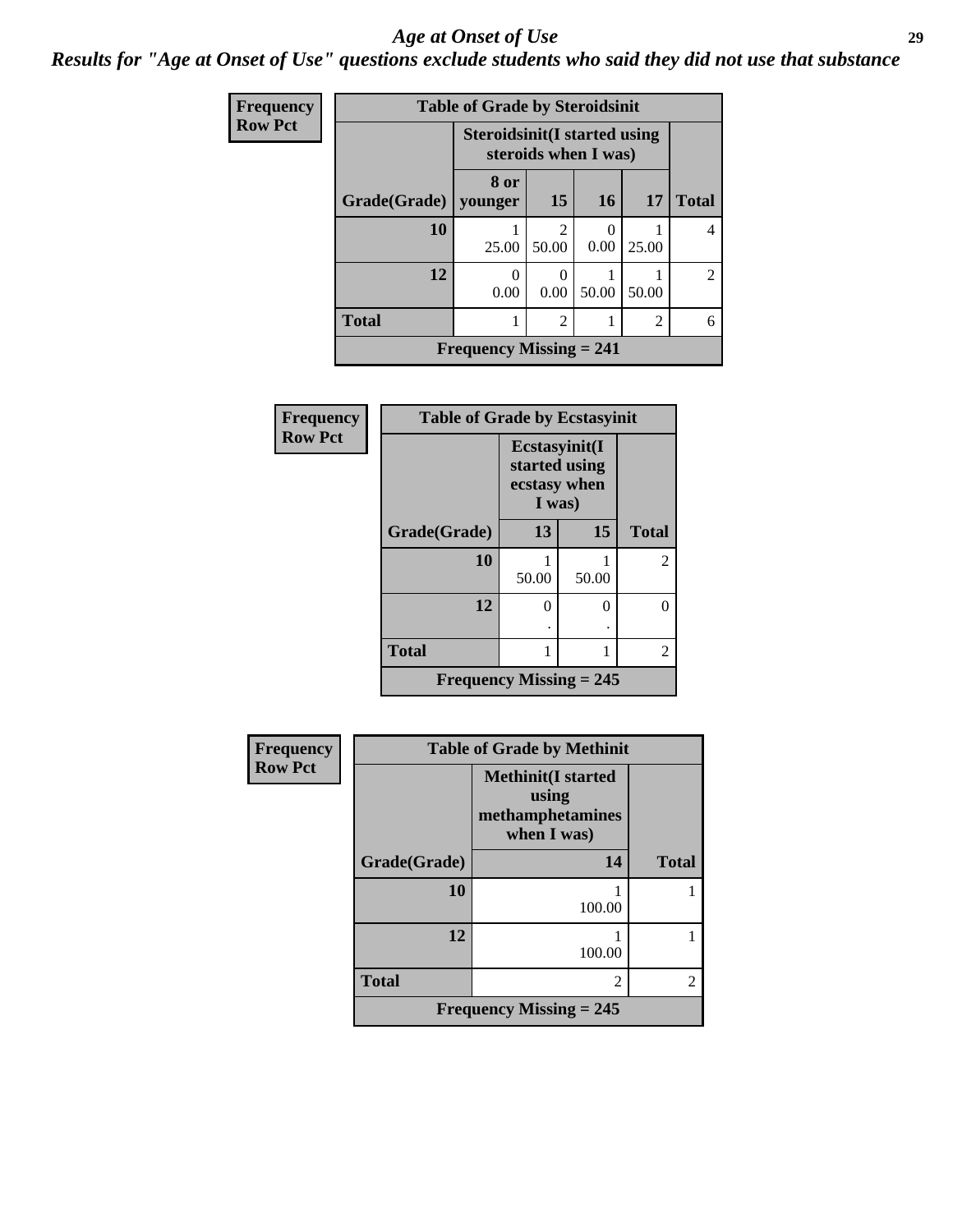#### *Age at Onset of Use* **29**

### *Results for "Age at Onset of Use" questions exclude students who said they did not use that substance*

| <b>Frequency</b> | <b>Table of Grade by Steroidsinit</b> |                                                              |                         |       |                |                |  |  |  |
|------------------|---------------------------------------|--------------------------------------------------------------|-------------------------|-------|----------------|----------------|--|--|--|
| <b>Row Pct</b>   |                                       | <b>Steroidsinit (I started using</b><br>steroids when I was) |                         |       |                |                |  |  |  |
|                  | Grade(Grade)                          | 8 or<br>younger                                              | 15                      | 16    | 17             | <b>Total</b>   |  |  |  |
|                  | 10                                    | 25.00                                                        | $\mathfrak{D}$<br>50.00 | 0.00  | 25.00          | 4              |  |  |  |
|                  | 12                                    | ∩<br>0.00                                                    | 0<br>0.00               | 50.00 | 50.00          | $\overline{2}$ |  |  |  |
|                  | <b>Total</b>                          |                                                              | $\overline{2}$          |       | $\overline{2}$ | 6              |  |  |  |
|                  |                                       | Frequency Missing $= 241$                                    |                         |       |                |                |  |  |  |

| Frequency      | <b>Table of Grade by Ecstasyinit</b> |                                                          |       |              |  |  |
|----------------|--------------------------------------|----------------------------------------------------------|-------|--------------|--|--|
| <b>Row Pct</b> |                                      | Ecstasyinit(I<br>started using<br>ecstasy when<br>I was) |       |              |  |  |
|                | Grade(Grade)                         | 13                                                       | 15    | <b>Total</b> |  |  |
|                | 10                                   | 1<br>50.00                                               | 50.00 | 2            |  |  |
|                | 12                                   | 0                                                        | 0     |              |  |  |
|                | <b>Total</b>                         | 1                                                        | 1     | 2            |  |  |
|                | <b>Frequency Missing = 245</b>       |                                                          |       |              |  |  |

| <b>Frequency</b> | <b>Table of Grade by Methinit</b> |                                                                       |                |  |  |  |
|------------------|-----------------------------------|-----------------------------------------------------------------------|----------------|--|--|--|
| <b>Row Pct</b>   |                                   | <b>Methinit(I started</b><br>using<br>methamphetamines<br>when I was) |                |  |  |  |
|                  | Grade(Grade)                      | 14                                                                    | <b>Total</b>   |  |  |  |
|                  | 10                                | 100.00                                                                |                |  |  |  |
|                  | 12                                | 100.00                                                                |                |  |  |  |
|                  | <b>Total</b>                      | $\overline{c}$                                                        | $\overline{c}$ |  |  |  |
|                  | Frequency Missing $= 245$         |                                                                       |                |  |  |  |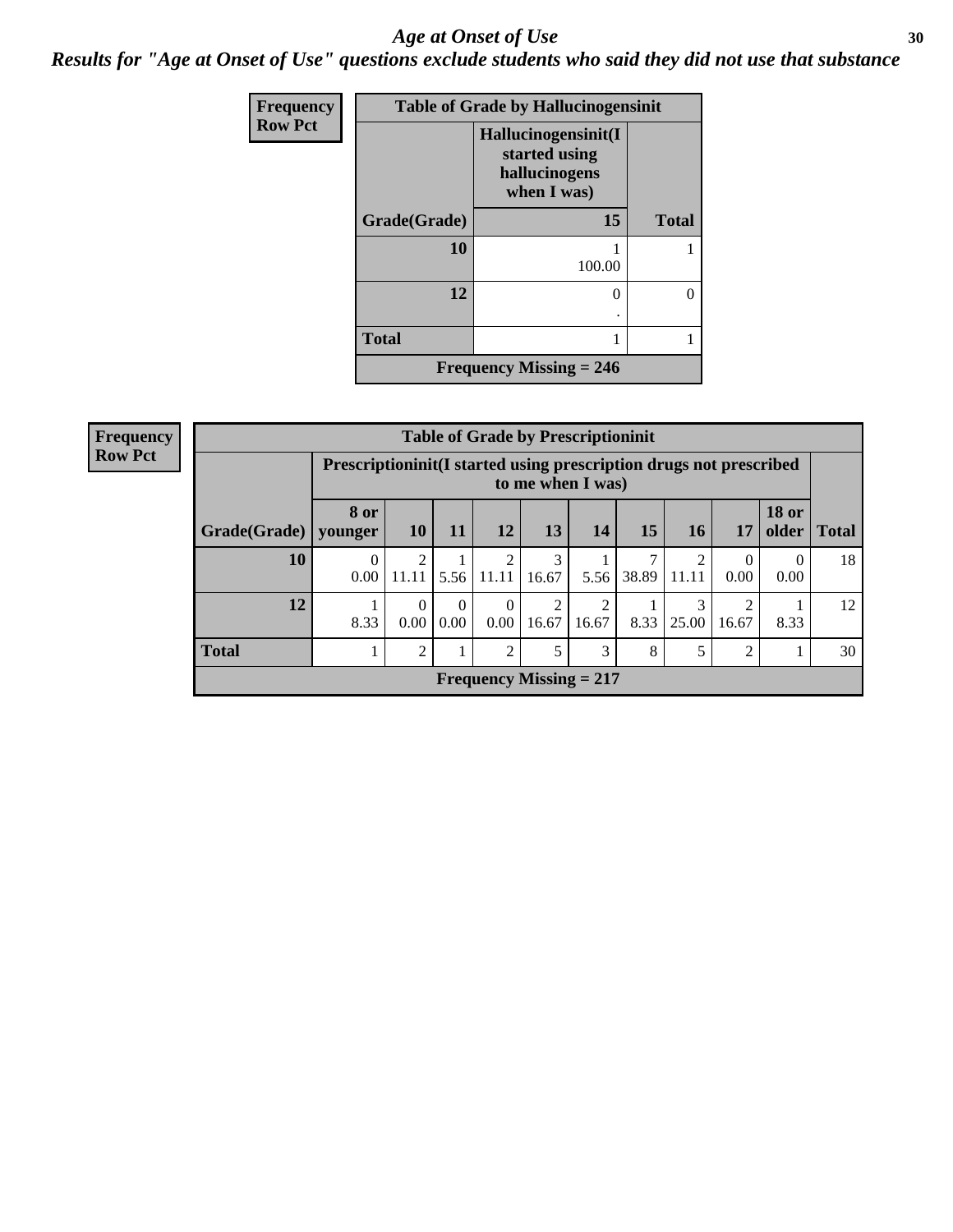#### Age at Onset of Use **30**

*Results for "Age at Onset of Use" questions exclude students who said they did not use that substance*

| Frequency      | <b>Table of Grade by Hallucinogensinit</b> |                                                                      |              |  |  |
|----------------|--------------------------------------------|----------------------------------------------------------------------|--------------|--|--|
| <b>Row Pct</b> |                                            | Hallucinogensinit(I<br>started using<br>hallucinogens<br>when I was) |              |  |  |
|                | Grade(Grade)                               | 15                                                                   | <b>Total</b> |  |  |
|                | 10                                         | 100.00                                                               |              |  |  |
|                | 12                                         | 0                                                                    | 0            |  |  |
|                | <b>Total</b>                               | 1                                                                    |              |  |  |
|                |                                            | Frequency Missing $= 246$                                            |              |  |  |

| <b>Frequency</b> |              | <b>Table of Grade by Prescriptioninit</b>                                                |                  |                  |                           |            |            |            |           |       |                       |              |
|------------------|--------------|------------------------------------------------------------------------------------------|------------------|------------------|---------------------------|------------|------------|------------|-----------|-------|-----------------------|--------------|
| <b>Row Pct</b>   |              | Prescriptioninit (I started using prescription drugs not prescribed<br>to me when I was) |                  |                  |                           |            |            |            |           |       |                       |              |
|                  | Grade(Grade) | <b>8 or</b><br>younger                                                                   | 10 <sup>1</sup>  | <b>11</b>        | 12                        | 13         | 14         | 15         | <b>16</b> | 17    | <b>18 or</b><br>older | <b>Total</b> |
|                  | 10           | 0<br>0.00                                                                                | 11.11            | 5.56             | 2<br>11.11                | 3<br>16.67 | 5.56       | 7<br>38.89 | 11.11     | 0.00  | 0.00                  | 18           |
|                  | 12           | 8.33                                                                                     | $\Omega$<br>0.00 | $\Omega$<br>0.00 | $\theta$<br>0.00          | 2<br>16.67 | ↑<br>16.67 | 8.33       | 25.00     | 16.67 | 8.33                  | 12           |
|                  | <b>Total</b> |                                                                                          | 2                |                  | $\overline{2}$            | 5          | 3          | 8          | 5         | っ     |                       | 30           |
|                  |              |                                                                                          |                  |                  | Frequency Missing $= 217$ |            |            |            |           |       |                       |              |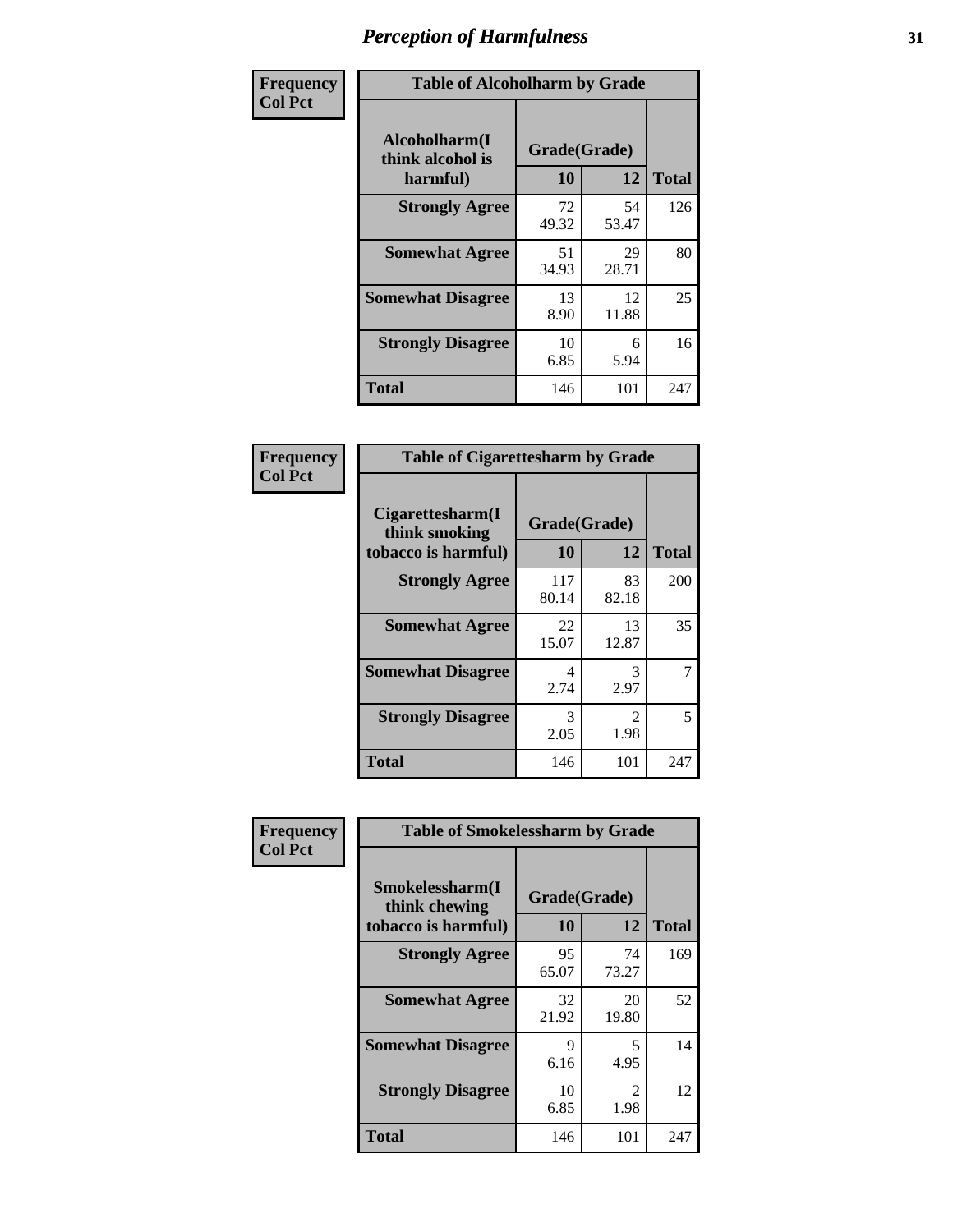| Frequency      | <b>Table of Alcoholharm by Grade</b>          |                    |             |              |  |  |
|----------------|-----------------------------------------------|--------------------|-------------|--------------|--|--|
| <b>Col Pct</b> | Alcoholharm(I<br>think alcohol is<br>harmful) | Grade(Grade)<br>10 | 12          | <b>Total</b> |  |  |
|                | <b>Strongly Agree</b>                         | 72<br>49.32        | 54<br>53.47 | 126          |  |  |
|                | <b>Somewhat Agree</b>                         | 51<br>34.93        | 29<br>28.71 | 80           |  |  |
|                | <b>Somewhat Disagree</b>                      | 13<br>8.90         | 12<br>11.88 | 25           |  |  |
|                | <b>Strongly Disagree</b>                      | 10<br>6.85         | 6<br>5.94   | 16           |  |  |
|                | <b>Total</b>                                  | 146                | 101         | 247          |  |  |

| <b>Table of Cigarettesharm by Grade</b>                  |                    |                        |              |  |  |  |  |
|----------------------------------------------------------|--------------------|------------------------|--------------|--|--|--|--|
| Cigarettesharm(I<br>think smoking<br>tobacco is harmful) | Grade(Grade)<br>10 | 12                     | <b>Total</b> |  |  |  |  |
| <b>Strongly Agree</b>                                    | 117<br>80.14       | 83<br>82.18            | 200          |  |  |  |  |
| <b>Somewhat Agree</b>                                    | 22<br>15.07        | 13<br>12.87            | 35           |  |  |  |  |
| <b>Somewhat Disagree</b>                                 | 4<br>2.74          | 3<br>2.97              | 7            |  |  |  |  |
| <b>Strongly Disagree</b>                                 | 3<br>2.05          | $\mathfrak{D}$<br>1.98 | 5            |  |  |  |  |
| <b>Total</b>                                             | 146                | 101                    | 247          |  |  |  |  |

| Frequency      | <b>Table of Smokelessharm by Grade</b>                  |                    |             |              |  |  |
|----------------|---------------------------------------------------------|--------------------|-------------|--------------|--|--|
| <b>Col Pct</b> | Smokelessharm(I<br>think chewing<br>tobacco is harmful) | Grade(Grade)<br>10 | 12          | <b>Total</b> |  |  |
|                | <b>Strongly Agree</b>                                   | 95<br>65.07        | 74<br>73.27 | 169          |  |  |
|                | <b>Somewhat Agree</b>                                   | 32<br>21.92        | 20<br>19.80 | 52           |  |  |
|                | <b>Somewhat Disagree</b>                                | 9<br>6.16          | 5<br>4.95   | 14           |  |  |
|                | <b>Strongly Disagree</b>                                | 10<br>6.85         | 2<br>1.98   | 12           |  |  |
|                | <b>Total</b>                                            | 146                | 101         | 247          |  |  |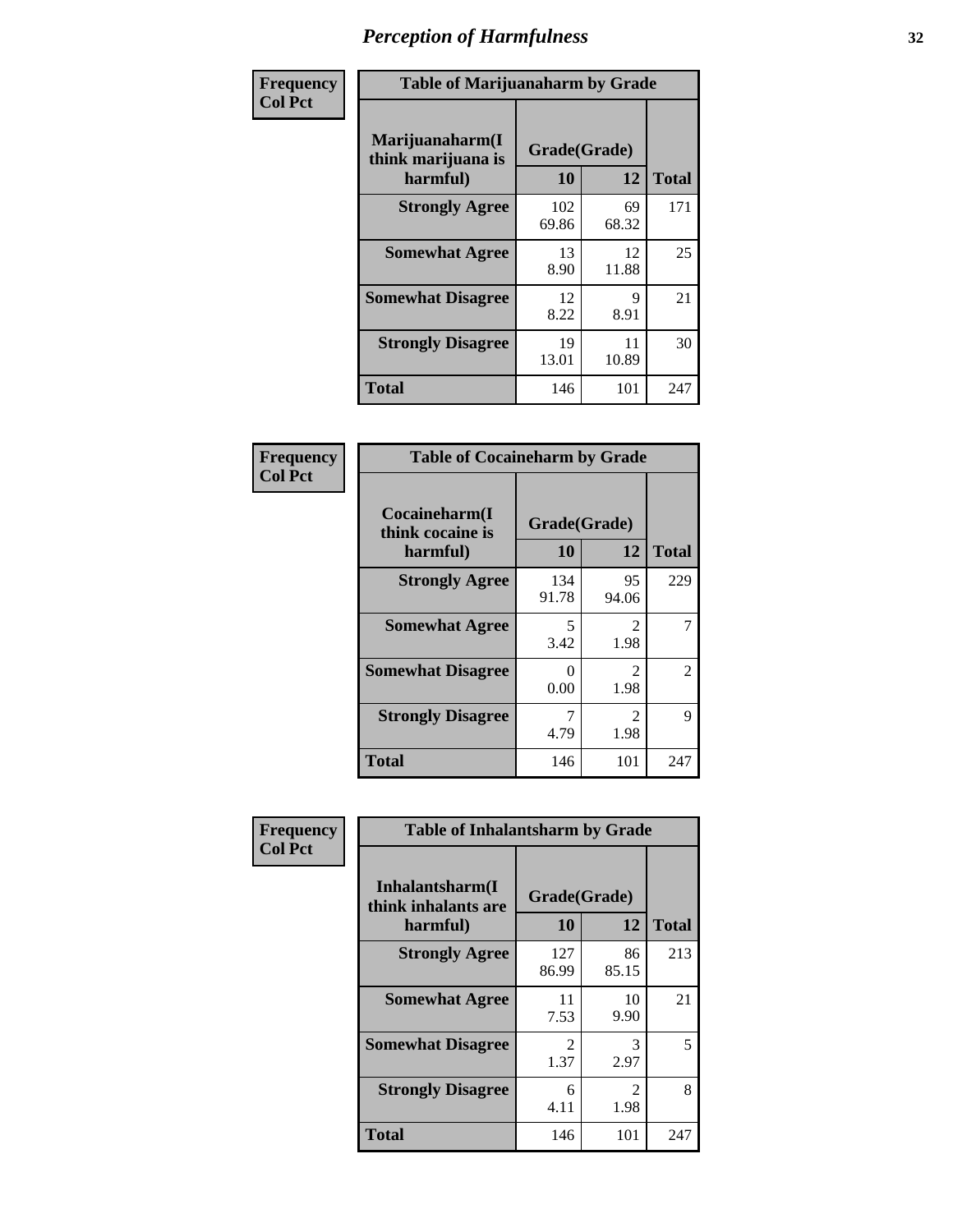| Frequency      | <b>Table of Marijuanaharm by Grade</b>            |                    |             |              |  |  |
|----------------|---------------------------------------------------|--------------------|-------------|--------------|--|--|
| <b>Col Pct</b> | Marijuanaharm(I<br>think marijuana is<br>harmful) | Grade(Grade)<br>10 | 12          | <b>Total</b> |  |  |
|                | <b>Strongly Agree</b>                             | 102<br>69.86       | 69<br>68.32 | 171          |  |  |
|                | <b>Somewhat Agree</b>                             | 13<br>8.90         | 12<br>11.88 | 25           |  |  |
|                | <b>Somewhat Disagree</b>                          | 12<br>8.22         | 9<br>8.91   | 21           |  |  |
|                | <b>Strongly Disagree</b>                          | 19<br>13.01        | 11<br>10.89 | 30           |  |  |
|                | <b>Total</b>                                      | 146                | 101         | 247          |  |  |

| <b>Table of Cocaineharm by Grade</b>          |                    |                        |     |  |  |  |  |  |
|-----------------------------------------------|--------------------|------------------------|-----|--|--|--|--|--|
| Cocaineharm(I<br>think cocaine is<br>harmful) | Grade(Grade)<br>10 | <b>Total</b>           |     |  |  |  |  |  |
| <b>Strongly Agree</b>                         | 134<br>91.78       | 95<br>94.06            | 229 |  |  |  |  |  |
| <b>Somewhat Agree</b>                         | 5<br>3.42          | $\mathfrak{D}$<br>1.98 | 7   |  |  |  |  |  |
| <b>Somewhat Disagree</b>                      | 0<br>0.00          | $\mathfrak{D}$<br>1.98 | 2   |  |  |  |  |  |
| <b>Strongly Disagree</b>                      | 7<br>4.79          | $\mathfrak{D}$<br>1.98 | 9   |  |  |  |  |  |
| <b>Total</b>                                  | 146                | 101                    | 247 |  |  |  |  |  |

| Frequency      | <b>Table of Inhalantsharm by Grade</b>              |                        |              |     |  |  |  |
|----------------|-----------------------------------------------------|------------------------|--------------|-----|--|--|--|
| <b>Col Pct</b> | Inhalantsharm(I)<br>think inhalants are<br>harmful) | Grade(Grade)<br>10     | <b>Total</b> |     |  |  |  |
|                | <b>Strongly Agree</b>                               | 127<br>86.99           | 86<br>85.15  | 213 |  |  |  |
|                | <b>Somewhat Agree</b>                               | 11<br>7.53             | 10<br>9.90   | 21  |  |  |  |
|                | <b>Somewhat Disagree</b>                            | $\mathfrak{D}$<br>1.37 | 3<br>2.97    | 5   |  |  |  |
|                | <b>Strongly Disagree</b>                            | 6<br>4.11              | 2<br>1.98    | 8   |  |  |  |
|                | <b>Total</b>                                        | 146                    | 101          | 247 |  |  |  |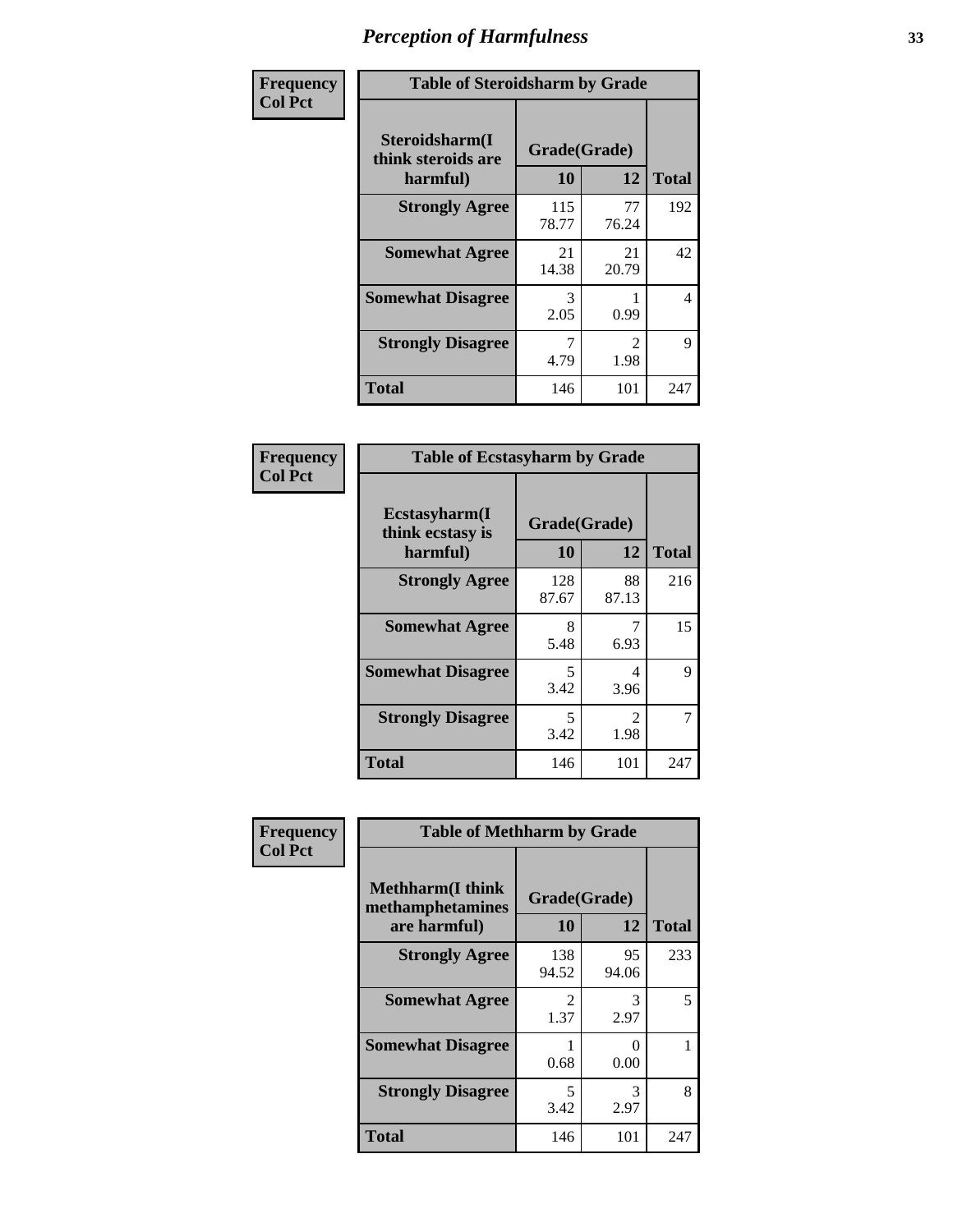| Frequency      | <b>Table of Steroidsharm by Grade</b>            |                    |                                     |              |
|----------------|--------------------------------------------------|--------------------|-------------------------------------|--------------|
| <b>Col Pct</b> | Steroidsharm(I<br>think steroids are<br>harmful) | Grade(Grade)<br>10 | 12                                  | <b>Total</b> |
|                | <b>Strongly Agree</b>                            | 115<br>78.77       | 77<br>76.24                         | 192          |
|                | <b>Somewhat Agree</b>                            | 21<br>14.38        | 21<br>20.79                         | 42           |
|                | <b>Somewhat Disagree</b>                         | 3<br>2.05          | 0.99                                | 4            |
|                | <b>Strongly Disagree</b>                         | 4.79               | $\mathcal{D}_{\mathcal{L}}$<br>1.98 | 9            |
|                | <b>Total</b>                                     | 146                | 101                                 | 247          |

| <b>Table of Ecstasyharm by Grade</b>          |                    |                        |     |  |
|-----------------------------------------------|--------------------|------------------------|-----|--|
| Ecstasyharm(I<br>think ecstasy is<br>harmful) | Grade(Grade)<br>10 | <b>Total</b>           |     |  |
| <b>Strongly Agree</b>                         | 128<br>87.67       | 88<br>87.13            | 216 |  |
| <b>Somewhat Agree</b>                         | 8<br>5.48          | 7<br>6.93              | 15  |  |
| <b>Somewhat Disagree</b>                      | 5<br>3.42          | 4<br>3.96              | 9   |  |
| <b>Strongly Disagree</b>                      | 5<br>3.42          | $\mathfrak{D}$<br>1.98 | 7   |  |
| <b>Total</b>                                  | 146                | 101                    | 247 |  |

| Frequency      | <b>Table of Methharm by Grade</b>                            |                        |                           |              |
|----------------|--------------------------------------------------------------|------------------------|---------------------------|--------------|
| <b>Col Pct</b> | <b>Methharm</b> (I think<br>methamphetamines<br>are harmful) | Grade(Grade)<br>10     | 12                        | <b>Total</b> |
|                | <b>Strongly Agree</b>                                        | 138<br>94.52           | 95<br>94.06               | 233          |
|                | <b>Somewhat Agree</b>                                        | $\mathfrak{D}$<br>1.37 | 3<br>2.97                 | 5            |
|                | <b>Somewhat Disagree</b>                                     | 0.68                   | $\mathbf{\Omega}$<br>0.00 |              |
|                | <b>Strongly Disagree</b>                                     | 5<br>3.42              | 3<br>2.97                 | 8            |
|                | <b>Total</b>                                                 | 146                    | 101                       | 247          |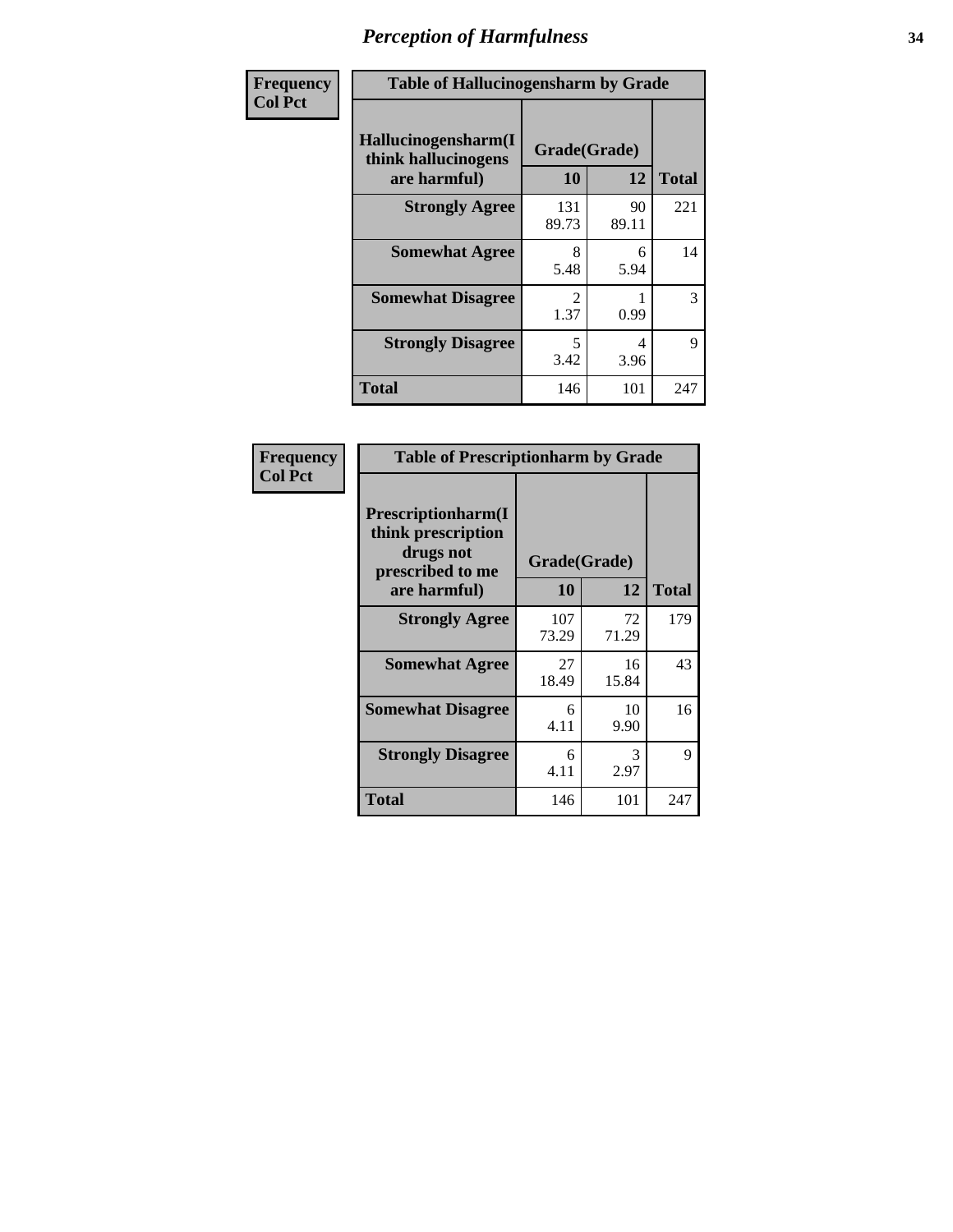| Frequency      | <b>Table of Hallucinogensharm by Grade</b>                 |                       |             |              |
|----------------|------------------------------------------------------------|-----------------------|-------------|--------------|
| <b>Col Pct</b> | Hallucinogensharm(I<br>think hallucinogens<br>are harmful) | Grade(Grade)<br>10    | 12          | <b>Total</b> |
|                | <b>Strongly Agree</b>                                      | 131<br>89.73          | 90<br>89.11 | 221          |
|                | <b>Somewhat Agree</b>                                      | 8<br>5.48             | 6<br>5.94   | 14           |
|                | <b>Somewhat Disagree</b>                                   | $\mathcal{L}$<br>1.37 | 0.99        | 3            |
|                | <b>Strongly Disagree</b>                                   | 5<br>3.42             | 4<br>3.96   | 9            |
|                | <b>Total</b>                                               | 146                   | 101         | 247          |

| <b>Table of Prescriptionharm by Grade</b>                                 |              |             |              |  |
|---------------------------------------------------------------------------|--------------|-------------|--------------|--|
| Prescriptionharm(I<br>think prescription<br>drugs not<br>prescribed to me | Grade(Grade) |             |              |  |
| are harmful)                                                              | 10           | 12          | <b>Total</b> |  |
| <b>Strongly Agree</b>                                                     | 107<br>73.29 | 72<br>71.29 | 179          |  |
| <b>Somewhat Agree</b>                                                     | 27<br>18.49  | 16<br>15.84 | 43           |  |
| <b>Somewhat Disagree</b>                                                  | 6<br>4.11    | 10<br>9.90  | 16           |  |
| <b>Strongly Disagree</b>                                                  | 6<br>4.11    | 3<br>2.97   | 9            |  |
| <b>Total</b>                                                              | 146          | 101         | 247          |  |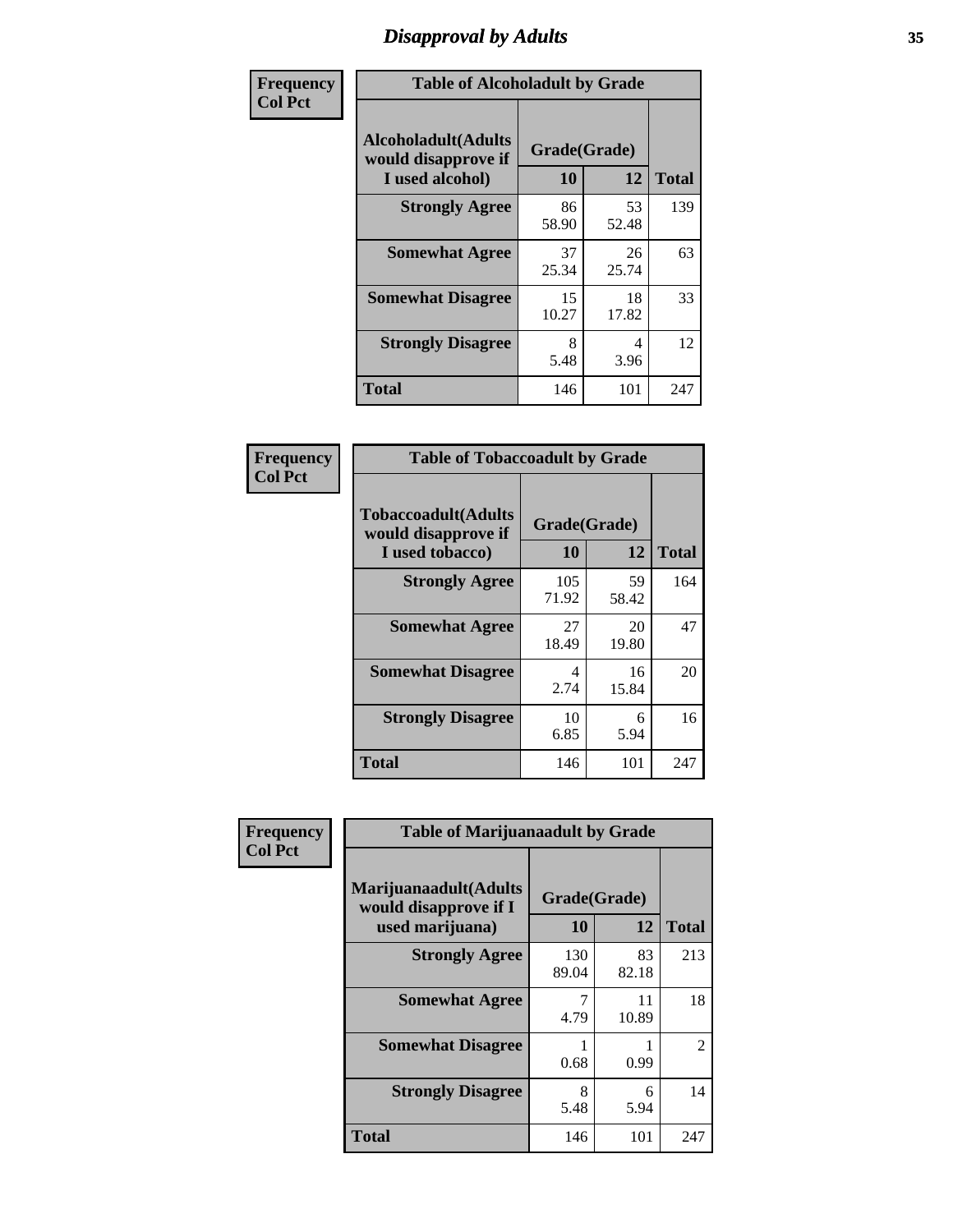# *Disapproval by Adults* **35**

| Frequency      | <b>Table of Alcoholadult by Grade</b>                                 |                    |             |              |
|----------------|-----------------------------------------------------------------------|--------------------|-------------|--------------|
| <b>Col Pct</b> | <b>Alcoholadult</b> (Adults<br>would disapprove if<br>I used alcohol) | Grade(Grade)<br>10 | 12          | <b>Total</b> |
|                | <b>Strongly Agree</b>                                                 | 86<br>58.90        | 53<br>52.48 | 139          |
|                | <b>Somewhat Agree</b>                                                 | 37<br>25.34        | 26<br>25.74 | 63           |
|                | <b>Somewhat Disagree</b>                                              | 15<br>10.27        | 18<br>17.82 | 33           |
|                | <b>Strongly Disagree</b>                                              | 8<br>5.48          | 4<br>3.96   | 12           |
|                | <b>Total</b>                                                          | 146                | 101         | 247          |

| <b>Table of Tobaccoadult by Grade</b>                         |                    |             |              |  |
|---------------------------------------------------------------|--------------------|-------------|--------------|--|
| Tobaccoadult(Adults<br>would disapprove if<br>I used tobacco) | Grade(Grade)<br>10 | 12          | <b>Total</b> |  |
| <b>Strongly Agree</b>                                         | 105<br>71.92       | 59<br>58.42 | 164          |  |
| <b>Somewhat Agree</b>                                         | 27<br>18.49        | 20<br>19.80 | 47           |  |
| <b>Somewhat Disagree</b>                                      | 4<br>2.74          | 16<br>15.84 | 20           |  |
| <b>Strongly Disagree</b>                                      | 10<br>6.85         | 6<br>5.94   | 16           |  |
| Total                                                         | 146                | 101         | 247          |  |

| Frequency      | <b>Table of Marijuanaadult by Grade</b>                           |                    |             |                |
|----------------|-------------------------------------------------------------------|--------------------|-------------|----------------|
| <b>Col Pct</b> | Marijuanaadult(Adults<br>would disapprove if I<br>used marijuana) | Grade(Grade)<br>10 | 12          | <b>Total</b>   |
|                | <b>Strongly Agree</b>                                             | 130<br>89.04       | 83<br>82.18 | 213            |
|                | <b>Somewhat Agree</b>                                             | 7<br>4.79          | 11<br>10.89 | 18             |
|                | <b>Somewhat Disagree</b>                                          | 0.68               | 0.99        | $\overline{2}$ |
|                | <b>Strongly Disagree</b>                                          | 8<br>5.48          | 6<br>5.94   | 14             |
|                | <b>Total</b>                                                      | 146                | 101         | 247            |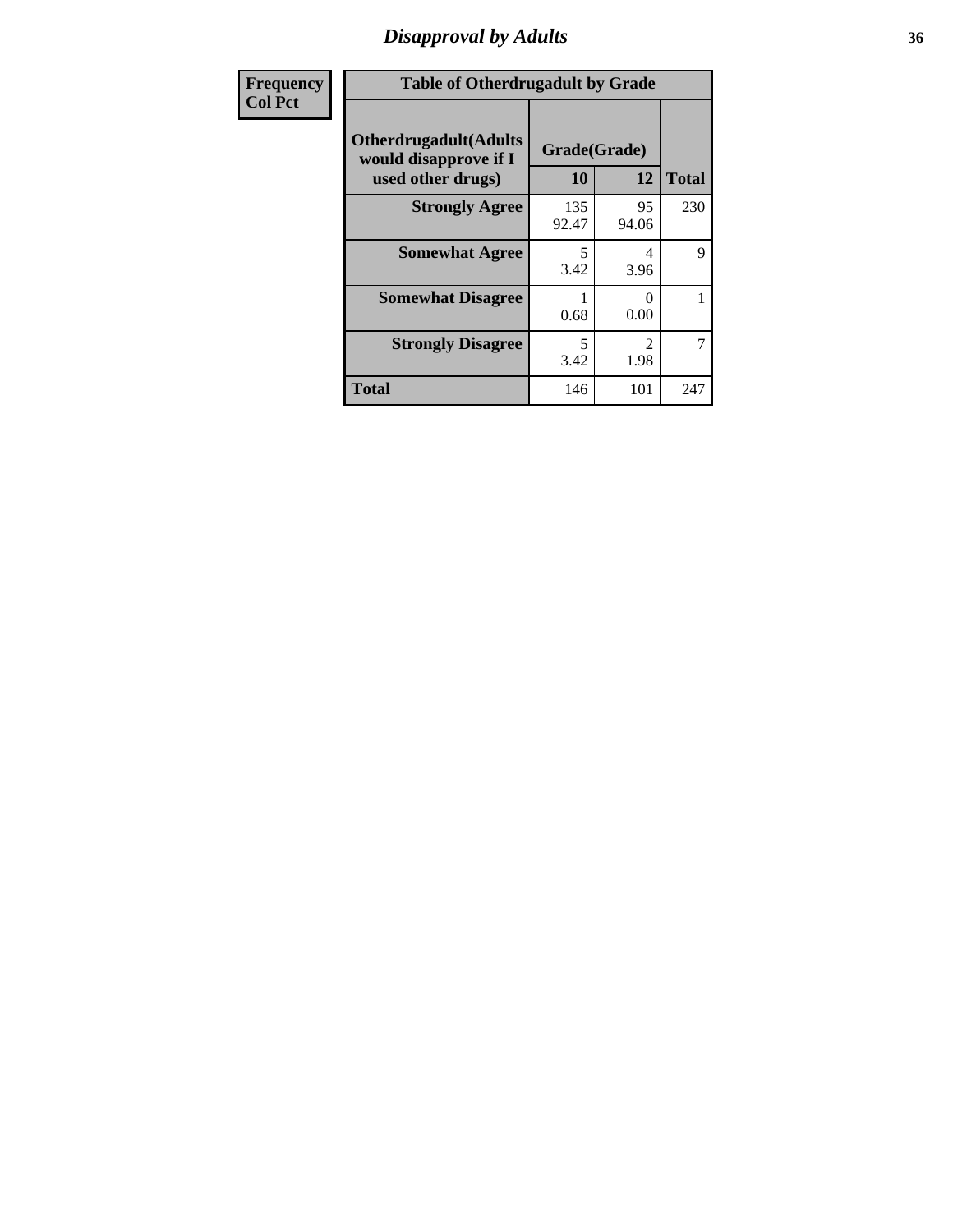### *Disapproval by Adults* **36**

| <b>Frequency</b> | <b>Table of Otherdrugadult by Grade</b>                                     |                                  |                        |                |
|------------------|-----------------------------------------------------------------------------|----------------------------------|------------------------|----------------|
| <b>Col Pct</b>   | <b>Otherdrugadult</b> (Adults<br>would disapprove if I<br>used other drugs) | Grade(Grade)<br>10               | 12                     | <b>Total</b>   |
|                  | <b>Strongly Agree</b>                                                       | 135<br>92.47                     | 95<br>94.06            | 230            |
|                  | <b>Somewhat Agree</b>                                                       | 5<br>3.42                        | 4<br>3.96              | 9              |
|                  | <b>Somewhat Disagree</b>                                                    | 0.68                             | 0<br>0.00              |                |
|                  | <b>Strongly Disagree</b>                                                    | $\overline{\phantom{0}}$<br>3.42 | $\mathfrak{D}$<br>1.98 | $\overline{7}$ |
|                  | <b>Total</b>                                                                | 146                              | 101                    | 247            |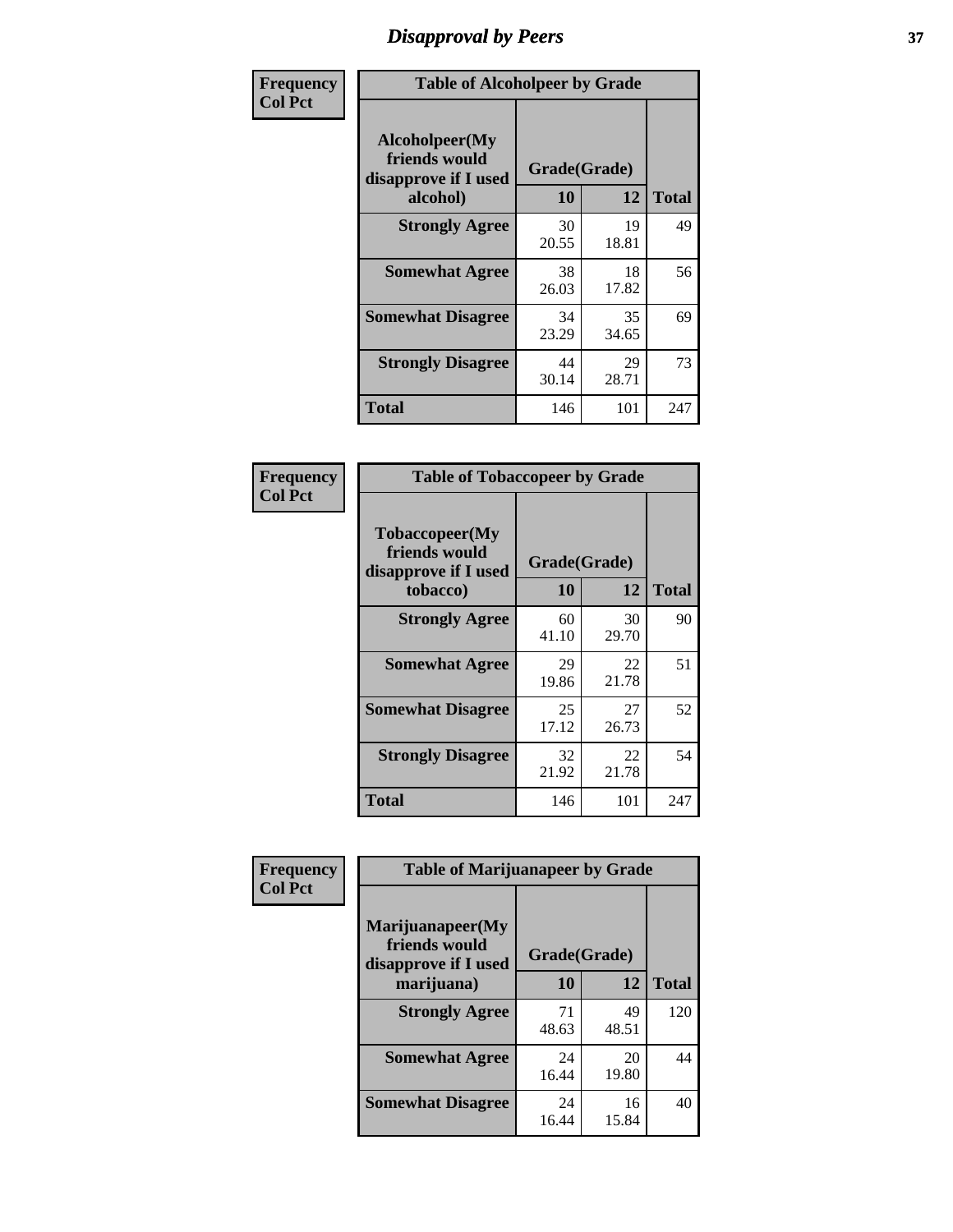## *Disapproval by Peers* **37**

| Frequency      | <b>Table of Alcoholpeer by Grade</b>                    |              |             |              |  |
|----------------|---------------------------------------------------------|--------------|-------------|--------------|--|
| <b>Col Pct</b> | Alcoholpeer(My<br>friends would<br>disapprove if I used | Grade(Grade) |             |              |  |
|                | alcohol)                                                | 10           | 12          | <b>Total</b> |  |
|                | <b>Strongly Agree</b>                                   | 30<br>20.55  | 19<br>18.81 | 49           |  |
|                | <b>Somewhat Agree</b>                                   | 38<br>26.03  | 18<br>17.82 | 56           |  |
|                | <b>Somewhat Disagree</b>                                | 34<br>23.29  | 35<br>34.65 | 69           |  |
|                | <b>Strongly Disagree</b>                                | 44<br>30.14  | 29<br>28.71 | 73           |  |
|                | Total                                                   | 146          | 101         | 247          |  |

| Frequency      | <b>Table of Tobaccopeer by Grade</b>                                |                    |             |              |
|----------------|---------------------------------------------------------------------|--------------------|-------------|--------------|
| <b>Col Pct</b> | Tobaccopeer(My<br>friends would<br>disapprove if I used<br>tobacco) | Grade(Grade)<br>10 | 12          | <b>Total</b> |
|                | <b>Strongly Agree</b>                                               | 60                 | 30          | 90           |
|                |                                                                     | 41.10              | 29.70       |              |
|                | <b>Somewhat Agree</b>                                               | 29<br>19.86        | 22<br>21.78 | 51           |
|                | <b>Somewhat Disagree</b>                                            | 25<br>17.12        | 27<br>26.73 | 52           |
|                | <b>Strongly Disagree</b>                                            | 32<br>21.92        | 22<br>21.78 | 54           |
|                | <b>Total</b>                                                        | 146                | 101         | 247          |

| Frequency      | <b>Table of Marijuanapeer by Grade</b>                    |              |             |              |
|----------------|-----------------------------------------------------------|--------------|-------------|--------------|
| <b>Col Pct</b> | Marijuanapeer(My<br>friends would<br>disapprove if I used | Grade(Grade) |             |              |
|                | marijuana)                                                | 10           | 12          | <b>Total</b> |
|                | <b>Strongly Agree</b>                                     | 71<br>48.63  | 49<br>48.51 | 120          |
|                | <b>Somewhat Agree</b>                                     | 24<br>16.44  | 20<br>19.80 | 44           |
|                | <b>Somewhat Disagree</b>                                  | 24<br>16.44  | 16<br>15.84 | 40           |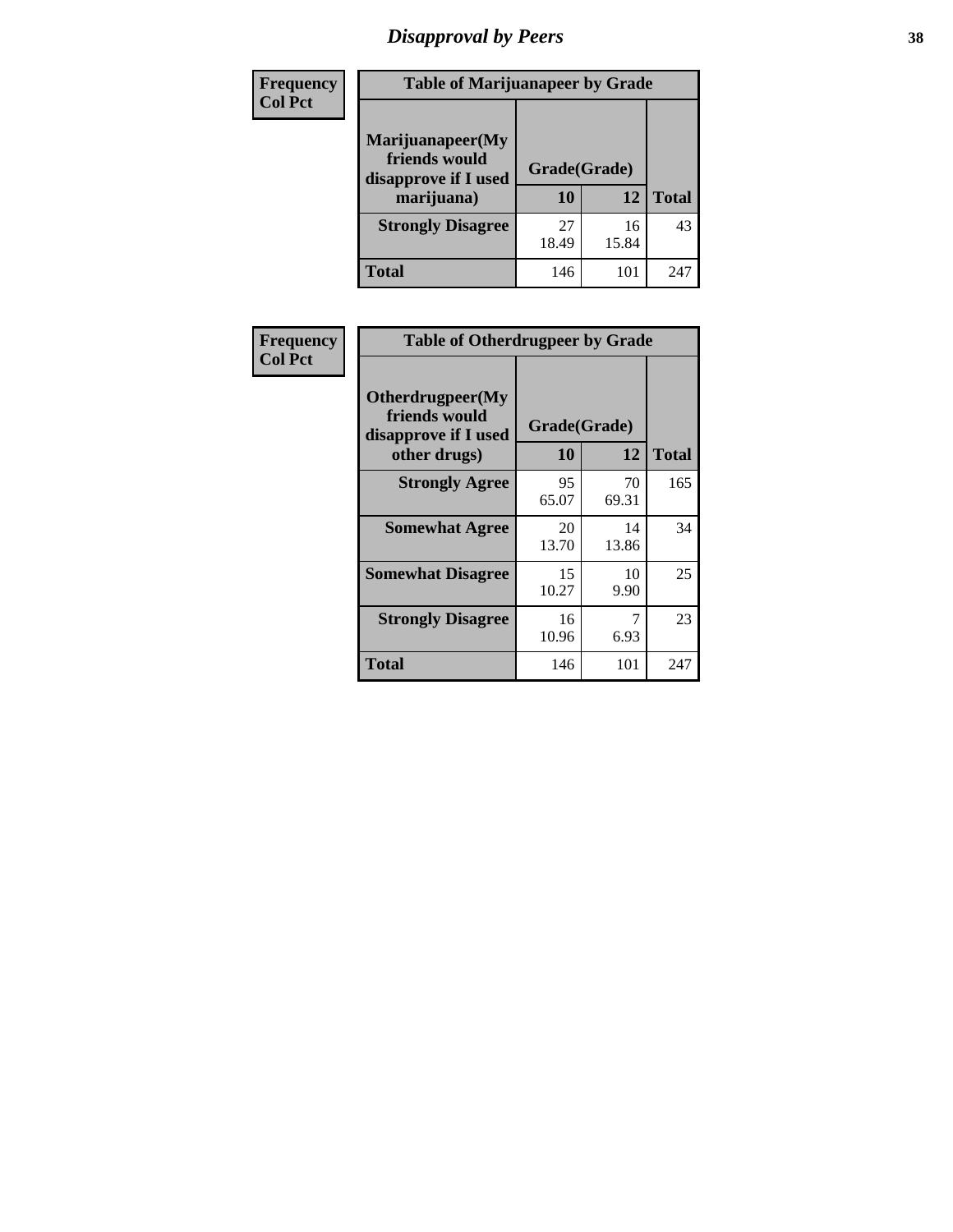# *Disapproval by Peers* **38**

| Frequency<br><b>Col Pct</b> | <b>Table of Marijuanapeer by Grade</b>                                  |                    |             |              |  |
|-----------------------------|-------------------------------------------------------------------------|--------------------|-------------|--------------|--|
|                             | Marijuanapeer(My<br>friends would<br>disapprove if I used<br>marijuana) | Grade(Grade)<br>10 | 12          | <b>Total</b> |  |
|                             | <b>Strongly Disagree</b>                                                | 27<br>18.49        | 16<br>15.84 | 43           |  |
|                             | Total                                                                   | 146                | 101         | 247          |  |

| Frequency      | <b>Table of Otherdrugpeer by Grade</b>                                    |                    |             |              |
|----------------|---------------------------------------------------------------------------|--------------------|-------------|--------------|
| <b>Col Pct</b> | Otherdrugpeer(My<br>friends would<br>disapprove if I used<br>other drugs) | Grade(Grade)<br>10 | 12          | <b>Total</b> |
|                | <b>Strongly Agree</b>                                                     | 95<br>65.07        | 70<br>69.31 | 165          |
|                | <b>Somewhat Agree</b>                                                     | 20<br>13.70        | 14<br>13.86 | 34           |
|                | <b>Somewhat Disagree</b>                                                  | 15<br>10.27        | 10<br>9.90  | 25           |
|                | <b>Strongly Disagree</b>                                                  | 16<br>10.96        | 7<br>6.93   | 23           |
|                | <b>Total</b>                                                              | 146                | 101         | 247          |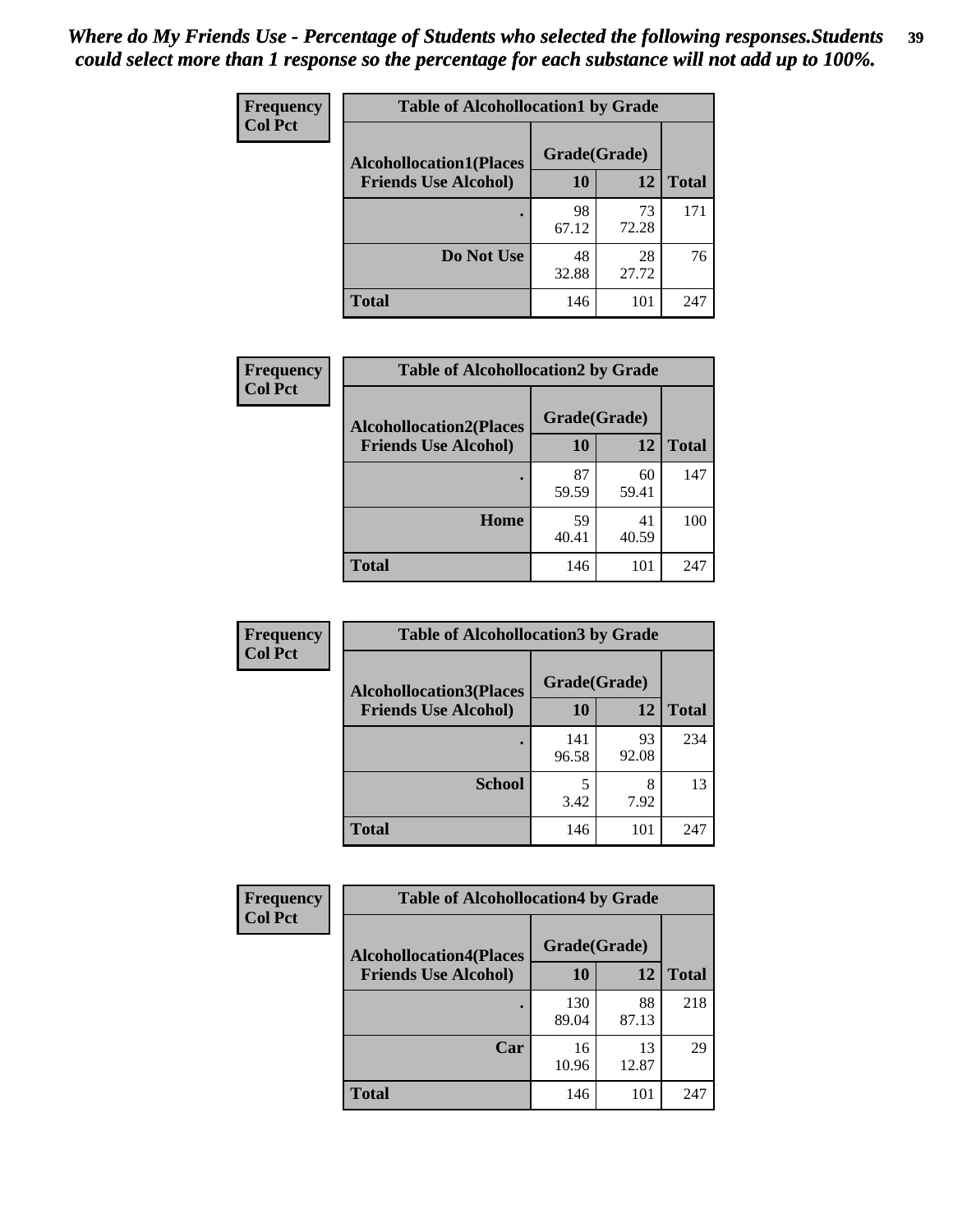| Frequency<br><b>Col Pct</b> | <b>Table of Alcohollocation1 by Grade</b> |              |             |              |
|-----------------------------|-------------------------------------------|--------------|-------------|--------------|
|                             | <b>Alcohollocation1(Places</b>            | Grade(Grade) |             |              |
|                             | <b>Friends Use Alcohol)</b>               | 10           | 12          | <b>Total</b> |
|                             |                                           | 98<br>67.12  | 73<br>72.28 | 171          |
|                             | Do Not Use                                | 48<br>32.88  | 28<br>27.72 | 76           |
|                             | <b>Total</b>                              | 146          | 101         | 247          |

| <b>Frequency</b> | <b>Table of Alcohollocation2 by Grade</b>                     |                    |             |              |  |
|------------------|---------------------------------------------------------------|--------------------|-------------|--------------|--|
| <b>Col Pct</b>   | <b>Alcohollocation2(Places</b><br><b>Friends Use Alcohol)</b> | Grade(Grade)<br>10 | 12          | <b>Total</b> |  |
|                  |                                                               | 87<br>59.59        | 60<br>59.41 | 147          |  |
|                  | Home                                                          | 59<br>40.41        | 41<br>40.59 | 100          |  |
|                  | <b>Total</b>                                                  | 146                | 101         | 247          |  |

| Frequency<br><b>Col Pct</b> | <b>Table of Alcohollocation 3 by Grade</b> |              |             |              |
|-----------------------------|--------------------------------------------|--------------|-------------|--------------|
|                             | <b>Alcohollocation3(Places</b>             | Grade(Grade) |             |              |
|                             | <b>Friends Use Alcohol)</b>                | 10           | 12          | <b>Total</b> |
|                             |                                            | 141<br>96.58 | 93<br>92.08 | 234          |
|                             | <b>School</b>                              | 3.42         | 8<br>7.92   | 13           |
|                             | Total                                      | 146          | 101         | 247          |

| Frequency      | <b>Table of Alcohollocation4 by Grade</b> |              |             |              |  |
|----------------|-------------------------------------------|--------------|-------------|--------------|--|
| <b>Col Pct</b> | <b>Alcohollocation4(Places</b>            | Grade(Grade) |             |              |  |
|                | <b>Friends Use Alcohol)</b>               | 10           | 12          | <b>Total</b> |  |
|                |                                           | 130<br>89.04 | 88<br>87.13 | 218          |  |
|                | Car                                       | 16<br>10.96  | 13<br>12.87 | 29           |  |
|                | <b>Total</b>                              | 146          | 101         | 247          |  |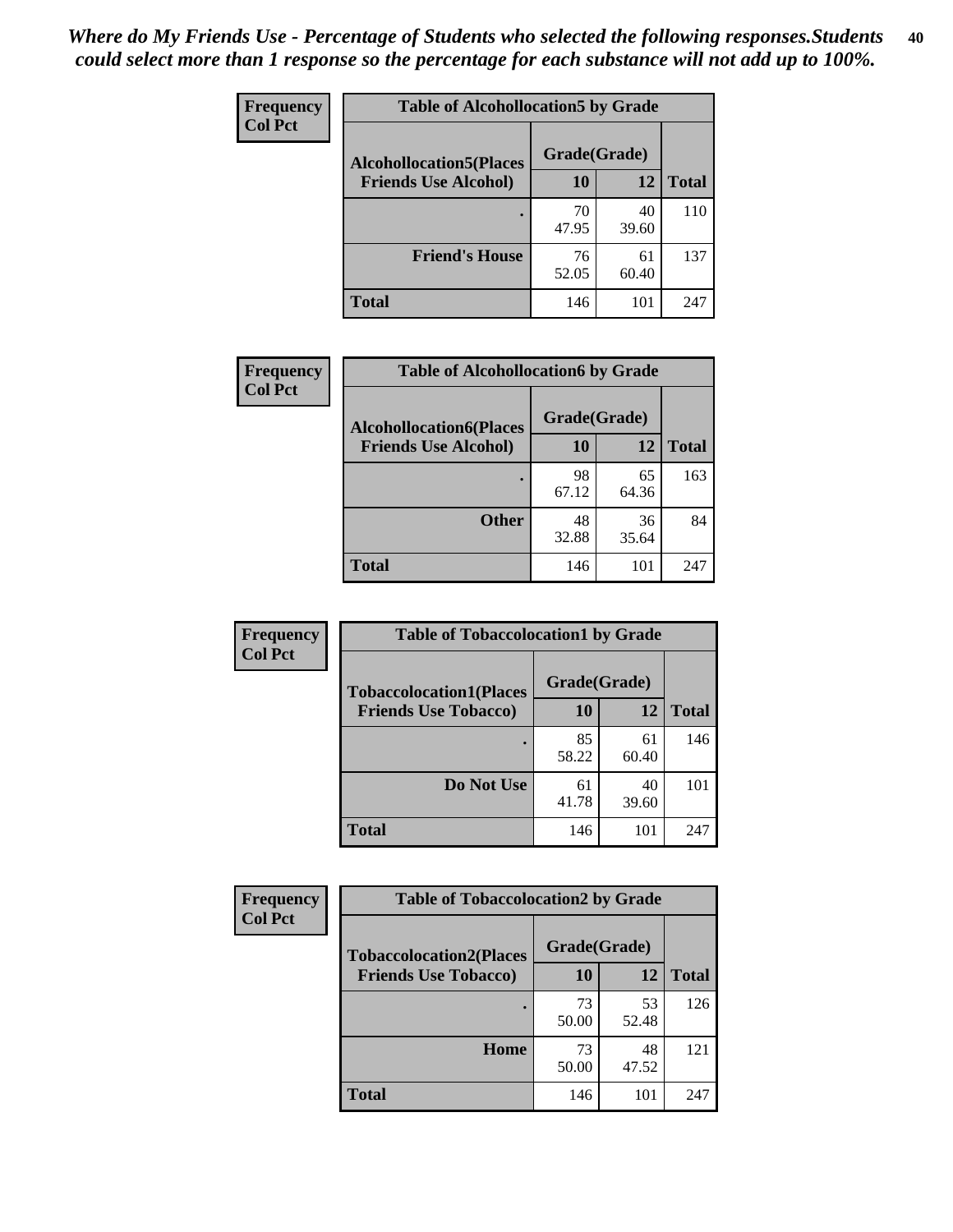| Frequency<br><b>Col Pct</b> | <b>Table of Alcohollocation5 by Grade</b> |              |             |              |  |
|-----------------------------|-------------------------------------------|--------------|-------------|--------------|--|
|                             | <b>Alcohollocation5(Places</b>            | Grade(Grade) |             |              |  |
|                             | <b>Friends Use Alcohol)</b>               | 10           | 12          | <b>Total</b> |  |
|                             |                                           | 70<br>47.95  | 40<br>39.60 | 110          |  |
|                             | <b>Friend's House</b>                     | 76<br>52.05  | 61<br>60.40 | 137          |  |
|                             | <b>Total</b>                              | 146          | 101         | 247          |  |

| <b>Frequency</b> | <b>Table of Alcohollocation6 by Grade</b> |              |             |              |
|------------------|-------------------------------------------|--------------|-------------|--------------|
| <b>Col Pct</b>   | <b>Alcohollocation6(Places</b>            | Grade(Grade) |             |              |
|                  | <b>Friends Use Alcohol)</b>               | 10           | 12          | <b>Total</b> |
|                  |                                           | 98<br>67.12  | 65<br>64.36 | 163          |
|                  | <b>Other</b>                              | 48<br>32.88  | 36<br>35.64 | 84           |
|                  | <b>Total</b>                              | 146          | 101         | 247          |

| Frequency      | <b>Table of Tobaccolocation1 by Grade</b> |              |             |              |
|----------------|-------------------------------------------|--------------|-------------|--------------|
| <b>Col Pct</b> | <b>Tobaccolocation1(Places</b>            | Grade(Grade) |             |              |
|                | <b>Friends Use Tobacco)</b>               | 10           | <b>12</b>   | <b>Total</b> |
|                |                                           | 85<br>58.22  | 61<br>60.40 | 146          |
|                | <b>Do Not Use</b>                         | 61<br>41.78  | 40<br>39.60 | 101          |
|                | <b>Total</b>                              | 146          | 101         | 247          |

| Frequency      | <b>Table of Tobaccolocation2 by Grade</b> |              |             |              |  |
|----------------|-------------------------------------------|--------------|-------------|--------------|--|
| <b>Col Pct</b> | <b>Tobaccolocation2(Places</b>            | Grade(Grade) |             |              |  |
|                | <b>Friends Use Tobacco)</b>               | 10           | 12          | <b>Total</b> |  |
|                |                                           | 73<br>50.00  | 53<br>52.48 | 126          |  |
|                | Home                                      | 73<br>50.00  | 48<br>47.52 | 121          |  |
|                | <b>Total</b>                              | 146          | 101         | 247          |  |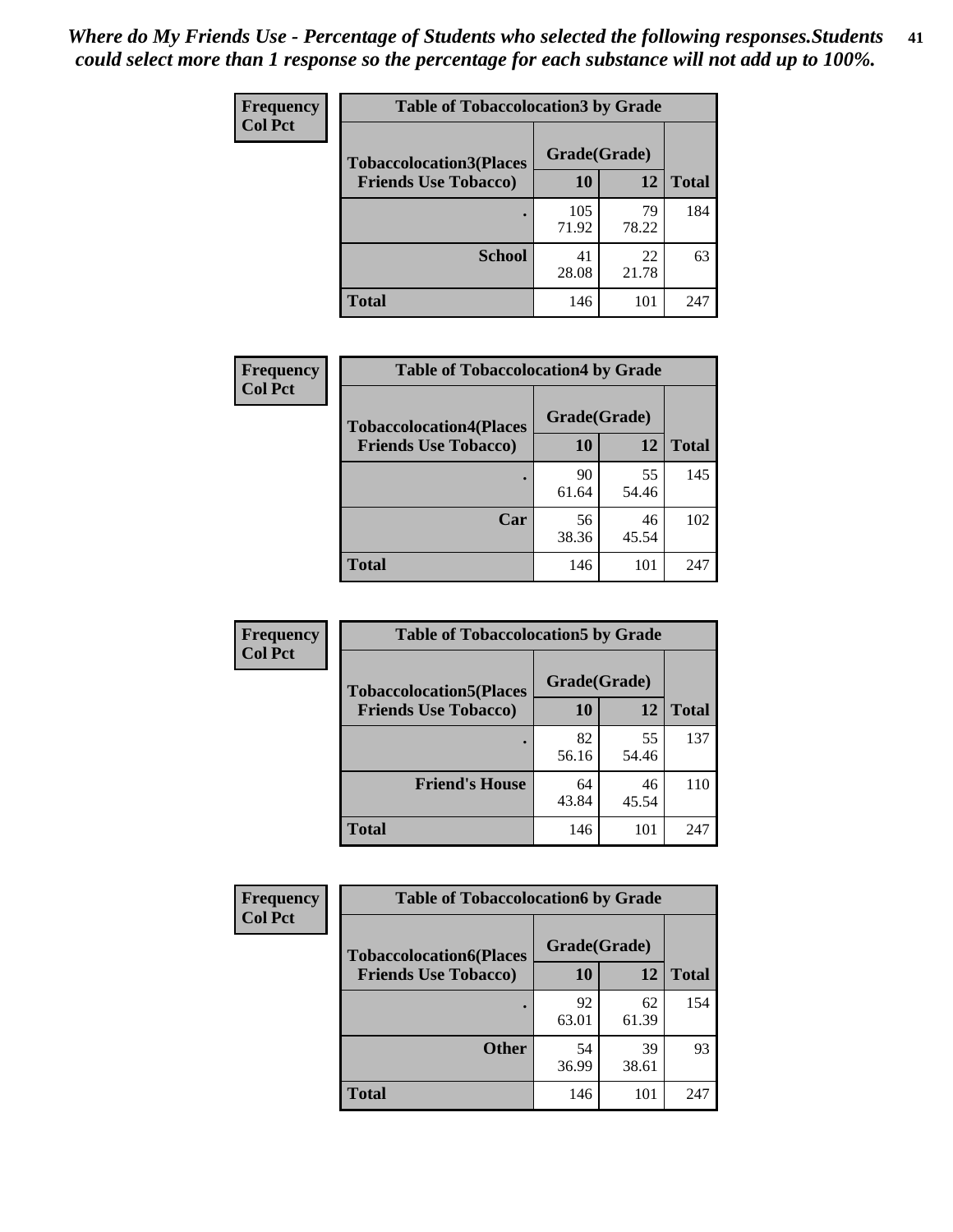| Frequency<br><b>Col Pct</b> | <b>Table of Tobaccolocation 3 by Grade</b> |              |             |              |
|-----------------------------|--------------------------------------------|--------------|-------------|--------------|
|                             | <b>Tobaccolocation3(Places</b>             | Grade(Grade) |             |              |
|                             | <b>Friends Use Tobacco)</b>                | 10           | 12          | <b>Total</b> |
|                             |                                            | 105<br>71.92 | 79<br>78.22 | 184          |
|                             | <b>School</b>                              | 41<br>28.08  | 22<br>21.78 | 63           |
|                             | <b>Total</b>                               | 146          | 101         | 247          |

| Frequency      | <b>Table of Tobaccolocation4 by Grade</b> |              |             |              |
|----------------|-------------------------------------------|--------------|-------------|--------------|
| <b>Col Pct</b> | <b>Tobaccolocation4(Places</b>            | Grade(Grade) |             |              |
|                | <b>Friends Use Tobacco)</b>               | 10           | 12          | <b>Total</b> |
|                |                                           | 90<br>61.64  | 55<br>54.46 | 145          |
|                | Car                                       | 56<br>38.36  | 46<br>45.54 | 102          |
|                | <b>Total</b>                              | 146          | 101         | 247          |

| <b>Frequency</b> | <b>Table of Tobaccolocation5 by Grade</b> |              |             |              |
|------------------|-------------------------------------------|--------------|-------------|--------------|
| <b>Col Pct</b>   | <b>Tobaccolocation5(Places</b>            | Grade(Grade) |             |              |
|                  | <b>Friends Use Tobacco)</b>               | 10           | 12          | <b>Total</b> |
|                  |                                           | 82<br>56.16  | 55<br>54.46 | 137          |
|                  | <b>Friend's House</b>                     | 64<br>43.84  | 46<br>45.54 | 110          |
|                  | <b>Total</b>                              | 146          | 101         | 247          |

| <b>Frequency</b> | <b>Table of Tobaccolocation6 by Grade</b> |              |             |              |  |
|------------------|-------------------------------------------|--------------|-------------|--------------|--|
| <b>Col Pct</b>   | <b>Tobaccolocation6(Places</b>            | Grade(Grade) |             |              |  |
|                  | <b>Friends Use Tobacco)</b>               | 10           | 12          | <b>Total</b> |  |
|                  |                                           | 92<br>63.01  | 62<br>61.39 | 154          |  |
|                  | <b>Other</b>                              | 54<br>36.99  | 39<br>38.61 | 93           |  |
|                  | <b>Total</b>                              | 146          | 101         | 247          |  |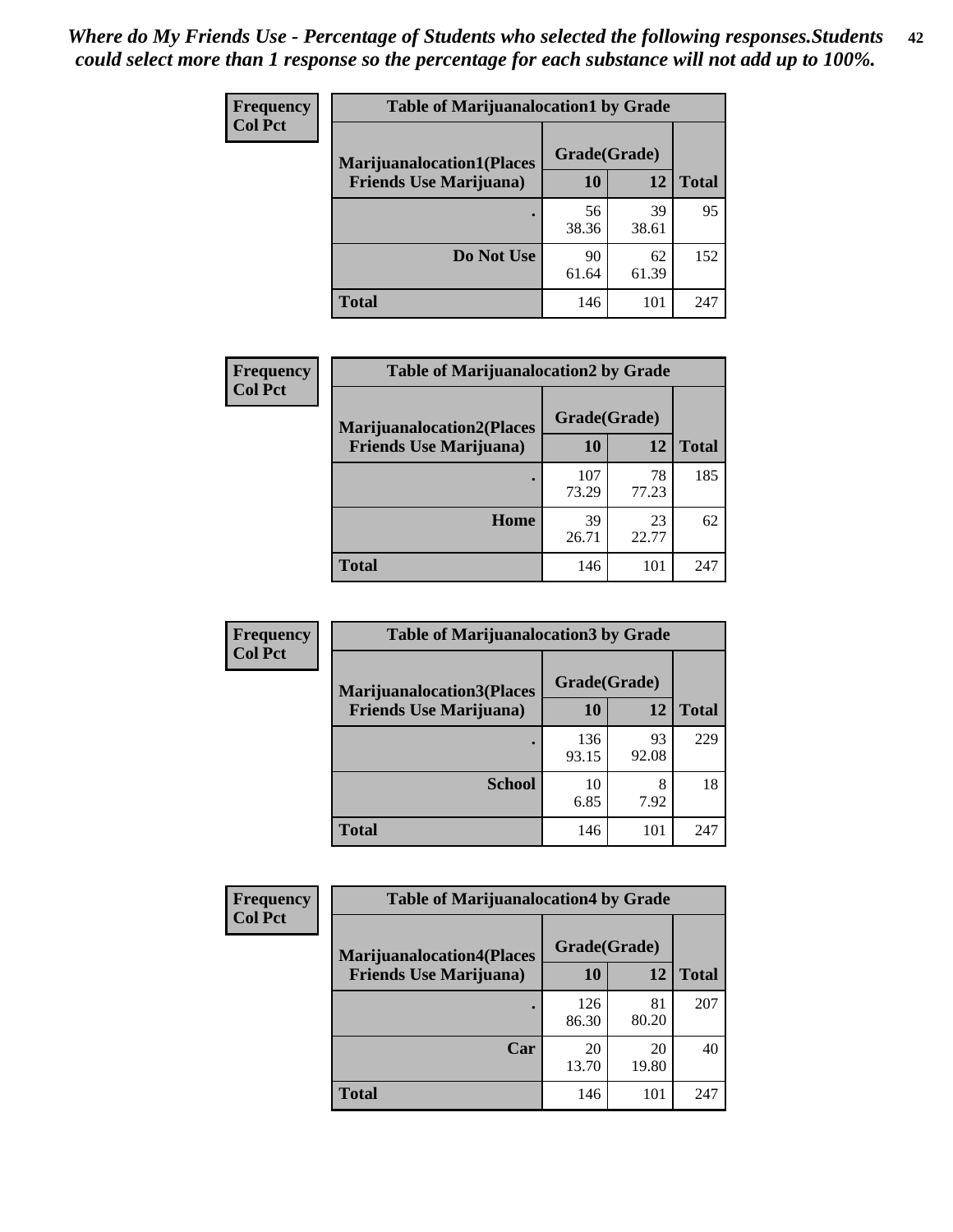| <b>Frequency</b> | <b>Table of Marijuanalocation1 by Grade</b> |              |             |              |
|------------------|---------------------------------------------|--------------|-------------|--------------|
| <b>Col Pct</b>   | <b>Marijuanalocation1(Places</b>            | Grade(Grade) |             |              |
|                  | <b>Friends Use Marijuana</b> )              | 10           | 12          | <b>Total</b> |
|                  |                                             | 56<br>38.36  | 39<br>38.61 | 95           |
|                  | Do Not Use                                  | 90<br>61.64  | 62<br>61.39 | 152          |
|                  | Total                                       | 146          | 101         | 247          |

| Frequency      | <b>Table of Marijuanalocation2 by Grade</b>                        |                    |             |              |
|----------------|--------------------------------------------------------------------|--------------------|-------------|--------------|
| <b>Col Pct</b> | <b>Marijuanalocation2(Places</b><br><b>Friends Use Marijuana</b> ) | Grade(Grade)<br>10 | 12          | <b>Total</b> |
|                |                                                                    | 107<br>73.29       | 78<br>77.23 | 185          |
|                | Home                                                               | 39<br>26.71        | 23<br>22.77 | 62           |
|                | <b>Total</b>                                                       | 146                | 101         | 247          |

| Frequency      | <b>Table of Marijuanalocation3 by Grade</b>                         |                    |       |              |
|----------------|---------------------------------------------------------------------|--------------------|-------|--------------|
| <b>Col Pct</b> | <b>Marijuanalocation3</b> (Places<br><b>Friends Use Marijuana</b> ) | Grade(Grade)<br>10 | 12    | <b>Total</b> |
|                |                                                                     |                    |       |              |
|                |                                                                     | 136                | 93    | 229          |
|                |                                                                     | 93.15              | 92.08 |              |
|                | <b>School</b>                                                       | 10                 | 8     | 18           |
|                |                                                                     | 6.85               | 7.92  |              |
|                | <b>Total</b>                                                        | 146                | 101   | 247          |

| <b>Frequency</b> | <b>Table of Marijuanalocation4 by Grade</b> |              |             |              |  |
|------------------|---------------------------------------------|--------------|-------------|--------------|--|
| <b>Col Pct</b>   | <b>Marijuanalocation4(Places</b>            | Grade(Grade) |             |              |  |
|                  | <b>Friends Use Marijuana</b> )              | <b>10</b>    | 12          | <b>Total</b> |  |
|                  |                                             | 126<br>86.30 | 81<br>80.20 | 207          |  |
|                  | Car                                         | 20<br>13.70  | 20<br>19.80 | 40           |  |
|                  | <b>Total</b>                                | 146          | 101         | 247          |  |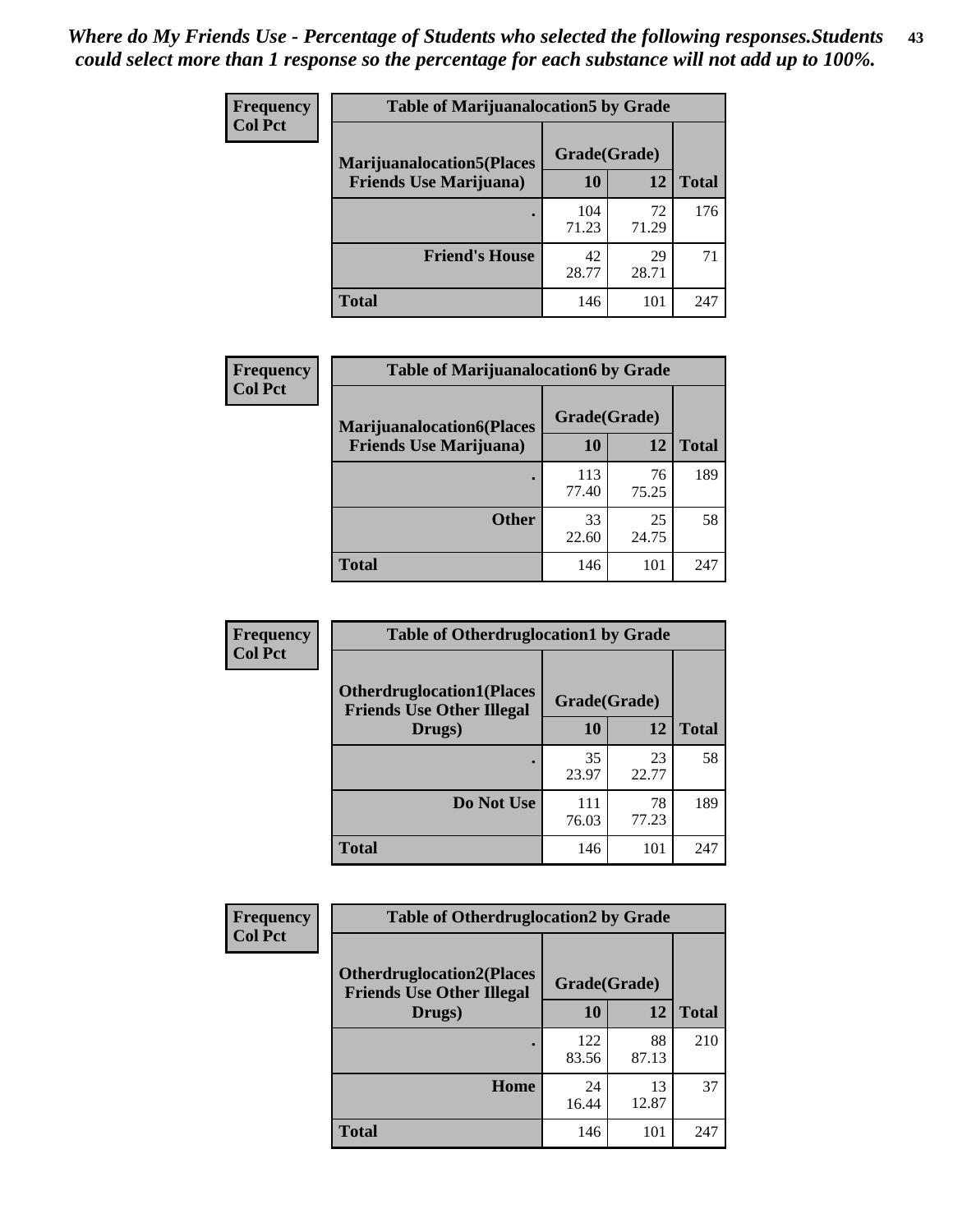| <b>Frequency</b> | <b>Table of Marijuanalocation5 by Grade</b> |              |             |              |
|------------------|---------------------------------------------|--------------|-------------|--------------|
| <b>Col Pct</b>   | <b>Marijuanalocation5(Places)</b>           | Grade(Grade) |             |              |
|                  | <b>Friends Use Marijuana</b> )              | 10           | 12          | <b>Total</b> |
|                  |                                             | 104<br>71.23 | 72<br>71.29 | 176          |
|                  | <b>Friend's House</b>                       | 42<br>28.77  | 29<br>28.71 | 71           |
|                  | <b>Total</b>                                | 146          | 101         | 247          |

| Frequency      | <b>Table of Marijuanalocation6 by Grade</b> |              |             |              |
|----------------|---------------------------------------------|--------------|-------------|--------------|
| <b>Col Pct</b> | <b>Marijuanalocation6(Places</b>            | Grade(Grade) |             |              |
|                | <b>Friends Use Marijuana</b> )              | 10           | 12          | <b>Total</b> |
|                |                                             | 113<br>77.40 | 76<br>75.25 | 189          |
|                | <b>Other</b>                                | 33<br>22.60  | 25<br>24.75 | 58           |
|                | <b>Total</b>                                | 146          | 101         | 247          |

| <b>Frequency</b> | <b>Table of Otherdruglocation1 by Grade</b>                          |              |             |              |
|------------------|----------------------------------------------------------------------|--------------|-------------|--------------|
| <b>Col Pct</b>   | <b>Otherdruglocation1(Places</b><br><b>Friends Use Other Illegal</b> | Grade(Grade) |             |              |
|                  | Drugs)                                                               | 10           | 12          | <b>Total</b> |
|                  |                                                                      | 35<br>23.97  | 23<br>22.77 | 58           |
|                  | Do Not Use                                                           | 111<br>76.03 | 78<br>77.23 | 189          |
|                  | <b>Total</b>                                                         | 146          | 101         | 247          |

| <b>Frequency</b> | <b>Table of Otherdruglocation2 by Grade</b>                          |              |             |              |
|------------------|----------------------------------------------------------------------|--------------|-------------|--------------|
| <b>Col Pct</b>   | <b>Otherdruglocation2(Places</b><br><b>Friends Use Other Illegal</b> | Grade(Grade) |             |              |
|                  | Drugs)                                                               | 10           | 12          | <b>Total</b> |
|                  |                                                                      | 122<br>83.56 | 88<br>87.13 | 210          |
|                  | Home                                                                 | 24<br>16.44  | 13<br>12.87 | 37           |
|                  | <b>Total</b>                                                         | 146          | 101         | 247          |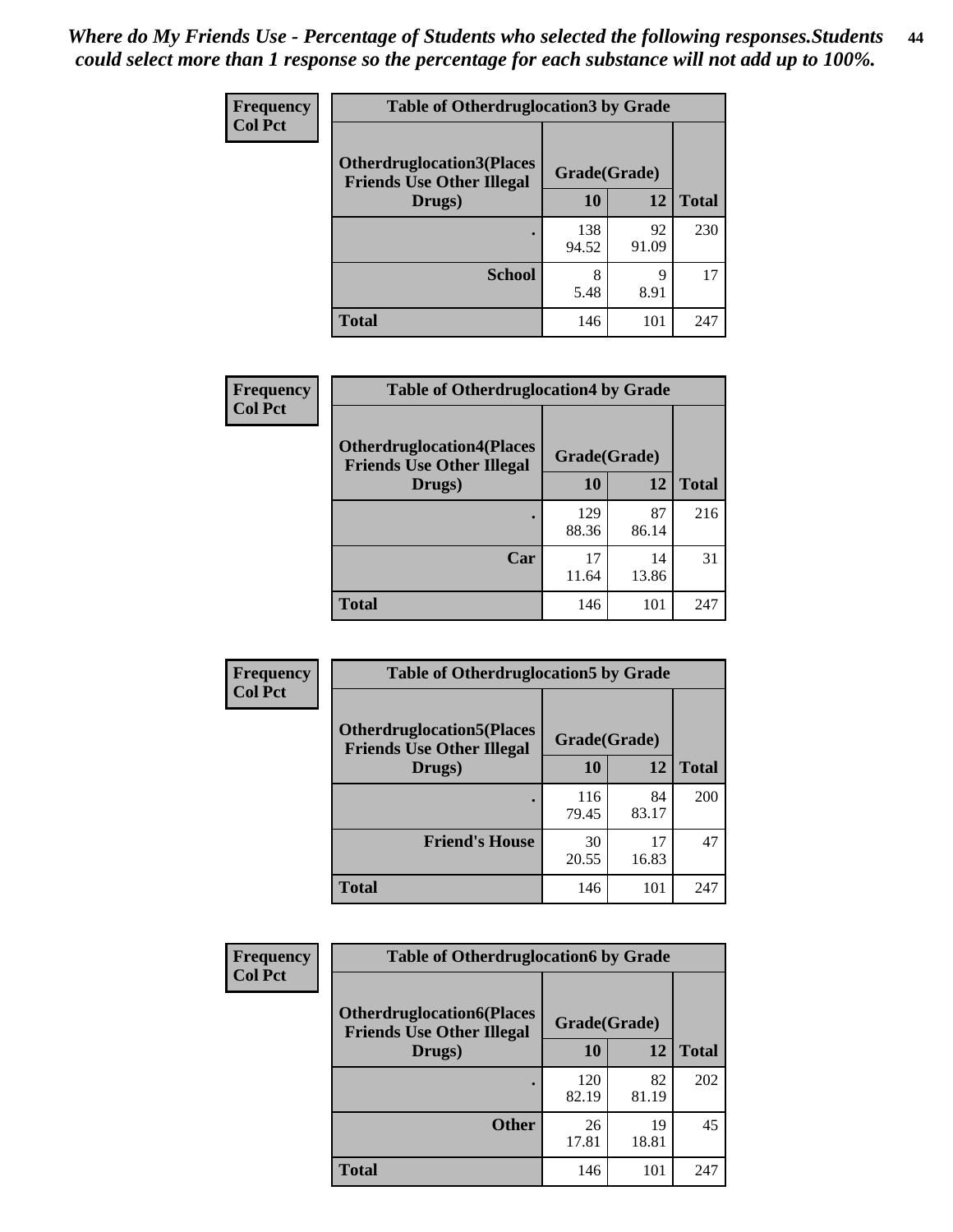| <b>Frequency</b> | <b>Table of Otherdruglocation3 by Grade</b>                           |              |             |              |
|------------------|-----------------------------------------------------------------------|--------------|-------------|--------------|
| <b>Col Pct</b>   | <b>Otherdruglocation3(Places)</b><br><b>Friends Use Other Illegal</b> | Grade(Grade) |             |              |
|                  | Drugs)                                                                | 10           | 12          | <b>Total</b> |
|                  |                                                                       | 138<br>94.52 | 92<br>91.09 | 230          |
|                  | <b>School</b>                                                         | 8<br>5.48    | Q<br>8.91   | 17           |
|                  | Total                                                                 | 146          | 101         | 247          |

| Frequency      | <b>Table of Otherdruglocation4 by Grade</b>                          |              |             |              |
|----------------|----------------------------------------------------------------------|--------------|-------------|--------------|
| <b>Col Pct</b> | <b>Otherdruglocation4(Places</b><br><b>Friends Use Other Illegal</b> | Grade(Grade) |             |              |
|                | Drugs)                                                               | <b>10</b>    | 12          | <b>Total</b> |
|                |                                                                      | 129<br>88.36 | 87<br>86.14 | 216          |
|                | Car                                                                  | 17<br>11.64  | 14<br>13.86 | 31           |
|                | <b>Total</b>                                                         | 146          | 101         | 247          |

| Frequency      | <b>Table of Otherdruglocation5 by Grade</b>                          |              |             |              |
|----------------|----------------------------------------------------------------------|--------------|-------------|--------------|
| <b>Col Pct</b> | <b>Otherdruglocation5(Places</b><br><b>Friends Use Other Illegal</b> | Grade(Grade) |             |              |
|                | Drugs)                                                               | 10           | 12          | <b>Total</b> |
|                |                                                                      | 116<br>79.45 | 84<br>83.17 | 200          |
|                | <b>Friend's House</b>                                                | 30<br>20.55  | 17<br>16.83 | 47           |
|                | <b>Total</b>                                                         | 146          | 101         | 247          |

| <b>Frequency</b> | <b>Table of Otherdruglocation6 by Grade</b>                          |              |             |              |
|------------------|----------------------------------------------------------------------|--------------|-------------|--------------|
| <b>Col Pct</b>   | <b>Otherdruglocation6(Places</b><br><b>Friends Use Other Illegal</b> | Grade(Grade) |             |              |
|                  | Drugs)                                                               | 10           | 12          | <b>Total</b> |
|                  |                                                                      | 120<br>82.19 | 82<br>81.19 | 202          |
|                  | <b>Other</b>                                                         | 26<br>17.81  | 19<br>18.81 | 45           |
|                  | Total                                                                | 146          | 101         | 247          |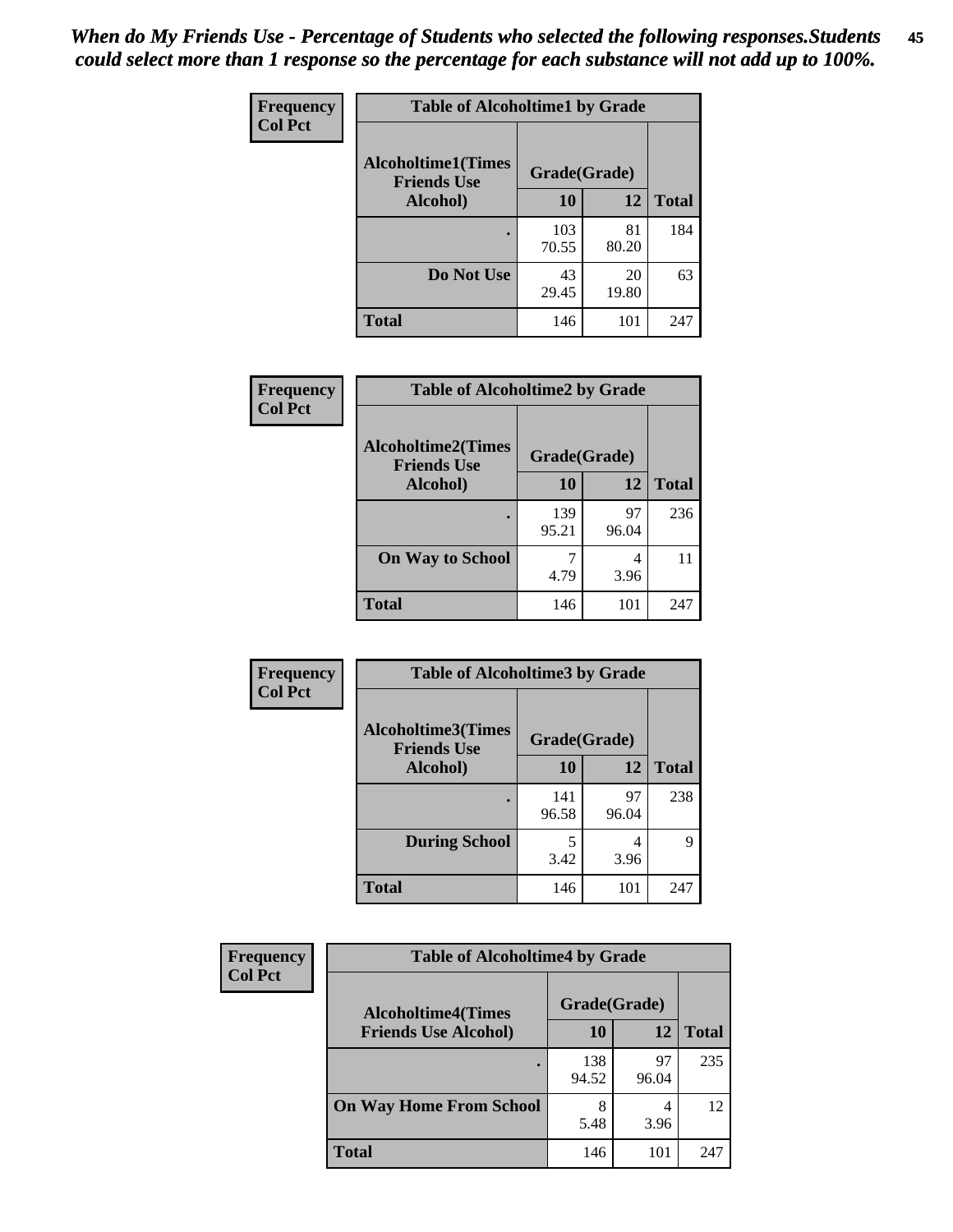| Frequency      | <b>Table of Alcoholtime1 by Grade</b>           |              |             |              |
|----------------|-------------------------------------------------|--------------|-------------|--------------|
| <b>Col Pct</b> | <b>Alcoholtime1(Times</b><br><b>Friends Use</b> | Grade(Grade) |             |              |
|                | Alcohol)                                        | <b>10</b>    | 12          | <b>Total</b> |
|                |                                                 | 103<br>70.55 | 81<br>80.20 | 184          |
|                | Do Not Use                                      | 43<br>29.45  | 20<br>19.80 | 63           |
|                | <b>Total</b>                                    | 146          | 101         | 247          |

| Frequency      | <b>Table of Alcoholtime2 by Grade</b>           |              |             |              |
|----------------|-------------------------------------------------|--------------|-------------|--------------|
| <b>Col Pct</b> | <b>Alcoholtime2(Times</b><br><b>Friends Use</b> | Grade(Grade) |             |              |
|                | Alcohol)                                        | 10           | 12          | <b>Total</b> |
|                |                                                 | 139<br>95.21 | 97<br>96.04 | 236          |
|                | <b>On Way to School</b>                         | 4.79         | 4<br>3.96   | 11           |
|                | <b>Total</b>                                    | 146          | 101         | 247          |

| Frequency<br><b>Col Pct</b> | <b>Table of Alcoholtime3 by Grade</b>           |              |             |              |
|-----------------------------|-------------------------------------------------|--------------|-------------|--------------|
|                             | <b>Alcoholtime3(Times</b><br><b>Friends Use</b> | Grade(Grade) |             |              |
|                             | <b>Alcohol</b> )                                | 10           | 12          | <b>Total</b> |
|                             |                                                 | 141<br>96.58 | 97<br>96.04 | 238          |
|                             | <b>During School</b>                            | 5<br>3.42    | 4<br>3.96   | 9            |
|                             | <b>Total</b>                                    | 146          | 101         | 247          |

| Frequency<br><b>Col Pct</b> | <b>Table of Alcoholtime4 by Grade</b> |              |             |              |
|-----------------------------|---------------------------------------|--------------|-------------|--------------|
|                             | <b>Alcoholtime4(Times</b>             | Grade(Grade) |             |              |
|                             | <b>Friends Use Alcohol)</b>           | <b>10</b>    | 12          | <b>Total</b> |
|                             |                                       | 138<br>94.52 | 97<br>96.04 | 235          |
|                             | <b>On Way Home From School</b>        | 8<br>5.48    | 3.96        | 12           |
|                             | <b>Total</b>                          | 146          | 101         | 247          |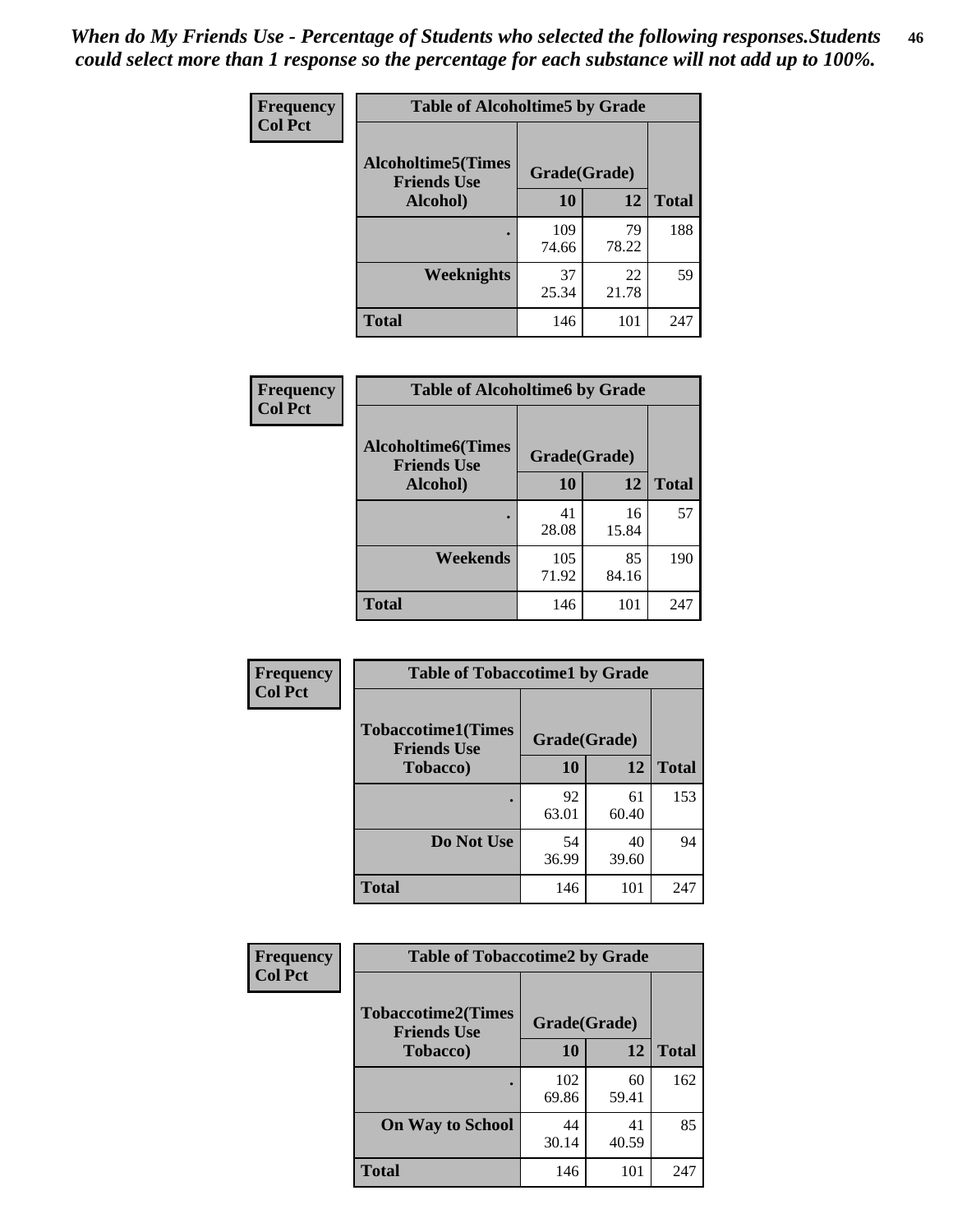*When do My Friends Use - Percentage of Students who selected the following responses.Students could select more than 1 response so the percentage for each substance will not add up to 100%.* **46**

| Frequency      | <b>Table of Alcoholtime5 by Grade</b>           |              |             |              |
|----------------|-------------------------------------------------|--------------|-------------|--------------|
| <b>Col Pct</b> | <b>Alcoholtime5(Times</b><br><b>Friends Use</b> | Grade(Grade) |             |              |
|                | Alcohol)                                        | 10           | 12          | <b>Total</b> |
|                |                                                 | 109<br>74.66 | 79<br>78.22 | 188          |
|                | <b>Weeknights</b>                               | 37<br>25.34  | 22<br>21.78 | 59           |
|                | <b>Total</b>                                    | 146          | 101         | 247          |

| Frequency      | <b>Table of Alcoholtime6 by Grade</b>           |              |             |              |
|----------------|-------------------------------------------------|--------------|-------------|--------------|
| <b>Col Pct</b> | <b>Alcoholtime6(Times</b><br><b>Friends Use</b> | Grade(Grade) |             |              |
|                | Alcohol)                                        | 10           | 12          | <b>Total</b> |
|                |                                                 | 41<br>28.08  | 16<br>15.84 | 57           |
|                | Weekends                                        | 105<br>71.92 | 85<br>84.16 | 190          |
|                | <b>Total</b>                                    | 146          | 101         | 247          |

| Frequency<br><b>Col Pct</b> | <b>Table of Tobaccotime1 by Grade</b>           |              |             |              |
|-----------------------------|-------------------------------------------------|--------------|-------------|--------------|
|                             | <b>Tobaccotime1(Times</b><br><b>Friends Use</b> | Grade(Grade) |             |              |
|                             | <b>Tobacco</b> )                                | 10           | 12          | <b>Total</b> |
|                             | ٠                                               | 92<br>63.01  | 61<br>60.40 | 153          |
|                             | Do Not Use                                      | 54<br>36.99  | 40<br>39.60 | 94           |
|                             | <b>Total</b>                                    | 146          | 101         | 247          |

| <b>Frequency</b> | <b>Table of Tobaccotime2 by Grade</b>           |              |             |              |  |
|------------------|-------------------------------------------------|--------------|-------------|--------------|--|
| <b>Col Pct</b>   | <b>Tobaccotime2(Times</b><br><b>Friends Use</b> | Grade(Grade) |             |              |  |
|                  | <b>Tobacco</b> )                                | 10           | 12          | <b>Total</b> |  |
|                  |                                                 | 102<br>69.86 | 60<br>59.41 | 162          |  |
|                  | <b>On Way to School</b>                         | 44<br>30.14  | 41<br>40.59 | 85           |  |
|                  | Total                                           | 146          | 101         | 247          |  |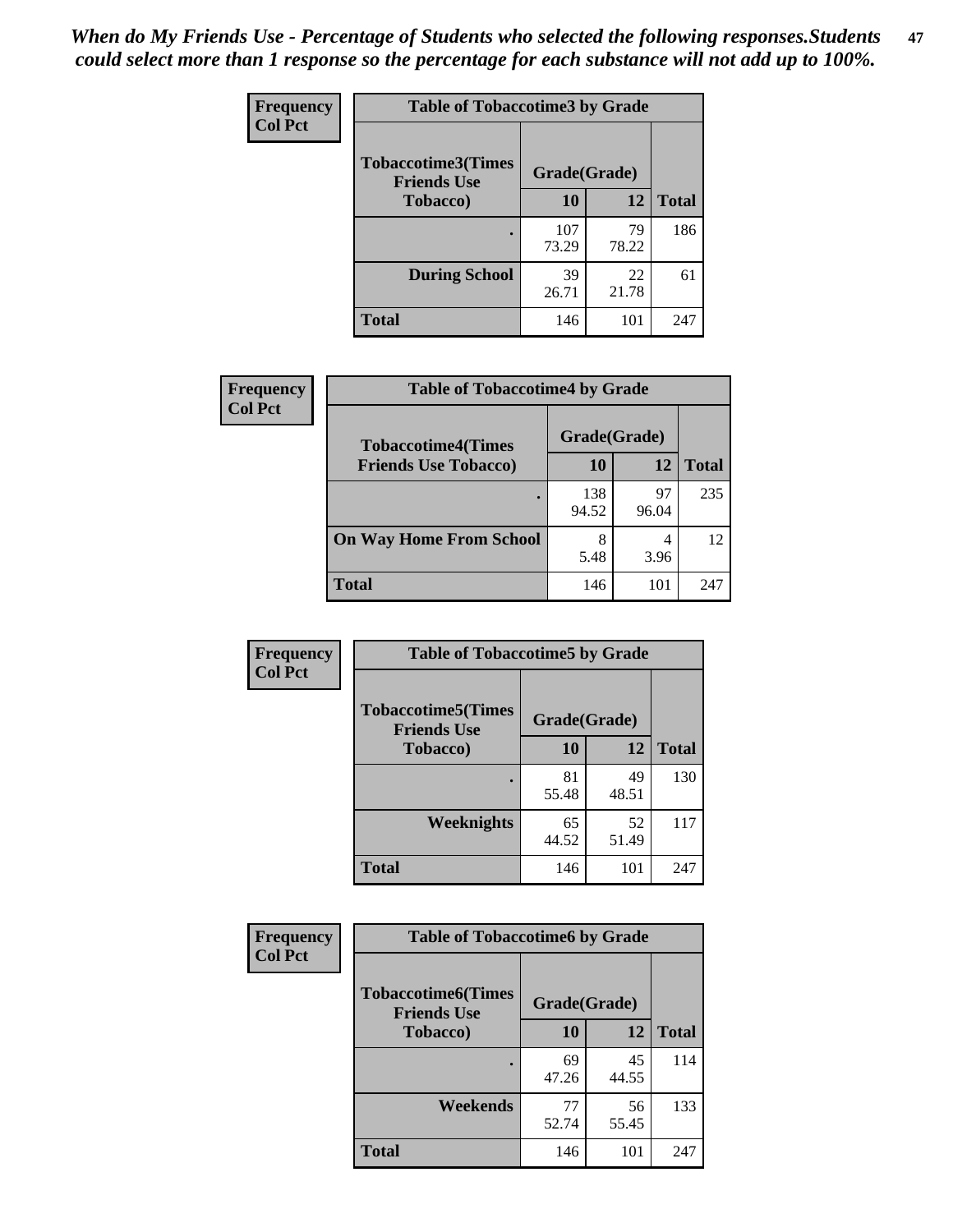*When do My Friends Use - Percentage of Students who selected the following responses.Students could select more than 1 response so the percentage for each substance will not add up to 100%.* **47**

| <b>Frequency</b> | <b>Table of Tobaccotime3 by Grade</b>           |              |             |              |  |
|------------------|-------------------------------------------------|--------------|-------------|--------------|--|
| <b>Col Pct</b>   | <b>Tobaccotime3(Times</b><br><b>Friends Use</b> | Grade(Grade) |             |              |  |
|                  | <b>Tobacco</b> )                                | 10           | 12          | <b>Total</b> |  |
|                  |                                                 | 107<br>73.29 | 79<br>78.22 | 186          |  |
|                  | <b>During School</b>                            | 39<br>26.71  | 22<br>21.78 | 61           |  |
|                  | <b>Total</b>                                    | 146          | 101         | 247          |  |

| <b>Frequency</b><br><b>Col Pct</b> | <b>Table of Tobaccotime4 by Grade</b> |              |             |              |
|------------------------------------|---------------------------------------|--------------|-------------|--------------|
|                                    | <b>Tobaccotime4(Times</b>             | Grade(Grade) |             |              |
|                                    | <b>Friends Use Tobacco)</b>           | 10           | 12          | <b>Total</b> |
|                                    |                                       | 138<br>94.52 | 97<br>96.04 | 235          |
|                                    | <b>On Way Home From School</b>        | 8<br>5.48    | 3.96        | 12           |
|                                    | <b>Total</b>                          | 146          | 101         | 247          |

| Frequency      | <b>Table of Tobaccotime5 by Grade</b>           |              |             |              |
|----------------|-------------------------------------------------|--------------|-------------|--------------|
| <b>Col Pct</b> | <b>Tobaccotime5(Times</b><br><b>Friends Use</b> | Grade(Grade) |             |              |
|                | <b>Tobacco</b> )                                | 10           | 12          | <b>Total</b> |
|                |                                                 | 81<br>55.48  | 49<br>48.51 | 130          |
|                | Weeknights                                      | 65<br>44.52  | 52<br>51.49 | 117          |
|                | <b>Total</b>                                    | 146          | 101         | 247          |

| Frequency      | <b>Table of Tobaccotime6 by Grade</b>           |              |             |              |
|----------------|-------------------------------------------------|--------------|-------------|--------------|
| <b>Col Pct</b> | <b>Tobaccotime6(Times</b><br><b>Friends Use</b> | Grade(Grade) |             |              |
|                | <b>Tobacco</b> )                                | 10           | 12          | <b>Total</b> |
|                | ٠                                               | 69<br>47.26  | 45<br>44.55 | 114          |
|                | Weekends                                        | 77<br>52.74  | 56<br>55.45 | 133          |
|                | <b>Total</b>                                    | 146          | 101         | 247          |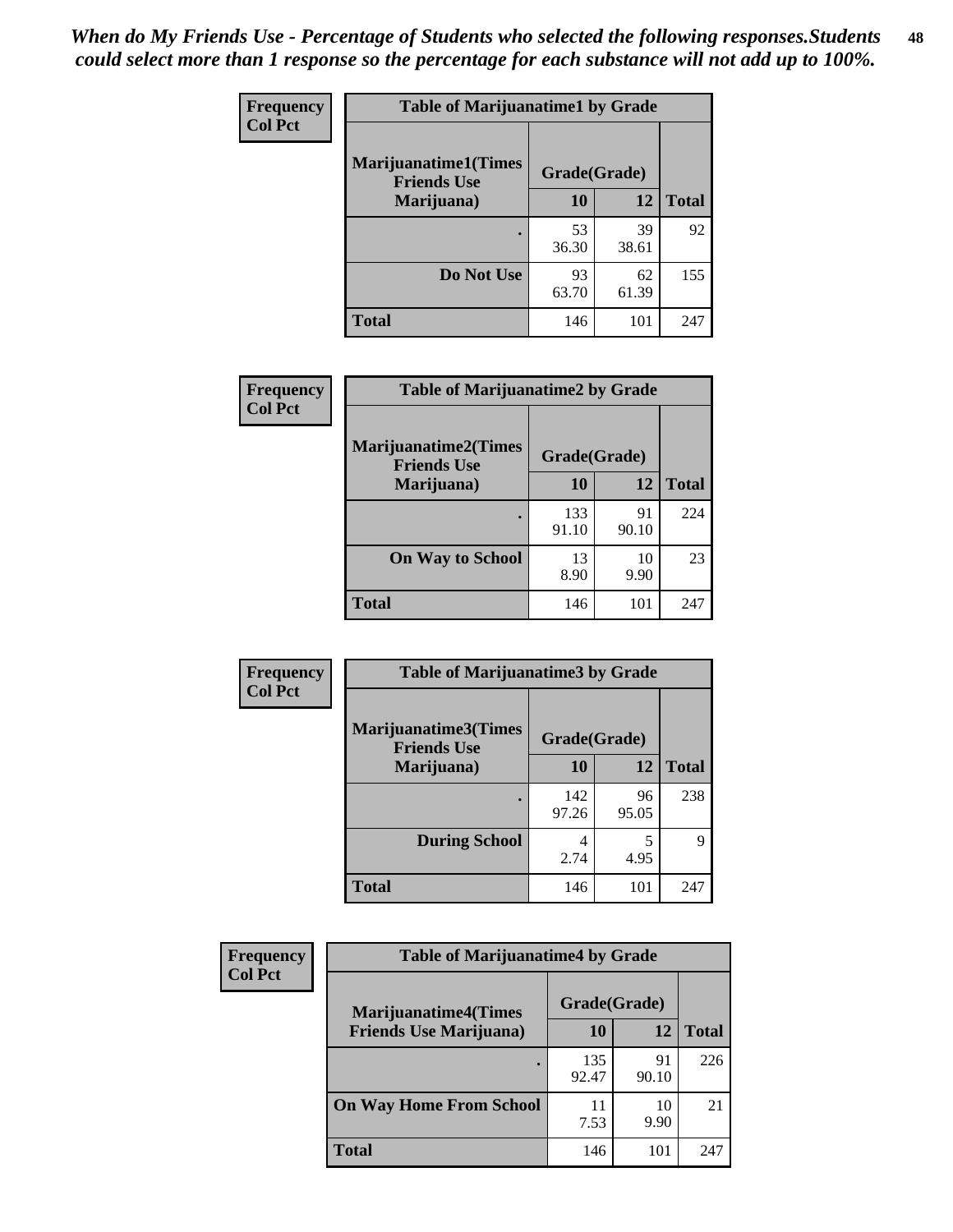| Frequency      | <b>Table of Marijuanatime1 by Grade</b>           |              |             |              |
|----------------|---------------------------------------------------|--------------|-------------|--------------|
| <b>Col Pct</b> | <b>Marijuanatime1(Times</b><br><b>Friends Use</b> | Grade(Grade) |             |              |
|                | Marijuana)                                        | 10           | 12          | <b>Total</b> |
|                |                                                   | 53<br>36.30  | 39<br>38.61 | 92           |
|                | Do Not Use                                        | 93<br>63.70  | 62<br>61.39 | 155          |
|                | <b>Total</b>                                      | 146          | 101         | 247          |

| Frequency      | <b>Table of Marijuanatime2 by Grade</b>           |              |             |              |
|----------------|---------------------------------------------------|--------------|-------------|--------------|
| <b>Col Pct</b> | <b>Marijuanatime2(Times</b><br><b>Friends Use</b> | Grade(Grade) |             |              |
|                | Marijuana)                                        | 10           | 12          | <b>Total</b> |
|                | $\bullet$                                         | 133<br>91.10 | 91<br>90.10 | 224          |
|                | <b>On Way to School</b>                           | 13<br>8.90   | 10<br>9.90  | 23           |
|                | <b>Total</b>                                      | 146          | 101         | 247          |

| Frequency      | <b>Table of Marijuanatime3 by Grade</b>    |              |             |              |
|----------------|--------------------------------------------|--------------|-------------|--------------|
| <b>Col Pct</b> | Marijuanatime3(Times<br><b>Friends Use</b> | Grade(Grade) |             |              |
|                | Marijuana)                                 | 10           | 12          | <b>Total</b> |
|                |                                            | 142<br>97.26 | 96<br>95.05 | 238          |
|                | <b>During School</b>                       | 4<br>2.74    | 5<br>4.95   | 9            |
|                | <b>Total</b>                               | 146          | 101         | 247          |

| <b>Frequency</b> | <b>Table of Marijuanatime4 by Grade</b> |              |             |              |
|------------------|-----------------------------------------|--------------|-------------|--------------|
| <b>Col Pct</b>   | <b>Marijuanatime4</b> (Times            | Grade(Grade) |             |              |
|                  | <b>Friends Use Marijuana</b> )          | 10           | 12          | <b>Total</b> |
|                  |                                         | 135<br>92.47 | 91<br>90.10 | 226          |
|                  | <b>On Way Home From School</b>          | 7.53         | 10<br>9.90  | 21           |
|                  | <b>Total</b>                            | 146          | 101         | 247          |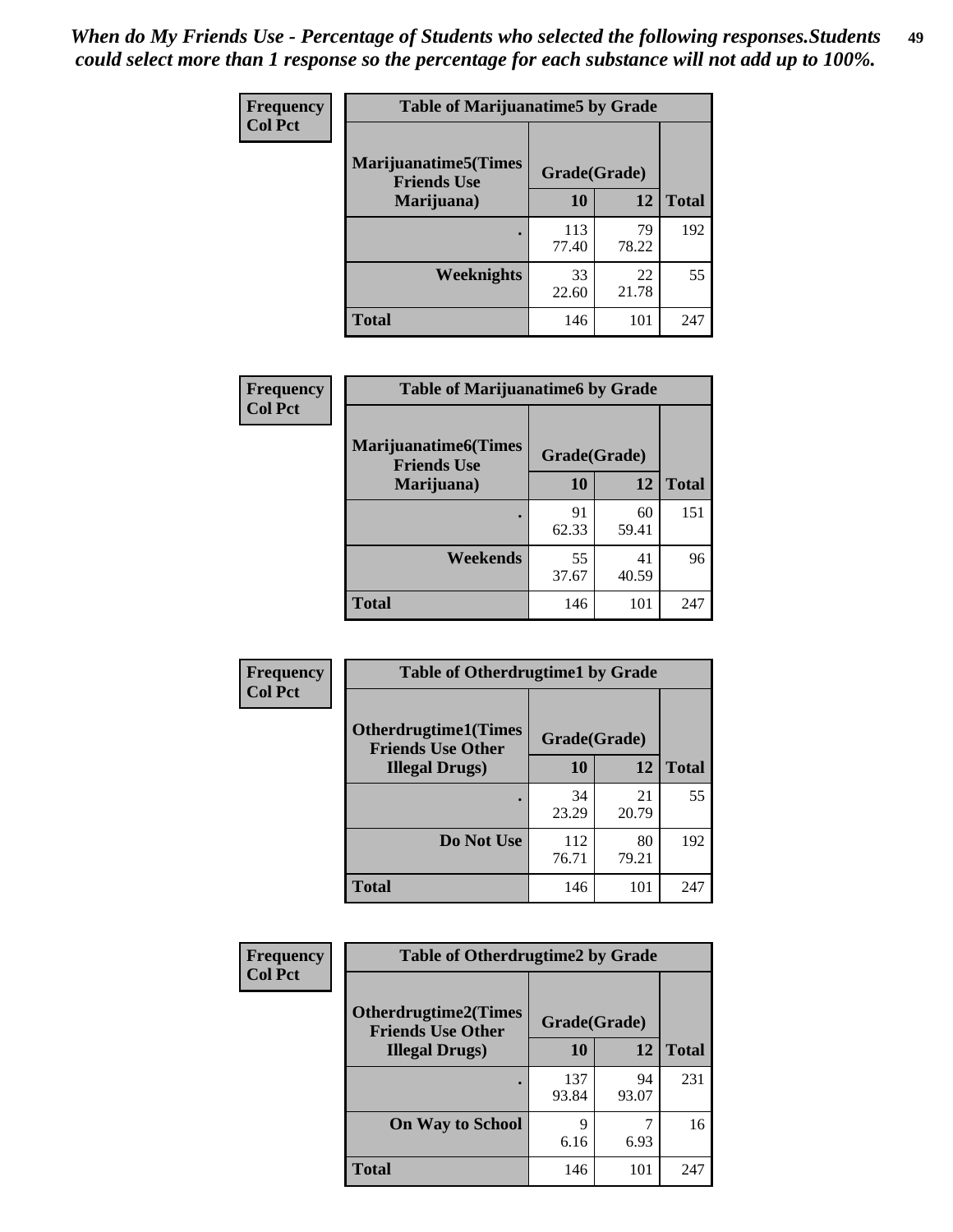| Frequency      | <b>Table of Marijuanatime5 by Grade</b>            |              |             |              |
|----------------|----------------------------------------------------|--------------|-------------|--------------|
| <b>Col Pct</b> | <b>Marijuanatime5</b> (Times<br><b>Friends Use</b> | Grade(Grade) |             |              |
|                | Marijuana)                                         | 10           | 12          | <b>Total</b> |
|                |                                                    | 113<br>77.40 | 79<br>78.22 | 192          |
|                | Weeknights                                         | 33<br>22.60  | 22<br>21.78 | 55           |
|                | <b>Total</b>                                       | 146          | 101         | 247          |

| Frequency      | <b>Table of Marijuanatime6 by Grade</b>    |              |             |              |
|----------------|--------------------------------------------|--------------|-------------|--------------|
| <b>Col Pct</b> | Marijuanatime6(Times<br><b>Friends Use</b> | Grade(Grade) |             |              |
|                | Marijuana)                                 | 10           | 12          | <b>Total</b> |
|                |                                            | 91<br>62.33  | 60<br>59.41 | 151          |
|                | Weekends                                   | 55<br>37.67  | 41<br>40.59 | 96           |
|                | <b>Total</b>                               | 146          | 101         | 247          |

| Frequency      | <b>Table of Otherdrugtime1 by Grade</b>                 |              |             |              |
|----------------|---------------------------------------------------------|--------------|-------------|--------------|
| <b>Col Pct</b> | <b>Otherdrugtime1(Times</b><br><b>Friends Use Other</b> | Grade(Grade) |             |              |
|                | <b>Illegal Drugs</b> )                                  | 10           | 12          | <b>Total</b> |
|                |                                                         | 34<br>23.29  | 21<br>20.79 | 55           |
|                | Do Not Use                                              | 112<br>76.71 | 80<br>79.21 | 192          |
|                | Total                                                   | 146          | 101         | 247          |

| Frequency      | <b>Table of Otherdrugtime2 by Grade</b>                 |              |             |              |  |  |  |
|----------------|---------------------------------------------------------|--------------|-------------|--------------|--|--|--|
| <b>Col Pct</b> | <b>Otherdrugtime2(Times</b><br><b>Friends Use Other</b> | Grade(Grade) |             |              |  |  |  |
|                | <b>Illegal Drugs</b> )                                  | 10           | 12          | <b>Total</b> |  |  |  |
|                |                                                         | 137<br>93.84 | 94<br>93.07 | 231          |  |  |  |
|                | <b>On Way to School</b>                                 | 9<br>6.16    | 7<br>6.93   | 16           |  |  |  |
|                | Total                                                   | 146          | 101         | 247          |  |  |  |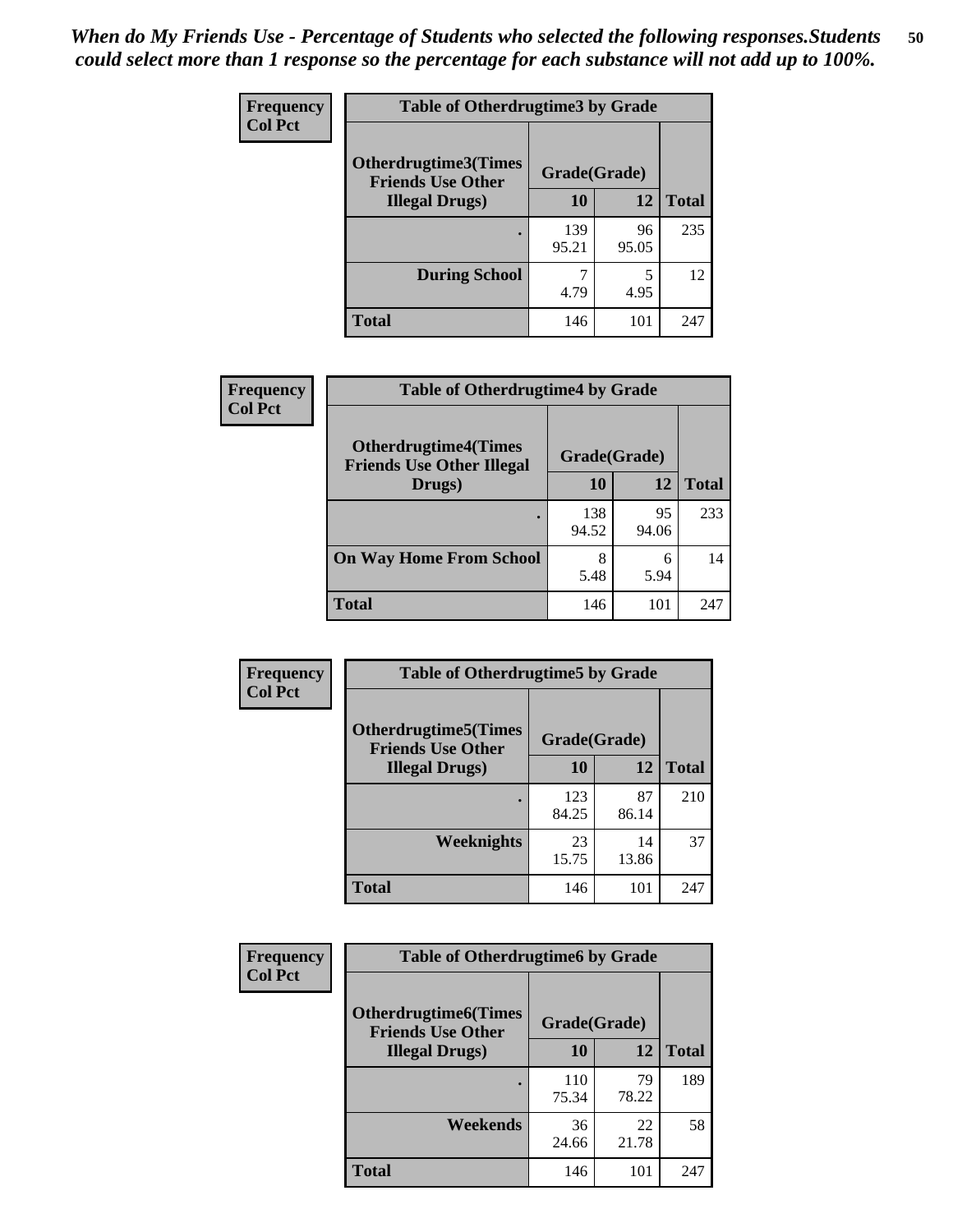| <b>Frequency</b> | <b>Table of Otherdrugtime3 by Grade</b>          |              |             |              |  |  |
|------------------|--------------------------------------------------|--------------|-------------|--------------|--|--|
| <b>Col Pct</b>   | Otherdrugtime3(Times<br><b>Friends Use Other</b> | Grade(Grade) |             |              |  |  |
|                  | <b>Illegal Drugs)</b>                            | 10           | 12          | <b>Total</b> |  |  |
|                  |                                                  | 139<br>95.21 | 96<br>95.05 | 235          |  |  |
|                  | <b>During School</b>                             | 4.79         | 5<br>4.95   | 12           |  |  |
|                  | <b>Total</b>                                     | 146          | 101         | 247          |  |  |

| Frequency      | <b>Table of Otherdrugtime4 by Grade</b>                         |              |             |              |  |  |
|----------------|-----------------------------------------------------------------|--------------|-------------|--------------|--|--|
| <b>Col Pct</b> | <b>Otherdrugtime4(Times</b><br><b>Friends Use Other Illegal</b> | Grade(Grade) |             |              |  |  |
|                | Drugs)                                                          | 10           | 12          | <b>Total</b> |  |  |
|                | $\bullet$                                                       | 138<br>94.52 | 95<br>94.06 | 233          |  |  |
|                | <b>On Way Home From School</b>                                  | 8<br>5.48    | 6<br>5.94   | 14           |  |  |
|                | <b>Total</b>                                                    | 146          | 101         | 247          |  |  |

| <b>Frequency</b> | <b>Table of Otherdrugtime5 by Grade</b>                  |              |             |              |  |  |  |
|------------------|----------------------------------------------------------|--------------|-------------|--------------|--|--|--|
| <b>Col Pct</b>   | <b>Otherdrugtime5</b> (Times<br><b>Friends Use Other</b> | Grade(Grade) |             |              |  |  |  |
|                  | <b>Illegal Drugs</b> )                                   | 10           | 12          | <b>Total</b> |  |  |  |
|                  |                                                          | 123<br>84.25 | 87<br>86.14 | 210          |  |  |  |
|                  | <b>Weeknights</b>                                        | 23<br>15.75  | 14<br>13.86 | 37           |  |  |  |
|                  | <b>Total</b>                                             | 146          | 101         | 247          |  |  |  |

| Frequency      | <b>Table of Otherdrugtime6 by Grade</b>                                 |              |             |              |  |  |
|----------------|-------------------------------------------------------------------------|--------------|-------------|--------------|--|--|
| <b>Col Pct</b> | <b>Otherdrugtime6(Times</b><br>Grade(Grade)<br><b>Friends Use Other</b> |              |             |              |  |  |
|                | <b>Illegal Drugs</b> )                                                  | 10           | 12          | <b>Total</b> |  |  |
|                |                                                                         | 110<br>75.34 | 79<br>78.22 | 189          |  |  |
|                | Weekends                                                                | 36<br>24.66  | 22<br>21.78 | 58           |  |  |
|                | Total                                                                   | 146          | 101         | 247          |  |  |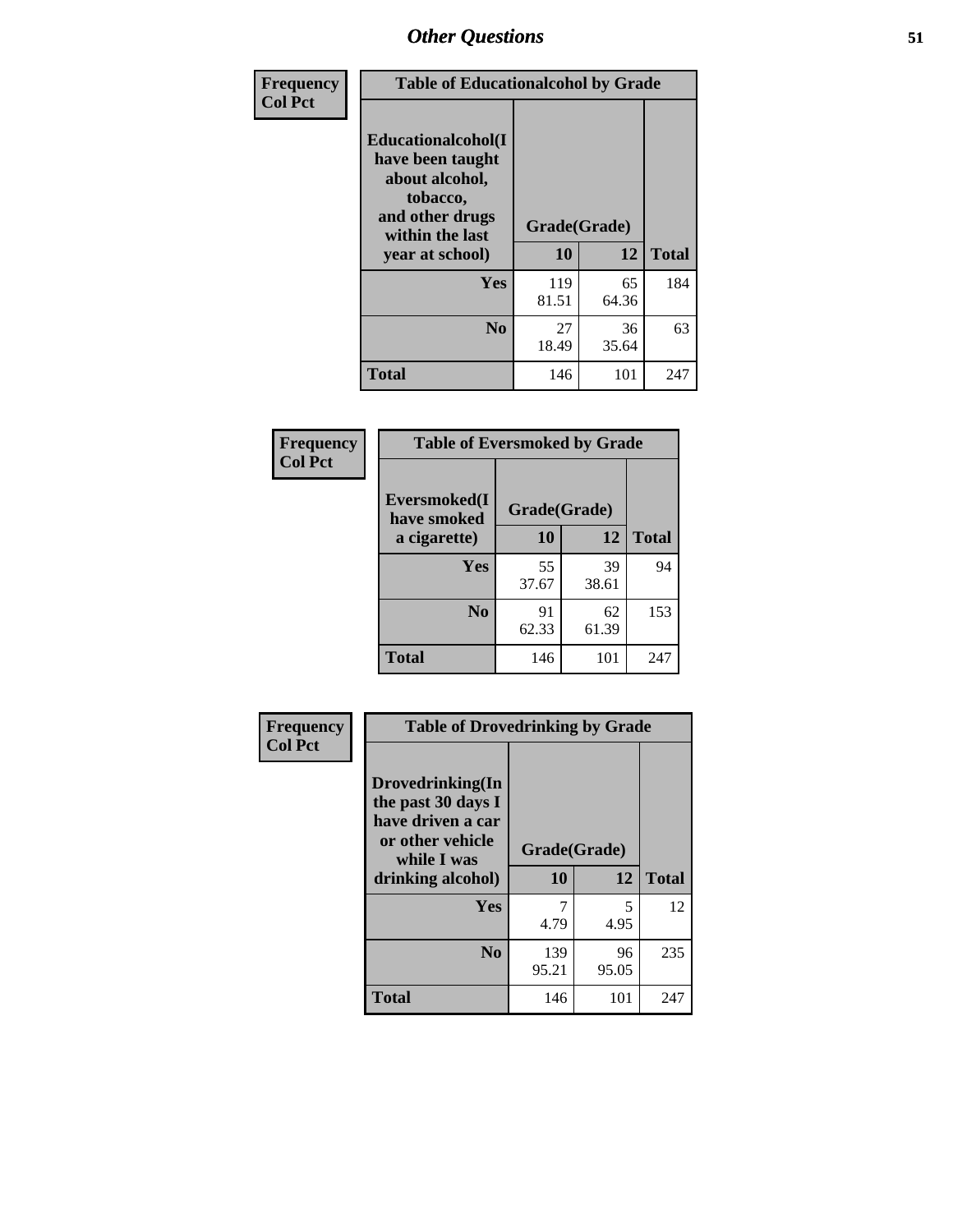| Frequency      | <b>Table of Educationalcohol by Grade</b>                                                                  |              |             |              |  |  |
|----------------|------------------------------------------------------------------------------------------------------------|--------------|-------------|--------------|--|--|
| <b>Col Pct</b> | Educationalcohol(I<br>have been taught<br>about alcohol,<br>tobacco,<br>and other drugs<br>within the last | Grade(Grade) |             |              |  |  |
|                | year at school)                                                                                            | 10           | 12          | <b>Total</b> |  |  |
|                | <b>Yes</b>                                                                                                 | 119<br>81.51 | 65<br>64.36 | 184          |  |  |
|                | N <sub>0</sub>                                                                                             | 27<br>18.49  | 36<br>35.64 | 63           |  |  |
|                | <b>Total</b>                                                                                               | 146          | 101         | 247          |  |  |

| Frequency      | <b>Table of Eversmoked by Grade</b> |              |             |              |  |  |  |
|----------------|-------------------------------------|--------------|-------------|--------------|--|--|--|
| <b>Col Pct</b> | Eversmoked(I<br>have smoked         | Grade(Grade) |             |              |  |  |  |
|                | a cigarette)                        | 10           | 12          | <b>Total</b> |  |  |  |
|                | <b>Yes</b>                          | 55<br>37.67  | 39<br>38.61 | 94           |  |  |  |
|                | N <sub>0</sub>                      | 91<br>62.33  | 62<br>61.39 | 153          |  |  |  |
|                | <b>Total</b>                        | 146          | 101         | 247          |  |  |  |

| Frequency      | <b>Table of Drovedrinking by Grade</b>                                                                              |                    |              |     |  |  |
|----------------|---------------------------------------------------------------------------------------------------------------------|--------------------|--------------|-----|--|--|
| <b>Col Pct</b> | Drovedrinking(In<br>the past 30 days I<br>have driven a car<br>or other vehicle<br>while I was<br>drinking alcohol) | Grade(Grade)<br>10 | <b>Total</b> |     |  |  |
|                | <b>Yes</b>                                                                                                          | 7<br>4.79          | 5<br>4.95    | 12  |  |  |
|                | N <sub>0</sub>                                                                                                      | 139<br>95.21       | 96<br>95.05  | 235 |  |  |
|                | <b>Total</b>                                                                                                        | 146                | 101          | 247 |  |  |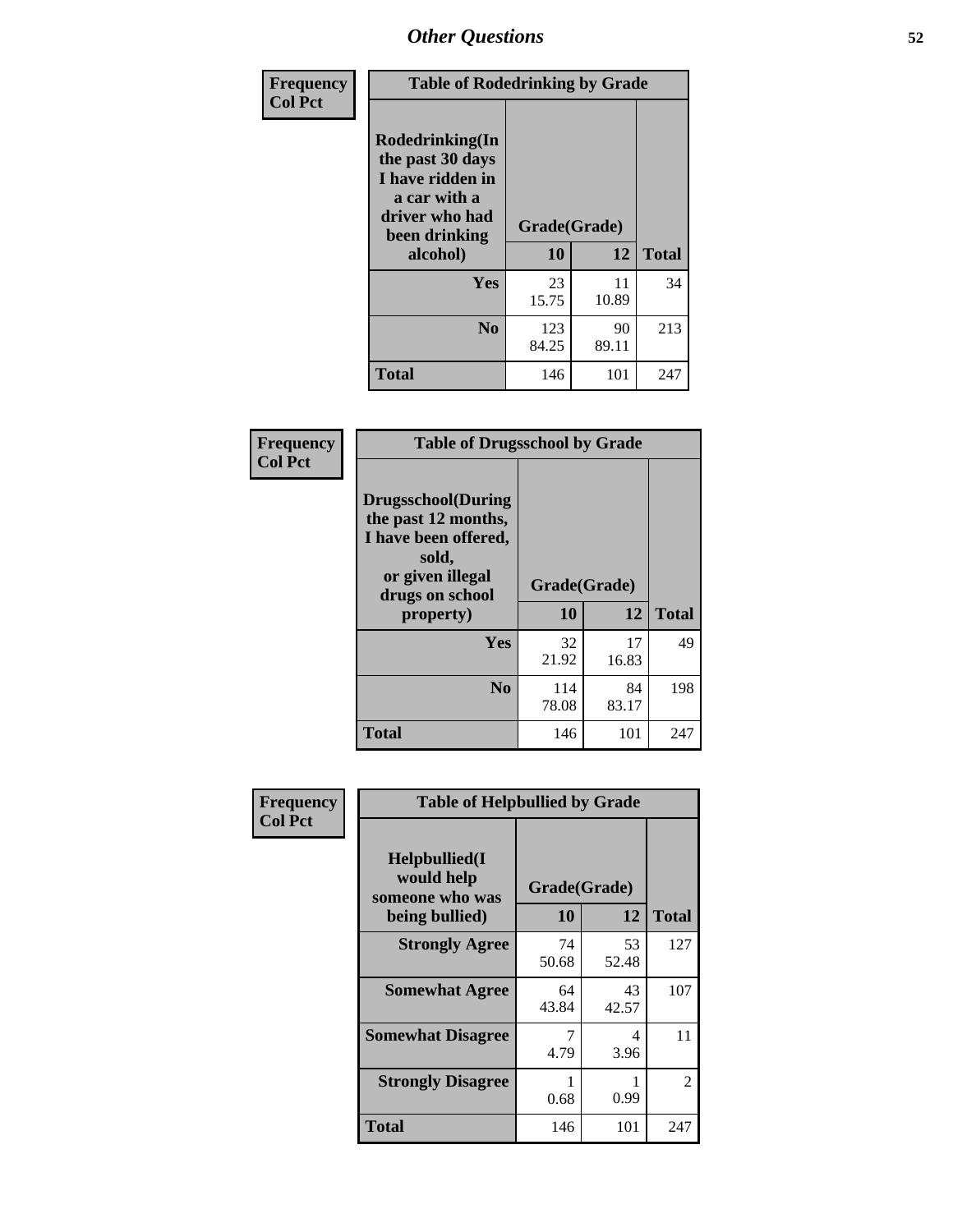| Frequency<br><b>Col Pct</b> | <b>Table of Rodedrinking by Grade</b>                                                                                             |              |             |              |  |  |
|-----------------------------|-----------------------------------------------------------------------------------------------------------------------------------|--------------|-------------|--------------|--|--|
|                             | <b>Rodedrinking(In</b><br>the past 30 days<br>I have ridden in<br>a car with a<br>driver who had<br>Grade(Grade)<br>been drinking |              |             |              |  |  |
|                             | alcohol)                                                                                                                          | 10           | 12          | <b>Total</b> |  |  |
|                             | <b>Yes</b>                                                                                                                        | 23<br>15.75  | 11<br>10.89 | 34           |  |  |
|                             | N <sub>0</sub>                                                                                                                    | 123<br>84.25 | 90<br>89.11 | 213          |  |  |
|                             | <b>Total</b>                                                                                                                      | 146          | 101         | 247          |  |  |

#### **Frequency Col Pct**

| <b>Table of Drugsschool by Grade</b>                                                                                      |              |             |              |  |  |  |
|---------------------------------------------------------------------------------------------------------------------------|--------------|-------------|--------------|--|--|--|
| <b>Drugsschool</b> (During<br>the past 12 months,<br>I have been offered,<br>sold,<br>or given illegal<br>drugs on school | Grade(Grade) |             |              |  |  |  |
| property)                                                                                                                 | 10           | 12          | <b>Total</b> |  |  |  |
| Yes                                                                                                                       | 32<br>21.92  | 17<br>16.83 | 49           |  |  |  |
| N <sub>0</sub>                                                                                                            | 114<br>78.08 | 84<br>83.17 | 198          |  |  |  |
| Total                                                                                                                     | 146          | 101         | 247          |  |  |  |

| Frequency      | <b>Table of Helpbullied by Grade</b>                                   |                          |             |              |  |  |  |
|----------------|------------------------------------------------------------------------|--------------------------|-------------|--------------|--|--|--|
| <b>Col Pct</b> | $Helpb$ ullied $(I$<br>would help<br>someone who was<br>being bullied) | Grade(Grade)<br>10<br>12 |             | <b>Total</b> |  |  |  |
|                |                                                                        |                          |             |              |  |  |  |
|                | <b>Strongly Agree</b>                                                  | 74<br>50.68              | 53<br>52.48 | 127          |  |  |  |
|                | <b>Somewhat Agree</b>                                                  | 64<br>43.84              | 43<br>42.57 | 107          |  |  |  |
|                | <b>Somewhat Disagree</b>                                               | 4.79                     | 4<br>3.96   | 11           |  |  |  |
|                | <b>Strongly Disagree</b>                                               | 0.68                     | 0.99        | 2            |  |  |  |
|                | <b>Total</b>                                                           | 146                      | 101         | 247          |  |  |  |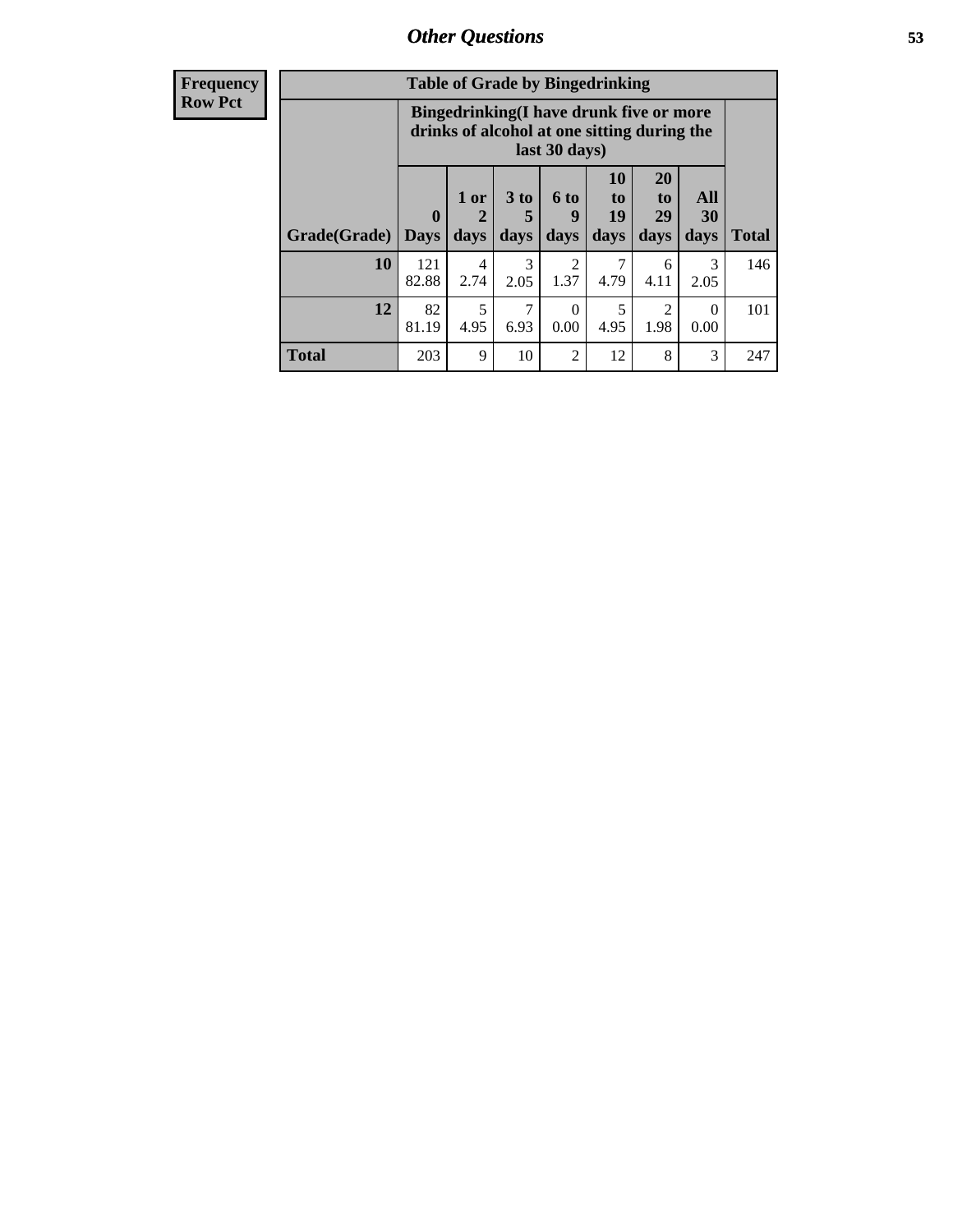| Frequency      | <b>Table of Grade by Bingedrinking</b> |                                                                                                         |                |                              |                        |                               |                               |                          |              |
|----------------|----------------------------------------|---------------------------------------------------------------------------------------------------------|----------------|------------------------------|------------------------|-------------------------------|-------------------------------|--------------------------|--------------|
| <b>Row Pct</b> |                                        | Bingedrinking(I have drunk five or more<br>drinks of alcohol at one sitting during the<br>last 30 days) |                |                              |                        |                               |                               |                          |              |
|                | Grade(Grade)                           | $\boldsymbol{0}$<br><b>Days</b>                                                                         | $1$ or<br>days | 3 <sub>to</sub><br>5<br>days | 6 to<br>q<br>days      | <b>10</b><br>to<br>19<br>days | <b>20</b><br>to<br>29<br>days | <b>All</b><br>30<br>days | <b>Total</b> |
|                | <b>10</b>                              | 121<br>82.88                                                                                            | 4<br>2.74      | 3<br>2.05                    | $\overline{2}$<br>1.37 | 7<br>4.79                     | 6<br>4.11                     | 3<br>2.05                | 146          |
|                | 12                                     | 82<br>81.19                                                                                             | 5<br>4.95      | ┑<br>6.93                    | $\Omega$<br>0.00       | 5<br>4.95                     | 2<br>1.98                     | $\Omega$<br>0.00         | 101          |
|                | <b>Total</b>                           | 203                                                                                                     | 9              | 10                           | $\overline{2}$         | 12                            | 8                             | 3                        | 247          |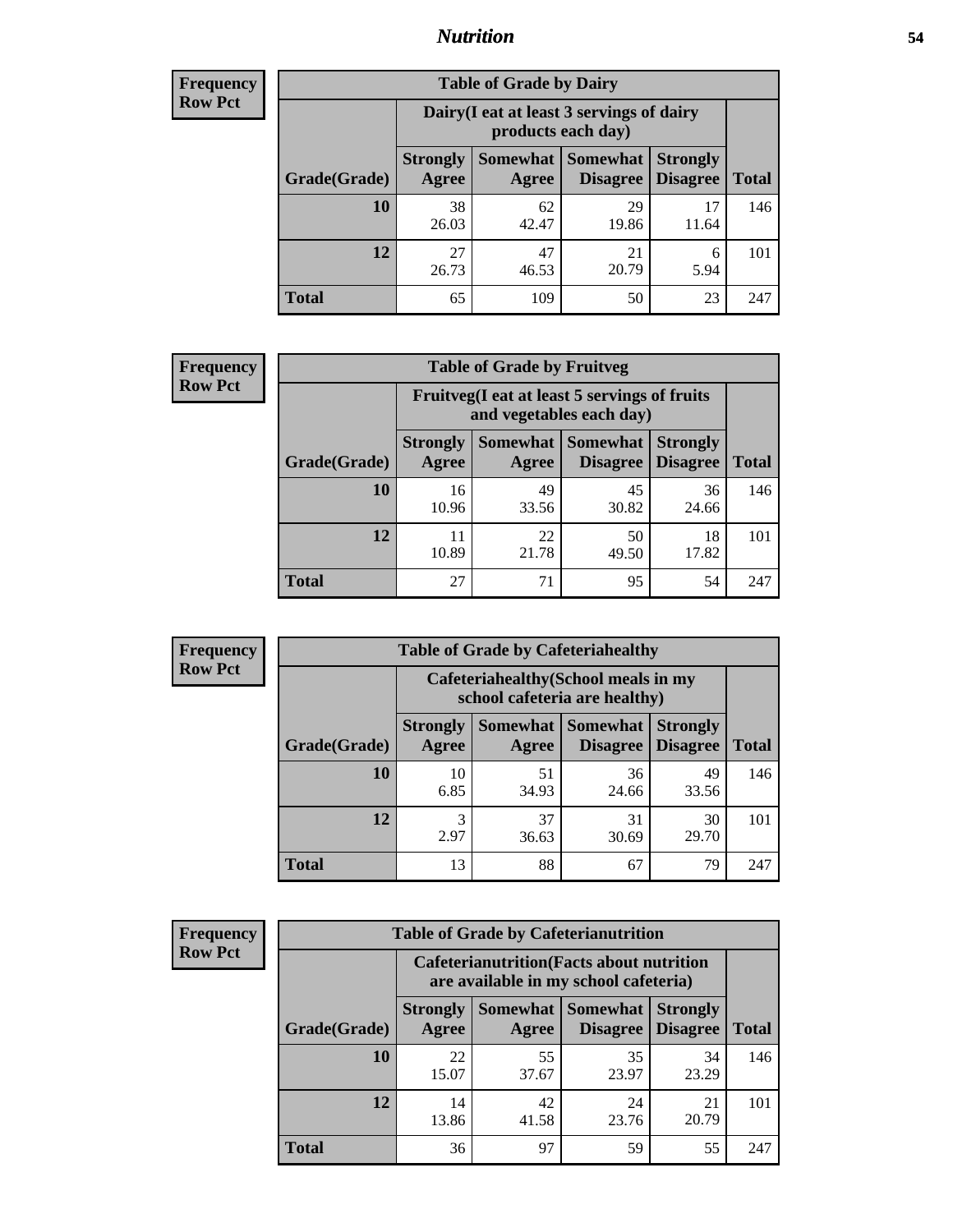## *Nutrition* **54**

| <b>Frequency</b><br>Row Pct |
|-----------------------------|
|                             |

| <b>Table of Grade by Dairy</b> |             |                                                                                                                                                                                                       |             |             |     |  |  |  |
|--------------------------------|-------------|-------------------------------------------------------------------------------------------------------------------------------------------------------------------------------------------------------|-------------|-------------|-----|--|--|--|
|                                |             | Dairy (I eat at least 3 servings of dairy<br>products each day)<br>Somewhat<br><b>Somewhat</b><br><b>Strongly</b><br><b>Strongly</b><br><b>Disagree</b><br>Disagree<br>Agree<br><b>Total</b><br>Agree |             |             |     |  |  |  |
| Grade(Grade)                   |             |                                                                                                                                                                                                       |             |             |     |  |  |  |
| 10                             | 38<br>26.03 | 62<br>42.47                                                                                                                                                                                           | 29<br>19.86 | 17<br>11.64 | 146 |  |  |  |
| 12                             | 27<br>26.73 | 47<br>46.53                                                                                                                                                                                           | 21<br>20.79 | 6<br>5.94   | 101 |  |  |  |
| <b>Total</b>                   | 65          | 109                                                                                                                                                                                                   | 50          | 23          | 247 |  |  |  |

| <b>Frequency</b> |  |
|------------------|--|
| <b>Row Pct</b>   |  |

| V | <b>Table of Grade by Fruitveg</b> |                          |                                                                                                       |             |             |     |  |  |
|---|-----------------------------------|--------------------------|-------------------------------------------------------------------------------------------------------|-------------|-------------|-----|--|--|
|   |                                   |                          | Fruitveg(I eat at least 5 servings of fruits<br>and vegetables each day)                              |             |             |     |  |  |
|   | Grade(Grade)                      | <b>Strongly</b><br>Agree | Somewhat   Somewhat<br><b>Strongly</b><br><b>Disagree</b><br><b>Disagree</b><br><b>Total</b><br>Agree |             |             |     |  |  |
|   | 10                                | 16<br>10.96              | 49<br>33.56                                                                                           | 45<br>30.82 | 36<br>24.66 | 146 |  |  |
|   | 12                                | 10.89                    | 22<br>21.78                                                                                           | 50<br>49.50 | 18<br>17.82 | 101 |  |  |
|   | <b>Total</b>                      | 27                       | 71                                                                                                    | 95          | 54          | 247 |  |  |

| <b>Frequency</b> | <b>Table of Grade by Cafeteriahealthy</b>                             |                          |             |                                      |                                    |              |  |
|------------------|-----------------------------------------------------------------------|--------------------------|-------------|--------------------------------------|------------------------------------|--------------|--|
| <b>Row Pct</b>   | Cafeteriahealthy (School meals in my<br>school cafeteria are healthy) |                          |             |                                      |                                    |              |  |
|                  | Grade(Grade)                                                          | <b>Strongly</b><br>Agree | Agree       | Somewhat Somewhat<br><b>Disagree</b> | <b>Strongly</b><br><b>Disagree</b> | <b>Total</b> |  |
|                  | 10                                                                    | 10<br>6.85               | 51<br>34.93 | 36<br>24.66                          | 49<br>33.56                        | 146          |  |
|                  | 12                                                                    | 3<br>2.97                | 37<br>36.63 | 31<br>30.69                          | 30<br>29.70                        | 101          |  |
|                  | Total                                                                 | 13                       | 88          | 67                                   | 79                                 | 247          |  |

| <b>Frequency</b> |
|------------------|
| <b>Row Pct</b>   |

| <b>Table of Grade by Cafeterianutrition</b> |                                                                                           |             |                                      |                                    |              |  |  |
|---------------------------------------------|-------------------------------------------------------------------------------------------|-------------|--------------------------------------|------------------------------------|--------------|--|--|
|                                             | <b>Cafeterianutrition</b> (Facts about nutrition<br>are available in my school cafeteria) |             |                                      |                                    |              |  |  |
| Grade(Grade)                                | <b>Strongly</b><br>Agree                                                                  | Agree       | Somewhat Somewhat<br><b>Disagree</b> | <b>Strongly</b><br><b>Disagree</b> | <b>Total</b> |  |  |
| 10                                          | 22<br>15.07                                                                               | 55<br>37.67 | 35<br>23.97                          | 34<br>23.29                        | 146          |  |  |
| 12                                          | 14<br>13.86                                                                               | 42<br>41.58 | 24<br>23.76                          | 21<br>20.79                        | 101          |  |  |
| Total                                       | 36                                                                                        | 97          | 59                                   | 55                                 | 247          |  |  |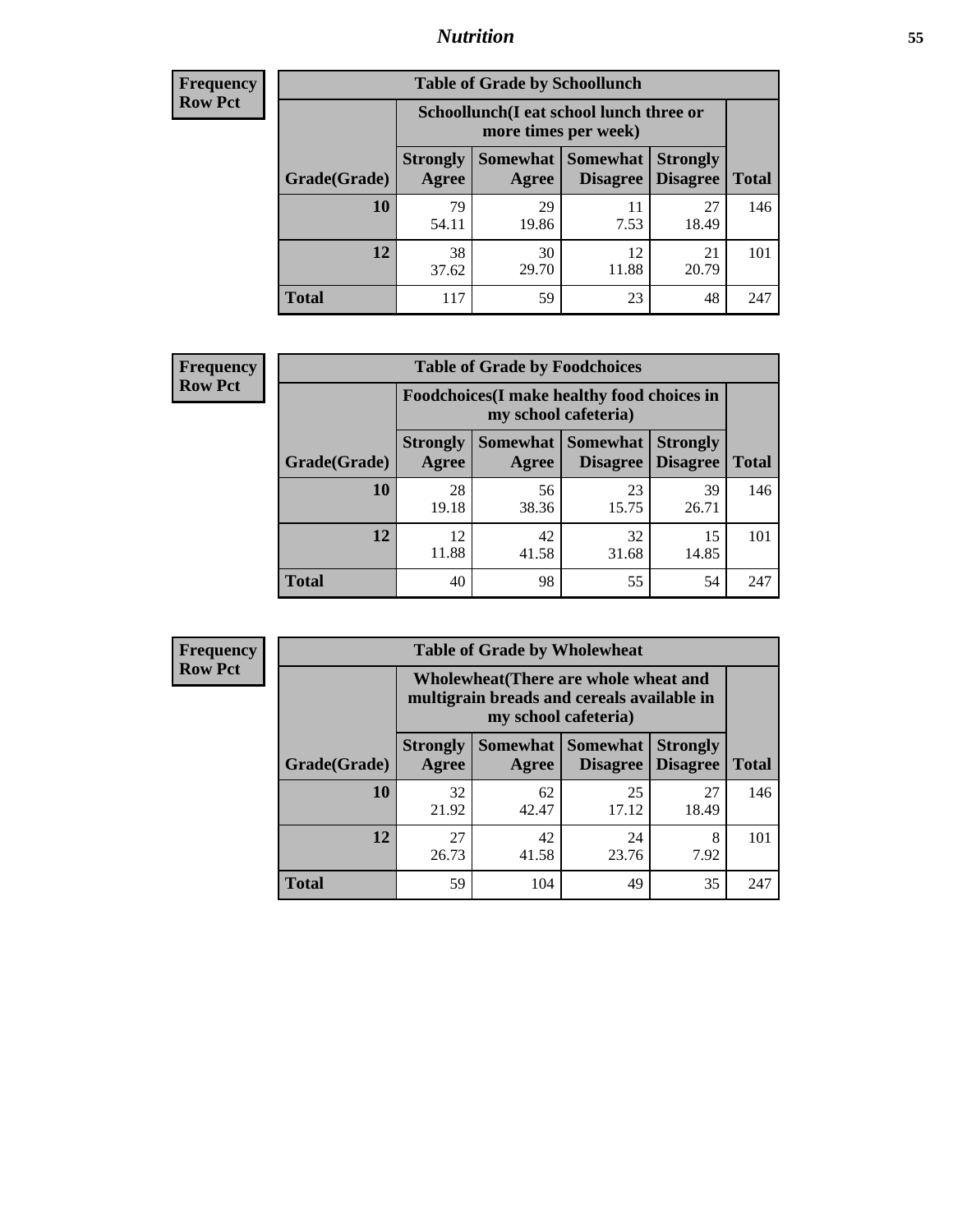## *Nutrition* **55**

| <b>Frequency</b> |
|------------------|
| Row Pct          |

| <b>Table of Grade by Schoollunch</b> |                                                                                                                                             |                                                                 |             |             |     |  |  |  |
|--------------------------------------|---------------------------------------------------------------------------------------------------------------------------------------------|-----------------------------------------------------------------|-------------|-------------|-----|--|--|--|
|                                      |                                                                                                                                             | Schoollunch(I eat school lunch three or<br>more times per week) |             |             |     |  |  |  |
| Grade(Grade)                         | Somewhat  <br><b>Somewhat</b><br><b>Strongly</b><br><b>Strongly</b><br><b>Disagree</b><br><b>Disagree</b><br><b>Total</b><br>Agree<br>Agree |                                                                 |             |             |     |  |  |  |
| 10                                   | 79<br>54.11                                                                                                                                 | 29<br>19.86                                                     | 11<br>7.53  | 27<br>18.49 | 146 |  |  |  |
| 12                                   | 38<br>37.62                                                                                                                                 | 30<br>29.70                                                     | 12<br>11.88 | 21<br>20.79 | 101 |  |  |  |
| <b>Total</b>                         | 117                                                                                                                                         | 59                                                              | 23          | 48          | 247 |  |  |  |

| <b>Frequency</b> |  |
|------------------|--|
| <b>Row Pct</b>   |  |

| <b>Table of Grade by Foodchoices</b> |                          |                                                                     |                                        |                                    |              |  |  |  |
|--------------------------------------|--------------------------|---------------------------------------------------------------------|----------------------------------------|------------------------------------|--------------|--|--|--|
|                                      |                          | Foodchoices (I make healthy food choices in<br>my school cafeteria) |                                        |                                    |              |  |  |  |
| Grade(Grade)                         | <b>Strongly</b><br>Agree | Agree                                                               | <b>Somewhat   Somewhat</b><br>Disagree | <b>Strongly</b><br><b>Disagree</b> | <b>Total</b> |  |  |  |
| 10                                   | 28<br>19.18              | 56<br>38.36                                                         | 23<br>15.75                            | 39<br>26.71                        | 146          |  |  |  |
| 12                                   | 12<br>11.88              | 42<br>41.58                                                         | 32<br>31.68                            | 15<br>14.85                        | 101          |  |  |  |
| <b>Total</b>                         | 40                       | 98                                                                  | 55                                     | 54                                 | 247          |  |  |  |

| <b>Frequency</b> | <b>Table of Grade by Wholewheat</b> |                                                                                                             |             |                                        |                                    |              |  |
|------------------|-------------------------------------|-------------------------------------------------------------------------------------------------------------|-------------|----------------------------------------|------------------------------------|--------------|--|
| <b>Row Pct</b>   |                                     | Wholewheat (There are whole wheat and<br>multigrain breads and cereals available in<br>my school cafeteria) |             |                                        |                                    |              |  |
|                  | Grade(Grade)                        | <b>Strongly</b><br>Agree                                                                                    | Agree       | Somewhat   Somewhat<br><b>Disagree</b> | <b>Strongly</b><br><b>Disagree</b> | <b>Total</b> |  |
|                  | 10                                  | 32<br>21.92                                                                                                 | 62<br>42.47 | 25<br>17.12                            | 27<br>18.49                        | 146          |  |
|                  | 12                                  | 27<br>26.73                                                                                                 | 42<br>41.58 | 24<br>23.76                            | 8<br>7.92                          | 101          |  |
|                  | <b>Total</b>                        | 59                                                                                                          | 104         | 49                                     | 35                                 | 247          |  |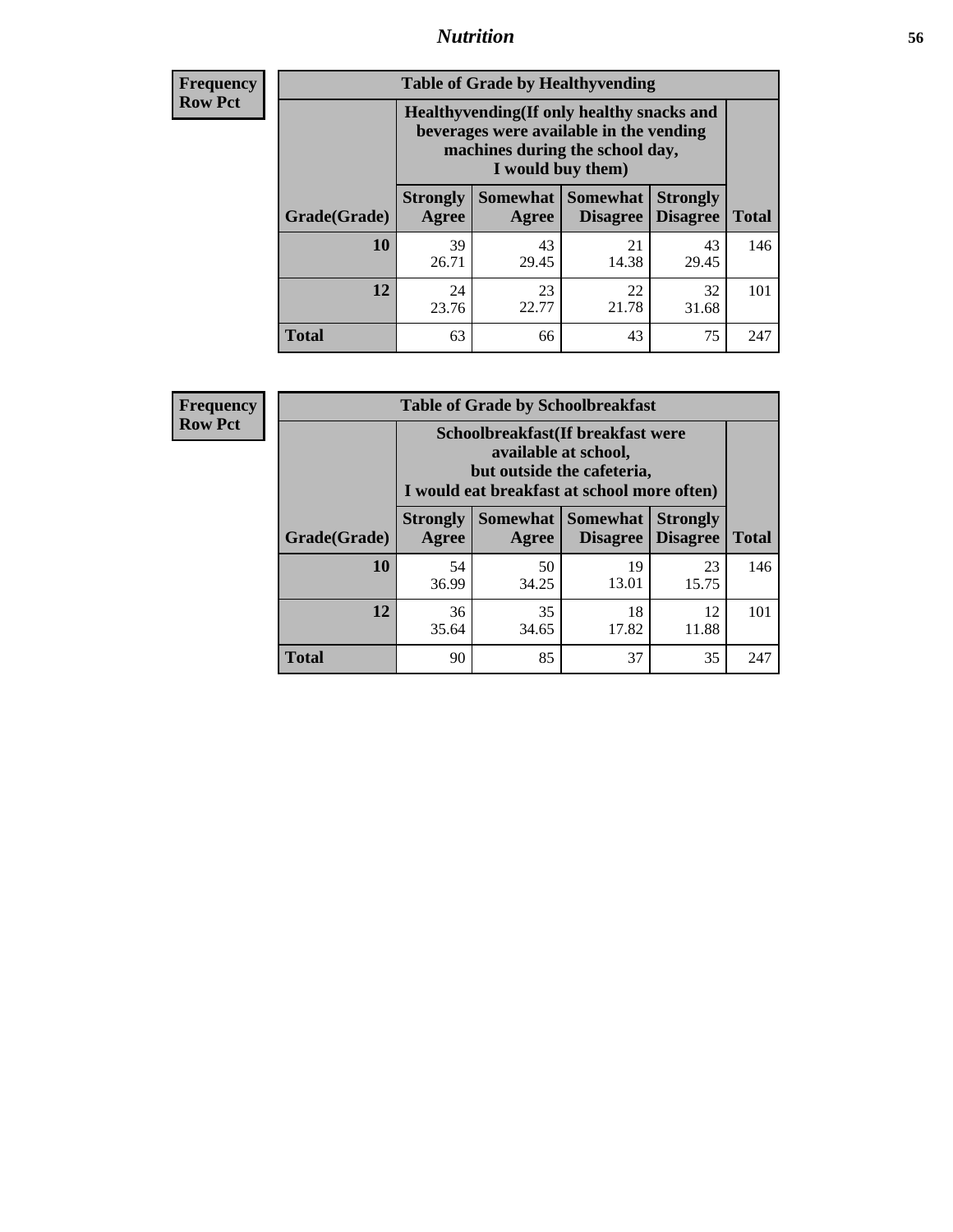## *Nutrition* **56**

**Frequency Row Pct**

| <b>Table of Grade by Healthyvending</b> |                                                                                                                                               |                     |                                    |                                    |              |  |
|-----------------------------------------|-----------------------------------------------------------------------------------------------------------------------------------------------|---------------------|------------------------------------|------------------------------------|--------------|--|
|                                         | Healthyvending (If only healthy snacks and<br>beverages were available in the vending<br>machines during the school day,<br>I would buy them) |                     |                                    |                                    |              |  |
| Grade(Grade)                            | <b>Strongly</b><br>Agree                                                                                                                      | Somewhat  <br>Agree | <b>Somewhat</b><br><b>Disagree</b> | <b>Strongly</b><br><b>Disagree</b> | <b>Total</b> |  |
| 10                                      | 39<br>26.71                                                                                                                                   | 43<br>29.45         | 21<br>14.38                        | 43<br>29.45                        | 146          |  |
| 12                                      | 24<br>23.76                                                                                                                                   | 23<br>22.77         | 22<br>21.78                        | 32<br>31.68                        | 101          |  |
| <b>Total</b>                            | 63                                                                                                                                            | 66                  | 43                                 | 75                                 | 247          |  |

**Frequency Row Pct**

| <b>Table of Grade by Schoolbreakfast</b> |                                                                                                                                         |             |             |             |     |  |
|------------------------------------------|-----------------------------------------------------------------------------------------------------------------------------------------|-------------|-------------|-------------|-----|--|
|                                          | Schoolbreakfast (If breakfast were<br>available at school,<br>but outside the cafeteria,<br>I would eat breakfast at school more often) |             |             |             |     |  |
| Grade(Grade)                             | Somewhat   Somewhat<br><b>Strongly</b><br><b>Strongly</b><br><b>Disagree</b><br><b>Total</b><br>Agree<br><b>Disagree</b><br>Agree       |             |             |             |     |  |
| 10                                       | 54<br>36.99                                                                                                                             | 50<br>34.25 | 19<br>13.01 | 23<br>15.75 | 146 |  |
| 12                                       | 35<br>18<br>12<br>36<br>17.82<br>11.88<br>35.64<br>34.65                                                                                |             |             |             |     |  |
| <b>Total</b>                             | 90                                                                                                                                      | 85          | 37          | 35          | 247 |  |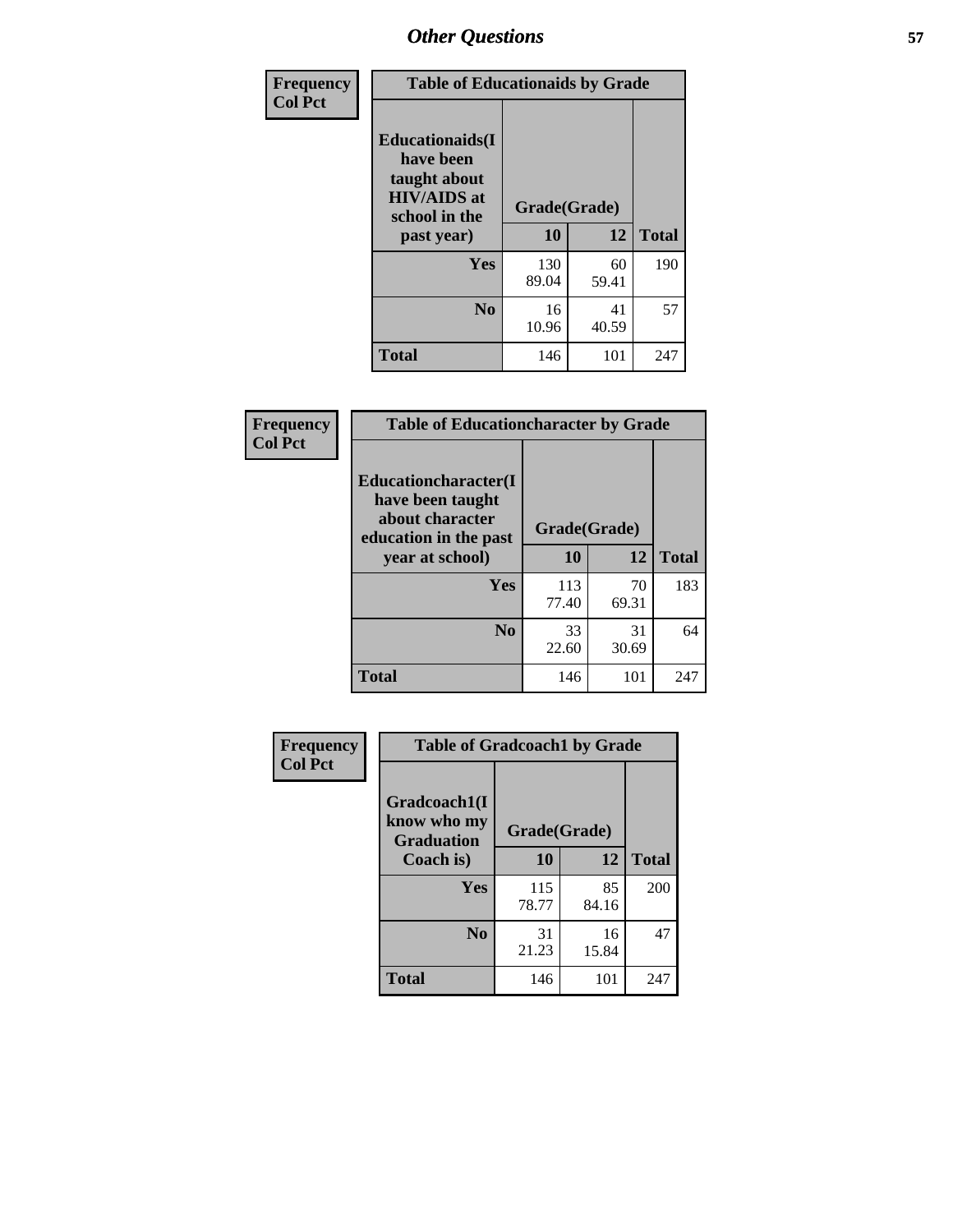| Frequency<br><b>Col Pct</b> | <b>Table of Educationaids by Grade</b>                                                                    |                    |             |              |
|-----------------------------|-----------------------------------------------------------------------------------------------------------|--------------------|-------------|--------------|
|                             | <b>Educationaids</b> (I<br>have been<br>taught about<br><b>HIV/AIDS</b> at<br>school in the<br>past year) | Grade(Grade)<br>10 | 12          | <b>Total</b> |
|                             | Yes                                                                                                       | 130<br>89.04       | 60<br>59.41 | 190          |
|                             | N <sub>0</sub>                                                                                            | 16<br>10.96        | 41<br>40.59 | 57           |
|                             | <b>Total</b>                                                                                              | 146                | 101         | 247          |

| <b>Frequency</b> | <b>Table of Educationcharacter by Grade</b>                                                             |              |             |              |
|------------------|---------------------------------------------------------------------------------------------------------|--------------|-------------|--------------|
| <b>Col Pct</b>   | Educationcharacter(I<br>have been taught<br>about character<br>education in the past<br>year at school) | Grade(Grade) |             |              |
|                  |                                                                                                         | 10           | 12          | <b>Total</b> |
|                  | Yes                                                                                                     | 113<br>77.40 | 70<br>69.31 | 183          |
|                  | N <sub>0</sub>                                                                                          | 33<br>22.60  | 31<br>30.69 | 64           |
|                  | <b>Total</b>                                                                                            | 146          | 101         | 247          |

| Frequency      | <b>Table of Gradcoach1 by Grade</b>              |              |             |              |
|----------------|--------------------------------------------------|--------------|-------------|--------------|
| <b>Col Pct</b> | Gradcoach1(I<br>know who my<br><b>Graduation</b> | Grade(Grade) |             |              |
|                | Coach is)                                        | 10           | 12          | <b>Total</b> |
|                | Yes                                              | 115<br>78.77 | 85<br>84.16 | 200          |
|                | N <sub>0</sub>                                   | 31<br>21.23  | 16<br>15.84 | 47           |
|                | <b>Total</b>                                     | 146          | 101         | 247          |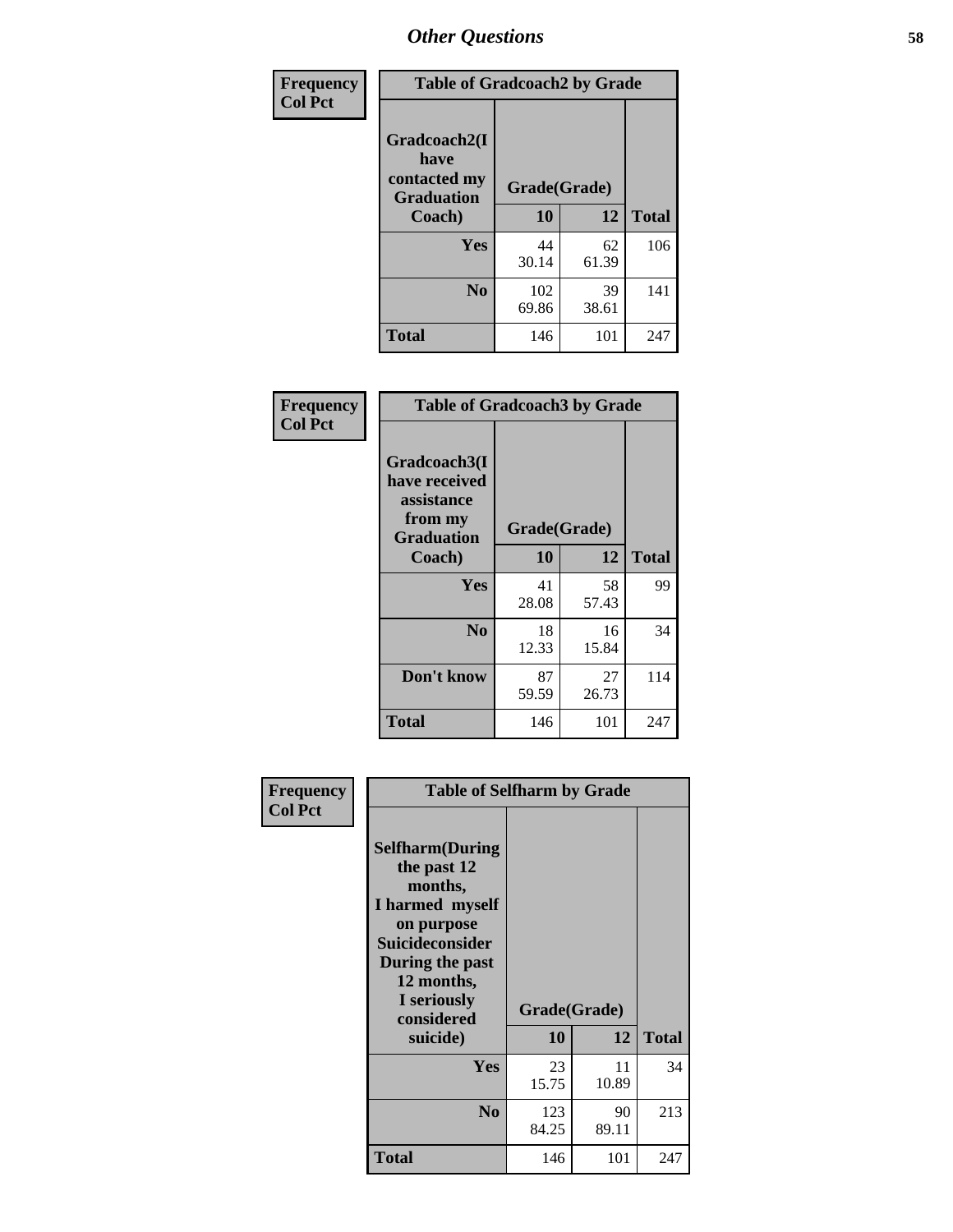| Frequency      | <b>Table of Gradcoach2 by Grade</b> |              |             |              |
|----------------|-------------------------------------|--------------|-------------|--------------|
| <b>Col Pct</b> | Gradcoach2(I<br>have                |              |             |              |
|                | contacted my<br><b>Graduation</b>   | Grade(Grade) |             |              |
|                | Coach)                              | 10           | 12          | <b>Total</b> |
|                | Yes                                 | 44<br>30.14  | 62<br>61.39 | 106          |
|                | N <sub>0</sub>                      | 102<br>69.86 | 39<br>38.61 | 141          |
|                | <b>Total</b>                        | 146          | 101         | 247          |

| <b>Frequency</b><br><b>Col Pct</b> | <b>Table of Gradcoach3 by Grade</b>                                         |              |             |              |
|------------------------------------|-----------------------------------------------------------------------------|--------------|-------------|--------------|
|                                    | Gradcoach3(I<br>have received<br>assistance<br>from my<br><b>Graduation</b> | Grade(Grade) |             |              |
|                                    | Coach)                                                                      | 10           | 12          | <b>Total</b> |
|                                    | Yes                                                                         | 41<br>28.08  | 58<br>57.43 | 99           |
|                                    | N <sub>0</sub>                                                              | 18<br>12.33  | 16<br>15.84 | 34           |
|                                    | Don't know                                                                  | 87<br>59.59  | 27<br>26.73 | 114          |
|                                    | <b>Total</b>                                                                | 146          | 101         | 247          |

|                             | <b>Table of Selfharm by Grade</b>                                                                                        |                    |             |              |
|-----------------------------|--------------------------------------------------------------------------------------------------------------------------|--------------------|-------------|--------------|
| Frequency<br><b>Col Pct</b> | <b>Selfharm</b> (During<br>the past 12<br>months,<br>I harmed myself<br>on purpose<br>Suicideconsider<br>During the past |                    |             |              |
|                             | 12 months,<br>I seriously<br>considered<br>suicide)                                                                      | Grade(Grade)<br>10 | 12          | <b>Total</b> |
|                             |                                                                                                                          |                    |             |              |
|                             | Yes                                                                                                                      | 23<br>15.75        | 11<br>10.89 | 34           |
|                             | N <sub>0</sub>                                                                                                           | 123<br>84.25       | 90<br>89.11 | 213          |
|                             | Total                                                                                                                    | 146                | 101         | 247          |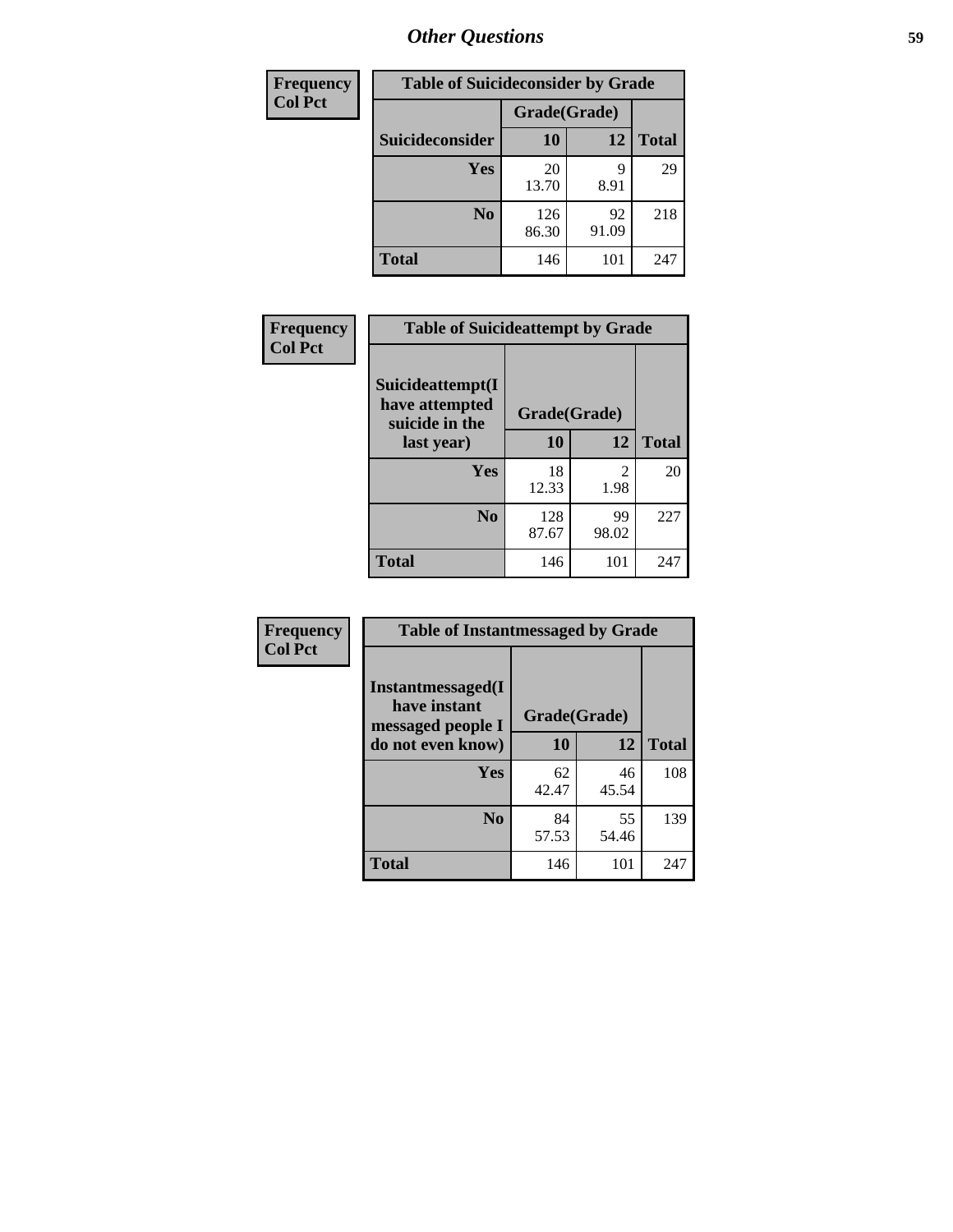| <b>Frequency</b> | <b>Table of Suicideconsider by Grade</b> |              |             |              |
|------------------|------------------------------------------|--------------|-------------|--------------|
| <b>Col Pct</b>   |                                          | Grade(Grade) |             |              |
|                  | Suicideconsider                          | <b>10</b>    | 12          | <b>Total</b> |
|                  | Yes                                      | 20<br>13.70  | q<br>8.91   | 29           |
|                  | N <sub>0</sub>                           | 126<br>86.30 | 92<br>91.09 | 218          |
|                  | <b>Total</b>                             | 146          | 101         | 247          |

| Frequency      | <b>Table of Suicideattempt by Grade</b>              |              |                                     |              |
|----------------|------------------------------------------------------|--------------|-------------------------------------|--------------|
| <b>Col Pct</b> | Suicideattempt(I<br>have attempted<br>suicide in the | Grade(Grade) |                                     |              |
|                | last year)                                           | 10           | 12                                  | <b>Total</b> |
|                | Yes                                                  | 18<br>12.33  | $\mathcal{D}_{\mathcal{A}}$<br>1.98 | 20           |
|                | $\bf No$                                             | 128<br>87.67 | 99<br>98.02                         | 227          |
|                | <b>Total</b>                                         | 146          | 101                                 | 247          |

| Frequency      | <b>Table of Instantmessaged by Grade</b>               |              |             |              |
|----------------|--------------------------------------------------------|--------------|-------------|--------------|
| <b>Col Pct</b> | Instantmessaged(I<br>have instant<br>messaged people I | Grade(Grade) |             |              |
|                | do not even know)                                      | 10           | 12          | <b>Total</b> |
|                | Yes                                                    | 62<br>42.47  | 46<br>45.54 | 108          |
|                | N <sub>0</sub>                                         | 84<br>57.53  | 55<br>54.46 | 139          |
|                | <b>Total</b>                                           | 146          | 101         | 247          |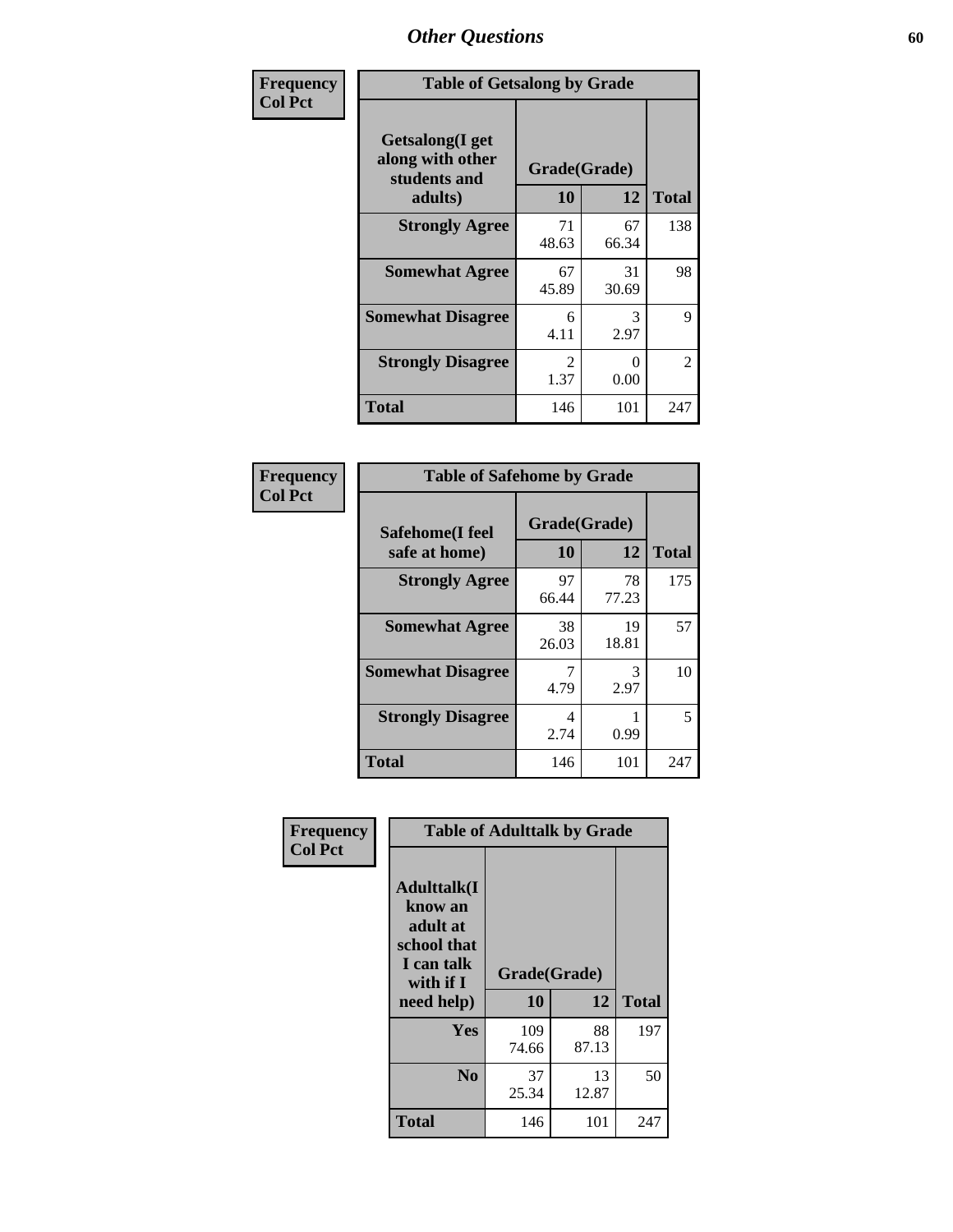| Frequency      | <b>Table of Getsalong by Grade</b>                                     |                       |             |                |
|----------------|------------------------------------------------------------------------|-----------------------|-------------|----------------|
| <b>Col Pct</b> | <b>Getsalong</b> (I get<br>along with other<br>students and<br>adults) | Grade(Grade)<br>10    | 12          | <b>Total</b>   |
|                | <b>Strongly Agree</b>                                                  | 71<br>48.63           | 67<br>66.34 | 138            |
|                | <b>Somewhat Agree</b>                                                  | 67<br>45.89           | 31<br>30.69 | 98             |
|                | <b>Somewhat Disagree</b>                                               | 6<br>4.11             | 3<br>2.97   | 9              |
|                | <b>Strongly Disagree</b>                                               | $\mathcal{L}$<br>1.37 | 0<br>0.00   | $\mathfrak{D}$ |
|                | <b>Total</b>                                                           | 146                   | 101         | 247            |

| Frequency      | <b>Table of Safehome by Grade</b> |                    |             |              |
|----------------|-----------------------------------|--------------------|-------------|--------------|
| <b>Col Pct</b> | Safehome(I feel<br>safe at home)  | Grade(Grade)<br>10 | 12          | <b>Total</b> |
|                | <b>Strongly Agree</b>             | 97<br>66.44        | 78<br>77.23 | 175          |
|                | <b>Somewhat Agree</b>             | 38<br>26.03        | 19<br>18.81 | 57           |
|                | <b>Somewhat Disagree</b>          | 4.79               | 3<br>2.97   | 10           |
|                | <b>Strongly Disagree</b>          | 4<br>2.74          | 0.99        | 5            |
|                | <b>Total</b>                      | 146                | 101         | 247          |

| Frequency      |                                                                                     | <b>Table of Adulttalk by Grade</b> |             |              |  |  |  |
|----------------|-------------------------------------------------------------------------------------|------------------------------------|-------------|--------------|--|--|--|
| <b>Col Pct</b> | <b>Adulttalk(I</b><br>know an<br>adult at<br>school that<br>I can talk<br>with if I | Grade(Grade)                       |             |              |  |  |  |
|                | need help)                                                                          | 10                                 | 12          | <b>Total</b> |  |  |  |
|                | <b>Yes</b>                                                                          | 109<br>74.66                       | 88<br>87.13 | 197          |  |  |  |
|                | N <sub>0</sub>                                                                      | 37<br>25.34                        | 13<br>12.87 | 50           |  |  |  |
|                | <b>Total</b>                                                                        | 146                                | 101         | 247          |  |  |  |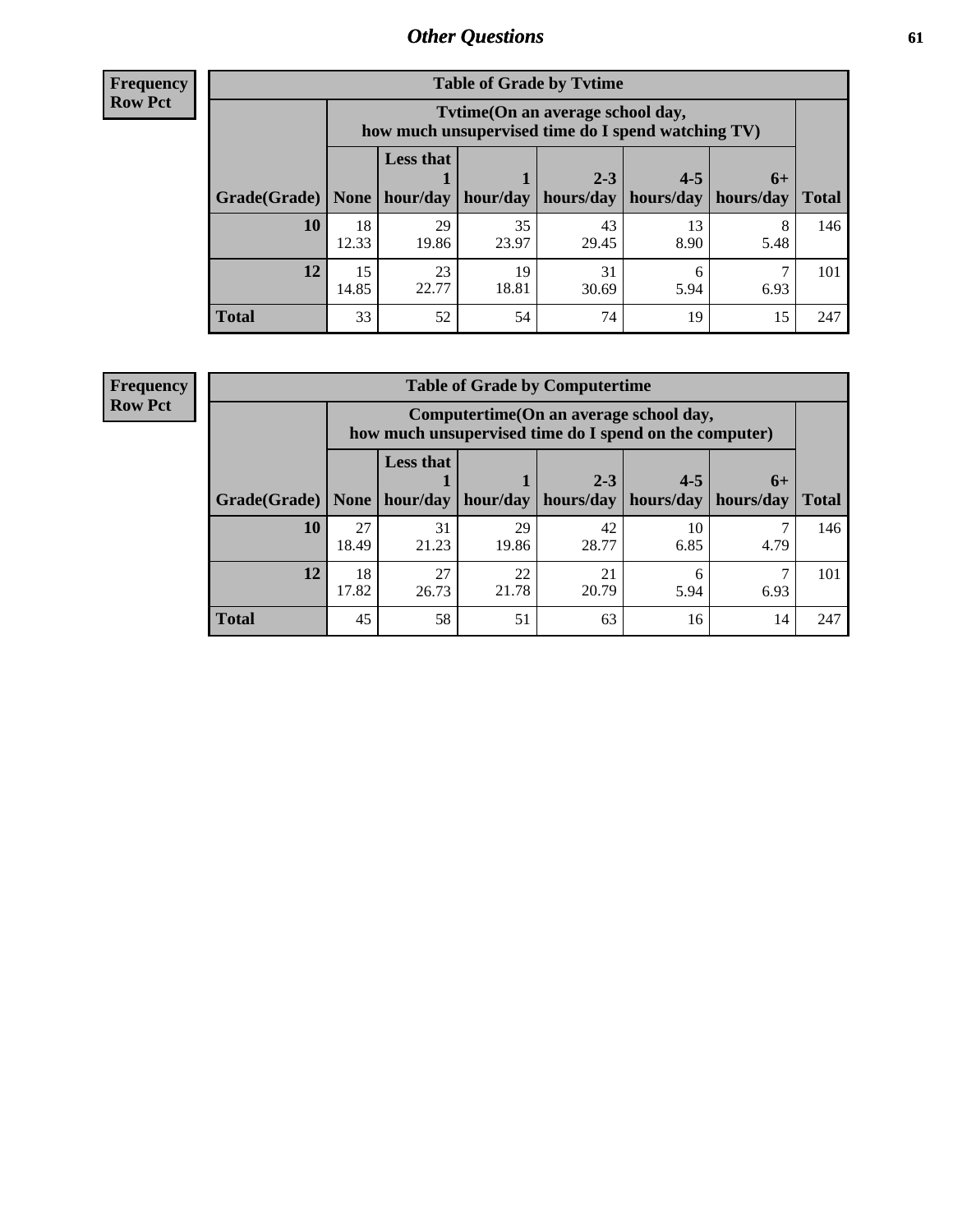**Frequency Row Pct**

| <b>Table of Grade by Tytime</b> |             |                                                                                                                             |             |             |            |           |     |  |  |
|---------------------------------|-------------|-----------------------------------------------------------------------------------------------------------------------------|-------------|-------------|------------|-----------|-----|--|--|
|                                 |             | Tytime (On an average school day,<br>how much unsupervised time do I spend watching TV)                                     |             |             |            |           |     |  |  |
| Grade(Grade)   None             |             | <b>Less that</b><br>$2 - 3$<br>$4 - 5$<br>$6+$<br>$hour/day$   hour/day   hours/day   hours/day   hours/day<br><b>Total</b> |             |             |            |           |     |  |  |
| 10                              | 18<br>12.33 | 29<br>19.86                                                                                                                 | 35<br>23.97 | 43<br>29.45 | 13<br>8.90 | 8<br>5.48 | 146 |  |  |
| 12                              | 15<br>14.85 | 23<br>22.77                                                                                                                 | 19<br>18.81 | 31<br>30.69 | 6<br>5.94  | 6.93      | 101 |  |  |
| <b>Total</b>                    | 33          | 52                                                                                                                          | 54          | 74          | 19         | 15        | 247 |  |  |

**Frequency Row Pct**

| <b>Table of Grade by Computertime</b> |             |                                                                                                   |             |                      |                      |                   |              |  |  |
|---------------------------------------|-------------|---------------------------------------------------------------------------------------------------|-------------|----------------------|----------------------|-------------------|--------------|--|--|
|                                       |             | Computertime (On an average school day,<br>how much unsupervised time do I spend on the computer) |             |                      |                      |                   |              |  |  |
| Grade(Grade)                          | None        | <b>Less that</b><br>hour/day                                                                      | hour/day    | $2 - 3$<br>hours/day | $4 - 5$<br>hours/day | $6+$<br>hours/day | <b>Total</b> |  |  |
| 10                                    | 27<br>18.49 | 31<br>21.23                                                                                       | 29<br>19.86 | 42<br>28.77          | 10<br>6.85           | 4.79              | 146          |  |  |
| 12                                    | 18<br>17.82 | 27<br>26.73                                                                                       | 22<br>21.78 | 21<br>20.79          | 6<br>5.94            | 6.93              | 101          |  |  |
| <b>Total</b>                          | 45          | 58                                                                                                | 51          | 63                   | 16                   | 14                | 247          |  |  |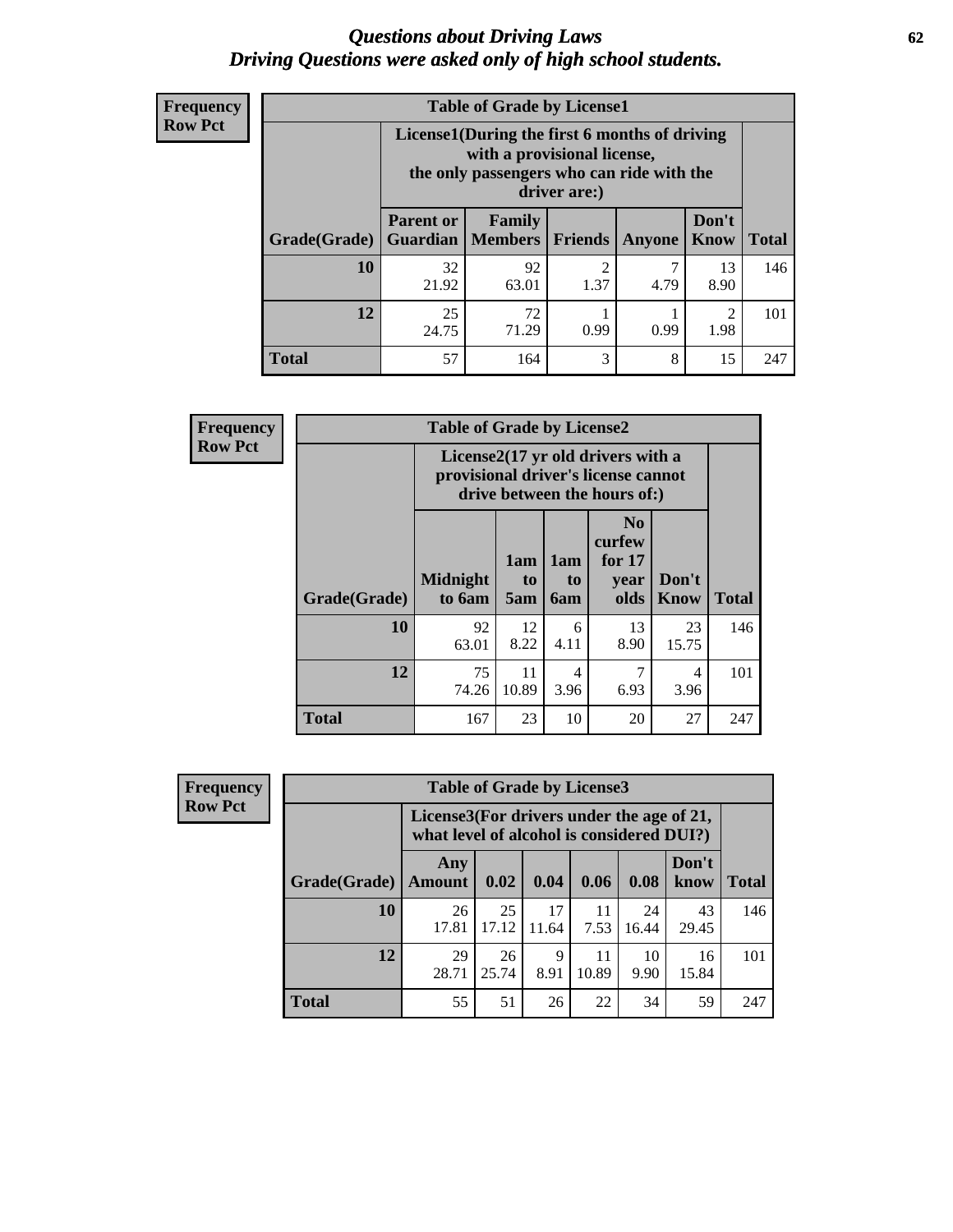#### *Questions about Driving Laws* **62** *Driving Questions were asked only of high school students.*

| <b>Frequency</b> |
|------------------|
| <b>Row Pct</b>   |

| <b>Table of Grade by License1</b> |                                                                      |                                                                                                                                           |           |      |            |     |  |  |  |
|-----------------------------------|----------------------------------------------------------------------|-------------------------------------------------------------------------------------------------------------------------------------------|-----------|------|------------|-----|--|--|--|
|                                   |                                                                      | License1(During the first 6 months of driving<br>with a provisional license,<br>the only passengers who can ride with the<br>driver are:) |           |      |            |     |  |  |  |
| Grade(Grade)                      | <b>Parent or</b><br><b>Guardian</b>                                  | Don't<br>Family<br><b>Members</b><br><b>Friends</b><br><b>Total</b><br>Know<br><b>Anyone</b>                                              |           |      |            |     |  |  |  |
| 10                                | 32<br>21.92                                                          | 92<br>63.01                                                                                                                               | 2<br>1.37 | 4.79 | 13<br>8.90 | 146 |  |  |  |
| 12                                | 25<br>72<br>$\mathfrak{D}$<br>71.29<br>0.99<br>0.99<br>1.98<br>24.75 |                                                                                                                                           |           |      |            |     |  |  |  |
| Total                             | 57                                                                   | 164                                                                                                                                       | 3         | 8    | 15         | 247 |  |  |  |

| <b>Frequency</b> |              | <b>Table of Grade by License2</b> |                  |                         |                                                                                                          |               |              |
|------------------|--------------|-----------------------------------|------------------|-------------------------|----------------------------------------------------------------------------------------------------------|---------------|--------------|
| <b>Row Pct</b>   |              |                                   |                  |                         | License2(17 yr old drivers with a<br>provisional driver's license cannot<br>drive between the hours of:) |               |              |
|                  | Grade(Grade) | <b>Midnight</b><br>to 6am         | 1am<br>to<br>5am | 1am<br>to<br><b>6am</b> | N <sub>0</sub><br>curfew<br>for $17$<br>year<br>olds                                                     | Don't<br>Know | <b>Total</b> |
|                  | 10           | 92<br>63.01                       | 12<br>8.22       | 6<br>4.11               | 13<br>8.90                                                                                               | 23<br>15.75   | 146          |
|                  | 12           | 75<br>74.26                       | 11<br>10.89      | 4<br>3.96               | 7<br>6.93                                                                                                | 4<br>3.96     | 101          |
|                  | <b>Total</b> | 167                               | 23               | 10                      | 20                                                                                                       | 27            | 247          |

| Frequency      | <b>Table of Grade by License3</b> |                                                                                        |             |             |             |             |               |              |
|----------------|-----------------------------------|----------------------------------------------------------------------------------------|-------------|-------------|-------------|-------------|---------------|--------------|
| <b>Row Pct</b> |                                   | License3(For drivers under the age of 21,<br>what level of alcohol is considered DUI?) |             |             |             |             |               |              |
|                | Grade(Grade)                      | Any<br><b>Amount</b>                                                                   | 0.02        | 0.04        | 0.06        | 0.08        | Don't<br>know | <b>Total</b> |
|                | <b>10</b>                         | 26<br>17.81                                                                            | 25<br>17.12 | 17<br>11.64 | 11<br>7.53  | 24<br>16.44 | 43<br>29.45   | 146          |
|                | 12                                | 29<br>28.71                                                                            | 26<br>25.74 | 9<br>8.91   | 11<br>10.89 | 10<br>9.90  | 16<br>15.84   | 101          |
|                | Total                             | 55                                                                                     | 51          | 26          | 22          | 34          | 59            | 247          |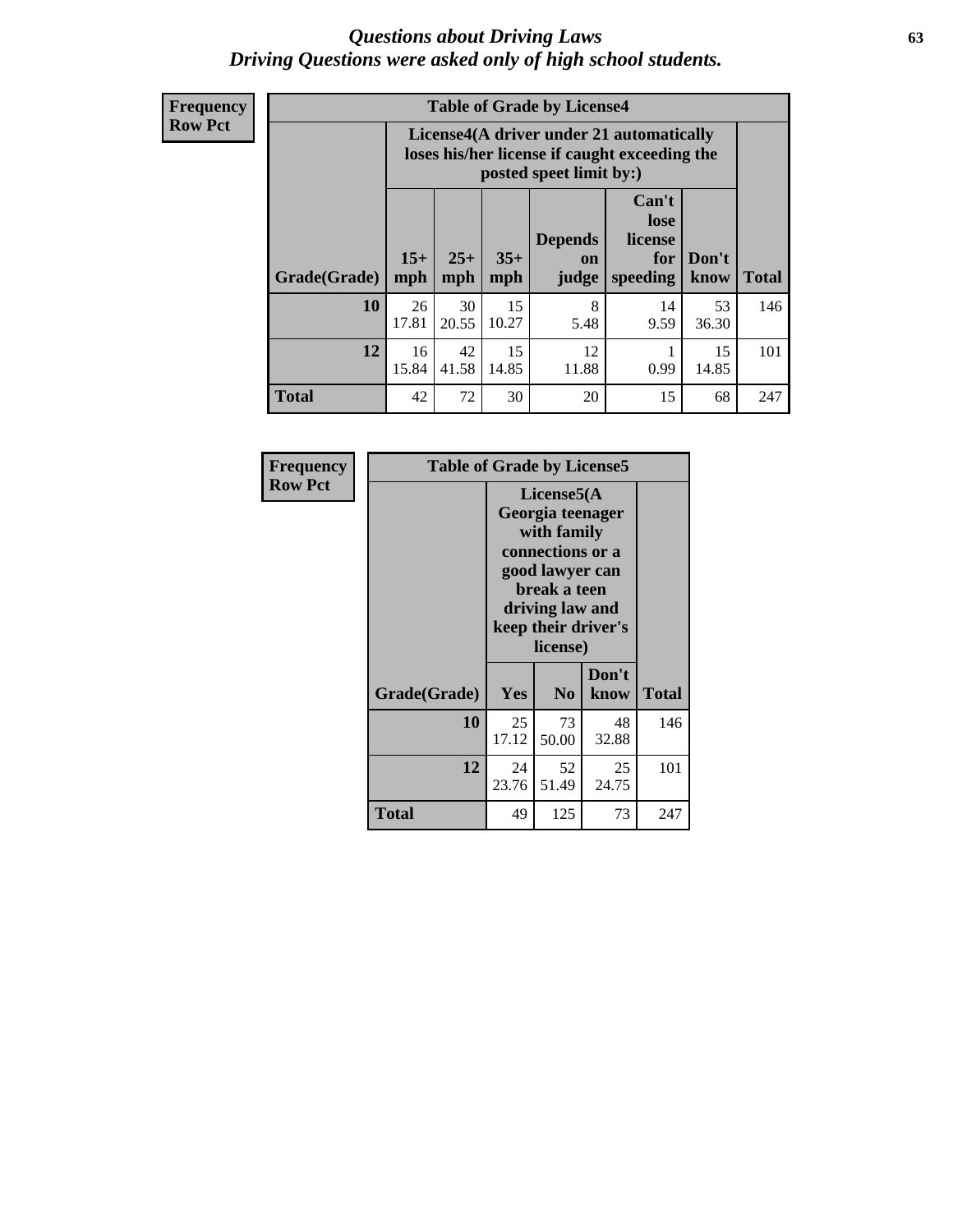#### *Questions about Driving Laws* **63** *Driving Questions were asked only of high school students.*

**Frequency Row Pct**

| <b>Table of Grade by License4</b> |              |                                                                                                                                      |             |             |            |             |     |  |
|-----------------------------------|--------------|--------------------------------------------------------------------------------------------------------------------------------------|-------------|-------------|------------|-------------|-----|--|
|                                   |              | License4(A driver under 21 automatically<br>loses his/her license if caught exceeding the<br>posted speet limit by:)                 |             |             |            |             |     |  |
| Grade(Grade)                      | $15+$<br>mph | Can't<br>lose<br><b>Depends</b><br>license<br>$25+$<br>$35+$<br>Don't<br>for<br><b>on</b><br>speeding<br>mph<br>know<br>mph<br>judge |             |             |            |             |     |  |
| 10                                | 26<br>17.81  | 30<br>20.55                                                                                                                          | 15<br>10.27 | 8<br>5.48   | 14<br>9.59 | 53<br>36.30 | 146 |  |
| 12                                | 16<br>15.84  | 42<br>41.58                                                                                                                          | 15<br>14.85 | 12<br>11.88 | 0.99       | 15<br>14.85 | 101 |  |
| <b>Total</b>                      | 42           | 72                                                                                                                                   | 30          | 20          | 15         | 68          | 247 |  |

| Frequency      | <b>Table of Grade by License5</b> |             |                                                                                                                                      |                     |       |  |
|----------------|-----------------------------------|-------------|--------------------------------------------------------------------------------------------------------------------------------------|---------------------|-------|--|
| <b>Row Pct</b> |                                   |             | License5(A)<br>Georgia teenager<br>with family<br>connections or a<br>good lawyer can<br>break a teen<br>driving law and<br>license) | keep their driver's |       |  |
|                | Grade(Grade)                      | Yes         | N <sub>0</sub>                                                                                                                       | Don't<br>know       | Total |  |
|                | 10                                | 25<br>17.12 | 73<br>50.00                                                                                                                          | 48<br>32.88         | 146   |  |
|                | 12                                | 24<br>23.76 | 52<br>51.49                                                                                                                          | 25<br>24.75         | 101   |  |
|                | <b>Total</b>                      | 49          | 125                                                                                                                                  | 73                  | 247   |  |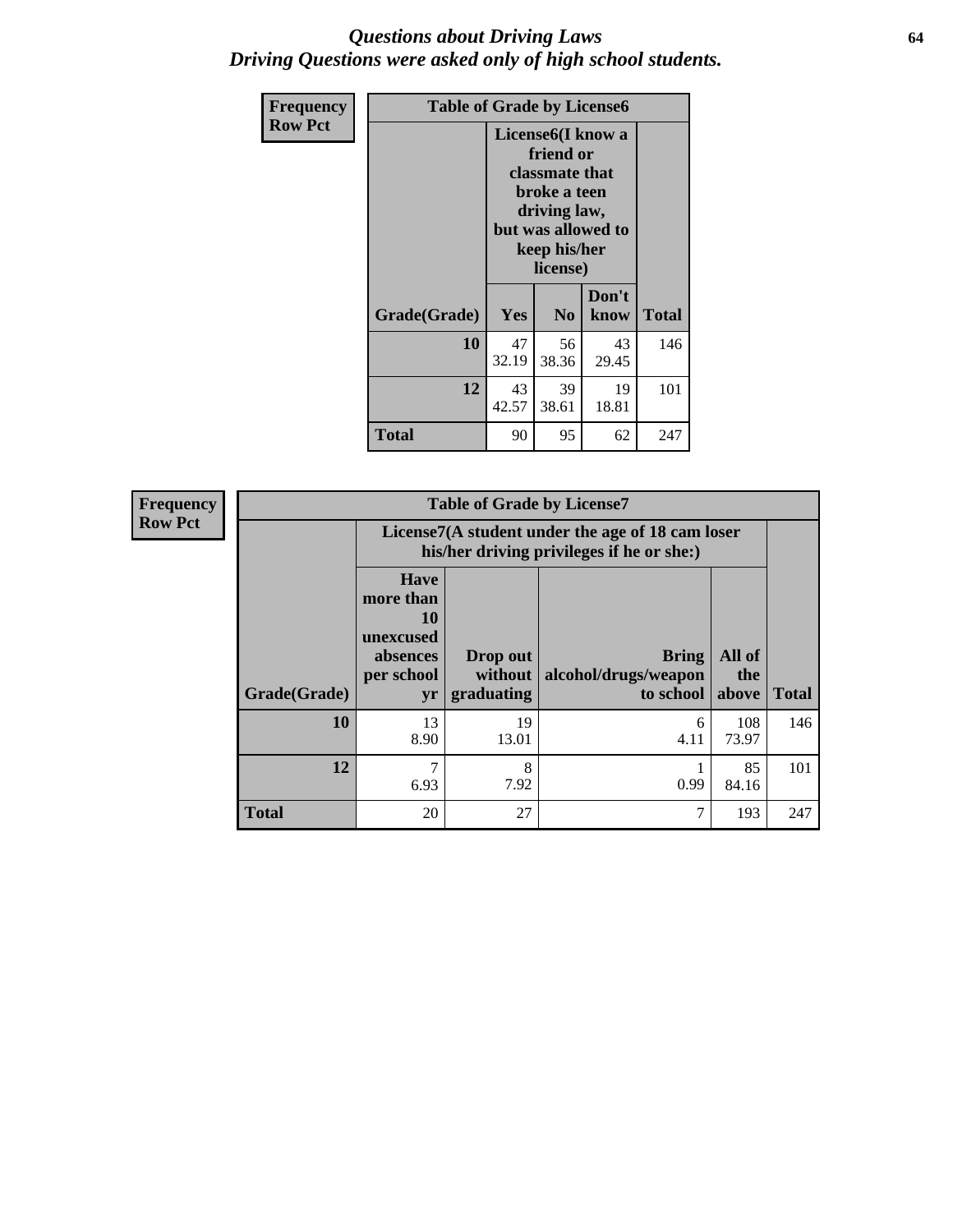#### *Questions about Driving Laws* **64** *Driving Questions were asked only of high school students.*

| <b>Frequency</b> | <b>Table of Grade by License6</b> |             |                                                                                                                           |                    |              |  |  |
|------------------|-----------------------------------|-------------|---------------------------------------------------------------------------------------------------------------------------|--------------------|--------------|--|--|
| <b>Row Pct</b>   |                                   |             | License <sub>6</sub> (I know a<br>friend or<br>classmate that<br>broke a teen<br>driving law,<br>keep his/her<br>license) | but was allowed to |              |  |  |
|                  | Grade(Grade)                      | <b>Yes</b>  | N <sub>0</sub>                                                                                                            | Don't<br>know      | <b>Total</b> |  |  |
|                  | 10                                | 47<br>32.19 | 56<br>38.36                                                                                                               | 43<br>29.45        | 146          |  |  |
|                  | 12                                | 43<br>42.57 | 39<br>38.61                                                                                                               | 19<br>18.81        | 101          |  |  |
|                  | <b>Total</b>                      | 90          | 95                                                                                                                        | 62                 | 247          |  |  |

| <b>Frequency</b> |              |                                                                             | <b>Table of Grade by License7</b>                                                             |                                                   |                        |              |  |  |  |
|------------------|--------------|-----------------------------------------------------------------------------|-----------------------------------------------------------------------------------------------|---------------------------------------------------|------------------------|--------------|--|--|--|
| <b>Row Pct</b>   |              |                                                                             | License7(A student under the age of 18 cam loser<br>his/her driving privileges if he or she:) |                                                   |                        |              |  |  |  |
|                  | Grade(Grade) | <b>Have</b><br>more than<br>10<br>unexcused<br>absences<br>per school<br>yr | Drop out<br>without  <br>graduating                                                           | <b>Bring</b><br>alcohol/drugs/weapon<br>to school | All of<br>the<br>above | <b>Total</b> |  |  |  |
|                  | 10           | 13<br>8.90                                                                  | 19<br>13.01                                                                                   | 6<br>4.11                                         | 108<br>73.97           | 146          |  |  |  |
|                  | 12           | 7<br>6.93                                                                   | 8<br>7.92                                                                                     | 0.99                                              | 85<br>84.16            | 101          |  |  |  |
|                  | <b>Total</b> | 20                                                                          | 27                                                                                            |                                                   | 193                    | 247          |  |  |  |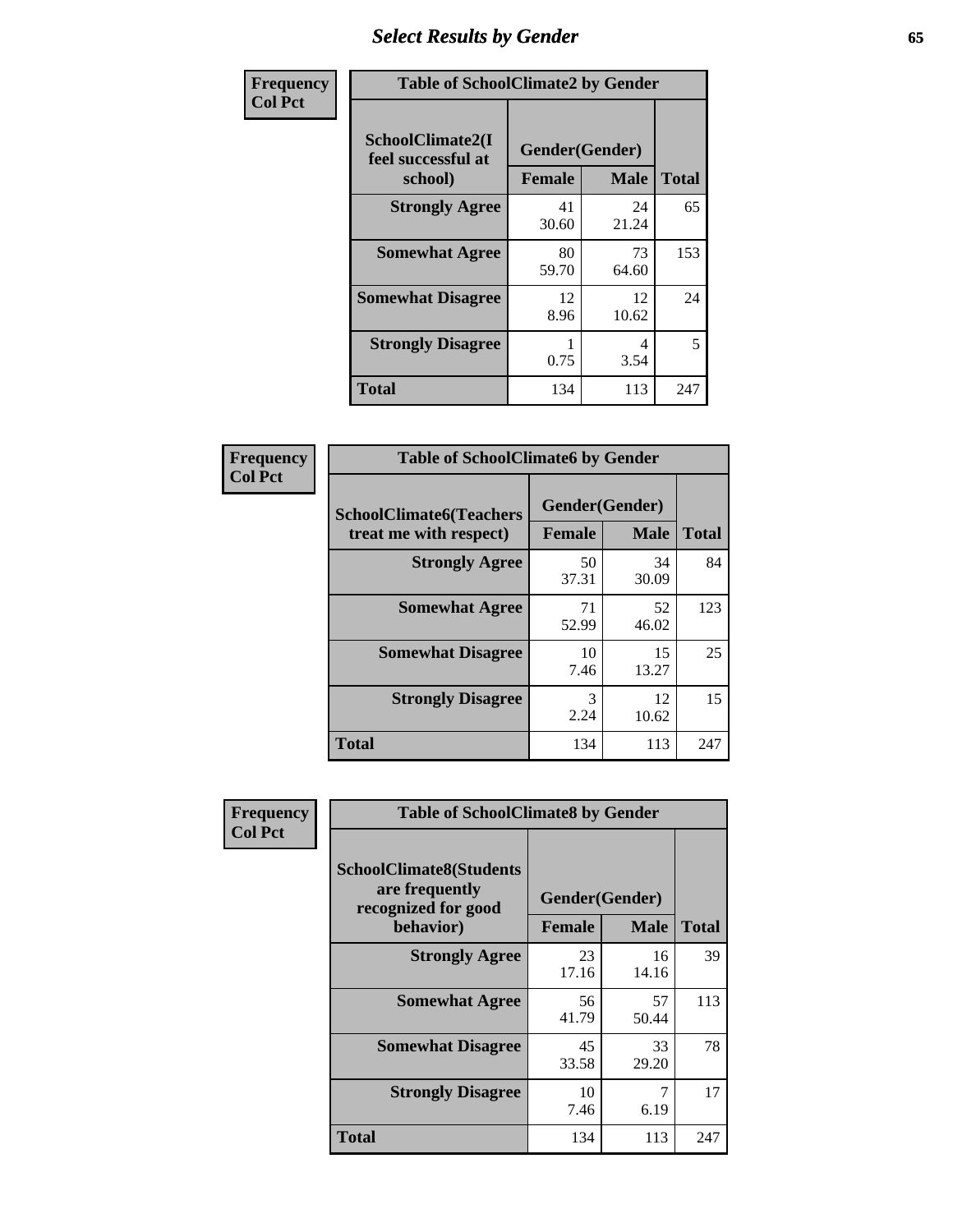# *Select Results by Gender* **65**

| Frequency      | <b>Table of SchoolClimate2 by Gender</b>          |                                 |             |              |
|----------------|---------------------------------------------------|---------------------------------|-------------|--------------|
| <b>Col Pct</b> | SchoolClimate2(I<br>feel successful at<br>school) | Gender(Gender)<br><b>Female</b> | <b>Male</b> | <b>Total</b> |
|                | <b>Strongly Agree</b>                             | 41<br>30.60                     | 24<br>21.24 | 65           |
|                | <b>Somewhat Agree</b>                             | 80<br>59.70                     | 73<br>64.60 | 153          |
|                | <b>Somewhat Disagree</b>                          | 12<br>8.96                      | 12<br>10.62 | 24           |
|                | <b>Strongly Disagree</b>                          | 0.75                            | 4<br>3.54   | 5            |
|                | <b>Total</b>                                      | 134                             | 113         | 247          |

| <b>Frequency</b> | <b>Table of SchoolClimate6 by Gender</b>                 |                          |             |              |  |
|------------------|----------------------------------------------------------|--------------------------|-------------|--------------|--|
| <b>Col Pct</b>   | <b>SchoolClimate6(Teachers</b><br>treat me with respect) | Gender(Gender)<br>Female | <b>Male</b> | <b>Total</b> |  |
|                  | <b>Strongly Agree</b>                                    | 50<br>37.31              | 34<br>30.09 | 84           |  |
|                  | <b>Somewhat Agree</b>                                    | 71<br>52.99              | 52<br>46.02 | 123          |  |
|                  | <b>Somewhat Disagree</b>                                 | 10<br>7.46               | 15<br>13.27 | 25           |  |
|                  | <b>Strongly Disagree</b>                                 | 3<br>2.24                | 12<br>10.62 | 15           |  |
|                  | <b>Total</b>                                             | 134                      | 113         | 247          |  |

| <b>Frequency</b> | <b>Table of SchoolClimate8 by Gender</b>                                             |               |                               |              |  |
|------------------|--------------------------------------------------------------------------------------|---------------|-------------------------------|--------------|--|
| <b>Col Pct</b>   | <b>SchoolClimate8(Students</b><br>are frequently<br>recognized for good<br>behavior) | <b>Female</b> | Gender(Gender)<br><b>Male</b> | <b>Total</b> |  |
|                  |                                                                                      |               |                               |              |  |
|                  | <b>Strongly Agree</b>                                                                | 23<br>17.16   | 16<br>14.16                   | 39           |  |
|                  | <b>Somewhat Agree</b>                                                                | 56<br>41.79   | 57<br>50.44                   | 113          |  |
|                  | <b>Somewhat Disagree</b>                                                             | 45<br>33.58   | 33<br>29.20                   | 78           |  |
|                  | <b>Strongly Disagree</b>                                                             | 10<br>7.46    | 7<br>6.19                     | 17           |  |
|                  | Total                                                                                | 134           | 113                           | 247          |  |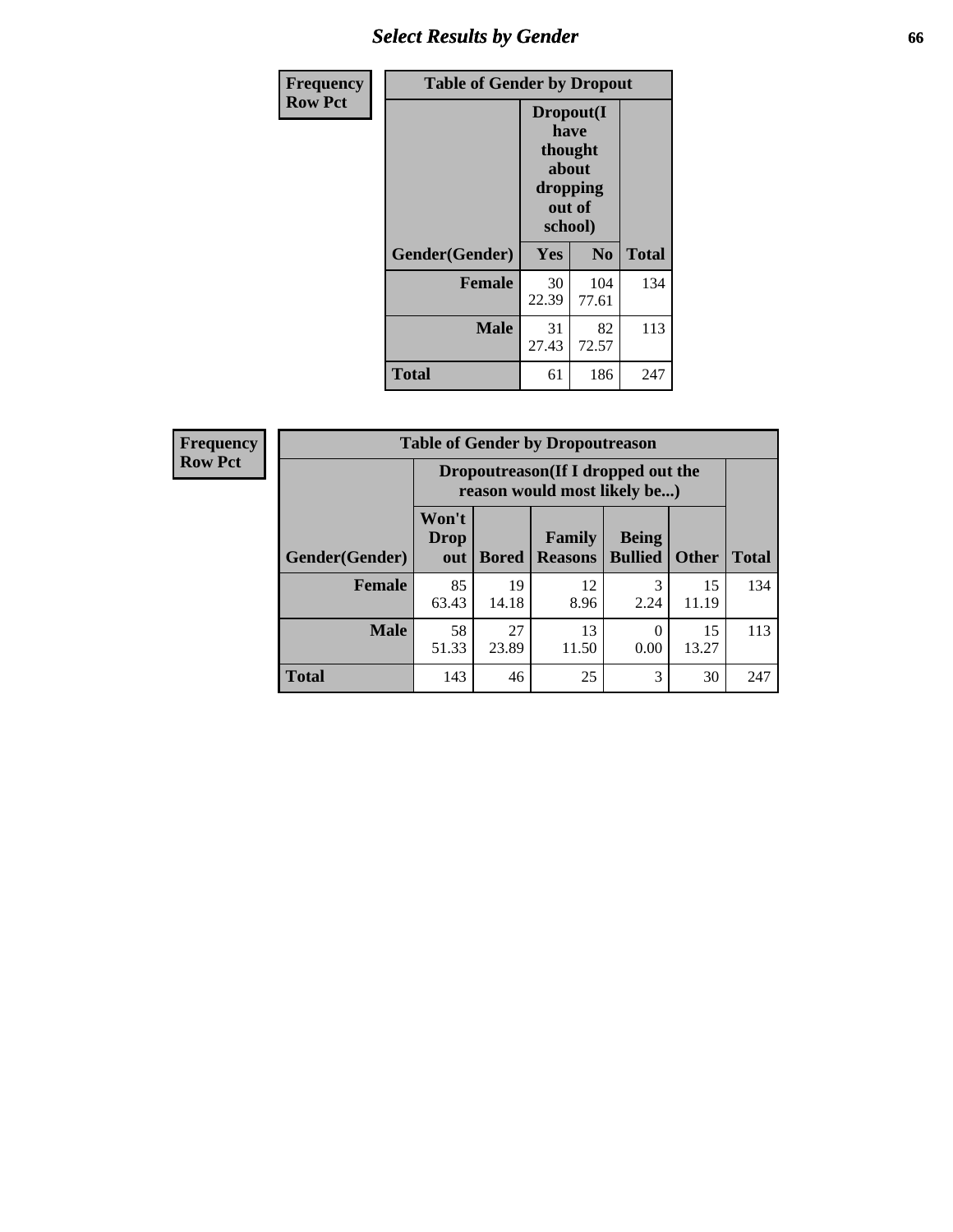## *Select Results by Gender* **66**

| Frequency      | <b>Table of Gender by Dropout</b> |                                                                        |                |              |
|----------------|-----------------------------------|------------------------------------------------------------------------|----------------|--------------|
| <b>Row Pct</b> |                                   | Dropout(I<br>have<br>thought<br>about<br>dropping<br>out of<br>school) |                |              |
|                | Gender(Gender)                    | Yes                                                                    | N <sub>0</sub> | <b>Total</b> |
|                | <b>Female</b>                     | 30<br>22.39                                                            | 104<br>77.61   | 134          |
|                | <b>Male</b>                       | 31<br>27.43                                                            | 82<br>72.57    | 113          |
|                | <b>Total</b>                      | 61                                                                     | 186            | 247          |

| <b>Frequency</b> | <b>Table of Gender by Dropoutreason</b> |                             |              |                                                                    |                                |              |              |
|------------------|-----------------------------------------|-----------------------------|--------------|--------------------------------------------------------------------|--------------------------------|--------------|--------------|
| <b>Row Pct</b>   |                                         |                             |              | Dropoutreason(If I dropped out the<br>reason would most likely be) |                                |              |              |
|                  | <b>Gender</b> (Gender)                  | Won't<br><b>Drop</b><br>out | <b>Bored</b> | <b>Family</b><br><b>Reasons</b>                                    | <b>Being</b><br><b>Bullied</b> | <b>Other</b> | <b>Total</b> |
|                  | Female                                  | 85<br>63.43                 | 19<br>14.18  | 12<br>8.96                                                         | 3<br>2.24                      | 15<br>11.19  | 134          |
|                  | <b>Male</b>                             | 58<br>51.33                 | 27<br>23.89  | 13<br>11.50                                                        | $\Omega$<br>0.00               | 15<br>13.27  | 113          |
|                  | <b>Total</b>                            | 143                         | 46           | 25                                                                 | 3                              | 30           | 247          |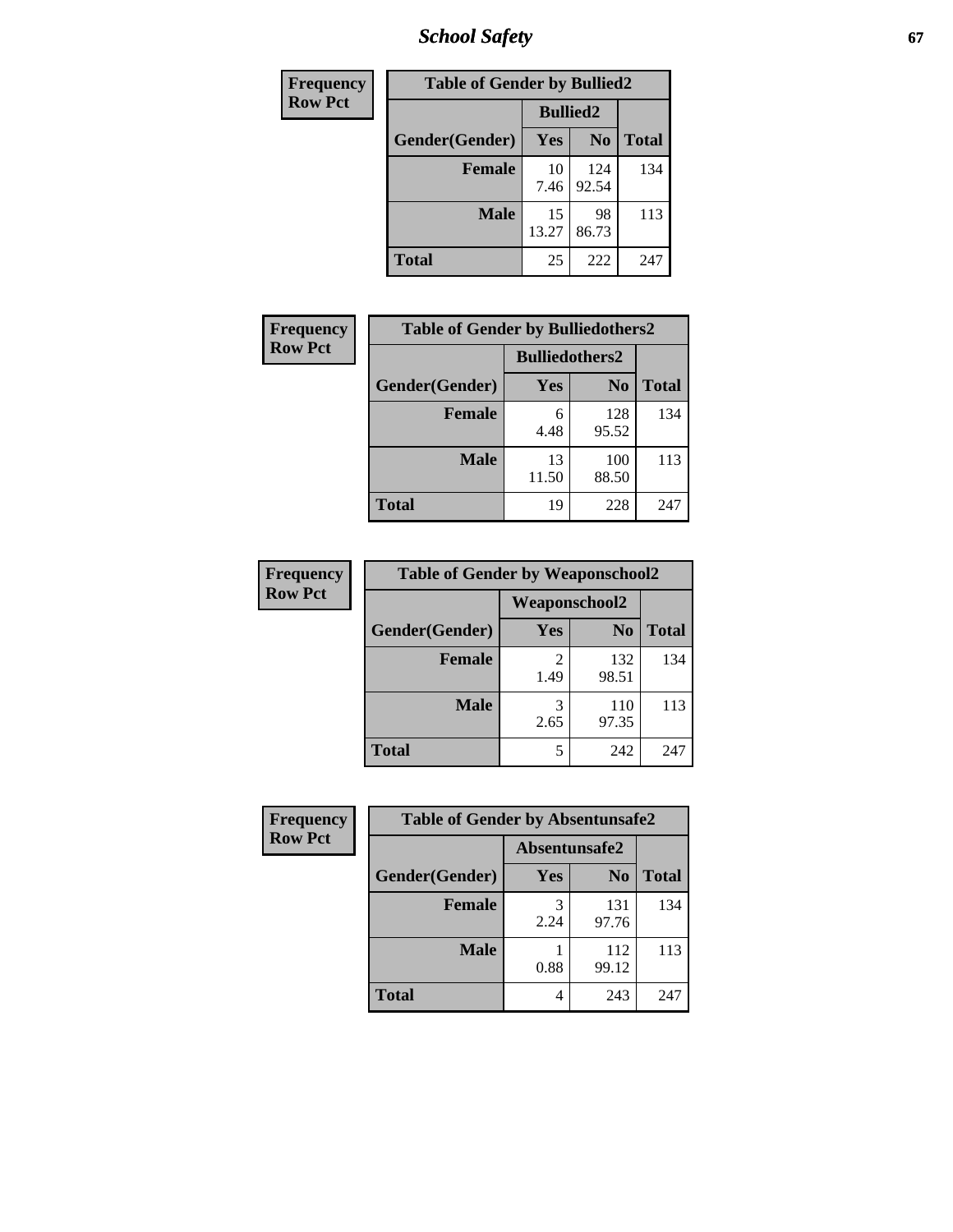*School Safety* **67**

| Frequency      | <b>Table of Gender by Bullied2</b> |                 |                |              |
|----------------|------------------------------------|-----------------|----------------|--------------|
| <b>Row Pct</b> |                                    | <b>Bullied2</b> |                |              |
|                | Gender(Gender)                     | <b>Yes</b>      | N <sub>0</sub> | <b>Total</b> |
|                | <b>Female</b>                      | 10<br>7.46      | 124<br>92.54   | 134          |
|                | <b>Male</b>                        | 15<br>13.27     | 98<br>86.73    | 113          |
|                | <b>Total</b>                       | 25              | 222            | 247          |

| Frequency      | <b>Table of Gender by Bulliedothers2</b> |                       |                |              |
|----------------|------------------------------------------|-----------------------|----------------|--------------|
| <b>Row Pct</b> |                                          | <b>Bulliedothers2</b> |                |              |
|                | Gender(Gender)                           | Yes                   | N <sub>0</sub> | <b>Total</b> |
|                | <b>Female</b>                            | 6<br>4.48             | 128<br>95.52   | 134          |
|                | <b>Male</b>                              | 13<br>11.50           | 100<br>88.50   | 113          |
|                | <b>Total</b>                             | 19                    | 228            | 247          |

| Frequency      | <b>Table of Gender by Weaponschool2</b> |                      |                |              |
|----------------|-----------------------------------------|----------------------|----------------|--------------|
| <b>Row Pct</b> |                                         | <b>Weaponschool2</b> |                |              |
|                | Gender(Gender)                          | Yes                  | N <sub>0</sub> | <b>Total</b> |
|                | <b>Female</b>                           | 1.49                 | 132<br>98.51   | 134          |
|                | <b>Male</b>                             | 3<br>2.65            | 110<br>97.35   | 113          |
|                | <b>Total</b>                            | 5                    | 242            | 247          |

| Frequency      | <b>Table of Gender by Absentunsafe2</b> |               |                |              |  |
|----------------|-----------------------------------------|---------------|----------------|--------------|--|
| <b>Row Pct</b> |                                         | Absentunsafe2 |                |              |  |
|                | Gender(Gender)                          | Yes           | N <sub>0</sub> | <b>Total</b> |  |
|                | <b>Female</b>                           | 2.24          | 131<br>97.76   | 134          |  |
|                | <b>Male</b>                             | 0.88          | 112<br>99.12   | 113          |  |
|                | <b>Total</b>                            | 4             | 243            | 247          |  |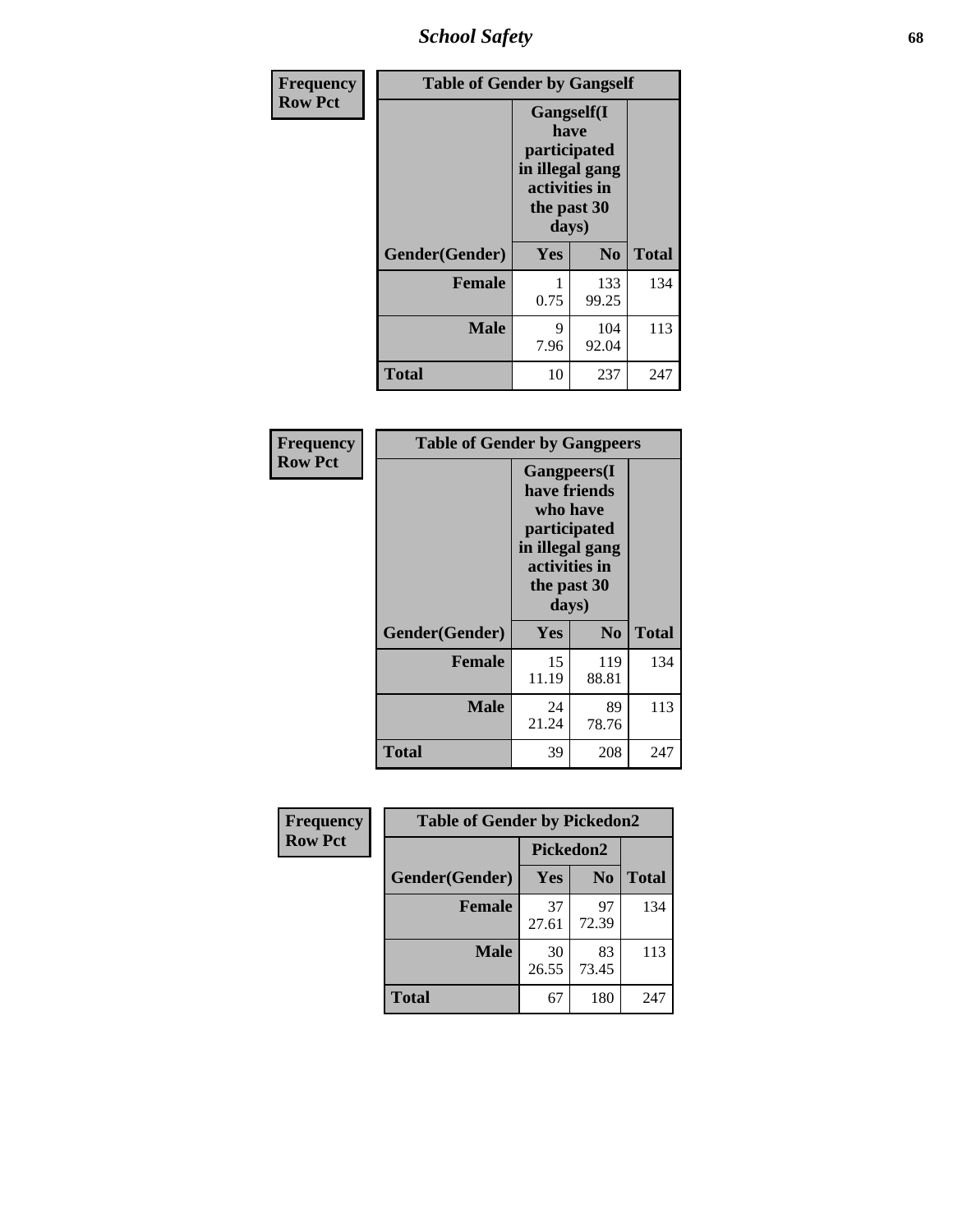*School Safety* **68**

| Frequency      | <b>Table of Gender by Gangself</b> |                                                                                                        |              |              |
|----------------|------------------------------------|--------------------------------------------------------------------------------------------------------|--------------|--------------|
| <b>Row Pct</b> |                                    | <b>Gangself</b> (I<br>have<br>participated<br>in illegal gang<br>activities in<br>the past 30<br>days) |              |              |
|                | Gender(Gender)                     | Yes                                                                                                    | $\bf No$     | <b>Total</b> |
|                | <b>Female</b>                      | 0.75                                                                                                   | 133<br>99.25 | 134          |
|                | <b>Male</b>                        | 9<br>7.96                                                                                              | 104<br>92.04 | 113          |
|                | <b>Total</b>                       | 10                                                                                                     | 237          | 247          |

| Frequency      | <b>Table of Gender by Gangpeers</b> |                                                                                                                             |                |              |
|----------------|-------------------------------------|-----------------------------------------------------------------------------------------------------------------------------|----------------|--------------|
| <b>Row Pct</b> |                                     | <b>Gangpeers</b> (I<br>have friends<br>who have<br>participated<br>in illegal gang<br>activities in<br>the past 30<br>days) |                |              |
|                | Gender(Gender)                      | Yes                                                                                                                         | N <sub>0</sub> | <b>Total</b> |
|                | <b>Female</b>                       | 15<br>11.19                                                                                                                 | 119<br>88.81   | 134          |
|                | <b>Male</b>                         | 24<br>21.24                                                                                                                 | 89<br>78.76    | 113          |
|                | <b>Total</b>                        | 39                                                                                                                          | 208            | 247          |

| Frequency      | <b>Table of Gender by Pickedon2</b> |             |                |              |
|----------------|-------------------------------------|-------------|----------------|--------------|
| <b>Row Pct</b> |                                     | Pickedon2   |                |              |
|                | Gender(Gender)                      | Yes         | N <sub>0</sub> | <b>Total</b> |
|                | <b>Female</b>                       | 37<br>27.61 | 97<br>72.39    | 134          |
|                | <b>Male</b>                         | 30<br>26.55 | 83<br>73.45    | 113          |
|                | <b>Total</b>                        | 67          | 180            | 247          |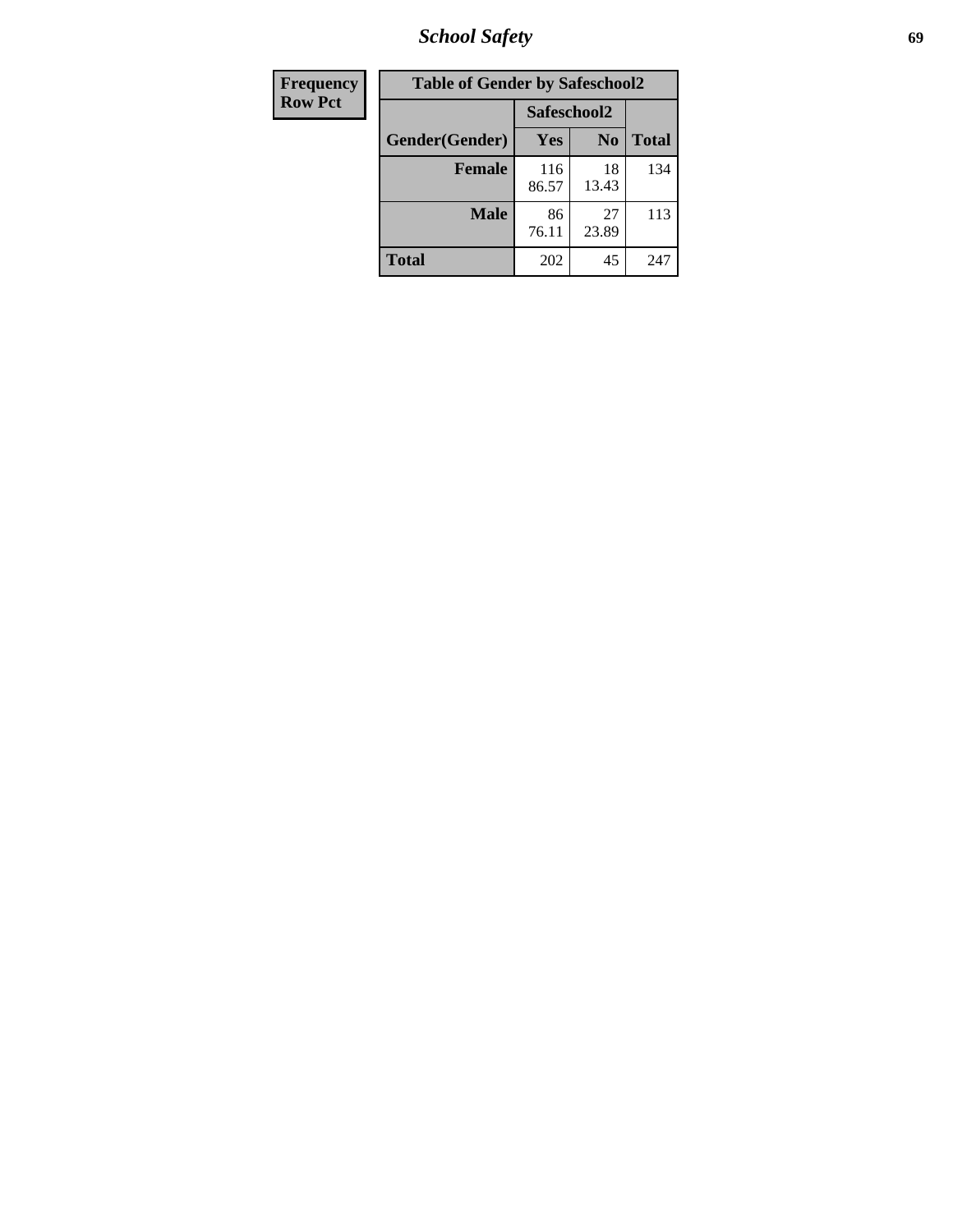*School Safety* **69**

| Frequency      | <b>Table of Gender by Safeschool2</b> |              |                |              |  |
|----------------|---------------------------------------|--------------|----------------|--------------|--|
| <b>Row Pct</b> |                                       | Safeschool2  |                |              |  |
|                | Gender(Gender)                        | Yes          | N <sub>0</sub> | <b>Total</b> |  |
|                | <b>Female</b>                         | 116<br>86.57 | 18<br>13.43    | 134          |  |
|                | <b>Male</b>                           | 86<br>76.11  | 27<br>23.89    | 113          |  |
|                | <b>Total</b>                          | 202          | 45             | 247          |  |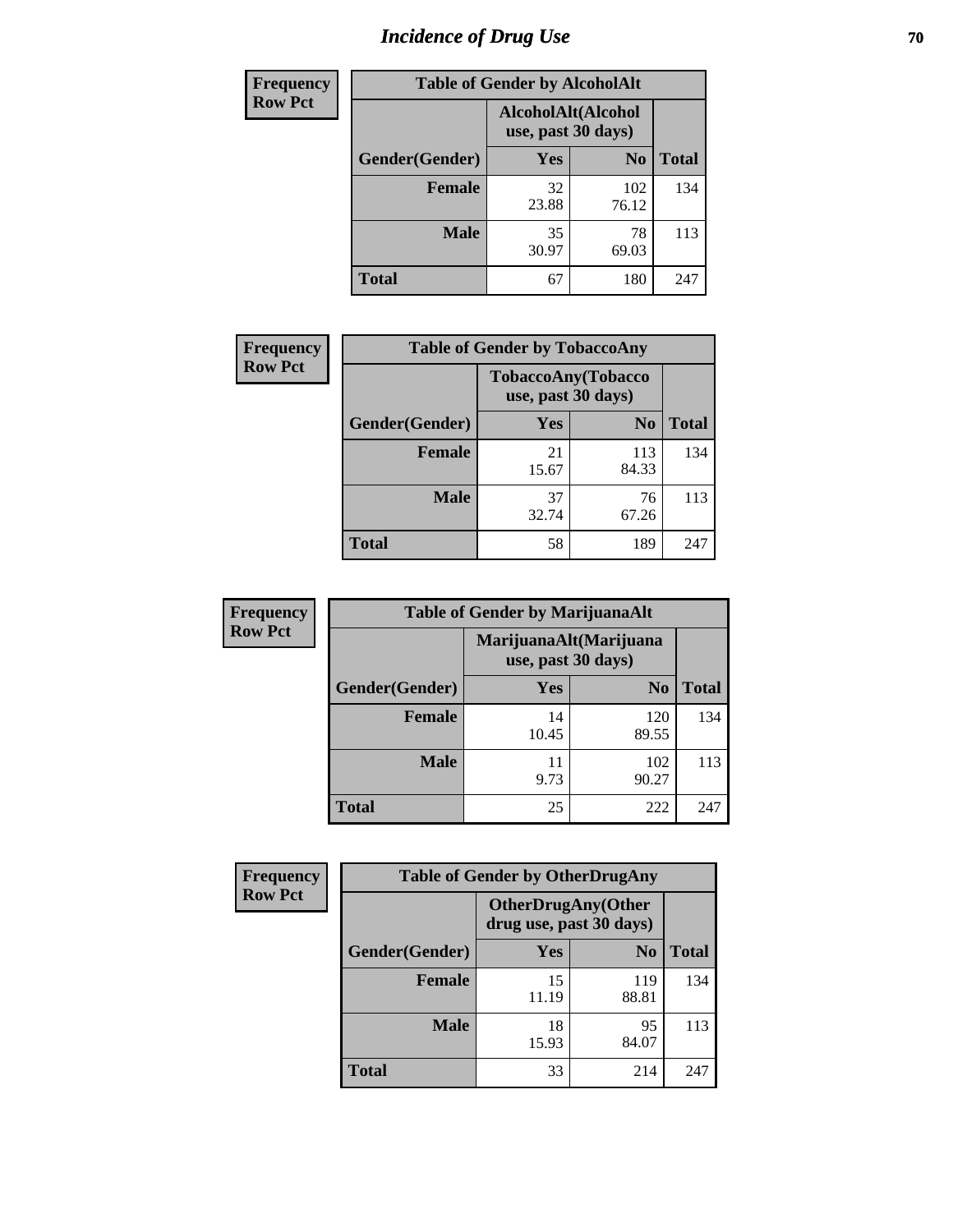# *Incidence of Drug Use* **70**

| <b>Frequency</b> | <b>Table of Gender by AlcoholAlt</b> |                                          |                |              |  |
|------------------|--------------------------------------|------------------------------------------|----------------|--------------|--|
| <b>Row Pct</b>   |                                      | AlcoholAlt(Alcohol<br>use, past 30 days) |                |              |  |
|                  | Gender(Gender)                       | <b>Yes</b>                               | N <sub>0</sub> | <b>Total</b> |  |
|                  | <b>Female</b>                        | 32<br>23.88                              | 102<br>76.12   | 134          |  |
|                  | <b>Male</b>                          | 35<br>30.97                              | 78<br>69.03    | 113          |  |
|                  | <b>Total</b>                         | 67                                       | 180            | 247          |  |

| Frequency      | <b>Table of Gender by TobaccoAny</b> |                                          |                |              |  |
|----------------|--------------------------------------|------------------------------------------|----------------|--------------|--|
| <b>Row Pct</b> |                                      | TobaccoAny(Tobacco<br>use, past 30 days) |                |              |  |
|                | Gender(Gender)                       | Yes                                      | N <sub>0</sub> | <b>Total</b> |  |
|                | <b>Female</b>                        | 21<br>15.67                              | 113<br>84.33   | 134          |  |
|                | <b>Male</b>                          | 37<br>32.74                              | 76<br>67.26    | 113          |  |
|                | Total                                | 58                                       | 189            | 247          |  |

| <b>Frequency</b> | <b>Table of Gender by MarijuanaAlt</b> |                                              |                |              |
|------------------|----------------------------------------|----------------------------------------------|----------------|--------------|
| <b>Row Pct</b>   |                                        | MarijuanaAlt(Marijuana<br>use, past 30 days) |                |              |
|                  | Gender(Gender)                         | <b>Yes</b>                                   | N <sub>0</sub> | <b>Total</b> |
|                  | <b>Female</b>                          | 14<br>10.45                                  | 120<br>89.55   | 134          |
|                  | <b>Male</b>                            | 11<br>9.73                                   | 102<br>90.27   | 113          |
|                  | <b>Total</b>                           | 25                                           | 222            | 247          |

| <b>Frequency</b> | <b>Table of Gender by OtherDrugAny</b> |                                                      |                |              |
|------------------|----------------------------------------|------------------------------------------------------|----------------|--------------|
| <b>Row Pct</b>   |                                        | <b>OtherDrugAny(Other</b><br>drug use, past 30 days) |                |              |
|                  | Gender(Gender)                         | <b>Yes</b>                                           | N <sub>0</sub> | <b>Total</b> |
|                  | <b>Female</b>                          | 15<br>11.19                                          | 119<br>88.81   | 134          |
|                  | <b>Male</b>                            | 18<br>15.93                                          | 95<br>84.07    | 113          |
|                  | <b>Total</b>                           | 33                                                   | 214            | 247          |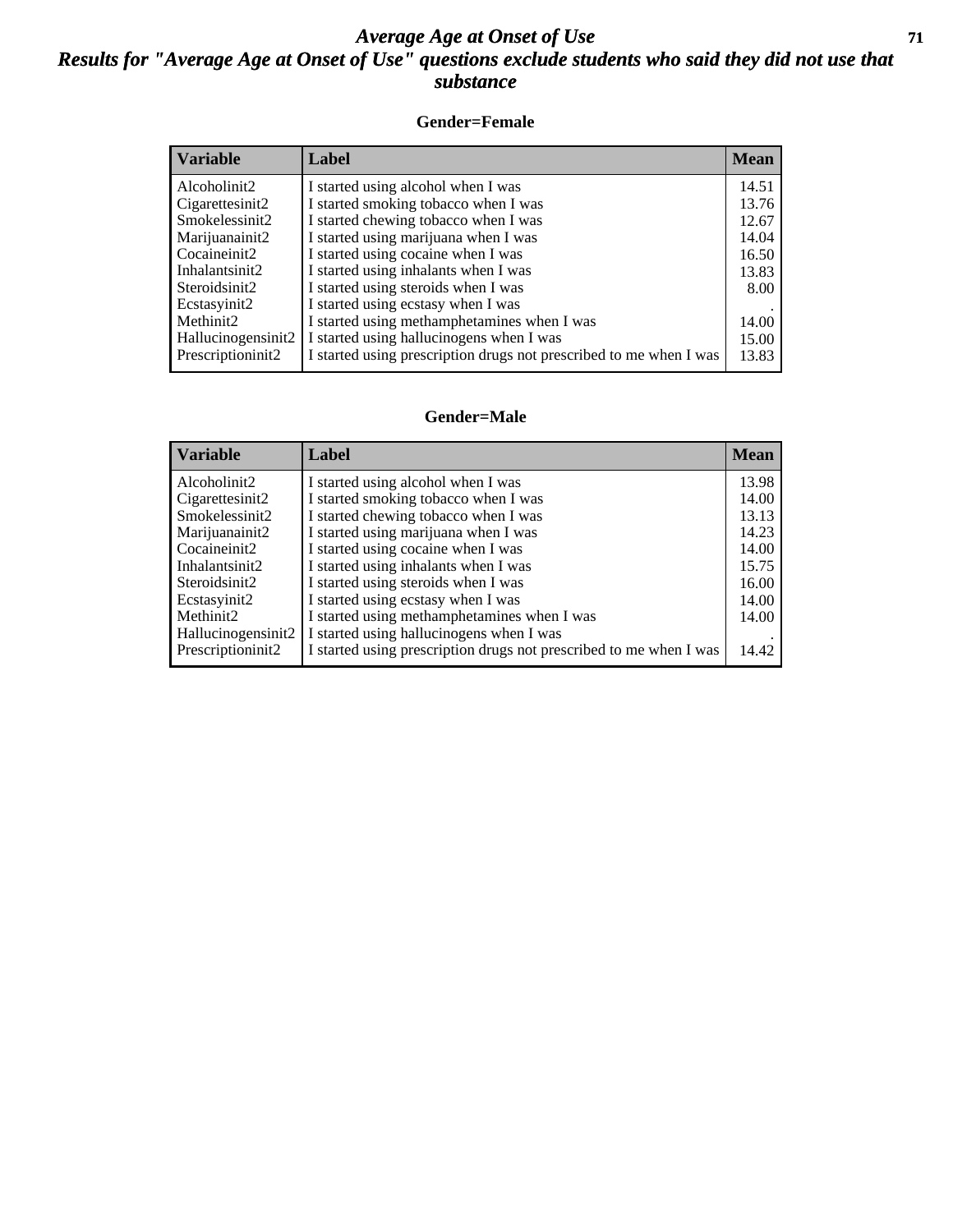### *Average Age at Onset of Use* **71** *Results for "Average Age at Onset of Use" questions exclude students who said they did not use that substance*

#### **Gender=Female**

| <b>Variable</b>    | <b>Label</b>                                                       | <b>Mean</b> |
|--------------------|--------------------------------------------------------------------|-------------|
| Alcoholinit2       | I started using alcohol when I was                                 | 14.51       |
| Cigarettesinit2    | I started smoking tobacco when I was                               | 13.76       |
| Smokelessinit2     | I started chewing tobacco when I was                               | 12.67       |
| Marijuanainit2     | I started using marijuana when I was                               | 14.04       |
| Cocaineinit2       | I started using cocaine when I was                                 | 16.50       |
| Inhalantsinit2     | I started using inhalants when I was                               | 13.83       |
| Steroidsinit2      | I started using steroids when I was                                | 8.00        |
| Ecstasyinit2       | I started using ecstasy when I was                                 |             |
| Methinit2          | I started using methamphetamines when I was                        | 14.00       |
| Hallucinogensinit2 | I started using hallucinogens when I was                           | 15.00       |
| Prescription in t2 | I started using prescription drugs not prescribed to me when I was | 13.83       |

#### **Gender=Male**

| <b>Variable</b>    | Label                                                              | <b>Mean</b> |
|--------------------|--------------------------------------------------------------------|-------------|
| Alcoholinit2       | I started using alcohol when I was                                 | 13.98       |
| Cigarettesinit2    | I started smoking tobacco when I was                               | 14.00       |
| Smokelessinit2     | I started chewing tobacco when I was                               | 13.13       |
| Marijuanainit2     | I started using marijuana when I was                               | 14.23       |
| Cocaineinit2       | I started using cocaine when I was                                 | 14.00       |
| Inhalantsinit2     | I started using inhalants when I was                               | 15.75       |
| Steroidsinit2      | I started using steroids when I was                                | 16.00       |
| Ecstasyinit2       | I started using ecstasy when I was                                 | 14.00       |
| Methinit2          | I started using methamphetamines when I was                        | 14.00       |
| Hallucinogensinit2 | I started using hallucinogens when I was                           |             |
| Prescriptioninit2  | I started using prescription drugs not prescribed to me when I was | 14.42       |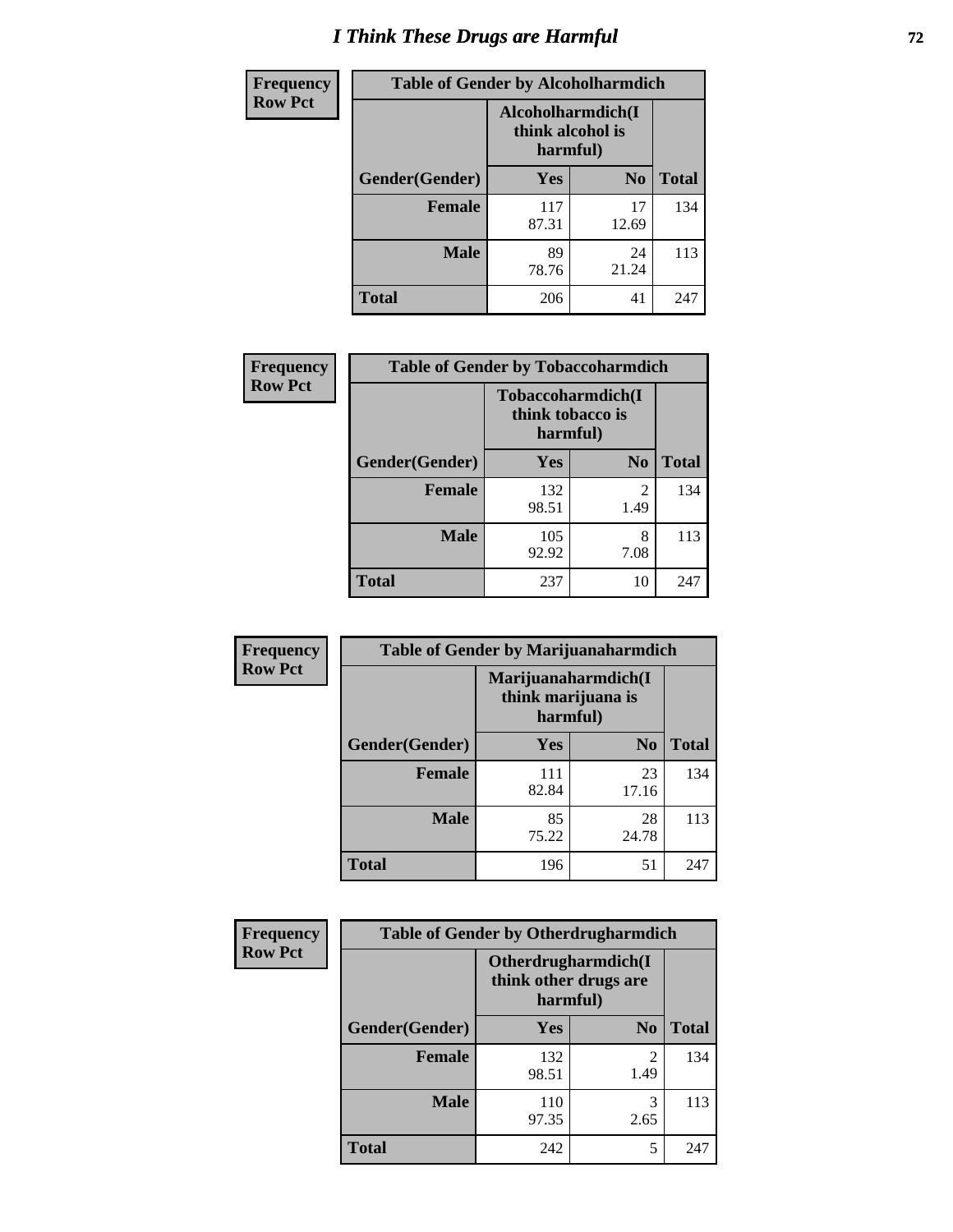## *I Think These Drugs are Harmful* **72**

| <b>Frequency</b> | <b>Table of Gender by Alcoholharmdich</b> |                                                   |                |              |  |
|------------------|-------------------------------------------|---------------------------------------------------|----------------|--------------|--|
| <b>Row Pct</b>   |                                           | Alcoholharmdich(I<br>think alcohol is<br>harmful) |                |              |  |
|                  | Gender(Gender)                            | <b>Yes</b>                                        | N <sub>0</sub> | <b>Total</b> |  |
|                  | Female                                    | 117<br>87.31                                      | 17<br>12.69    | 134          |  |
|                  | <b>Male</b>                               | 89<br>78.76                                       | 24<br>21.24    | 113          |  |
|                  | <b>Total</b>                              | 206                                               | 41             | 247          |  |

| Frequency      | <b>Table of Gender by Tobaccoharmdich</b> |                                                   |                |              |  |
|----------------|-------------------------------------------|---------------------------------------------------|----------------|--------------|--|
| <b>Row Pct</b> |                                           | Tobaccoharmdich(I<br>think tobacco is<br>harmful) |                |              |  |
|                | Gender(Gender)                            | <b>Yes</b>                                        | N <sub>0</sub> | <b>Total</b> |  |
|                | <b>Female</b>                             | 132<br>98.51                                      | 2<br>1.49      | 134          |  |
|                | <b>Male</b>                               | 105<br>92.92                                      | 8<br>7.08      | 113          |  |
|                | <b>Total</b>                              | 237                                               | 10             | 247          |  |

| Frequency      | <b>Table of Gender by Marijuanaharmdich</b> |                                                       |                |              |  |
|----------------|---------------------------------------------|-------------------------------------------------------|----------------|--------------|--|
| <b>Row Pct</b> |                                             | Marijuanaharmdich(I<br>think marijuana is<br>harmful) |                |              |  |
|                | Gender(Gender)                              | <b>Yes</b>                                            | N <sub>0</sub> | <b>Total</b> |  |
|                | <b>Female</b>                               | 111<br>82.84                                          | 23<br>17.16    | 134          |  |
|                | <b>Male</b>                                 | 85<br>75.22                                           | 28<br>24.78    | 113          |  |
|                | <b>Total</b>                                | 196                                                   | 51             | 247          |  |

| Frequency      | <b>Table of Gender by Otherdrugharmdich</b> |                                                          |                        |              |  |
|----------------|---------------------------------------------|----------------------------------------------------------|------------------------|--------------|--|
| <b>Row Pct</b> |                                             | Otherdrugharmdich(I<br>think other drugs are<br>harmful) |                        |              |  |
|                | Gender(Gender)                              | <b>Yes</b>                                               | N <sub>0</sub>         | <b>Total</b> |  |
|                | <b>Female</b>                               | 132<br>98.51                                             | $\overline{c}$<br>1.49 | 134          |  |
|                | <b>Male</b>                                 | 110<br>97.35                                             | 3<br>2.65              | 113          |  |
|                | <b>Total</b>                                | 242                                                      | 5                      | 247          |  |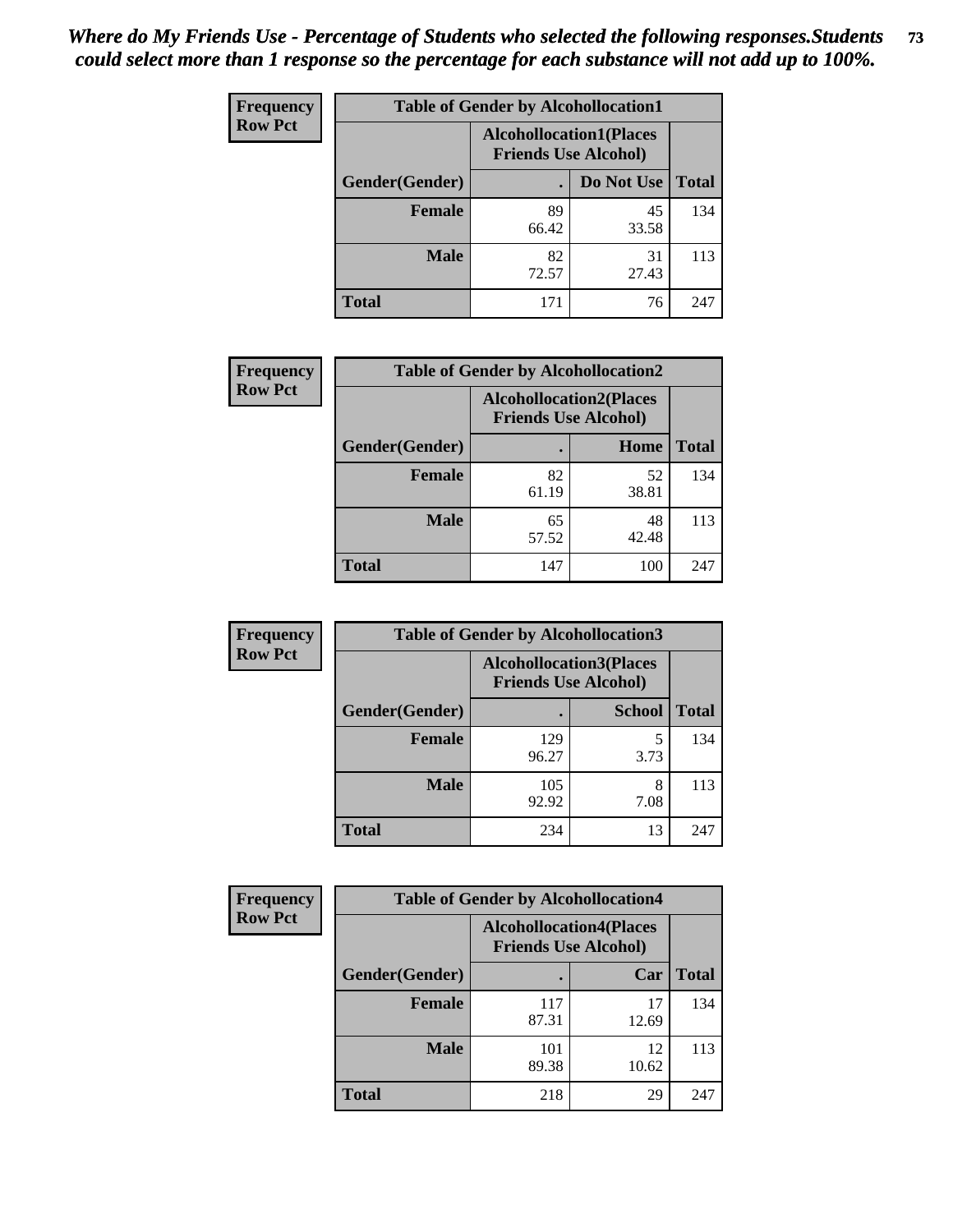| <b>Frequency</b> | <b>Table of Gender by Alcohollocation1</b> |                                                               |             |              |
|------------------|--------------------------------------------|---------------------------------------------------------------|-------------|--------------|
| <b>Row Pct</b>   |                                            | <b>Alcohollocation1(Places</b><br><b>Friends Use Alcohol)</b> |             |              |
|                  | Gender(Gender)                             |                                                               | Do Not Use  | <b>Total</b> |
|                  | <b>Female</b>                              | 89<br>66.42                                                   | 45<br>33.58 | 134          |
|                  | <b>Male</b>                                | 82<br>72.57                                                   | 31<br>27.43 | 113          |
|                  | Total                                      | 171                                                           | 76          | 247          |

| <b>Frequency</b> | <b>Table of Gender by Alcohollocation2</b> |             |                                                               |              |
|------------------|--------------------------------------------|-------------|---------------------------------------------------------------|--------------|
| <b>Row Pct</b>   |                                            |             | <b>Alcohollocation2(Places</b><br><b>Friends Use Alcohol)</b> |              |
|                  | Gender(Gender)                             |             | Home                                                          | <b>Total</b> |
|                  | <b>Female</b>                              | 82<br>61.19 | 52<br>38.81                                                   | 134          |
|                  | <b>Male</b>                                | 65<br>57.52 | 48<br>42.48                                                   | 113          |
|                  | <b>Total</b>                               | 147         | 100                                                           | 247          |

| Frequency      | <b>Table of Gender by Alcohollocation3</b> |                                                               |               |              |
|----------------|--------------------------------------------|---------------------------------------------------------------|---------------|--------------|
| <b>Row Pct</b> |                                            | <b>Alcohollocation3(Places</b><br><b>Friends Use Alcohol)</b> |               |              |
|                | Gender(Gender)                             |                                                               | <b>School</b> | <b>Total</b> |
|                | <b>Female</b>                              | 129<br>96.27                                                  | 3.73          | 134          |
|                | <b>Male</b>                                | 105<br>92.92                                                  | 8<br>7.08     | 113          |
|                | <b>Total</b>                               | 234                                                           | 13            | 247          |

| Frequency      | <b>Table of Gender by Alcohollocation4</b> |                                                               |             |              |
|----------------|--------------------------------------------|---------------------------------------------------------------|-------------|--------------|
| <b>Row Pct</b> |                                            | <b>Alcohollocation4(Places</b><br><b>Friends Use Alcohol)</b> |             |              |
|                | Gender(Gender)                             |                                                               | Car         | <b>Total</b> |
|                | <b>Female</b>                              | 117<br>87.31                                                  | 17<br>12.69 | 134          |
|                | <b>Male</b>                                | 101<br>89.38                                                  | 12<br>10.62 | 113          |
|                | <b>Total</b>                               | 218                                                           | 29          | 247          |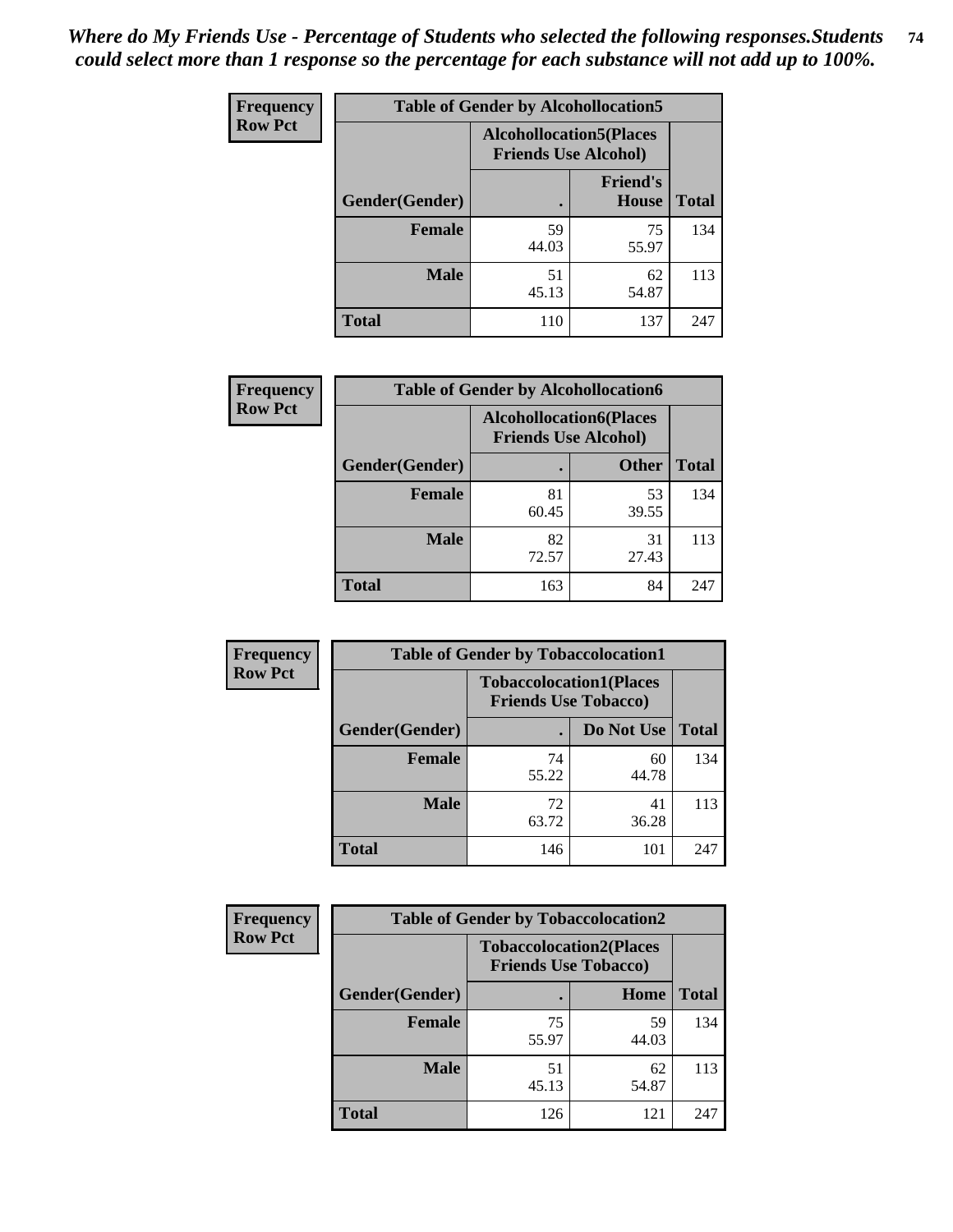| <b>Frequency</b> | <b>Table of Gender by Alcohollocation5</b> |                                                                |                                 |              |
|------------------|--------------------------------------------|----------------------------------------------------------------|---------------------------------|--------------|
| <b>Row Pct</b>   |                                            | <b>Alcohollocation5</b> (Places<br><b>Friends Use Alcohol)</b> |                                 |              |
|                  | Gender(Gender)                             | $\bullet$                                                      | <b>Friend's</b><br><b>House</b> | <b>Total</b> |
|                  | <b>Female</b>                              | 59<br>44.03                                                    | 75<br>55.97                     | 134          |
|                  | <b>Male</b>                                | 51<br>45.13                                                    | 62<br>54.87                     | 113          |
|                  | <b>Total</b>                               | 110                                                            | 137                             | 247          |

| <b>Frequency</b> | <b>Table of Gender by Alcohollocation6</b> |                                |                             |              |
|------------------|--------------------------------------------|--------------------------------|-----------------------------|--------------|
| <b>Row Pct</b>   |                                            | <b>Alcohollocation6(Places</b> | <b>Friends Use Alcohol)</b> |              |
|                  | <b>Gender</b> (Gender)                     |                                | <b>Other</b>                | <b>Total</b> |
|                  | Female                                     | 81<br>60.45                    | 53<br>39.55                 | 134          |
|                  | <b>Male</b>                                | 82<br>72.57                    | 31<br>27.43                 | 113          |
|                  | <b>Total</b>                               | 163                            | 84                          | 247          |

| Frequency      | <b>Table of Gender by Tobaccolocation1</b> |                                                               |             |              |
|----------------|--------------------------------------------|---------------------------------------------------------------|-------------|--------------|
| <b>Row Pct</b> |                                            | <b>Tobaccolocation1(Places</b><br><b>Friends Use Tobacco)</b> |             |              |
|                | Gender(Gender)                             |                                                               | Do Not Use  | <b>Total</b> |
|                | <b>Female</b>                              | 74<br>55.22                                                   | 60<br>44.78 | 134          |
|                | <b>Male</b>                                | 72<br>63.72                                                   | 41<br>36.28 | 113          |
|                | <b>Total</b>                               | 146                                                           | 101         | 247          |

| <b>Frequency</b> |                | <b>Table of Gender by Tobaccolocation2</b>                    |             |              |
|------------------|----------------|---------------------------------------------------------------|-------------|--------------|
| <b>Row Pct</b>   |                | <b>Tobaccolocation2(Places</b><br><b>Friends Use Tobacco)</b> |             |              |
|                  | Gender(Gender) |                                                               | Home        | <b>Total</b> |
|                  | Female         | 75<br>55.97                                                   | 59<br>44.03 | 134          |
|                  | <b>Male</b>    | 51<br>45.13                                                   | 62<br>54.87 | 113          |
|                  | <b>Total</b>   | 126                                                           | 121         | 247          |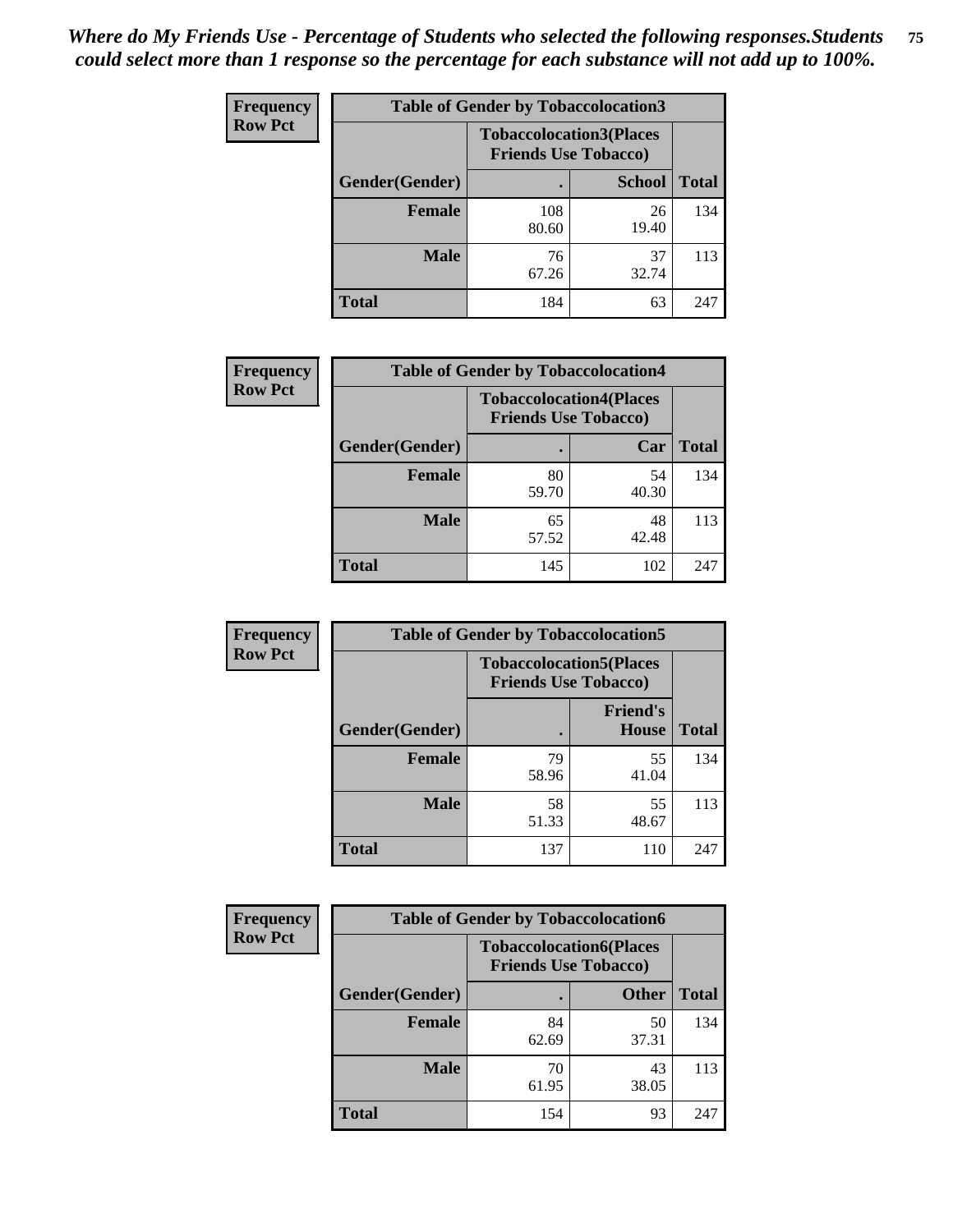| <b>Frequency</b> | <b>Table of Gender by Tobaccolocation3</b> |                                                               |               |              |
|------------------|--------------------------------------------|---------------------------------------------------------------|---------------|--------------|
| <b>Row Pct</b>   |                                            | <b>Tobaccolocation3(Places</b><br><b>Friends Use Tobacco)</b> |               |              |
|                  | Gender(Gender)                             |                                                               | <b>School</b> | <b>Total</b> |
|                  | <b>Female</b>                              | 108<br>80.60                                                  | 26<br>19.40   | 134          |
|                  | <b>Male</b>                                | 76<br>67.26                                                   | 37<br>32.74   | 113          |
|                  | Total                                      | 184                                                           | 63            | 247          |

| <b>Frequency</b> | <b>Table of Gender by Tobaccolocation4</b> |                             |                                |              |
|------------------|--------------------------------------------|-----------------------------|--------------------------------|--------------|
| <b>Row Pct</b>   |                                            | <b>Friends Use Tobacco)</b> | <b>Tobaccolocation4(Places</b> |              |
|                  | Gender(Gender)                             |                             | Car                            | <b>Total</b> |
|                  | <b>Female</b>                              | 80<br>59.70                 | 54<br>40.30                    | 134          |
|                  | <b>Male</b>                                | 65<br>57.52                 | 48<br>42.48                    | 113          |
|                  | <b>Total</b>                               | 145                         | 102                            | 247          |

| <b>Frequency</b> | <b>Table of Gender by Tobaccolocation5</b> |                                                               |                                 |              |
|------------------|--------------------------------------------|---------------------------------------------------------------|---------------------------------|--------------|
| <b>Row Pct</b>   |                                            | <b>Tobaccolocation5(Places</b><br><b>Friends Use Tobacco)</b> |                                 |              |
|                  | <b>Gender</b> (Gender)                     |                                                               | <b>Friend's</b><br><b>House</b> | <b>Total</b> |
|                  | <b>Female</b>                              | 79<br>58.96                                                   | 55<br>41.04                     | 134          |
|                  | <b>Male</b>                                | 58<br>51.33                                                   | 55<br>48.67                     | 113          |
|                  | <b>Total</b>                               | 137                                                           | 110                             | 247          |

| <b>Frequency</b> | <b>Table of Gender by Tobaccolocation6</b> |                             |                                |              |
|------------------|--------------------------------------------|-----------------------------|--------------------------------|--------------|
| <b>Row Pct</b>   |                                            | <b>Friends Use Tobacco)</b> | <b>Tobaccolocation6(Places</b> |              |
|                  | Gender(Gender)                             |                             | <b>Other</b>                   | <b>Total</b> |
|                  | Female                                     | 84<br>62.69                 | 50<br>37.31                    | 134          |
|                  | <b>Male</b>                                | 70<br>61.95                 | 43<br>38.05                    | 113          |
|                  | <b>Total</b>                               | 154                         | 93                             | 247          |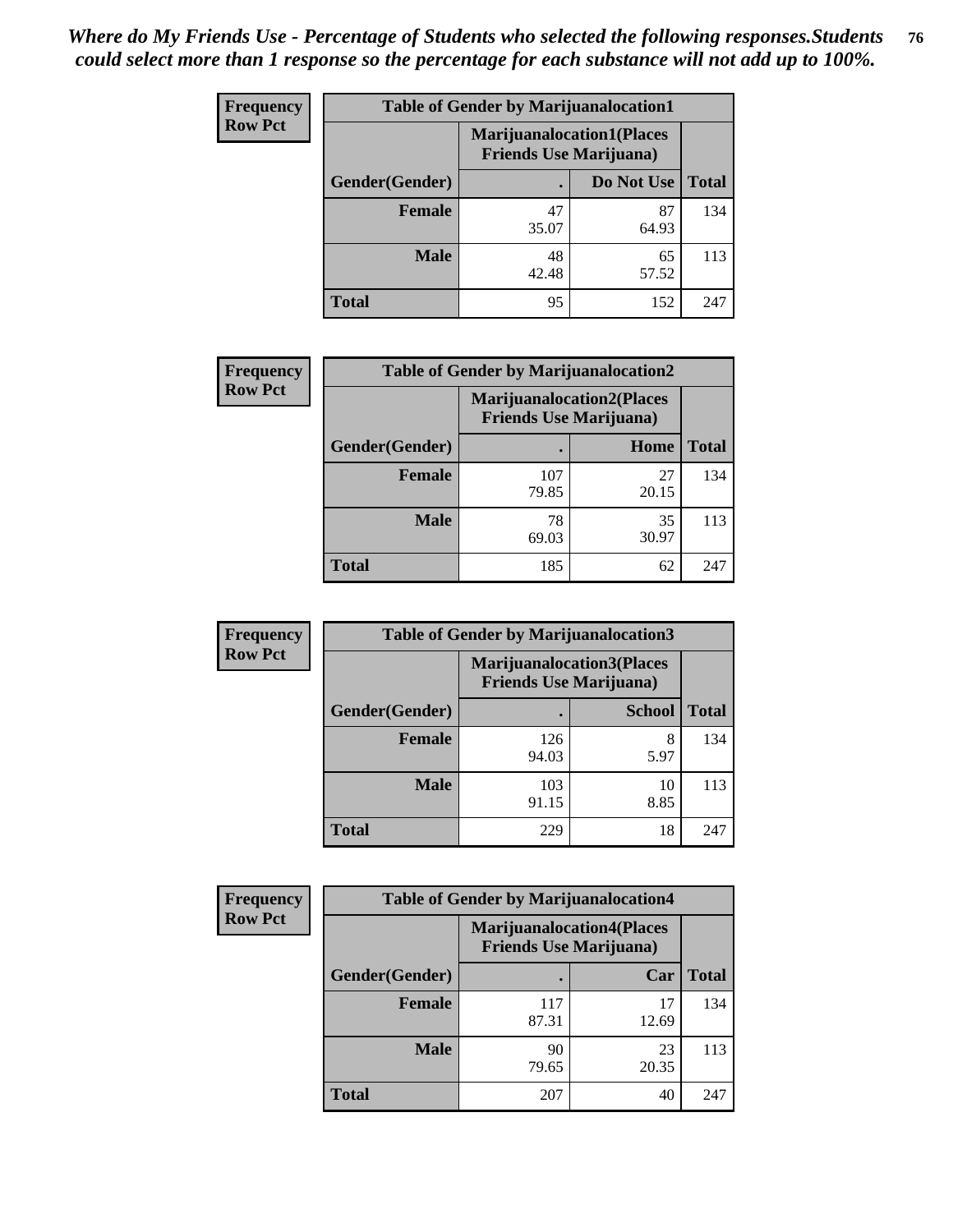| <b>Frequency</b> | <b>Table of Gender by Marijuanalocation1</b> |                                                                    |             |              |
|------------------|----------------------------------------------|--------------------------------------------------------------------|-------------|--------------|
| <b>Row Pct</b>   |                                              | <b>Marijuanalocation1(Places</b><br><b>Friends Use Marijuana</b> ) |             |              |
|                  | Gender(Gender)                               |                                                                    | Do Not Use  | <b>Total</b> |
|                  | <b>Female</b>                                | 47<br>35.07                                                        | 87<br>64.93 | 134          |
|                  | <b>Male</b>                                  | 48<br>42.48                                                        | 65<br>57.52 | 113          |
|                  | Total                                        | 95                                                                 | 152         | 247          |

| <b>Frequency</b> | <b>Table of Gender by Marijuanalocation2</b> |                                                                    |             |              |
|------------------|----------------------------------------------|--------------------------------------------------------------------|-------------|--------------|
| <b>Row Pct</b>   |                                              | <b>Marijuanalocation2(Places</b><br><b>Friends Use Marijuana</b> ) |             |              |
|                  | Gender(Gender)                               |                                                                    | Home        | <b>Total</b> |
|                  | <b>Female</b>                                | 107<br>79.85                                                       | 27<br>20.15 | 134          |
|                  | <b>Male</b>                                  | 78<br>69.03                                                        | 35<br>30.97 | 113          |
|                  | <b>Total</b>                                 | 185                                                                | 62          | 247          |

| Frequency      | <b>Table of Gender by Marijuanalocation3</b> |                                                                     |               |              |
|----------------|----------------------------------------------|---------------------------------------------------------------------|---------------|--------------|
| <b>Row Pct</b> |                                              | <b>Marijuanalocation3(Places)</b><br><b>Friends Use Marijuana</b> ) |               |              |
|                | Gender(Gender)                               |                                                                     | <b>School</b> | <b>Total</b> |
|                | Female                                       | 126<br>94.03                                                        | 8<br>5.97     | 134          |
|                | <b>Male</b>                                  | 103<br>91.15                                                        | 10<br>8.85    | 113          |
|                | <b>Total</b>                                 | 229                                                                 | 18            | 247          |

| <b>Frequency</b> |                |                                | <b>Table of Gender by Marijuanalocation4</b> |              |  |
|------------------|----------------|--------------------------------|----------------------------------------------|--------------|--|
| <b>Row Pct</b>   |                | <b>Friends Use Marijuana</b> ) | <b>Marijuanalocation4(Places</b>             |              |  |
|                  | Gender(Gender) |                                | Car                                          | <b>Total</b> |  |
|                  | <b>Female</b>  | 117<br>87.31                   | 17<br>12.69                                  | 134          |  |
|                  | <b>Male</b>    | 90<br>79.65                    | 23<br>20.35                                  | 113          |  |
|                  | <b>Total</b>   | 207                            | 40                                           | 247          |  |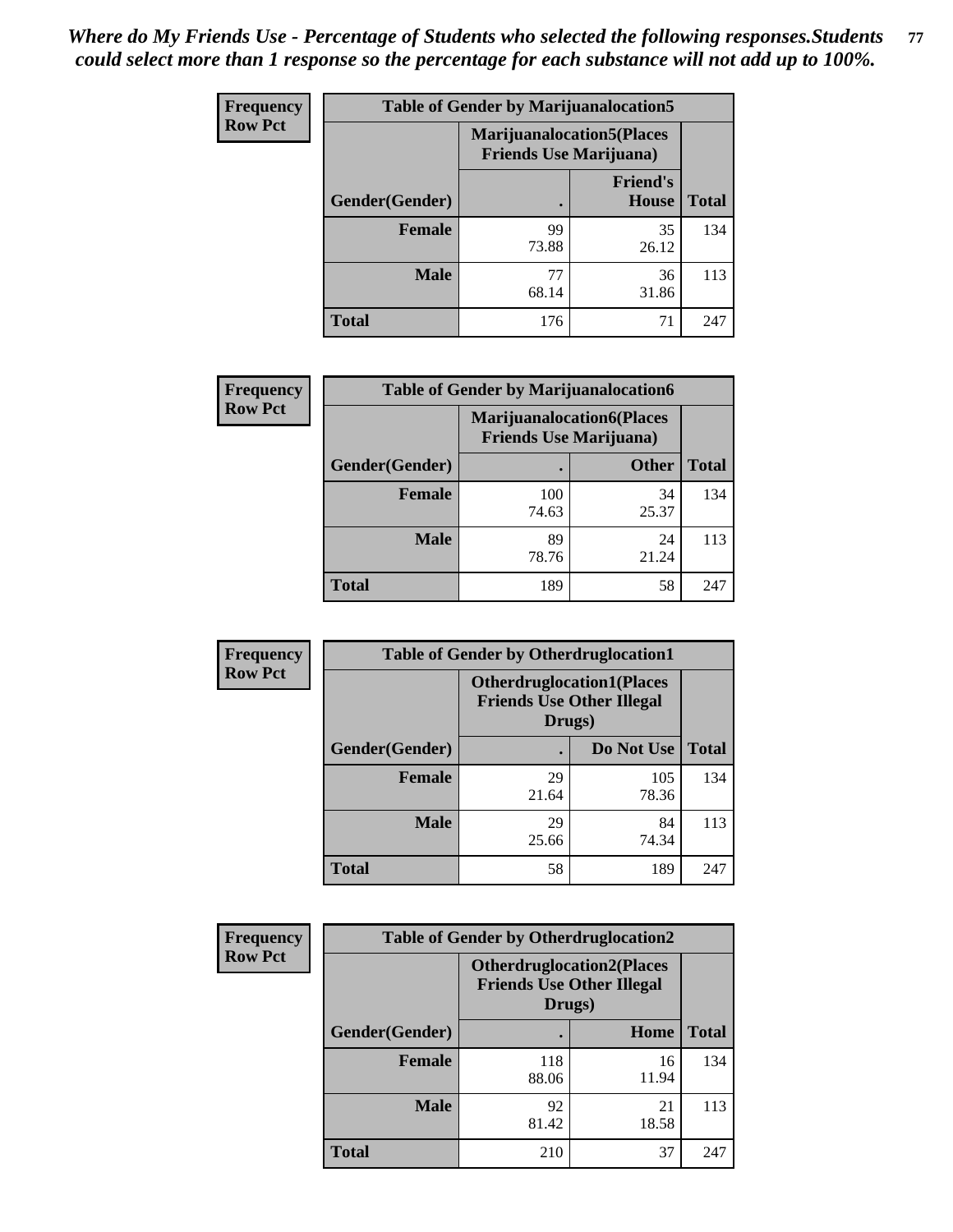| <b>Frequency</b> | <b>Table of Gender by Marijuanalocation5</b> |                                                                     |                                 |              |
|------------------|----------------------------------------------|---------------------------------------------------------------------|---------------------------------|--------------|
| <b>Row Pct</b>   |                                              | <b>Marijuanalocation5</b> (Places<br><b>Friends Use Marijuana</b> ) |                                 |              |
|                  | Gender(Gender)                               |                                                                     | <b>Friend's</b><br><b>House</b> | <b>Total</b> |
|                  | <b>Female</b>                                | 99<br>73.88                                                         | 35<br>26.12                     | 134          |
|                  | <b>Male</b>                                  | 77<br>68.14                                                         | 36<br>31.86                     | 113          |
|                  | <b>Total</b>                                 | 176                                                                 | 71                              | 247          |

| <b>Frequency</b> | <b>Table of Gender by Marijuanalocation6</b> |                                |                                  |              |  |
|------------------|----------------------------------------------|--------------------------------|----------------------------------|--------------|--|
| <b>Row Pct</b>   |                                              | <b>Friends Use Marijuana</b> ) | <b>Marijuanalocation6(Places</b> |              |  |
|                  | <b>Gender</b> (Gender)                       |                                | <b>Other</b>                     | <b>Total</b> |  |
|                  | <b>Female</b>                                | 100<br>74.63                   | 34<br>25.37                      | 134          |  |
|                  | <b>Male</b>                                  | 89<br>78.76                    | 24<br>21.24                      | 113          |  |
|                  | <b>Total</b>                                 | 189                            | 58                               | 247          |  |

| <b>Frequency</b> | <b>Table of Gender by Otherdruglocation1</b> |                                                                                |              |              |
|------------------|----------------------------------------------|--------------------------------------------------------------------------------|--------------|--------------|
| <b>Row Pct</b>   |                                              | <b>Otherdruglocation1(Places</b><br><b>Friends Use Other Illegal</b><br>Drugs) |              |              |
|                  | Gender(Gender)                               |                                                                                | Do Not Use   | <b>Total</b> |
|                  | <b>Female</b>                                | 29<br>21.64                                                                    | 105<br>78.36 | 134          |
|                  | <b>Male</b>                                  | 29<br>25.66                                                                    | 84<br>74.34  | 113          |
|                  | <b>Total</b>                                 | 58                                                                             | 189          | 247          |

| <b>Frequency</b> | <b>Table of Gender by Otherdruglocation2</b> |                                            |                                  |              |
|------------------|----------------------------------------------|--------------------------------------------|----------------------------------|--------------|
| <b>Row Pct</b>   |                                              | <b>Friends Use Other Illegal</b><br>Drugs) | <b>Otherdruglocation2(Places</b> |              |
|                  | Gender(Gender)                               |                                            | Home                             | <b>Total</b> |
|                  | <b>Female</b>                                | 118<br>88.06                               | 16<br>11.94                      | 134          |
|                  | <b>Male</b>                                  | 92<br>81.42                                | 21<br>18.58                      | 113          |
|                  | <b>Total</b>                                 | 210                                        | 37                               | 247          |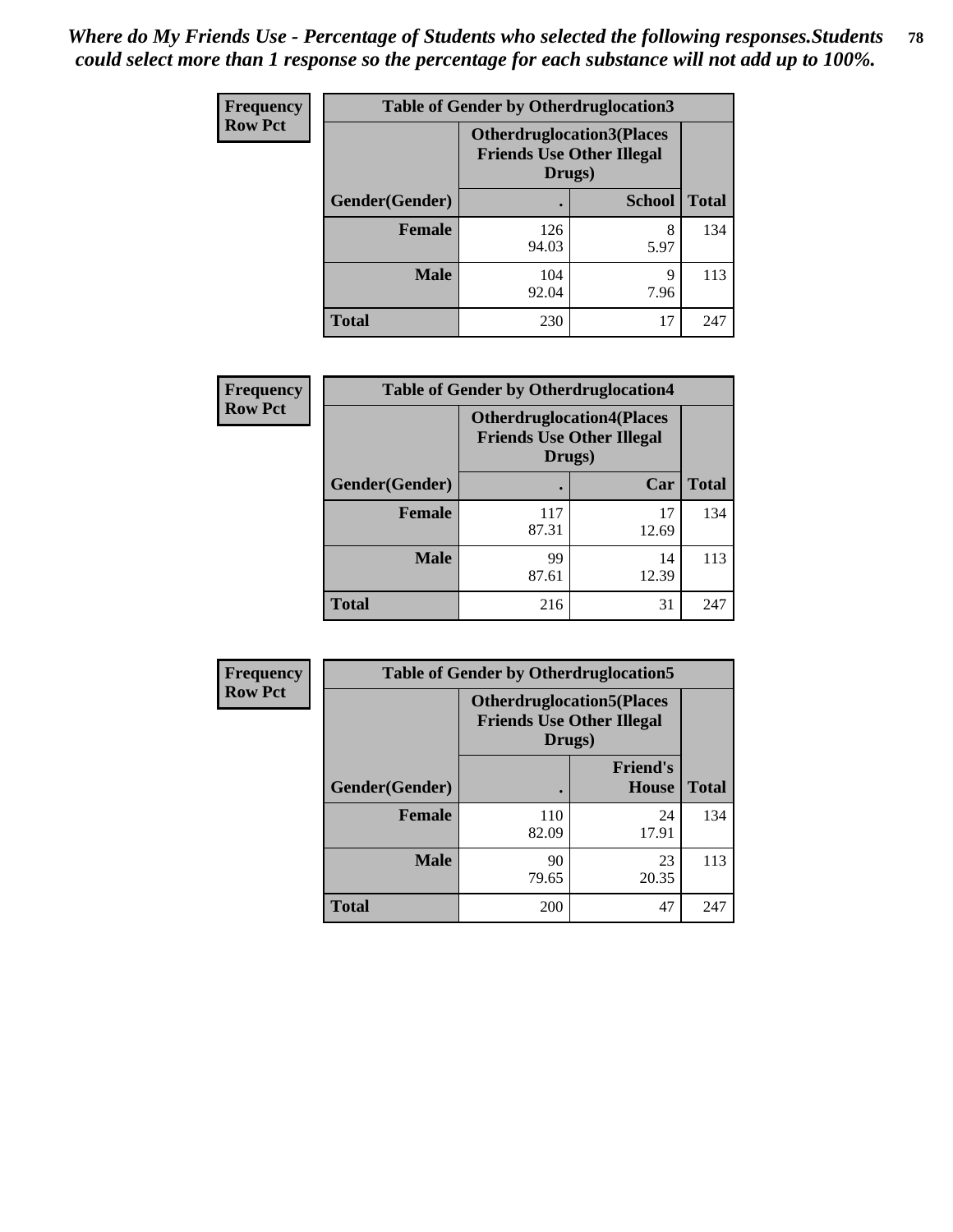| Frequency      | <b>Table of Gender by Otherdruglocation3</b> |                                                                                |               |              |
|----------------|----------------------------------------------|--------------------------------------------------------------------------------|---------------|--------------|
| <b>Row Pct</b> |                                              | <b>Otherdruglocation3(Places</b><br><b>Friends Use Other Illegal</b><br>Drugs) |               |              |
|                | Gender(Gender)                               |                                                                                | <b>School</b> | <b>Total</b> |
|                | <b>Female</b>                                | 126<br>94.03                                                                   | 8<br>5.97     | 134          |
|                | <b>Male</b>                                  | 104<br>92.04                                                                   | q<br>7.96     | 113          |
|                | <b>Total</b>                                 | 230                                                                            | 17            | 247          |

| Frequency      | <b>Table of Gender by Otherdruglocation4</b> |                                                                                |             |              |
|----------------|----------------------------------------------|--------------------------------------------------------------------------------|-------------|--------------|
| <b>Row Pct</b> |                                              | <b>Otherdruglocation4(Places</b><br><b>Friends Use Other Illegal</b><br>Drugs) |             |              |
|                | Gender(Gender)                               |                                                                                | Car         | <b>Total</b> |
|                | <b>Female</b>                                | 117<br>87.31                                                                   | 17<br>12.69 | 134          |
|                | <b>Male</b>                                  | 99<br>87.61                                                                    | 14<br>12.39 | 113          |
|                | <b>Total</b>                                 | 216                                                                            | 31          | 247          |

| Frequency      | <b>Table of Gender by Otherdruglocation5</b> |                                                                                |                                 |              |
|----------------|----------------------------------------------|--------------------------------------------------------------------------------|---------------------------------|--------------|
| <b>Row Pct</b> |                                              | <b>Otherdruglocation5(Places</b><br><b>Friends Use Other Illegal</b><br>Drugs) |                                 |              |
|                | Gender(Gender)                               |                                                                                | <b>Friend's</b><br><b>House</b> | <b>Total</b> |
|                | <b>Female</b>                                | 110<br>82.09                                                                   | 24<br>17.91                     | 134          |
|                | <b>Male</b>                                  | 90<br>79.65                                                                    | 23<br>20.35                     | 113          |
|                | <b>Total</b>                                 | 200                                                                            | 47                              | 247          |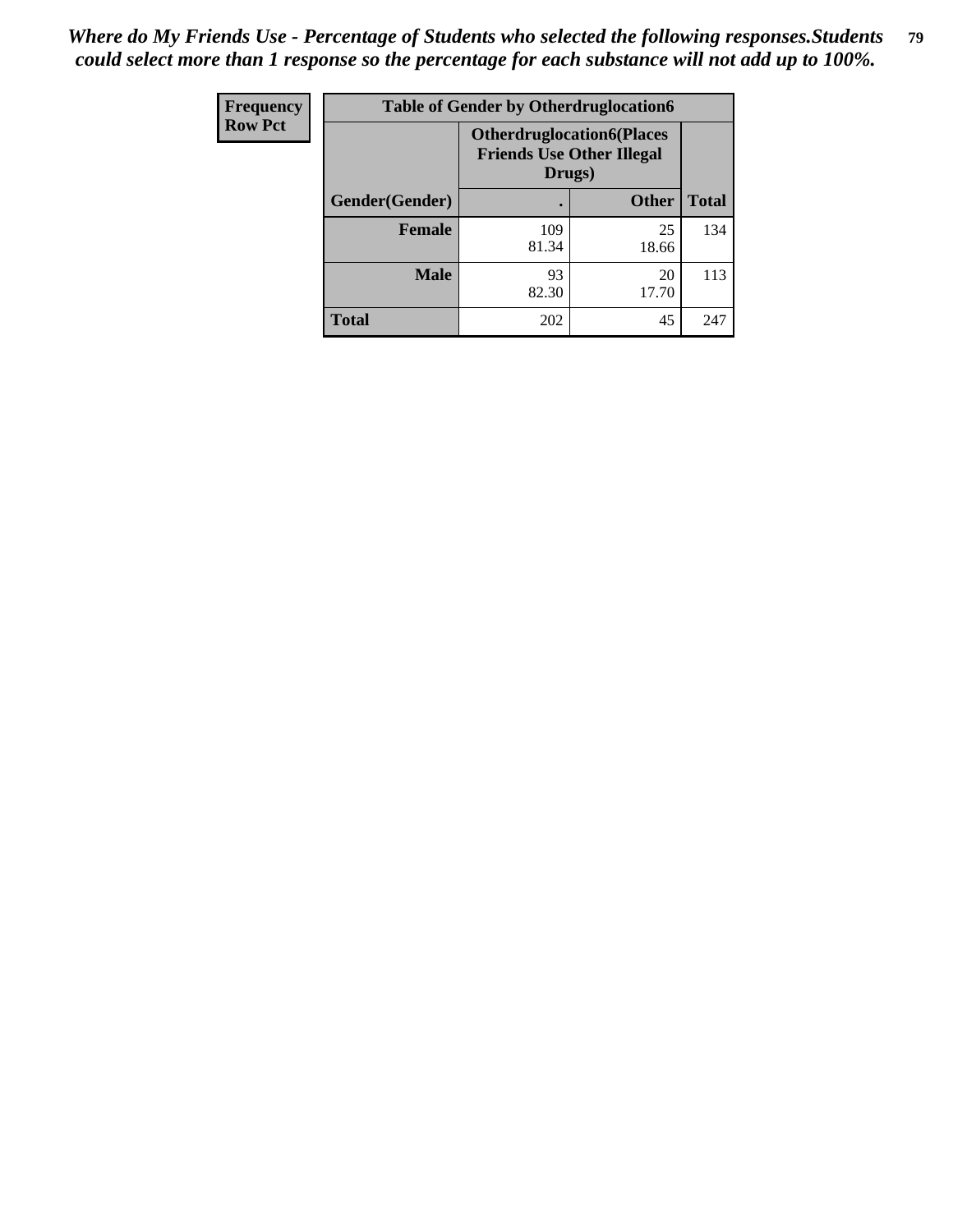| Frequency      | <b>Table of Gender by Otherdruglocation6</b> |                                            |                                  |              |
|----------------|----------------------------------------------|--------------------------------------------|----------------------------------|--------------|
| <b>Row Pct</b> |                                              | <b>Friends Use Other Illegal</b><br>Drugs) | <b>Otherdruglocation6(Places</b> |              |
|                | Gender(Gender)                               |                                            | <b>Other</b>                     | <b>Total</b> |
|                | <b>Female</b>                                | 109<br>81.34                               | 25<br>18.66                      | 134          |
|                | <b>Male</b>                                  | 93<br>82.30                                | 20<br>17.70                      | 113          |
|                | <b>Total</b>                                 | 202                                        | 45                               | 247          |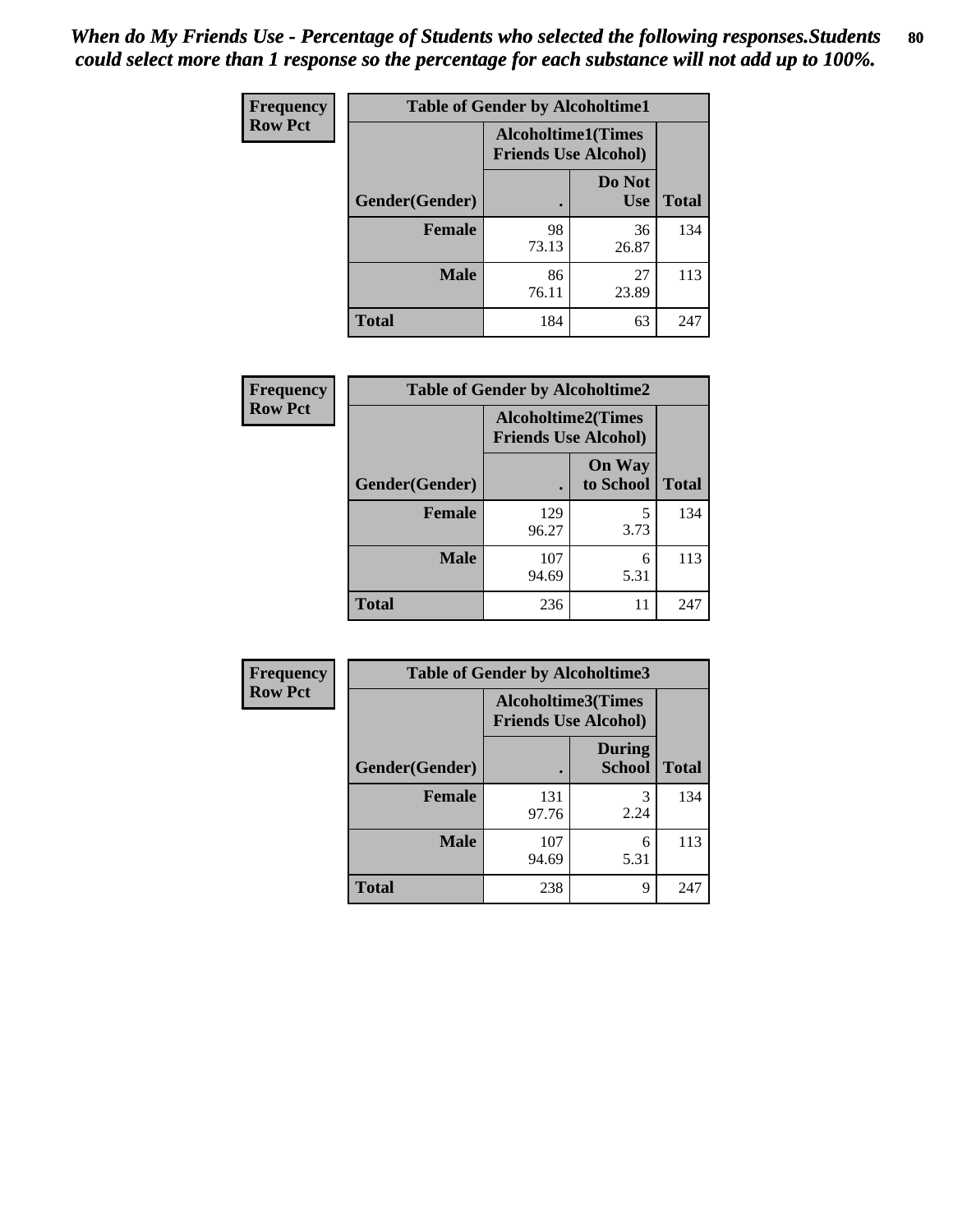| Frequency      | <b>Table of Gender by Alcoholtime1</b> |                                                          |                      |              |
|----------------|----------------------------------------|----------------------------------------------------------|----------------------|--------------|
| <b>Row Pct</b> |                                        | <b>Alcoholtime1(Times</b><br><b>Friends Use Alcohol)</b> |                      |              |
|                | Gender(Gender)                         | $\bullet$                                                | Do Not<br><b>Use</b> | <b>Total</b> |
|                | <b>Female</b>                          | 98<br>73.13                                              | 36<br>26.87          | 134          |
|                | <b>Male</b>                            | 86<br>76.11                                              | 27<br>23.89          | 113          |
|                | <b>Total</b>                           | 184                                                      | 63                   | 247          |

| Frequency      | <b>Table of Gender by Alcoholtime2</b> |                                                          |                            |              |
|----------------|----------------------------------------|----------------------------------------------------------|----------------------------|--------------|
| <b>Row Pct</b> |                                        | <b>Alcoholtime2(Times</b><br><b>Friends Use Alcohol)</b> |                            |              |
|                | Gender(Gender)                         |                                                          | <b>On Way</b><br>to School | <b>Total</b> |
|                | Female                                 | 129<br>96.27                                             | 5<br>3.73                  | 134          |
|                | <b>Male</b>                            | 107<br>94.69                                             | 6<br>5.31                  | 113          |
|                | <b>Total</b>                           | 236                                                      | 11                         | 247          |

| Frequency      | <b>Table of Gender by Alcoholtime3</b> |                                                          |                                |              |
|----------------|----------------------------------------|----------------------------------------------------------|--------------------------------|--------------|
| <b>Row Pct</b> |                                        | <b>Alcoholtime3(Times</b><br><b>Friends Use Alcohol)</b> |                                |              |
|                | Gender(Gender)                         |                                                          | <b>During</b><br><b>School</b> | <b>Total</b> |
|                | <b>Female</b>                          | 131<br>97.76                                             | 3<br>2.24                      | 134          |
|                | <b>Male</b>                            | 107<br>94.69                                             | 6<br>5.31                      | 113          |
|                | <b>Total</b>                           | 238                                                      | 9                              | 247          |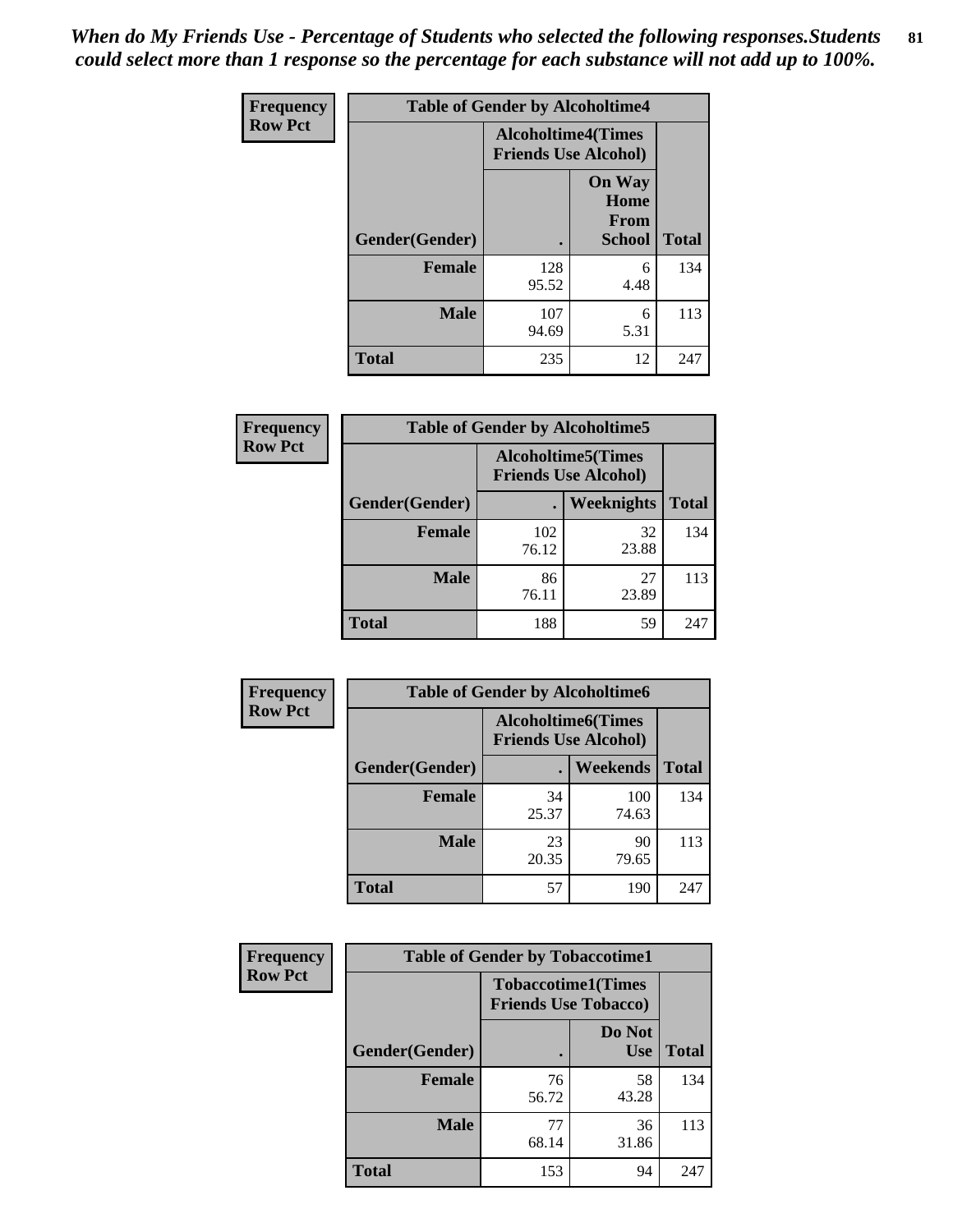*When do My Friends Use - Percentage of Students who selected the following responses.Students could select more than 1 response so the percentage for each substance will not add up to 100%.* **81**

| <b>Frequency</b> | <b>Table of Gender by Alcoholtime4</b> |                                                          |                                                |              |
|------------------|----------------------------------------|----------------------------------------------------------|------------------------------------------------|--------------|
| <b>Row Pct</b>   |                                        | <b>Alcoholtime4(Times</b><br><b>Friends Use Alcohol)</b> |                                                |              |
|                  | Gender(Gender)                         |                                                          | <b>On Way</b><br>Home<br>From<br><b>School</b> | <b>Total</b> |
|                  | <b>Female</b>                          | 128<br>95.52                                             | 6<br>4.48                                      | 134          |
|                  | <b>Male</b>                            | 107<br>94.69                                             | 6<br>5.31                                      | 113          |
|                  | <b>Total</b>                           | 235                                                      | 12                                             | 247          |

| <b>Frequency</b> | <b>Table of Gender by Alcoholtime5</b> |                                                           |                   |              |
|------------------|----------------------------------------|-----------------------------------------------------------|-------------------|--------------|
| <b>Row Pct</b>   |                                        | <b>Alcoholtime5</b> (Times<br><b>Friends Use Alcohol)</b> |                   |              |
|                  | Gender(Gender)                         |                                                           | <b>Weeknights</b> | <b>Total</b> |
|                  | <b>Female</b>                          | 102<br>76.12                                              | 32<br>23.88       | 134          |
|                  | <b>Male</b>                            | 86<br>76.11                                               | 27<br>23.89       | 113          |
|                  | <b>Total</b>                           | 188                                                       | 59                | 247          |

| <b>Frequency</b> | <b>Table of Gender by Alcoholtime6</b> |             |                                                           |              |  |
|------------------|----------------------------------------|-------------|-----------------------------------------------------------|--------------|--|
| <b>Row Pct</b>   |                                        |             | <b>Alcoholtime6</b> (Times<br><b>Friends Use Alcohol)</b> |              |  |
|                  | Gender(Gender)                         |             | Weekends                                                  | <b>Total</b> |  |
|                  | Female                                 | 34<br>25.37 | 100<br>74.63                                              | 134          |  |
|                  | <b>Male</b>                            | 23<br>20.35 | 90<br>79.65                                               | 113          |  |
|                  | <b>Total</b>                           | 57          | 190                                                       | 247          |  |

| Frequency      | <b>Table of Gender by Tobaccotime1</b> |                                                          |                      |              |
|----------------|----------------------------------------|----------------------------------------------------------|----------------------|--------------|
| <b>Row Pct</b> |                                        | <b>Tobaccotime1(Times</b><br><b>Friends Use Tobacco)</b> |                      |              |
|                | Gender(Gender)                         |                                                          | Do Not<br><b>Use</b> | <b>Total</b> |
|                | <b>Female</b>                          | 76<br>56.72                                              | 58<br>43.28          | 134          |
|                | <b>Male</b>                            | 77<br>68.14                                              | 36<br>31.86          | 113          |
|                | <b>Total</b>                           | 153                                                      | 94                   | 247          |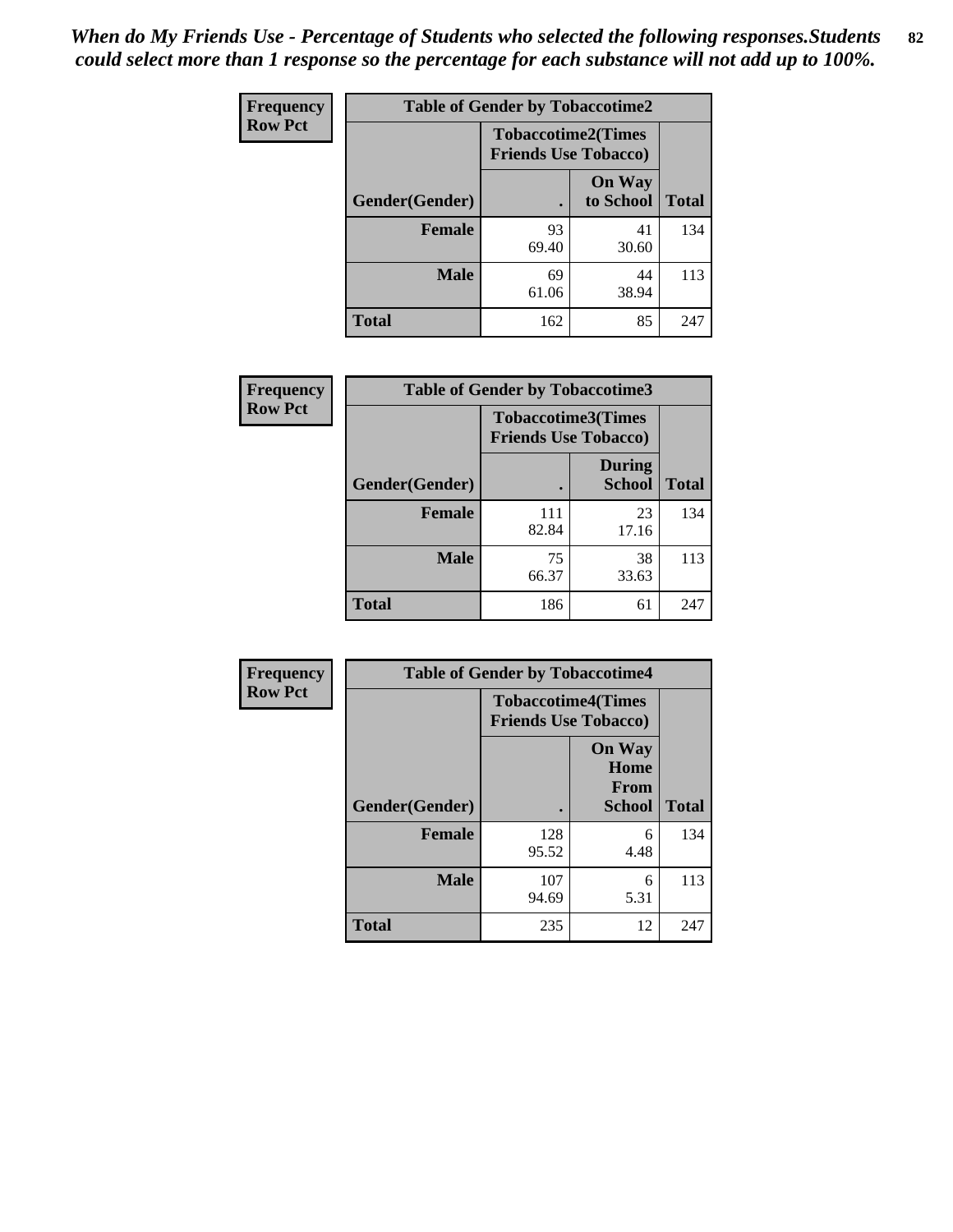| Frequency      | <b>Table of Gender by Tobaccotime2</b> |                                                          |                            |              |
|----------------|----------------------------------------|----------------------------------------------------------|----------------------------|--------------|
| <b>Row Pct</b> |                                        | <b>Tobaccotime2(Times</b><br><b>Friends Use Tobacco)</b> |                            |              |
|                | Gender(Gender)                         | $\bullet$                                                | <b>On Way</b><br>to School | <b>Total</b> |
|                | <b>Female</b>                          | 93<br>69.40                                              | 41<br>30.60                | 134          |
|                | <b>Male</b>                            | 69<br>61.06                                              | 44<br>38.94                | 113          |
|                | <b>Total</b>                           | 162                                                      | 85                         | 247          |

| Frequency      | <b>Table of Gender by Tobaccotime3</b> |                                                          |                                |              |
|----------------|----------------------------------------|----------------------------------------------------------|--------------------------------|--------------|
| <b>Row Pct</b> |                                        | <b>Tobaccotime3(Times</b><br><b>Friends Use Tobacco)</b> |                                |              |
|                | Gender(Gender)                         |                                                          | <b>During</b><br><b>School</b> | <b>Total</b> |
|                | Female                                 | 111<br>82.84                                             | 23<br>17.16                    | 134          |
|                | <b>Male</b>                            | 75<br>66.37                                              | 38<br>33.63                    | 113          |
|                | <b>Total</b>                           | 186                                                      | 61                             | 247          |

| <b>Frequency</b> | <b>Table of Gender by Tobaccotime4</b> |                                                          |                                                       |              |
|------------------|----------------------------------------|----------------------------------------------------------|-------------------------------------------------------|--------------|
| <b>Row Pct</b>   |                                        | <b>Tobaccotime4(Times</b><br><b>Friends Use Tobacco)</b> |                                                       |              |
|                  | Gender(Gender)                         |                                                          | <b>On Way</b><br>Home<br><b>From</b><br><b>School</b> | <b>Total</b> |
|                  | <b>Female</b>                          | 128<br>95.52                                             | 6<br>4.48                                             | 134          |
|                  | <b>Male</b>                            | 107<br>94.69                                             | 6<br>5.31                                             | 113          |
|                  | <b>Total</b>                           | 235                                                      | 12                                                    | 247          |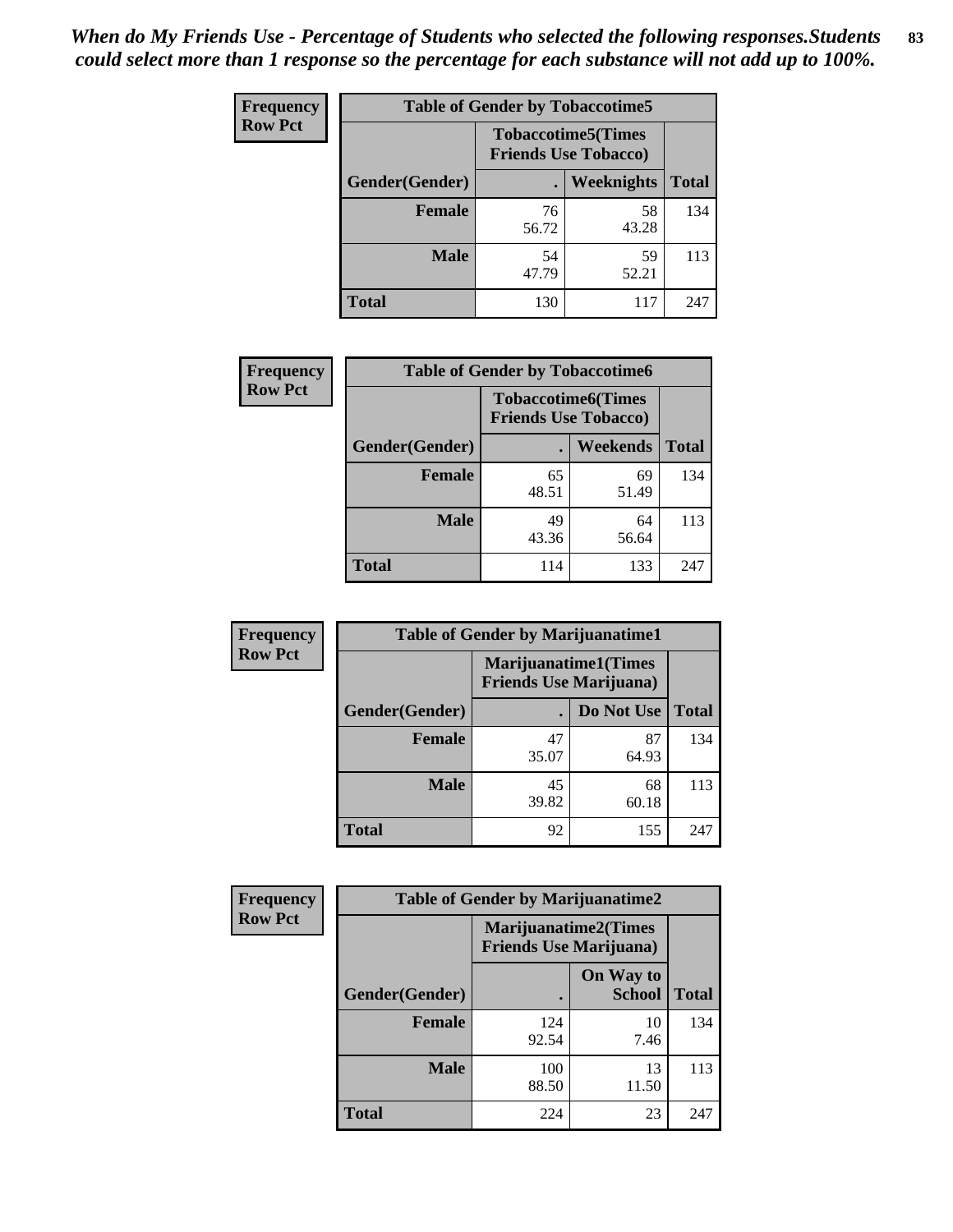| Frequency      | <b>Table of Gender by Tobaccotime5</b> |             |                                                           |              |  |
|----------------|----------------------------------------|-------------|-----------------------------------------------------------|--------------|--|
| <b>Row Pct</b> |                                        |             | <b>Tobaccotime5</b> (Times<br><b>Friends Use Tobacco)</b> |              |  |
|                | Gender(Gender)                         |             | Weeknights                                                | <b>Total</b> |  |
|                | <b>Female</b>                          | 76<br>56.72 | 58<br>43.28                                               | 134          |  |
|                | <b>Male</b>                            | 54<br>47.79 | 59<br>52.21                                               | 113          |  |
|                | <b>Total</b>                           | 130         | 117                                                       | 247          |  |

| <b>Frequency</b> |                | <b>Table of Gender by Tobaccotime6</b>                   |             |              |
|------------------|----------------|----------------------------------------------------------|-------------|--------------|
| <b>Row Pct</b>   |                | <b>Tobaccotime6(Times</b><br><b>Friends Use Tobacco)</b> |             |              |
|                  | Gender(Gender) |                                                          | Weekends    | <b>Total</b> |
|                  | Female         | 65<br>48.51                                              | 69<br>51.49 | 134          |
|                  | <b>Male</b>    | 49<br>43.36                                              | 64<br>56.64 | 113          |
|                  | <b>Total</b>   | 114                                                      | 133         | 247          |

| <b>Frequency</b> | <b>Table of Gender by Marijuanatime1</b> |                                |                             |              |
|------------------|------------------------------------------|--------------------------------|-----------------------------|--------------|
| <b>Row Pct</b>   |                                          | <b>Friends Use Marijuana</b> ) | <b>Marijuanatime1(Times</b> |              |
|                  | Gender(Gender)                           |                                | Do Not Use                  | <b>Total</b> |
|                  | <b>Female</b>                            | 47<br>35.07                    | 87<br>64.93                 | 134          |
|                  | <b>Male</b>                              | 45<br>39.82                    | 68<br>60.18                 | 113          |
|                  | <b>Total</b>                             | 92                             | 155                         | 247          |

| <b>Frequency</b> | <b>Table of Gender by Marijuanatime2</b> |                                                               |                            |              |
|------------------|------------------------------------------|---------------------------------------------------------------|----------------------------|--------------|
| <b>Row Pct</b>   |                                          | <b>Marijuanatime2(Times</b><br><b>Friends Use Marijuana</b> ) |                            |              |
|                  | Gender(Gender)                           |                                                               | On Way to<br><b>School</b> | <b>Total</b> |
|                  | <b>Female</b>                            | 124<br>92.54                                                  | 10<br>7.46                 | 134          |
|                  | <b>Male</b>                              | 100<br>88.50                                                  | 13<br>11.50                | 113          |
|                  | <b>Total</b>                             | 224                                                           | 23                         | 247          |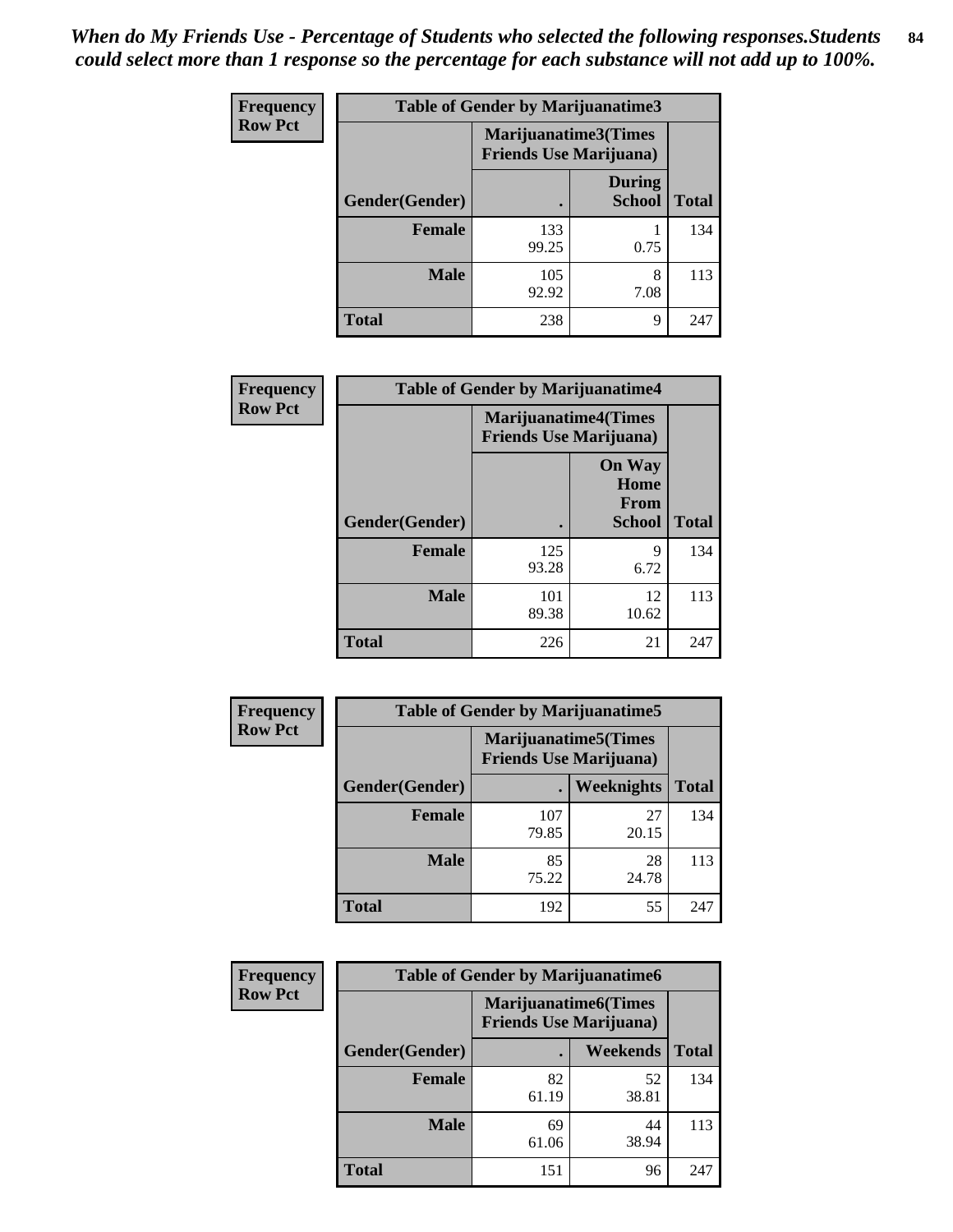*When do My Friends Use - Percentage of Students who selected the following responses.Students could select more than 1 response so the percentage for each substance will not add up to 100%.* **84**

| <b>Frequency</b> | Table of Gender by Marijuanatime3 |                                                        |                                |              |
|------------------|-----------------------------------|--------------------------------------------------------|--------------------------------|--------------|
| <b>Row Pct</b>   |                                   | Marijuanatime3(Times<br><b>Friends Use Marijuana</b> ) |                                |              |
|                  | Gender(Gender)                    |                                                        | <b>During</b><br><b>School</b> | <b>Total</b> |
|                  | <b>Female</b>                     | 133<br>99.25                                           | 0.75                           | 134          |
|                  | <b>Male</b>                       | 105<br>92.92                                           | 8<br>7.08                      | 113          |
|                  | <b>Total</b>                      | 238                                                    | 9                              | 247          |

| Frequency      | <b>Table of Gender by Marijuanatime4</b> |                                                               |                                                       |              |
|----------------|------------------------------------------|---------------------------------------------------------------|-------------------------------------------------------|--------------|
| <b>Row Pct</b> |                                          | <b>Marijuanatime4(Times</b><br><b>Friends Use Marijuana</b> ) |                                                       |              |
|                | Gender(Gender)                           |                                                               | <b>On Way</b><br>Home<br><b>From</b><br><b>School</b> | <b>Total</b> |
|                | <b>Female</b>                            | 125<br>93.28                                                  | 9<br>6.72                                             | 134          |
|                | <b>Male</b>                              | 101<br>89.38                                                  | 12<br>10.62                                           | 113          |
|                | <b>Total</b>                             | 226                                                           | 21                                                    | 247          |

| Frequency      | <b>Table of Gender by Marijuanatime5</b> |                                                                |             |              |  |
|----------------|------------------------------------------|----------------------------------------------------------------|-------------|--------------|--|
| <b>Row Pct</b> |                                          | <b>Marijuanatime5</b> (Times<br><b>Friends Use Marijuana</b> ) |             |              |  |
|                | Gender(Gender)                           | ٠                                                              | Weeknights  | <b>Total</b> |  |
|                | <b>Female</b>                            | 107<br>79.85                                                   | 27<br>20.15 | 134          |  |
|                | <b>Male</b>                              | 85<br>75.22                                                    | 28<br>24.78 | 113          |  |
|                | <b>Total</b>                             | 192                                                            | 55          | 247          |  |

| Frequency      | <b>Table of Gender by Marijuanatime6</b> |                                                               |                 |              |
|----------------|------------------------------------------|---------------------------------------------------------------|-----------------|--------------|
| <b>Row Pct</b> |                                          | <b>Marijuanatime6(Times</b><br><b>Friends Use Marijuana</b> ) |                 |              |
|                | Gender(Gender)                           |                                                               | <b>Weekends</b> | <b>Total</b> |
|                | Female                                   | 82<br>61.19                                                   | 52<br>38.81     | 134          |
|                | <b>Male</b>                              | 69<br>61.06                                                   | 44<br>38.94     | 113          |
|                | <b>Total</b>                             | 151                                                           | 96              | 247          |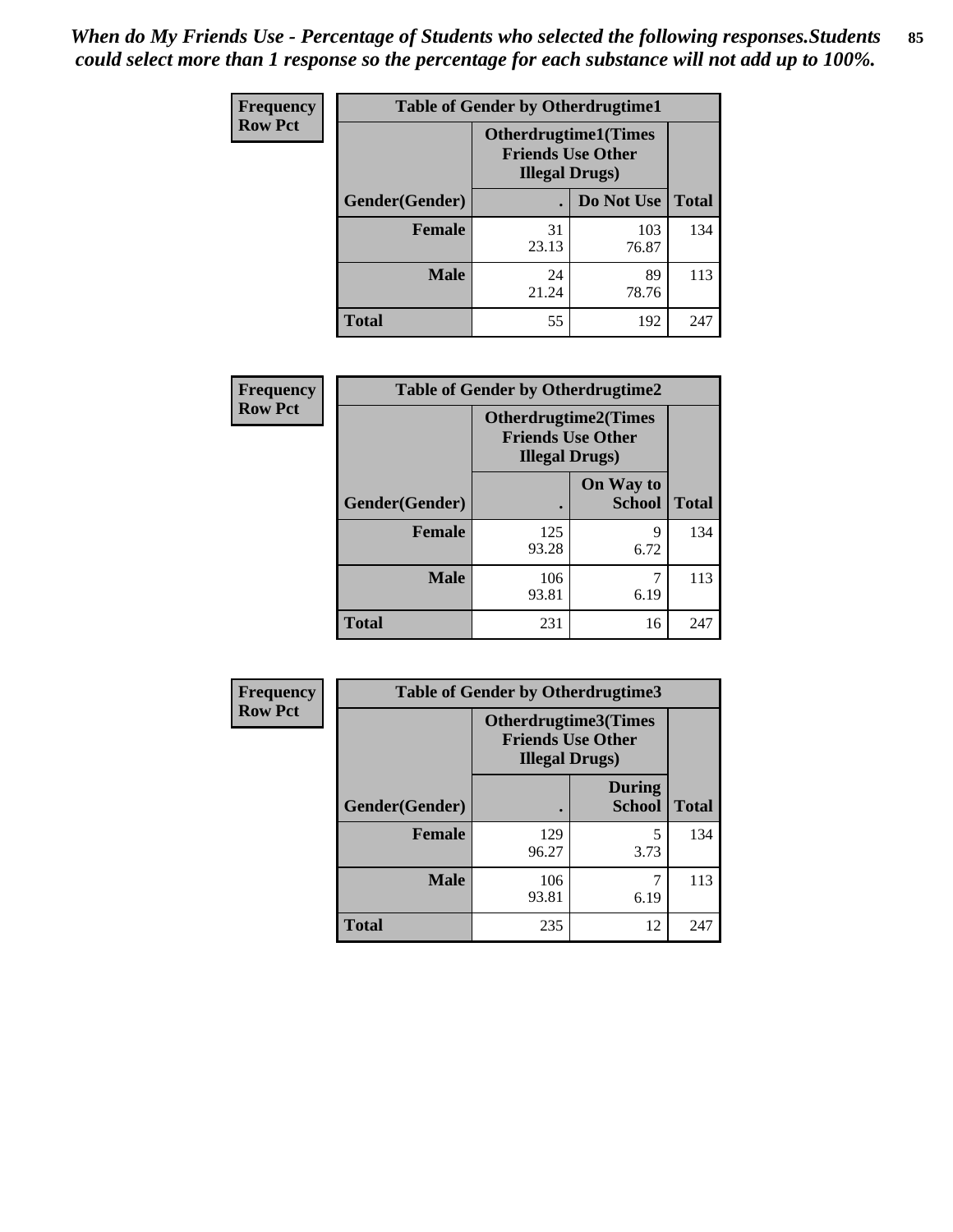*When do My Friends Use - Percentage of Students who selected the following responses.Students could select more than 1 response so the percentage for each substance will not add up to 100%.* **85**

| <b>Frequency</b> | <b>Table of Gender by Otherdrugtime1</b> |                                                    |                              |     |
|------------------|------------------------------------------|----------------------------------------------------|------------------------------|-----|
| <b>Row Pct</b>   |                                          | <b>Friends Use Other</b><br><b>Illegal Drugs</b> ) | <b>Otherdrugtime1</b> (Times |     |
|                  | Gender(Gender)                           |                                                    | Do Not Use   Total           |     |
|                  | <b>Female</b>                            | 31<br>23.13                                        | 103<br>76.87                 | 134 |
|                  | <b>Male</b>                              | 24<br>21.24                                        | 89<br>78.76                  | 113 |
|                  | <b>Total</b>                             | 55                                                 | 192                          | 247 |

| Frequency      | <b>Table of Gender by Otherdrugtime2</b> |                                                                                   |                            |              |
|----------------|------------------------------------------|-----------------------------------------------------------------------------------|----------------------------|--------------|
| <b>Row Pct</b> |                                          | <b>Otherdrugtime2(Times</b><br><b>Friends Use Other</b><br><b>Illegal Drugs</b> ) |                            |              |
|                | Gender(Gender)                           |                                                                                   | On Way to<br><b>School</b> | <b>Total</b> |
|                | <b>Female</b>                            | 125<br>93.28                                                                      | 9<br>6.72                  | 134          |
|                | <b>Male</b>                              | 106<br>93.81                                                                      | 6.19                       | 113          |
|                | <b>Total</b>                             | 231                                                                               | 16                         | 247          |

| Frequency      |                | <b>Table of Gender by Otherdrugtime3</b> |                                                         |              |
|----------------|----------------|------------------------------------------|---------------------------------------------------------|--------------|
| <b>Row Pct</b> |                | <b>Illegal Drugs</b> )                   | <b>Otherdrugtime3(Times</b><br><b>Friends Use Other</b> |              |
|                | Gender(Gender) |                                          | <b>During</b><br><b>School</b>                          | <b>Total</b> |
|                | <b>Female</b>  | 129<br>96.27                             | 5<br>3.73                                               | 134          |
|                | <b>Male</b>    | 106<br>93.81                             | 7<br>6.19                                               | 113          |
|                | <b>Total</b>   | 235                                      | 12                                                      | 247          |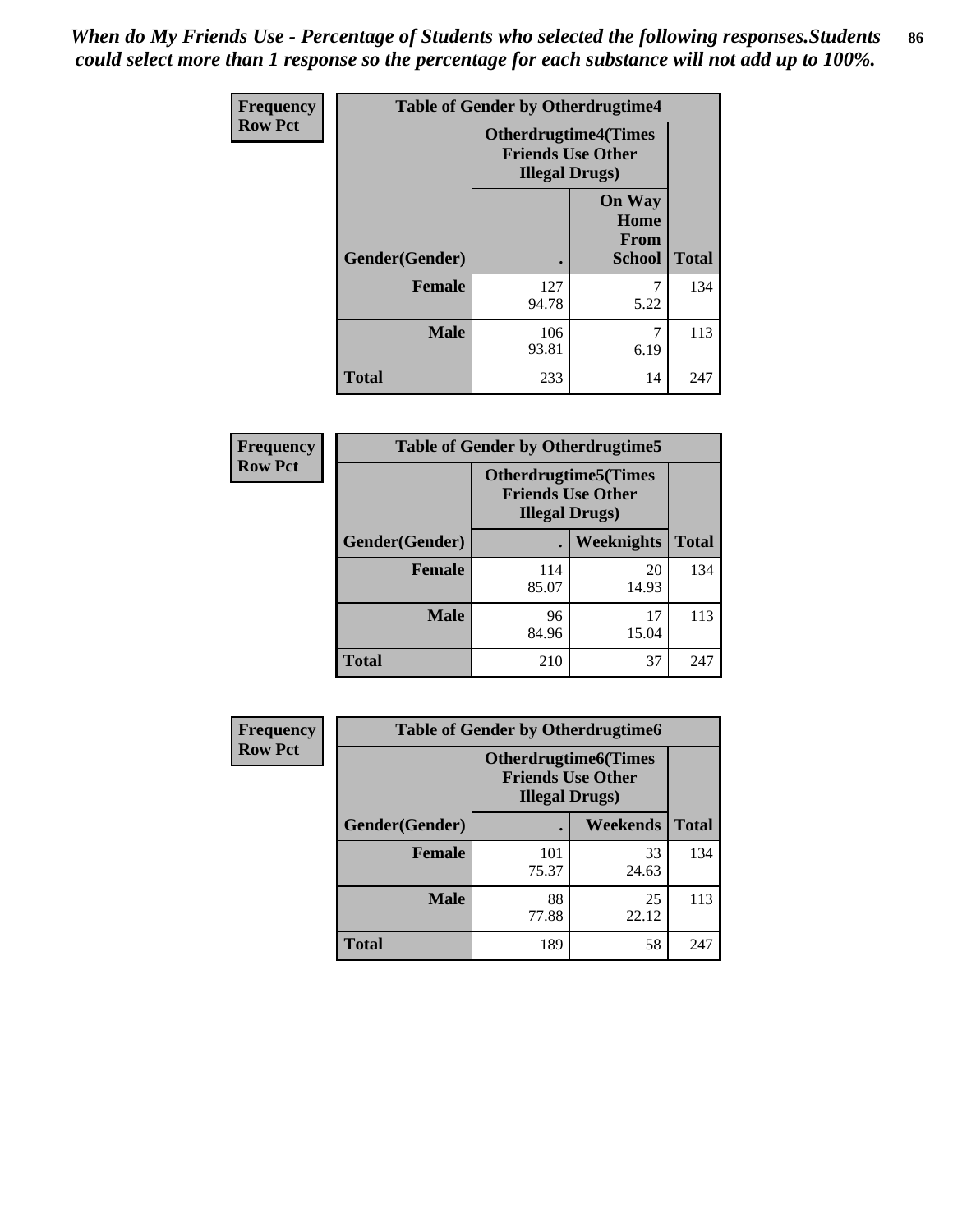*When do My Friends Use - Percentage of Students who selected the following responses.Students could select more than 1 response so the percentage for each substance will not add up to 100%.* **86**

| <b>Frequency</b> | <b>Table of Gender by Otherdrugtime4</b> |                                                    |                                                       |              |
|------------------|------------------------------------------|----------------------------------------------------|-------------------------------------------------------|--------------|
| <b>Row Pct</b>   |                                          | <b>Friends Use Other</b><br><b>Illegal Drugs</b> ) | <b>Otherdrugtime4(Times</b>                           |              |
|                  | Gender(Gender)                           |                                                    | <b>On Way</b><br>Home<br><b>From</b><br><b>School</b> | <b>Total</b> |
|                  | Female                                   | 127<br>94.78                                       | 5.22                                                  | 134          |
|                  | <b>Male</b>                              | 106<br>93.81                                       | 6.19                                                  | 113          |
|                  | <b>Total</b>                             | 233                                                | 14                                                    | 247          |

| Frequency      | <b>Table of Gender by Otherdrugtime5</b> |                                                                                    |             |              |
|----------------|------------------------------------------|------------------------------------------------------------------------------------|-------------|--------------|
| <b>Row Pct</b> |                                          | <b>Otherdrugtime5</b> (Times<br><b>Friends Use Other</b><br><b>Illegal Drugs</b> ) |             |              |
|                | Gender(Gender)                           |                                                                                    | Weeknights  | <b>Total</b> |
|                | <b>Female</b>                            | 114<br>85.07                                                                       | 20<br>14.93 | 134          |
|                | <b>Male</b>                              | 96<br>84.96                                                                        | 17<br>15.04 | 113          |
|                | <b>Total</b>                             | 210                                                                                | 37          | 247          |

| <b>Frequency</b> | <b>Table of Gender by Otherdrugtime6</b> |                                                                                   |                 |              |  |
|------------------|------------------------------------------|-----------------------------------------------------------------------------------|-----------------|--------------|--|
| <b>Row Pct</b>   |                                          | <b>Otherdrugtime6(Times</b><br><b>Friends Use Other</b><br><b>Illegal Drugs</b> ) |                 |              |  |
|                  | Gender(Gender)                           |                                                                                   | <b>Weekends</b> | <b>Total</b> |  |
|                  | <b>Female</b>                            | 101<br>75.37                                                                      | 33<br>24.63     | 134          |  |
|                  | <b>Male</b>                              | 88<br>77.88                                                                       | 25<br>22.12     | 113          |  |
|                  | <b>Total</b>                             | 189                                                                               | 58              | 247          |  |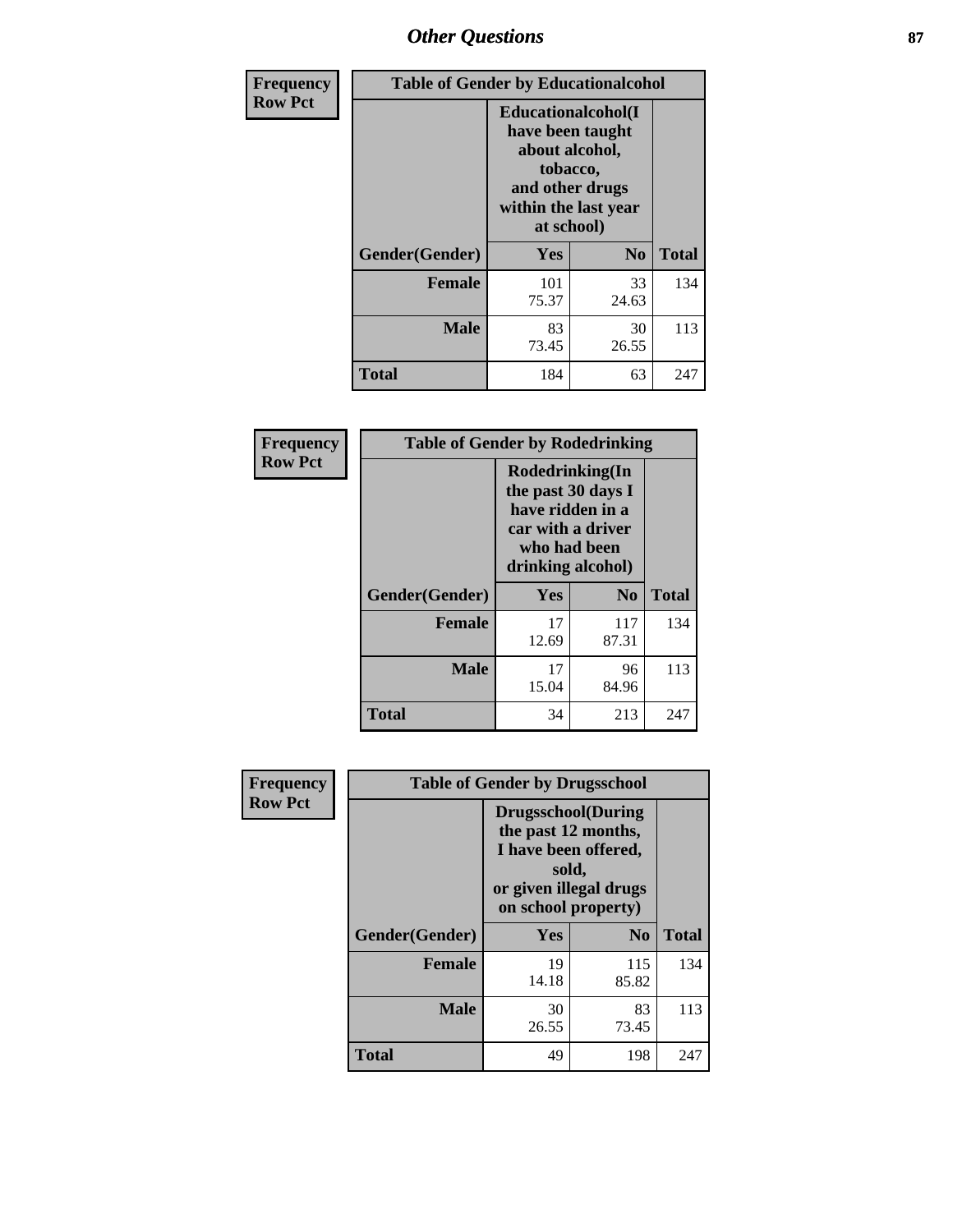# *Other Questions* **87**

| <b>Frequency</b> | <b>Table of Gender by Educationalcohol</b> |                                                                                                                                       |                |              |  |
|------------------|--------------------------------------------|---------------------------------------------------------------------------------------------------------------------------------------|----------------|--------------|--|
| <b>Row Pct</b>   |                                            | <b>Educationalcohol</b> (I<br>have been taught<br>about alcohol,<br>tobacco,<br>and other drugs<br>within the last year<br>at school) |                |              |  |
|                  | Gender(Gender)                             | <b>Yes</b>                                                                                                                            | N <sub>0</sub> | <b>Total</b> |  |
|                  | <b>Female</b>                              | 101<br>75.37                                                                                                                          | 33<br>24.63    | 134          |  |
|                  | <b>Male</b>                                | 83<br>73.45                                                                                                                           | 30<br>26.55    | 113          |  |
|                  | <b>Total</b>                               | 184                                                                                                                                   | 63             | 247          |  |

| Frequency      | <b>Table of Gender by Rodedrinking</b> |                                                                                                                     |                |              |  |  |
|----------------|----------------------------------------|---------------------------------------------------------------------------------------------------------------------|----------------|--------------|--|--|
| <b>Row Pct</b> |                                        | Rodedrinking(In<br>the past 30 days I<br>have ridden in a<br>car with a driver<br>who had been<br>drinking alcohol) |                |              |  |  |
|                | Gender(Gender)                         | Yes                                                                                                                 | N <sub>0</sub> | <b>Total</b> |  |  |
|                | <b>Female</b>                          | 17<br>12.69                                                                                                         | 117<br>87.31   | 134          |  |  |
|                | <b>Male</b>                            | 17<br>15.04                                                                                                         | 96<br>84.96    | 113          |  |  |
|                | <b>Total</b>                           | 34                                                                                                                  | 213            | 247          |  |  |

| Frequency      | <b>Table of Gender by Drugsschool</b> |                                                                                                                                     |                |              |  |
|----------------|---------------------------------------|-------------------------------------------------------------------------------------------------------------------------------------|----------------|--------------|--|
| <b>Row Pct</b> |                                       | <b>Drugsschool</b> (During<br>the past 12 months,<br>I have been offered,<br>sold,<br>or given illegal drugs<br>on school property) |                |              |  |
|                | Gender(Gender)                        | <b>Yes</b>                                                                                                                          | N <sub>0</sub> | <b>Total</b> |  |
|                | <b>Female</b>                         | 19<br>14.18                                                                                                                         | 115<br>85.82   | 134          |  |
|                | <b>Male</b>                           | 30<br>26.55                                                                                                                         | 83<br>73.45    | 113          |  |
|                | <b>Total</b>                          | 49                                                                                                                                  | 198            | 247          |  |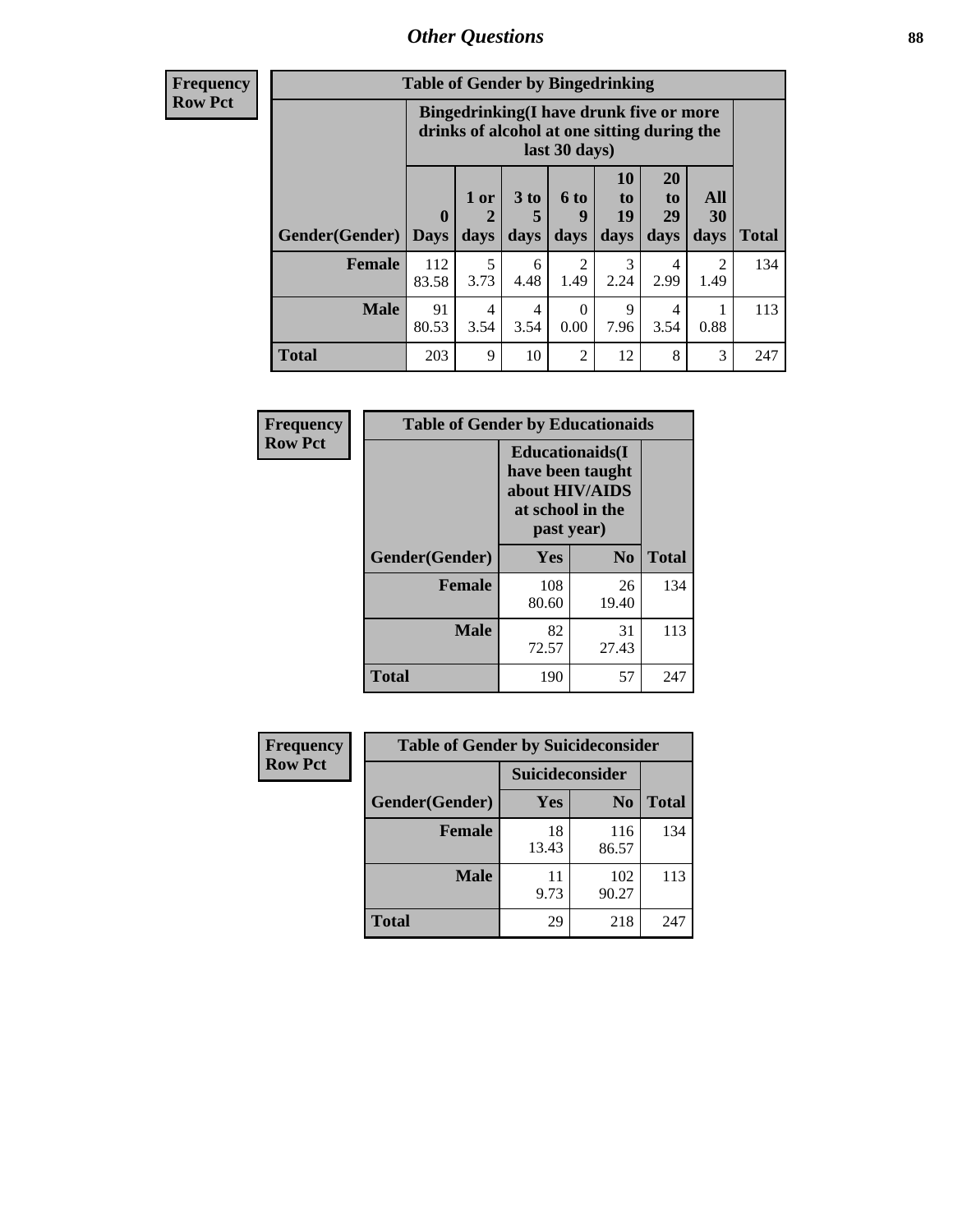# *Other Questions* **88**

**Frequency Row Pct**

| <b>Table of Gender by Bingedrinking</b> |                         |                                                                                                         |                   |                   |                        |                               |                        |              |
|-----------------------------------------|-------------------------|---------------------------------------------------------------------------------------------------------|-------------------|-------------------|------------------------|-------------------------------|------------------------|--------------|
|                                         |                         | Bingedrinking(I have drunk five or more<br>drinks of alcohol at one sitting during the<br>last 30 days) |                   |                   |                        |                               |                        |              |
| <b>Gender</b> (Gender)                  | $\bf{0}$<br><b>Days</b> | $1$ or<br>days                                                                                          | 3 to<br>5<br>days | 6 to<br>9<br>days | 10<br>to<br>19<br>days | <b>20</b><br>to<br>29<br>days | All<br>30<br>days      | <b>Total</b> |
| <b>Female</b>                           | 112<br>83.58            | 5<br>3.73                                                                                               | 6<br>4.48         | 2<br>1.49         | 3<br>2.24              | 4<br>2.99                     | $\mathfrak{D}$<br>1.49 | 134          |
| <b>Male</b>                             | 91                      | 4                                                                                                       | 4                 | 0<br>0.00         | 9                      | 4<br>3.54                     | 0.88                   | 113          |
|                                         | 80.53                   | 3.54                                                                                                    | 3.54              |                   | 7.96                   |                               |                        |              |

| Frequency      | <b>Table of Gender by Educationaids</b> |                                                                                                 |             |              |  |  |
|----------------|-----------------------------------------|-------------------------------------------------------------------------------------------------|-------------|--------------|--|--|
| <b>Row Pct</b> |                                         | <b>Educationaids</b> (I<br>have been taught<br>about HIV/AIDS<br>at school in the<br>past year) |             |              |  |  |
|                | Gender(Gender)                          | Yes                                                                                             | $\bf N_0$   | <b>Total</b> |  |  |
|                | <b>Female</b>                           | 108<br>80.60                                                                                    | 26<br>19.40 | 134          |  |  |
|                | <b>Male</b>                             | 82<br>72.57                                                                                     | 31<br>27.43 | 113          |  |  |
|                | <b>Total</b>                            | 190                                                                                             | 57          | 247          |  |  |

| <b>Frequency</b> | <b>Table of Gender by Suicideconsider</b> |                 |                |              |  |
|------------------|-------------------------------------------|-----------------|----------------|--------------|--|
| <b>Row Pct</b>   |                                           | Suicideconsider |                |              |  |
|                  | Gender(Gender)                            | Yes             | N <sub>0</sub> | <b>Total</b> |  |
|                  | <b>Female</b>                             | 18<br>13.43     | 116<br>86.57   | 134          |  |
|                  | <b>Male</b>                               | 11<br>9.73      | 102<br>90.27   | 113          |  |
|                  | <b>Total</b>                              | 29              | 218            | 247          |  |